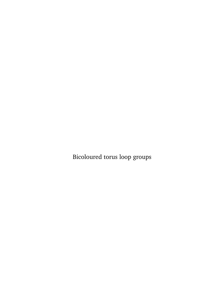Bicoloured torus loop groups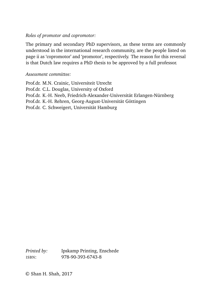#### *Roles of promotor and copromotor:*

The primary and secondary PhD supervisors, as these terms are commonly understood in the international research community, are the people listed on page ii as 'copromotor' and 'promotor', respectively. The reason for this reversal is that Dutch law requires a PhD thesis to be approved by a full professor.

#### *Assessment committee:*

Prof.dr. M.N. Crainic, Universiteit Utrecht Prof.dr. C.L. Douglas, University of Oxford Prof.dr. K.-H. Neeb, Friedrich-Alexander-Universität Erlangen-Nürnberg Prof.dr. K.-H. Rehren, Georg-August-Universität Göttingen Prof.dr. C. Schweigert, Universität Hamburg

*Printed by:* Ipskamp Printing, Enschede ISBN: 978-90-393-6743-8

© Shan H. Shah, 2017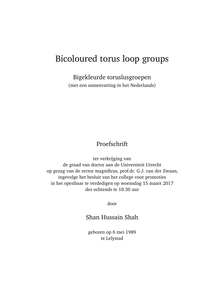# Bicoloured torus loop groups

Bigekleurde toruslusgroepen

(met een samenvatting in het Nederlands)

# Proefschrift

ter verkrijging van de graad van doctor aan de Universiteit Utrecht op gezag van de rector magnificus, prof.dr. G.J. van der Zwaan, ingevolge het besluit van het college voor promoties in het openbaar te verdedigen op woensdag 15 maart 2017 des ochtends te 10.30 uur

door

## Shan Hussain Shah

geboren op 6 mei 1989 te Lelystad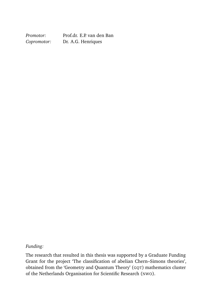*Promotor:* Prof.dr. E.P. van den Ban<br>Copromotor: Dr. A.G. Henriques *Copromotor:* Dr. A.G. Henriques

#### *Funding:*

The research that resulted in this thesis was supported by a Graduate Funding Grant for the project 'The classification of abelian Chern–Simons theories', obtained from the 'Geometry and Quantum Theory' (GQT) mathematics cluster of the Netherlands Organisation for Scientific Research (NWO).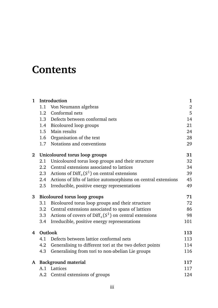# **Contents**

| $\mathbf{1}$ | Introduction                              |                                                                         | $\mathbf{1}$     |
|--------------|-------------------------------------------|-------------------------------------------------------------------------|------------------|
|              | 1.1                                       | Von Neumann algebras                                                    | $\boldsymbol{2}$ |
|              | 1.2                                       | Conformal nets                                                          | 5                |
|              |                                           | 1.3 Defects between conformal nets                                      | 14               |
|              |                                           | 1.4 Bicoloured loop groups                                              | 21               |
|              |                                           | 1.5 Main results                                                        | 24               |
|              |                                           | 1.6 Organisation of the text                                            | 28               |
|              |                                           | 1.7 Notations and conventions                                           | 29               |
| $\mathbf{2}$ | Unicoloured torus loop groups             |                                                                         |                  |
|              | 2.1                                       | Unicoloured torus loop groups and their structure                       | 32               |
|              |                                           | 2.2 Central extensions associated to lattices                           | 34               |
|              | 2.3                                       | Actions of Diff <sub>+</sub> $(S1)$ on central extensions               | 39               |
|              |                                           | 2.4 Actions of lifts of lattice automorphisms on central extensions     | 45               |
|              | 2.5                                       | Irreducible, positive energy representations                            | 49               |
| 3            | <b>Bicoloured torus loop groups</b><br>71 |                                                                         |                  |
|              | 3.1                                       | Bicoloured torus loop groups and their structure                        | 72               |
|              |                                           | 3.2 Central extensions associated to spans of lattices                  | 86               |
|              |                                           | 3.3 Actions of covers of Diff <sub>+</sub> $(S1)$ on central extensions | 98               |
|              | 3.4                                       | Irreducible, positive energy representations                            | 101              |
| 4            | Outlook                                   |                                                                         |                  |
|              | 4.1                                       | Defects between lattice conformal nets                                  | 113              |
|              | 4.2                                       | Generalising to different tori at the two defect points                 | 114              |
|              | 4.3                                       | Generalising from tori to non-abelian Lie groups                        | 116              |
|              | A Background material                     |                                                                         |                  |
|              |                                           | A.1 Lattices                                                            | 117              |
|              |                                           |                                                                         |                  |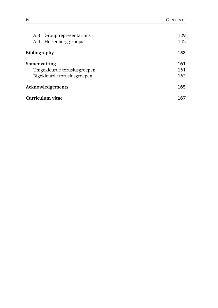| A.3 Group representations    | 129               |
|------------------------------|-------------------|
| A.4 Heisenberg groups        | 142               |
| <b>Bibliography</b>          | 153<br>161<br>161 |
| Samenvatting                 |                   |
| Unigekleurde toruslusgroepen |                   |
| Bigekleurde toruslusgroepen  | 163               |
| Acknowledgements             | 165               |
| Curriculum vitae             | 167               |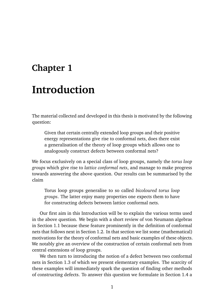# **Chapter 1**

# **Introduction**

The material collected and developed in this thesis is motivated by the following question:

Given that certain centrally extended loop groups and their positive energy representations give rise to conformal nets, does there exist a generalisation of the theory of loop groups which allows one to analogously construct defects between conformal nets?

We focus exclusively on a special class of loop groups, namely the *torus loop groups* which give rise to *lattice conformal nets*, and manage to make progress towards answering the above question. Our results can be summarised by the claim

Torus loop groups generalise to so called *bicoloured torus loop groups*. The latter enjoy many properties one expects them to have for constructing defects between lattice conformal nets.

Our first aim in this Introduction will be to explain the various terms used in the above question. We begin with a short review of von Neumann algebras in Section 1.1 because these feature prominently in the definition of conformal nets that follows next in Section 1.2. In that section we list some (mathematical) motivations for the theory of conformal nets and basic examples of these objects. We notably give an overview of the construction of certain conformal nets from central extensions of loop groups.

We then turn to introducing the notion of a defect between two conformal nets in Section 1.3 of which we present elementary examples. The scarcity of these examples will immediately spark the question of finding other methods of constructing defects. To answer this question we formulate in Section 1.4 a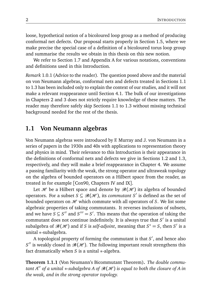loose, hypothetical notion of a bicoloured loop group as a method of producing conformal net defects. Our proposal starts properly in Section 1.5, where we make precise the special case of a definition of a bicoloured torus loop group and summarise the results we obtain in this thesis on this new notion.

We refer to Section 1.7 and Appendix A for various notations, conventions and definitions used in this Introduction.

*Remark* 1.0.1 (Advice to the reader)*.* The question posed above and the material on von Neumann algebras, conformal nets and defects treated in Sections 1.1 to 1.3 has been included only to explain the context of our studies, and it will not make a relevant reappearance until Section 4.1. The bulk of our investigations in Chapters 2 and 3 does not strictly require knowledge of these matters. The reader may therefore safely skip Sections 1.1 to 1.3 without missing technical background needed for the rest of the thesis.

### **1.1 Von Neumann algebras**

Von Neumann algebras were introduced by F. Murray and J. von Neumann in a series of papers in the 1930s and 40s with applications to representation theory and physics in mind. Their relevance to this Introduction is their appearance in the definitions of conformal nets and defects we give in Sections 1.2 and 1.3, respectively, and they will make a brief reappearance in Chapter 4. We assume a passing familiarity with the weak, the strong operator and ultraweak topology on the algebra of bounded operators on a Hilbert space from the reader, as treated in for example [Con90, Chapters IV and IX].

Let H be a Hilbert space and denote by  $\mathcal{B}(\mathcal{H})$  its algebra of bounded operators. For a subset  $S \subseteq \mathcal{B}(\mathcal{H})$ , its *commutant*  $S'$  is defined as the set of bounded operators on  $H$  which commute with all operators of *S*. We list some algebraic properties of taking commutants. It reverses inclusions of subsets, and we have  $S \subseteq S''$  and  $S''' = S'$ . This means that the operation of taking the commutant does not continue indefinitely. It is always true that S' is a unital subalgebra of  $\mathcal{B}(\mathcal{H})$  and if *S* is *self-adjoint*, meaning that  $S^* = S$ , then  $S'$  is a unital ∗-subalgebra.

A topological property of forming the commutant is that S', and hence also  $S''$  is weakly closed in  $\mathcal{B}(\mathcal{H})$ . The following important result strengthens this fact dramatically when *S* is a unital ∗-algebra.

**Theorem 1.1.1** (Von Neumann's Bicommutant Theorem)**.** *The double commutant A* <sup>00</sup> *of a unital* <sup>∗</sup>*-subalgebra <sup>A</sup> of* <sup>B</sup>(<sup>H</sup> ) *is equal to both the closure of <sup>A</sup> in the weak, and in the strong operator topology.*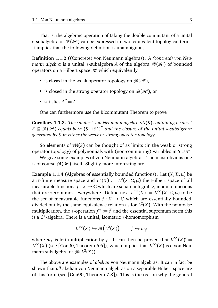That is, the algebraic operation of taking the double commutant of a unital  $*$ -subalgebra of  $\mathcal{B}(\mathcal{H})$  can be expressed in two, equivalent topological terms. It implies that the following definition is unambiguous.

**Definition 1.1.2** ((Concrete) von Neumann algebras)**.** A *(concrete) von Neumann algebra* is a unital  $*$ -subalgebra *A* of the algebra  $\mathcal{B}(\mathcal{H})$  of bounded operators on a Hilbert space  $\mathcal{H}$  which equivalently

- is closed in the weak operator topology on  $\mathcal{B}(\mathcal{H})$ ,
- is closed in the strong operator topology on  $\mathcal{B}(\mathcal{H})$ , or
- satisfies  $A'' = A$ .

One can furthermore use the Bicommutant Theorem to prove

**Corollary 1.1.3.** *The smallest von Neumann algebra* vN(*S*) *containing a subset*  $S \subseteq \mathscr{B}(\mathscr{H})$  equals both  $(S \cup S^*)''$  and the closure of the unital  $*$ -subalgebra *generated by S in either the weak or strong operator topology.*

So elements of vN(*S*) can be thought of as limits (in the weak or strong operator topology) of polynomials with (non-commuting) variables in *S* ∪ *S* ∗ .

We give some examples of von Neumann algebras. The most obvious one is of course  $\mathcal{B}(\mathcal{H})$  itself. Slightly more interesting are

**Example 1.1.4** (Algebras of essentially bounded functions)**.** Let (*X*,*Σ*,*µ*) be a  $\sigma$ -finite measure space and  $L^2(X) := L^2(X, \Sigma, \mu)$  the Hilbert space of all measurable functions  $f: X \to \mathbb{C}$  which are square integrable, modulo functions that are zero almost everywhere. Define next  $L^{\infty}(X) := L^{\infty}(X, \Sigma, \mu)$  to be the set of measurable functions  $f: X \to \mathbb{C}$  which are essentially bounded, divided out by the same equivalence relation as for  $L^2(X)$ . With the pointwise multiplication, the ∗-operation  $f^* := \overline{f}$  and the essential supremum norm this is a *C* ∗ -algebra. There is a unital, isometric ∗-homomorphism

$$
L^{\infty}(X) \hookrightarrow \mathcal{B}\big(L^2(X)\big), \qquad f \mapsto m_f,
$$

where  $m_f$  is left multiplication by *f*. It can then be proved that  $L^\infty(X)' =$ *L*<sup>∞</sup>(*X*) (see [Con90, Theorem 6.6]), which implies that  $L^\infty(X)$  is a von Neumann subalgebra of  $\mathcal{B}(L^2(X))$ .

The above are examples of *abelian* von Neumann algebras. It can in fact be shown that *all* abelian von Neumann algebras on a separable Hilbert space are of this form (see [Con90, Theorem 7.8]). This is the reason why the general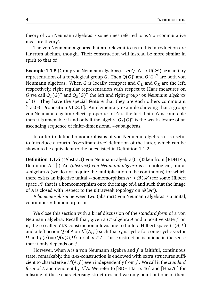theory of von Neumann algebras is sometimes referred to as 'non-commutative measure theory'.

The von Neumann algebras that are relevant to us in this Introduction are far from abelian, though. Their construction will instead be more similar in spirit to that of

**Example 1.1.5** (Group von Neumann algebras). Let  $Q: G \to U(\mathcal{H})$  be a unitary representation of a topological group  $G$ . Then  $Q(G)'$  and  $Q(G)''$  are both von Neumann algebras. When *G* is locally compact and  $Q_L$  and  $Q_R$  are the left, respectively, right regular representation with respect to Haar measures on *G* we call  $Q_L(G)''$  and  $Q_R(G)''$  the left and right *group von Neumann algebras* of *G*. They have the special feature that they are each others commutant [Tak03, Proposition VII.3.1]. An elementary example showing that a group von Neumann algebra reflects properties of *G* is the fact that if *G* is countable then it is amenable if and only if the algebra  $Q_L(G)''$  is the weak closure of an ascending sequence of finite-dimensional ∗-subalgebras.

In order to define homomorphisms of von Neumann algebras it is useful to introduce a fourth, 'coordinate-free' definition of the latter, which can be shown to be equivalent to the ones listed in Definition 1.1.2:

**Definition 1.1.6** ((Abstract) von Neumann algebras)**.** (Taken from [BDH14a, Definition A.1].) An *(abstract) von Neumann algebra* is a topological, unital ∗-algebra *A* (we do not require the multiplication to be continuous) for which there exists an injective unital  $*$ -homomorphism  $A \hookrightarrow \mathcal{B}(\mathcal{H})$  for some Hilbert space  $H$  that is a homeomorphism onto the image of *A* and such that the image of *A* is closed with respect to the ultraweak topology on  $\mathcal{B}(\mathcal{H})$ .

A *homomorphism* between two (abstract) von Neumann algebras is a unital, continuous ∗-homomorphism.

We close this section with a brief discussion of the *standard form* of a von Neumann algebra. Recall that, given a *C* ∗ -algebra *A* and a positive state *f* on it, the so called GNS-construction allows one to build a Hilbert space  $L^2(A, f)$ and a left action  $Q$  of  $A$  on  $L^2(A,f)$  such that  $Q$  is cyclic for some cyclic vector *Ω* and *f* (*a*) =  $\langle Q(a)Ω, Ω \rangle$  for all *a* ∈ *A*. This construction is unique in the sense that it only depends on *f* .

However, when *A* is a von Neumann algebra and *f* a faithful, continuous state, remarkably, the GNS-construction is endowed with extra structures sufficient to characterise  $L^2(A,f)$  even independently from  $f$  . We call it the *standard form* of *A* and denote it by *L* <sup>2</sup>*A*. We refer to [BDH14a, p. 46] and [Haa76] for a listing of these characterising structures and we only point out one of them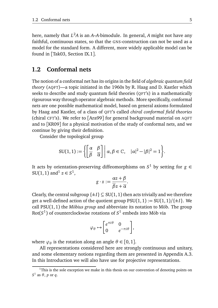here, namely that *L* <sup>2</sup>*A* is an *A*–*A*-bimodule. In general, *A* might not have any faithful, continuous states, so that the GNS-construction can not be used as a model for the standard form. A different, more widely applicable model can be found in [Tak03, Section IX.1].

#### **1.2 Conformal nets**

The notion of a conformal net has its origins in the field of *algebraic quantum field theory* (AQFT)—a topic initiated in the 1960s by R. Haag and D. Kastler which seeks to describe and study quantum field theories (QFT's) in a mathematically rigourous way through operator algebraic methods. More specifically, conformal nets are one possible mathematical model, based on general axioms formulated by Haag and Kastler, of a class of QFT's called *chiral conformal field theories* (chiral CFT's). We refer to [Ara99] for general background material on AQFT and to [KR09] for a physical motivation of the study of conformal nets, and we continue by giving their definition.

Consider the topological group

$$
SU(1,1):=\left\{\left[\begin{array}{cc} \alpha & \beta \\ \overline{\beta} & \overline{\alpha} \end{array}\right] \middle| \alpha, \beta \in \mathbb{C}, \quad |\alpha|^2 - |\beta|^2 = 1\right\}.
$$

It acts by orientation-preserving diffeomorphisms on  $S^1$  by setting for  $g \in$  $SU(1, 1)$  and<sup>1</sup>  $z \in S^1$ ,

$$
g \cdot z := \frac{\alpha z + \beta}{\overline{\beta} z + \overline{\alpha}}.
$$

Clearly, the central subgroup  $\{\pm I\} \subseteq SU(1,1)$  then acts trivially and we therefore get a well-defined action of the quotient group  $PSU(1, 1) := SU(1, 1)/\{\pm I\}$ . We call  $PSU(1, 1)$  the *Möbius group* and abbreviate its notation to Möb. The group  $\mathsf{Rot}(S^1)$  of counterclockwise rotations of  $S^1$  embeds into Möb via

$$
\varphi_{\theta} \mapsto \begin{bmatrix} e^{\pi i \theta} & 0 \\ 0 & e^{-\pi i \theta} \end{bmatrix},
$$

where  $\varphi_{\theta}$  is the rotation along an angle  $\theta \in [0,1]$ .

All representations considered here are strongly continuous and unitary, and some elementary notions regarding them are presented in Appendix A.3. In this Introduction we will also have use for projective representations.

 $1$ This is the sole exception we make in this thesis on our convention of denoting points on  $S^1$  as  $\theta$ ,  $p$  or  $q$ .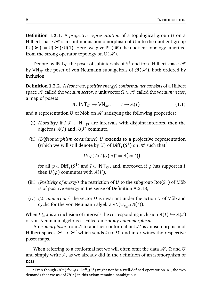**Definition 1.2.1.** A *projective representation* of a topological group *G* on a Hilbert space  $\mathcal H$  is a continuous homomorphism of  $G$  into the quotient group  $PU(\mathcal{H}) := U(\mathcal{H})/U(1)$ . Here, we give PU( $\mathcal{H}$ ) the quotient topology inherited from the strong operator topology on  $U(\mathcal{H})$ .

Denote by  $\mathsf{INT}_{S^1}$  the poset of subintervals of  $S^1$  and for a Hilbert space  $\mathscr H$ by VN<sub>\*</sub> the poset of von Neumann subalgebras of  $\mathcal{B}(\mathcal{H})$ , both ordered by inclusion.

**Definition 1.2.2.** A *(concrete, positive energy) conformal net* consists of a Hilbert space  $H$  called the *vacuum sector*, a unit vector  $\Omega \in H$  called the *vacuum vector*, a map of posets

$$
A: \mathsf{INT}_{S^1} \to \mathsf{VN}_{\mathscr{H}}, \qquad I \mapsto \mathcal{A}(I) \tag{1.1}
$$

and a representation *U* of Möb on  $H$  satisfying the following properties:

- (i) *(Locality)* if  $I, J \in \text{INT}_{S^1}$  are intervals with disjoint interiors, then the algebras  $A(I)$  and  $A(J)$  commute,
- (ii) *(Diffeomorphism covariance) U* extends to a projective representation (which we will still denote by *U*) of  $\text{Diff}_+(S^1)$  on  $\mathcal H$  such that<sup>2</sup>

$$
U(\varphi)\mathcal{A}(I)U(\varphi)^* = \mathcal{A}(\varphi(I))
$$

for all  $\varphi \in \text{Diff}_+(S^1)$  and  $I \in \text{INT}_{S^1}$ , and, moreover, if  $\varphi$  has support in *I* then  $U(\varphi)$  commutes with  $A(I')$ ,

- (iii) *(Positivity of energy)* the restriction of *U* to the subgroup  $Rot(S^1)$  of Möb is of positive energy in the sense of Definition A.3.13,
- (iv) *(Vacuum axiom)* the vector  $\Omega$  is invariant under the action *U* of Möb and cyclic for the von Neumann algebra vN(∪*I*⊆*<sup>S</sup>* <sup>1</sup>A(*I*)).

When *I*  $\subseteq$  *J* is an inclusion of intervals the corresponding inclusion  $A(I) \hookrightarrow A(J)$ of von Neumann algebras is called an *isotony homomorphism*.

An *isomorphism* from  $A$  to another conformal net  $A'$  is an isomorphism of Hilbert spaces  $\mathcal{H} \to \mathcal{H}'$  which sends  $\Omega$  to  $\Omega'$  and intertwines the respective poset maps.

When referring to a conformal net we will often omit the data  $\mathcal{H}$ ,  $\Omega$  and *U* and simply write  $A$ , as we already did in the definition of an isomorphism of nets.

<sup>&</sup>lt;sup>2</sup>Even though  $U(\varphi)$  for  $\varphi \in \text{Diff}_+(S^1)$  might not be a well-defined operator on  $\mathcal{H}$ , the two demands that we ask of  $U(\varphi)$  in this axiom remain unambiguous.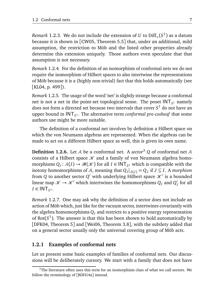*Remark* 1.2.3. We do not include the extension of *U* to Diff<sub>+</sub>( $S^1$ ) as a datum because it is shown in [CW05, Theorem 5.5] that, under an additional, mild assumption, the restriction to Möb and the listed other properties already determine this extension uniquely. Those authors even speculate that that assumption is not necessary.

*Remark* 1.2.4*.* For the definition of an isomorphism of conformal nets we do not require the isomorphism of Hilbert spaces to also intertwine the representations of Möb because it is a (highly non-trivial) fact that this holds automatically (see [KL04, p. 499]).

*Remark* 1.2.5*.* The usage of the word 'net' is slightly strange because a conformal net is not a net in the point-set topological sense. The poset  $\mathsf{INT}_{S^1}$  namely does not form a directed set because two intervals that cover *S* <sup>1</sup> do not have an upper bound in INT*<sup>S</sup>* <sup>1</sup> . The alternative term *conformal pre-cosheaf* that some authors use might be more suitable.

The definition of a conformal net involves by definition a Hilbert space on which the von Neumann algebras are represented. When the algebras can be made to act on a different Hilbert space as well, this is given its own name.

**Definition 1.2.6.** Let  $A$  be a conformal net. A *sector*<sup>3</sup>  $Q$  of conformal net  $A$ consists of a Hilbert space  $\mathcal K$  and a family of von Neumann algebra homomorphisms  $Q_I: \mathcal{A}(I) \to \mathcal{B}(\mathcal{K})$  for all  $I \in \text{INT}_{S^1}$  which is compatible with the isotony homomorphisms of *A*, meaning that  $Q_I|_{\mathcal{A}(J)} = Q_J$  if  $J \subseteq I$ . A *morphism* from *Q* to another sector *Q'* with underlying Hilbert space  $\mathcal{K}'$  is a bounded linear map  $\mathscr{K} \to \mathscr{K}'$  which intertwines the homomorphisms  $Q_I$  and  $Q_I'$ *I* for all  $I \in \text{INT}_{S^1}.$ 

*Remark* 1.2.7*.* One may ask why the definition of a sector does not include an action of Möb which, just like for the vacuum sector, intertwines covariantly with the algebra homomorphisms  $Q_I$  and restricts to a positive energy representation of  $Rot(S^1)$ . The answer is that this has been shown to hold automatically by [DFK04, Theorem 5] and [Wei06, Theorem 3.8], with the subtlety added that on a general sector usually only the universal covering group of Möb acts.

#### **1.2.1 Examples of conformal nets**

Let us present some basic examples of families of conformal nets. Our discussions will be deliberately cursory. We start with a family that does not have

 $3$ The literature often uses this term for an isomorphism class of what we call sectors. We follow the terminology of [BDH14a] instead.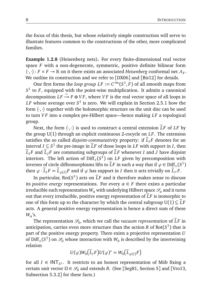the focus of this thesis, but whose relatively simple construction will serve to illustrate features common to the constructions of the other, more complicated families.

**Example 1.2.8** (Heisenberg nets)**.** For every finite-dimensional real vector space *F* with a non-degenerate, symmetric, positive definite bilinear form  $\langle \cdot,\cdot\rangle\colon F\times F\to\mathbb{R}$  on it there exists an associated *Heisenberg* conformal net  $\mathcal{A}_F.$ We outline its construction and we refer to [DX06] and [Bis12] for details.

One first forms the *loop group*  $LF := C^\infty(S^1, F)$  of all smooth maps from *S* 1 to *F*, equipped with the point-wise multiplication. It admits a canonical  $\overrightarrow{C}$  decomposition  $LF \rightarrow F \oplus VF$ , where  $VF$  is the real vector space of all loops in  $\emph{LF}$  whose average over  $\emph{S}^{1}$  is zero. We will explain in Section 2.5.1 how the form  $\langle \cdot, \cdot \rangle$  together with the holomorphic structure on the unit disc can be used to turn *V F* into a complex pre-Hilbert space—hence making *LF* a topological group.

Next, the form  $\langle \cdot, \cdot \rangle$  is used to construct a central extension  $\widetilde{L}F$  of  $LF$  by the group U(1) through an explicit continuous 2-cocycle on *LF*. The extension satisfies the so called *disjoint-commutativity* property: if  $\tilde{L}_I F$  denotes for an interval *I* ⊆ *S*<sup>1</sup> the pre-image in  $\tilde{L}F$  of those loops in *LF* with support in *I*, then  $\widetilde{L}_I F$  and  $\widetilde{L}_I F$  are commuting subgroups of  $\widetilde{L}F$  whenever *I* and *J* have disjoint interiors. The left action of  $\mathrm{Diff}_+(S^1)$  on *LF* given by precomposition with inverses of circle diffeomorphisms lifts to  $\widetilde{L}F$  in such a way that if  $\varphi \in \text{Diff}_+(S^1)$ then  $\varphi \cdot \widetilde{L}_I F = \widetilde{L}_{\varphi(I)} F$  and if  $\varphi$  has support in *I* then it acts trivially on  $\widetilde{L}_{I'} F$ .

In particular,  $Rot(S^1)$  acts on  $\tilde{L}F$  and it therefore makes sense to discuss its *positive energy* representations. For every  $\alpha \in F$  there exists a particular irreducible such representation  $W_a$  with underlying Hilbert space  $\mathscr{S}_a$  and it turns out that every irreducible, positive energy representation of  $LF$  is isomorphic to one of this form up to the character by which the central subgroup  $U(1) \subseteq \tilde{L}F$ acts. A general positive energy representation is hence a direct sum of these *Wα*'s.

The representation  $\mathcal{S}_0$ , which we call the *vacuum representation* of  $\widetilde{L}F$  in anticipation, carries even more structure than the action  $R$  of  $\mathrm{Rot}(S^1)$  that is part of the positive energy property. There exists a projective representation *U* of  $\text{Diff}_+(S^1)$  on  $\mathscr{S}_0$  whose interaction with  $W_0$  is described by the intertwining relation

$$
U(\varphi)W_0(\widetilde{L}_IF)U(\varphi)^* = W_0(\widetilde{L}_{\varphi(I)}F)
$$

for all  $I \in \text{INT}_{S^1}$ . It restricts to an honest representation of Möb fixing a certain unit vector  $\Omega \in \mathcal{S}_0$  and extends *R*. (See [Seg81, Section 5] and [Vro13, Subsection 5.3.2] for these facts.)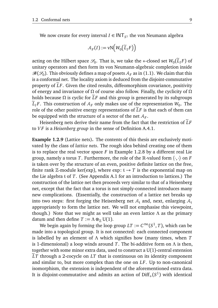We now create for every interval  $I \in \mathsf{INT}_{S^1}$  the von Neumann algebra

$$
\mathcal{A}_F(I) := \text{vN}\Big(W_0\big(\widetilde{L}_IF\big)\Big)
$$

acting on the Hilbert space  $\mathcal{S}_0$ . That is, we take the ∗-closed set  $W_0(\widetilde{L}_I F)$  of unitary operators and then form its von Neumann-algebraic completion inside  $\mathcal{B}(\mathcal{S}_0)$  . This obviously defines a map of posets  $\mathcal{A}_F$  as in (1.1). We claim that this is a conformal net. The locality axiom is deduced from the disjoint-commutative property of  $\tilde{L}F$ . Given the cited results, diffeomorphism covariance, positivity of energy and invariance of *Ω* of course also follow. Finally, the cyclicity of *Ω* holds because  $\Omega$  is cyclic for  $\tilde{L}F$  and this group is generated by its subgroups  $L_I$ *F*. This construction of  $A_F$  only makes use of the representation  $W_0$ . The role of the other positive energy representations of  $\tilde{L}F$  is that each of them can be equipped with the structure of a sector of the net  $\mathcal{A}_F$ .

Heisenberg nets derive their name from the fact that the restriction of  $\tilde{L}F$ to *V F* is a *Heisenberg group* in the sense of Definition A.4.1.

**Example 1.2.9** (Lattice nets)**.** The contents of this thesis are exclusively motivated by the class of *lattice nets*. The rough idea behind creating one of them is to replace the real vector space *F* in Example 1.2.8 by a different real Lie group, namely a torus *T*. Furthermore, the role of the R-valued form  $\langle \cdot, \cdot \rangle$  on *F* is taken over by the structure of an even, positive definite lattice on the free, finite rank Z-module ker(exp), where exp:  $t \rightarrow T$  is the exponential map on the Lie algebra t of *T*. (See Appendix A.1 for an introduction to lattices.) The construction of the lattice net then proceeds very similar to that of a Heisenberg net, except that the fact that a torus is not simply-connected introduces many new complications. (Essentially, the construction of a lattice net breaks up into two steps: first forging the Heisenberg net  $A_t$  and, next, enlarging  $A_t$ appropriately to form the lattice net. We will not emphasise this viewpoint, though.) Note that we might as well take an even lattice *Λ* as the primary datum and then define  $T := \Lambda \otimes_{\mathbb{Z}} U(1)$ .

We begin again by forming the loop group  $LT := C^\infty(S^1, T)$ , which can be made into a topological group. It is not connected: each connected component is labelled by an element of *Λ* which signifies how (many times, when *T* is 1-dimensional) a loop winds around *T*. The bi-additive form on *Λ* is then, together with some minor extra data, used to construct a  $U(1)$ -central extension <sup>e</sup>*LT* through a 2-cocycle on *LT* that is continuous on its identity component and similar to, but more complex than the one on *LF*. Up to non-canonical isomorphism, the extension is independent of the aforementioned extra data. It is disjoint-commutative and admits an action of  $\mathrm{Diff}_+(S^1)$  with identical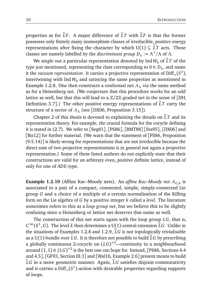properties as for  $\tilde{L}F$ . A major difference of  $\tilde{L}T$  with  $\tilde{L}F$  is that the former possesses only finitely many isomorphism classes of irreducible, positive energy representations after fixing the character by which  $U(1) \subseteq \tilde{L}T$  acts. These classes are namely labelled by the *discriminant group*  $D_\Lambda := \Lambda^\vee / \Lambda$  of  $\Lambda$ .

We single out a particular representation denoted by Ind  $W_0$  of  $\tilde{L}T$  of the type just mentioned, representing the class corresponding to  $0 \in D_\Lambda$ , and name it the *vacuum representation*. It carries a projective representation of  $\mathrm{Diff}_+(S^1)$ , intertwining with  $\text{Ind } W_0$  and satisying the same properties as mentioned in Example 1.2.8. One then constructs a conformal net  $A_\Lambda$  via the same method as for a Heisenberg net. (We conjecture that this procedure works for an odd lattice as well, but that this will lead to a Z*/*2Z-graded net in the sense of [DH, Definition 3.7].) The other positive energy representations of  $LT$  carry the structure of a sector of A*<sup>Λ</sup>* (see [DX06, Proposition 3.15]).

Chapter 2 of this thesis is devoted to explaining the details on  $\tilde{L}T$  and its representation theory. For example, the crucial formula for the cocycle defining it is stated in (2.7). We refer to [Seg81], [PS86], [BMT88] [Sta95], [DX06] and [Bis12] for further material. (We warn that the statement of [PS86, Proposition] (9.5.14)] is likely wrong for representations that are not irreducible because the direct sum of two projective representations is in general not again a projective representation.) Some of these listed authors do not explicitly state that their constructions are valid for an arbitrary even, positive definite lattice, instead of only for one of *ADE*-type.

**Example 1.2.10** (Affine Kac–Moody nets)**.** An *affine Kac–Moody net* A*G*,*<sup>k</sup>* is associated to a pair of a compact, connected, simple, simply-connected Lie group *G* and a choice of a multiple of a certain normalisation of the Killing form on the Lie algebra of *G* by a positive integer *k* called a *level*. The literature sometimes refers to this as a *loop group net*, but we believe this to be slightly confusing since a Heisenberg or lattice net deserves that name as well.

The construction of this net starts again with the loop group *LG*, that is,  $C^{\infty}(S^1, G)$ . The level *k* then determines a U(1)-central extension  $\tilde{L}G$ . Unlike in the situations of Examples 1.2.8 and 1.2.9,  $\tilde{L}G$  is not topologically trivialisable as a U(1)-bundle over LG. It is therefore not possible to build  $\tilde{L}G$  by prescribing a globally continuous 2-cocycle on (*LG*) <sup>×</sup>2—continuity in a neighbourhood around  $(1, 1) \in (LG)^{\times 2}$  is the best one can hope for. Instead, [PS86, Sections 4.4 and 4.5], [GF93, Section III.3] and [Wal16, Example 2.6] present means to build  $\tilde{L}G$  in a more geometric manner. Again,  $\tilde{L}G$  satisfies disjoint-commutativity and it carries a  $\mathrm{Diff}_+(S^1)$ -action with desirable properties regarding supports of loops.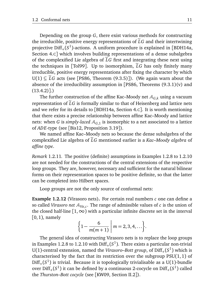Depending on the group *G*, there exist various methods for constructing the irreducible, positive energy representations of  $\tilde{L}G$  and their intertwining projective Diff<sub>+</sub>(S<sup>1</sup>)-actions. A uniform procedure is explained in [BDH14a, Section 4.C] which involves building representations of a dense subalgebra of the complexified Lie algebra of  $\tilde{L}G$  first and integrating these next using the techniques in [Tol99]. Up to isomorphism,  $\tilde{L}G$  has only finitely many irreducible, positive energy representations after fixing the character by which U(1)  $\subseteq$   $\tilde{L}G$  acts (see [PS86, Theorem (9.3.5)]). (We again warn about the absence of the irreducibility assumption in [PS86, Theorems  $(9.3.1)(v)$  and  $(13.4.2)$ ].)

The further construction of the affine Kac–Moody net A*G*,*<sup>k</sup>* using a vacuum representation of  $\tilde{L}G$  is formally similar to that of Heisenberg and lattice nets and we refer for its details to [BDH14a, Section 4.C]. It is worth mentioning that there exists a precise relationship between affine Kac–Moody and lattice nets: when *G* is *simply-laced*  $A_{G,1}$  is isomorphic to a net associated to a lattice of *ADE*-type (see [Bis12, Proposition 3.19]).

We named affine Kac–Moody nets so because the dense subalgebra of the complexified Lie algebra of  $\tilde{L}G$  mentioned earlier is a *Kac–Moody algebra* of *affine type*.

*Remark* 1.2.11*.* The positive (definite) assumptions in Examples 1.2.8 to 1.2.10 are not needed for the constructions of the central extensions of the respective loop groups. They are, however, necessary and sufficient for the natural bilinear forms on their representation spaces to be positive definite, so that the latter can be completed into Hilbert spaces.

Loop groups are not the only source of conformal nets:

**Example 1.2.12** (Virasoro nets)**.** For certain real numbers *c* one can define a so called *Virasoro net* AVir,*<sup>c</sup>* . The range of admissible values of *c* is the union of the closed half-line  $[1, \infty)$  with a particular infinite discrete set in the interval  $[0, 1)$ , namely

$$
\left\{1-\frac{6}{m(m+1)}\;\middle|\;m=2,3,4,\ldots\right\}.
$$

The general idea of constructing Virasoro nets is to replace the loop groups in Examples 1.2.8 to 1.2.10 with  $\text{Diff}_+(S^1)$ . There exists a particular non-trivial U(1)-central extension, named the *Virasoro–Bott group*, of  $\text{Diff}_+(S^1)$  which is characterised by the fact that its restriction over the subgroup  $PSU(1,1)$  of  $\text{Diff}_+(S^1)$  is trivial. Because it is topologically trivialisable as a U(1)-bundle over  $\mathrm{Diff}_+(S^1)$  it can be defined by a continuous 2-cocycle on  $\mathrm{Diff}_+(S^1)$  called the *Thurston–Bott cocycle* (see [KW09, Section II.2]).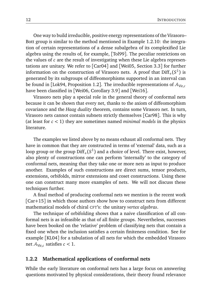One way to build irreducible, positive energy representations of the Virasoro– Bott group is similar to the method mentioned in Example 1.2.10: the integration of certain representations of a dense subalgebra of its complexified Lie algebra using the results of, for example, [Tol99]. The peculiar restrictions on the values of *c* are the result of investigating when these Lie algebra representations are unitary. We refer to [Car04] and [Wei05, Section 3.3] for further information on the construction of Virasoro nets. A proof that  $\text{Diff}_+(S^1)$  is generated by its subgroups of diffeomorphisms supported in an interval can be found in [Lok94, Proposition 1.2]. The irreducible representations of  $A_{Vir,c}$ have been classified in [Wei06, Corollary 3.9] and [Wei16].

Virasoro nets play a special role in the general theory of conformal nets because it can be shown that every net, thanks to the axiom of diffeomorphism covariance and the *Haag duality* theorem, contains some Virasoro net. In turn, Virasoro nets cannot contain subnets strictly themselves [Car98]. This is why (at least for *c <* 1) they are sometimes named *minimal models* in the physics literature.

The examples we listed above by no means exhaust all conformal nets. They have in common that they are constructed in terms of 'external' data, such as a loop group or the group  $\mathrm{Diff}_+(S^1)$  and a choice of level. There exist, however, also plenty of constructions one can perform 'internally' to the category of conformal nets, meaning that they take one or more nets as input to produce another. Examples of such constructions are direct sums, tensor products, extensions, orbifolds, mirror extensions and coset constructions. Using these one can construct many more examples of nets. We will not discuss these techniques further.

A final method of producing conformal nets we mention is the recent work [Car+15] in which those authors show how to construct nets from different mathematical models of chiral CFT's: the unitary *vertex algebras*.

The technique of orbifolding shows that a naive classification of all conformal nets is as infeasible as that of all finite groups. Nevertheless, successes have been booked on the 'relative' problem of classifying nets that contain a fixed one when the inclusion satisfies a certain finiteness condition. See for example [KL04] for a tabulation of all nets for which the embedded Virasoro net AVir,*<sup>c</sup>* satisfies *c <* 1.

#### **1.2.2 Mathematical applications of conformal nets**

While the early literature on conformal nets has a large focus on answering questions motivated by physical considerations, their theory found relevance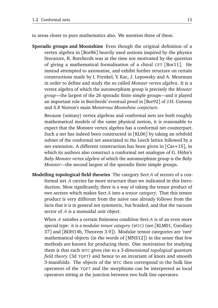to areas closer to pure mathematics also. We mention three of these.

**Sporadic groups and Moonshine** Even though the original definition of a vertex algebra in [Bor86] heavily used notions inspired by the physics literature, R. Borcherds was at the time not motivated by the question of giving a mathematical formalisation of a chiral CFT [Bor11]. He instead attempted to axiomatise, and exhibit further structure on certain constructions made by I. Frenkel, V. Kac, J. Lepowsky and A. Meurman in order to define and study the so called *Monster vertex algebra*. It is a vertex algebra of which the automorphism group is precisely the *Monster group*—the largest of the 26 sporadic finite simple groups—and it played an important role in Borcherds' eventual proof in [Bor92] of J.H. Conway and S.P. Norton's main *Monstrous Moonshine conjecture*.

Because (unitary) vertex algebras and conformal nets are both roughly mathematical models of the same physical notion, it is reasonable to expect that the Monster vertex algebra has a conformal net counterpart. Such a net has indeed been constructed in [KL06] by taking an orbifold subnet of the conformal net associated to the Leech lattice followed by a net extension. A different construction has been given in [Car+15], in which its authors also construct a conformal net analogue of G. Höhn's *Baby Monster vertex algebra* of which the automorphism group is the *Baby Monster*—the second largest of the sporadic finite simple groups.

**Modelling topological field theories** The category Sect A of sectors of a conformal net A carries far more structure than we indicated in this Introduction. Most significantly, there is a way of taking the tensor product of two sectors which makes SectA into a *tensor category*. That this tensor product is very different from the naive one already follows from the facts that it is in general not symmetric, but braided, and that the vacuum sector of A is a monoidal unit object.

When  $A$  satisfies a certain finiteness condition Sect  $A$  is of an even more special type: it is a *modular tensor category* (MTC) (see [KLM01, Corollary 37] and [BDH14b, Theorem 3.9]). Modular tensor categories are 'rare' mathematical objects (in the words of [MNS12]) in the sense that few methods are known for producing them. One motivation for studying them is that each MTC gives rise to a 3*-dimensional topological quantum field theory* (3d TQFT) and hence to an invariant of knots and smooth 3-manifolds. The objects of the MTC then correspond to the bulk line operators of the TQFT and the morphisms can be interpreted as local operators sitting at the junction between two bulk line operators.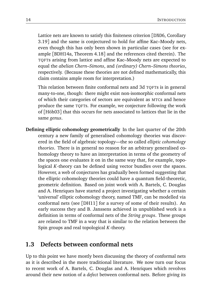Lattice nets are known to satisfy this finiteness criterion [DX06, Corollary 3.19] and the same is conjectured to hold for affine Kac–Moody nets, even though this has only been shown in particular cases (see for example [BDH14a, Theorem 4.18] and the references cited therein). The TQFTs arising from lattice and affine Kac–Moody nets are expected to equal the *abelian Chern–Simons*, and *(ordinary) Chern–Simons theories*, respectively. (Because these theories are not defined mathematically, this claim contains ample room for interpretation.)

This relation between finite conformal nets and 3d TQFTs is in general many-to-one, though: there might exist non-isomorphic conformal nets of which their categories of sectors are equivalent as MTCs and hence produce the same TQFTs. For example, we conjecture following the work of [Höh03] that this occurs for nets associated to lattices that lie in the same *genus*.

**Defining elliptic cohomology geometrically** In the last quarter of the 20th century a new family of generalised cohomology theories was discovered in the field of algebraic topology—the so called *elliptic cohomology theories*. There is in general no reason for an arbitrary generalised cohomology theory to have an interpretation in terms of the geometry of the spaces one evaluates it on in the same way that, for example, topological *K*-theory can be defined using vector bundles over the spaces. However, a web of conjectures has gradually been formed suggesting that the elliptic cohomology theories could have a quantum field-theoretic, geometric definition. Based on joint work with A. Bartels, C. Douglas and A. Henriques have started a project investigating whether a certain 'universal' elliptic cohomology theory, named TMF, can be modelled via conformal nets (see [DH11] for a survey of some of their results). An early success they and B. Janssens achieved in unpublished work is a definition in terms of conformal nets of the *String groups*. These groups are related to TMF in a way that is similar to the relation between the Spin groups and real topological *K*-theory.

## **1.3 Defects between conformal nets**

Up to this point we have mostly been discussing the theory of conformal nets as it is described in the more traditional literature. We now turn our focus to recent work of A. Bartels, C. Douglas and A. Henriques which revolves around their new notion of a *defect* between conformal nets. Before giving its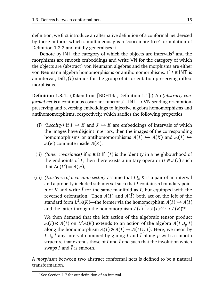definition, we first introduce an alternative definition of a conformal net devised by those authors which simultaneously is a 'coordinate-free' formulation of Definition 1.2.2 and mildly generalises it.

Denote by INT the category of which the objects are intervals<sup>4</sup> and the morphisms are smooth embeddings and write VN for the category of which the objects are (abstract) von Neumann algebras and the morphisms are either von Neumann algebra homomorphisms or antihomomorphisms. If *I* ∈ INT is an interval,  $Diff_{+}(I)$  stands for the group of its orientation-preserving diffeomorphisms.

**Definition 1.3.1.** (Taken from [BDH14a, Definition 1.1].) An *(abstract) conformal net* is a continuous covariant functor  $A: INT \rightarrow VN$  sending orientationpreserving and reversing embeddings to injective algebra homomorphisms and antihomomorphisms, respectively, which satifies the following properties:

- (i) *(Locality)* if  $I \hookrightarrow K$  and  $J \hookrightarrow K$  are embeddings of intervals of which the images have disjoint interiors, then the images of the corresponding homomorphisms or antihomomorphisms  $A(I) \hookrightarrow A(K)$  and  $A(J) \hookrightarrow$  $A(K)$  commute inside  $A(K)$ ,
- (ii) *(Inner covariance)* if  $\varphi \in \text{Diff}_{+}(I)$  is the identity in a neighbourhood of the endpoints of *I*, then there exists a unitary operator  $U \in A(I)$  such that  $Ad(U) = A(\varphi)$ ,
- (iii) *(Existence of a vacuum sector)* assume that  $I \subseteq K$  is a pair of an interval and a properly included subinterval such that *I* contains a boundary point  $p$  of *K* and write  $\overline{I}$  for the same manifold as *I*, but equipped with the reversed orientation. Then  $A(I)$  and  $A(\overline{I})$  both act on the left of the standard form  $L^2\mathcal{A}(K)$ —the former via the homomorphism  $\mathcal{A}(I) \hookrightarrow \mathcal{A}(I)$ and the latter through the homomorphism  $A(\overline{I}) \stackrel{\sim}{\rightarrow} A(I)^{op} \rightarrow A(K)^{op}$ .

We then demand that the left action of the algebraic tensor product  $\mathcal{A}(I) \otimes \mathcal{A}(\overline{I})$  on  $L^2\mathcal{A}(K)$  extends to an action of the algebra  $\mathcal{A}(I \cup_p \overline{I})$ along the homomorphism  $A(I) \otimes A(\overline{I}) \to A(I \cup_p \overline{I})$ . Here, we mean by *I*  $\cup_p$  *I* any interval obtained by gluing *I* and *I* along *p* with a smooth structure that extends those of  $I$  and  $\overline{I}$  and such that the involution which swaps  $I$  and  $\overline{I}$  is smooth.

A *morphism* between two abstract conformal nets is defined to be a natural transformation.

<sup>4</sup>See Section 1.7 for our definition of an interval.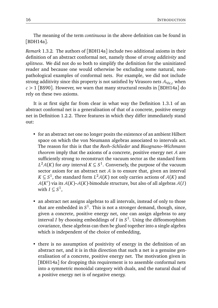The meaning of the term *continuous* in the above definition can be found in [BDH14a].

*Remark* 1.3.2*.* The authors of [BDH14a] include two additional axioms in their definition of an abstract conformal net, namely those of *strong additivity* and *splitness*. We did not do so both to simplify the definition for the uninitiated reader and because one would otherwise be excluding some natural, nonpathological examples of conformal nets. For example, we did not include strong additivity since this property is not satisfied by Virasoro nets  $A_{\text{Vir},c}$  when  $c > 1$  [BS90]. However, we warn that many structural results in [BDH14a] do rely on these two axioms.

It is at first sight far from clear in what way the Definition 1.3.1 of an abstract conformal net is a generalisation of that of a concrete, positive energy net in Definition 1.2.2. Three features in which they differ immediately stand out:

- for an abstract net one no longer posits the existence of an ambient Hilbert space on which the von Neumann algebras associated to intervals act. The reason for this is that the *Reeh–Schlieder* and *Bisognano–Wichmann theorem* imply that the axioms of a concrete, positive energy net A are sufficiently strong to reconstruct the vacuum sector as the standard form  $L^2A(K)$  for *any* interval  $K \subseteq S^1$ . Conversely, the purpose of the vacuum sector axiom for an abstract net A is to ensure that, given an interval  $K \subseteq S^1$ , the standard form  $L^2\mathcal{A}(K)$  not only carries actions of  $\mathcal{A}(K)$  and  $A(K')$  via its  $A(K)$ – $A(K)$ -bimodule structure, but also of all algebras  $A(I)$ with  $I \subseteq S^1$ ,
- an abstract net assigns algebras to all intervals, instead of only to those that are embedded in *S* 1 . This is not a stronger demand, though, since, given a concrete, positive energy net, one can assign algebras to any interval *I* by choosing embeddings of *I* in  $S<sup>1</sup>$ . Using the diffeomorphism covariance, these algebras can then be glued together into a single algebra which is independent of the choice of embedding,
- there is no assumption of positivity of energy in the definition of an abstract net, and it is in this direction that such a net is a genuine generalisation of a concrete, positive energy net. The motivation given in [BDH14a] for dropping this requirement is to assemble conformal nets into a symmetric monoidal category with duals, and the natural dual of a positive energy net is of negative energy.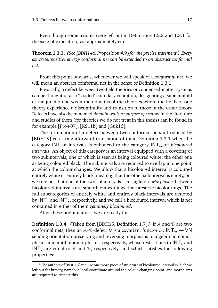Even though some axioms were left out in Definitions 1.2.2 and 1.3.1 for the sake of exposition, we approximately cite

**Theorem 1.3.3.** *(See [BDH14a, Proposition 4.9] for the precise statement.) Every concrete, positive energy conformal net can be extended to an abstract conformal net.*

From this point onwards, whenever we will speak of a *conformal net*, we will mean an abstract conformal net in the sense of Definition 1.3.1.

Physically, a defect between two field theories or condensed-matter systems can be thought of as a '2-sided' boundary condition, designating a submanifold at the junction between the domains of the theories where the fields of one theory experience a discontinuity and transition to those of the other theory. Defects have also been named *domain walls* or *surface operators* in the literature and studies of them (for theories we do not treat in this thesis) can be found in for example [Frö+07], [KS11b] and [Guk16].

The formulation of a defect between two conformal nets introduced by [BDH15] is a straightforward translation of their Definition 1.3.1 when the category INT of intervals is enhanced to the category INT◦• of *bicoloured intervals*. An object of this category is an interval equipped with a covering of two subintervals, one of which is seen as being coloured white, the other one as being coloured black. The subintervals are required to overlap in one point, at which the colour changes. We allow that a bicoloured interval is coloured entirely white or entirely black, meaning that the other subinterval is empty, but we rule out that one of the two subintervals is a singleton. *Morphisms* between bicoloured intervals are smooth embeddings that preserve bicolourings. The full subcategories of entirely white and entirely black intervals are denoted by INT<sub>o</sub> and INT<sub>•</sub>, respectively, and we call a bicoloured interval which is not contained in either of them *genuinely bicoloured*.

After these preliminaries<sup>5</sup> we are ready for

**Definition 1.3.4.** (Taken from [BDH15, Definition 1.7].) If A and B are two conformal nets, then an A–B-defect *D* is a covariant functor *D*:  $INT_{\circ \bullet} \rightarrow VN$ sending orientation-preserving and reversing morphisms to algebra homomorphisms and antihomomorphisms, respectively, whose restrictions to  $INT<sub>°</sub>$  and INT<sub> $\bullet$ </sub> are equal to A and B, respectively, and which satisfies the following properties:

 $5$ The authors of [BDH15] require one more piece of structure of bicoloured intervals which we left out for brevity, namely a local coordinate around the colour-changing point, and morphisms are required to respect this.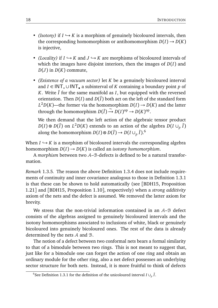- *(Isotony)* if  $I \hookrightarrow K$  is a morphism of genuinely bicoloured intervals, then the corresponding homomorphism or antihomomorphism  $D(I) \rightarrow D(K)$ is injective,
- *(Locality)* if  $I \hookrightarrow K$  and  $J \hookrightarrow K$  are morphisms of bicoloured intervals of which the images have disjoint interiors, then the images of *D*(*I*) and  $D(J)$  in  $D(K)$  commute,
- *(Existence of a vacuum sector)* let *K* be a genuinely bicoloured interval and *I* ∈ INT◦ ∪INT• a subinterval of *K* containing a boundary point *p* of *K*. Write  $\overline{I}$  for the same manifold as  $I$ , but equipped with the reversed orientation. Then  $D(I)$  and  $D(\overline{I})$  both act on the left of the standard form  $L^2D(K)$ —the former via the homomorphism  $D(I) \to D(K)$  and the latter through the homomorphism  $D(\overline{I}) \xrightarrow{\sim} D(I)^{op} \rightarrow D(K)^{op}$ .

We then demand that the left action of the algebraic tensor product  $D(I) \otimes D(\bar{I})$  on  $L^2 D(K)$  extends to an action of the algebra  $D(I \cup_p \bar{I})$ along the homomorphism  $D(I) \otimes D(\overline{I}) \rightarrow D(I \cup_p \overline{I}).^6$ 

When  $I \hookrightarrow K$  is a morphism of bicoloured intervals the corresponding algebra homomorphism  $D(I) \rightarrow D(K)$  is called an *isotony* homomorphism.

A *morphism* between two A–B-defects is defined to be a natural transformation.

*Remark* 1.3.5*.* The reason the above Definition 1.3.4 does not include requirements of continuity and inner covariance analogous to those in Definition 1.3.1 is that these can be shown to hold automatically (see [BDH15, Proposition 1.21] and [BDH15, Proposition 1.10], respectively) when a *strong additivity* axiom of the nets and the defect is assumed. We removed the latter axiom for brevity.

We stress that the non-trivial information contained in an  $A-\mathcal{B}$  defect consists of the algebras assigned to genuinely bicoloured intervals and the isotony homomorphisms associated to inclusions of white, black or genuinely bicoloured into genuinely bicoloured ones. The rest of the data is already determined by the nets A and B.

The notion of a defect between two conformal nets bears a formal similarity to that of a bimodule between two rings. This is not meant to suggest that, just like for a bimodule one can forget the action of one ring and obtain an ordinary module for the other ring, also a net defect possesses an underlying sector structure for both nets. Instead, it is more fruitful to think of defects

<sup>&</sup>lt;sup>6</sup>See Definition 1.3.1 for the definition of the unicoloured interval *I* ∪<sub>*p*</sub>  $\bar{I}$ .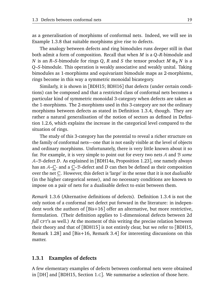as a generalisation of morphisms of conformal nets. Indeed, we will see in Example 1.3.8 that suitable morphisms give rise to defects.

The analogy between defects and ring bimodules runs deeper still in that both admit a form of composition. Recall that when *M* is a *Q*–*R*-bimodule and *N* is an *R*–*S*-bimodule for rings *Q*, *R* and *S* the tensor product *M* ⊗<sub>*R*</sub> *N* is a *Q*–*S*-bimodule. This operation is weakly associative and weakly unital. Taking bimodules as 1-morphisms and equivariant bimodule maps as 2-morphisms, rings become in this way a symmetric monoidal bicategory.

Similarly, it is shown in [BDH15; BDH16] that defects (under certain conditions) can be composed and that a restricted class of conformal nets becomes a particular kind of symmetric monoidal 3-category when defects are taken as the 1-morphisms. The 2-morphisms used in this 3-category are not the ordinary morphisms between defects as stated in Definition 1.3.4, though. They are rather a natural generalisation of the notion of sectors as defined in Definition 1.2.6, which explains the increase in the categorical level compared to the situation of rings.

The study of this 3-category has the potential to reveal a richer structure on the family of conformal nets—one that is not easily visible at the level of objects and ordinary morphisms. Unfortunately, there is very little known about it so far. For example, it is very simple to point out for every two nets A and B *some* A–B-defect *D*. As explained in [BDH14a, Proposition 1.23], one namely always has an A–C- and a C–B-defect and *D* can then be defined as their composition over the net C. However, this defect is 'large' in the sense that it is not *dualisable* (in the higher categorical sense), and no necessary conditions are known to impose on a pair of nets for a dualisable defect to exist between them.

*Remark* 1.3.6 (Alternative definitions of defects)*.* Definition 1.3.4 is not the only notion of a conformal net defect put forward in the literature: in independent work the authors of [Bis+16] offer an alternative, but more restrictive, formulation. (Their definition applies to 1-dimensional defects between 2d *full* CFT's as well.) At the moment of this writing the precise relation between their theory and that of [BDH15] is not entirely clear, but we refer to [BDH15, Remark 1.28] and [Bis+16, Remark 3.4] for interesting discussions on this matter.

#### **1.3.1 Examples of defects**

A few elementary examples of defects between conformal nets were obtained in [DH] and [BDH15, Section 1.C]. We summarise a selection of those here.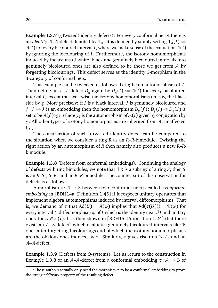**Example 1.3.7** ((Twisted) identity defects)**.** For every conformal net A there is an *identity* A–A-defect denoted by  $1_4$ . It is defined by simply setting  $1_4(I) :=$  $A(I)$  for every bicoloured interval *I*, where we make sense of the evaluation  $A(I)$ by ignoring the bicolouring of *I*. Furthermore, the isotony homomorphisms induced by inclusions of white, black and genuinely bicoloured intervals into genuinely bicoloured ones are also defined to be those we get from A by forgetting bicolourings. This defect serves as the identity 1-morphism in the 3-category of conformal nets.

This example can be tweaked as follows. Let *g* be an automorphism of A. Then define an  $A$ – $A$ -defect  $D_g$  again by  $D_g(I) := A(I)$  for every bicoloured interval *I*, except that we 'twist' the isotony homomorphisms on, say, the black side by *g*. More precisely: if *I* is a black interval, *J* is genuinely bicoloured and *f* : *I*  $\hookrightarrow$  *J* is an embedding then the homomorphism  $D_g(f)$ :  $D_g(I) \to D_g(J)$  is set to be  $\mathcal{A}(f) \circ g_I$ , where  $g_I$  is the automorphism of  $\mathcal{A}(I)$  given by conjugation by *g*. All other types of isotony homomorphisms are inherited from A, unaffected by *g*.

The construction of such a twisted identity defect can be compared to the situation when we consider a ring *R* as an *R*–*R*-bimodule. Twisting the right action by an automorphism of *R* then namely also produces a new *R*–*R*bimodule.

**Example 1.3.8** (Defects from conformal embeddings)**.** Continuing the analogy of defects with ring bimodules, we note that if *R* is a subring of a ring *S*, then *S* is an *R*–*S*-, *S*–*R*- and an *R*–*R*-bimodule. The counterpart of this observation for defects is as follows.

A morphism *τ*: A → B between two conformal nets is called a *conformal embedding* in [BDH14a, Definition 1.45] if it respects unitary operators that implement algebra automorphisms induced by interval diffeomorphisms. That is, we demand of  $\tau$  that Ad(*U*) =  $A(\varphi)$  implies that Ad( $\tau$ (*U*))) =  $B(\varphi)$  for every interval *I*, diffeomorphism *ϕ* of *I* which is the identity near *∂ I* and unitary operator  $U \in A(I)$ . It is then shown in [BDH15, Proposition 1.24] that there exists an  $A$ – $B$ -defect<sup>7</sup> which evaluates genuinely bicoloured intervals like  $B$ does after forgetting bicolourings and of which the isotony homomorphisms are the obvious ones induced by *τ*. Similarly, *τ* gives rise to a B–A- and an A–A-defect.

**Example 1.3.9** (Defects from *Q*-systems)**.** Let us return to the construction in Example 1.3.8 of an A–A-defect from a conformal embedding  $\tau: A \rightarrow B$  of

<sup>&</sup>lt;sup>7</sup>Those authors actually only need the morphism  $\tau$  to be a conformal embedding to prove the *strong additivity* property of the resulting defect.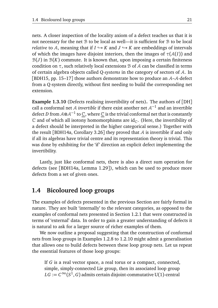nets. A closer inspection of the locality axiom of a defect teaches us that it is not necessary for the net  $\mathcal B$  to be local as well—it is sufficient for  $\mathcal B$  to be local *relative* to A, meaning that if  $I \hookrightarrow K$  and  $J \hookrightarrow K$  are embeddings of intervals of which the images have disjoint interiors, then the images of *τ*(A(*I*)) and  $B(J)$  in  $B(K)$  commute. It is known that, upon imposing a certain finiteness condition on  $\tau$ , such relatively local extensions B of A can be classified in terms of certain algebra objects called *Q-systems* in the category of sectors of A. In [BDH15, pp. 15–17] those authors demonstrate how to produce an A–A-defect from a *Q*-system directly, without first needing to build the corresponding net extension.

**Example 1.3.10** (Defects realising invertibility of nets)**.** The authors of [DH] call a conformal net A *invertible* if there exist another net  $A^{-1}$  and an invertible defect *D* from A⊗A $^{-1}$  to  $\underline{\mathbb{C}}$ , where  $\underline{\mathbb{C}}$  is the trivial conformal net that is constantly  $\mathbb C$  and of which all isotony homomorphisms are id<sub> $\mathbb C$ </sub>. (Here, the invertibility of a defect should be interpreted in the higher categorical sense.) Together with the result [BDH14a, Corollary 3.26] they proved that  $A$  is invertible if and only if all its algebras have trivial centre and its representation theory is trivial. This was done by exhibiting for the 'if' direction an explicit defect implementing the invertibility.

Lastly, just like conformal nets, there is also a direct sum operation for defects (see [BDH14a, Lemma 1.29]), which can be used to produce more defects from a set of given ones.

## **1.4 Bicoloured loop groups**

The examples of defects presented in the previous Section are fairly formal in nature. They are built 'internally' to the relevant categories, as opposed to the examples of conformal nets presented in Section 1.2.1 that were constructed in terms of 'external' data. In order to gain a greater understanding of defects it is natural to ask for a larger source of richer examples of them.

We now outline a proposal suggesting that the construction of conformal nets from loop groups in Examples 1.2.8 to 1.2.10 might admit a generalisation that allows one to build defects between these loop group nets. Let us repeat the essential features of those loop groups:

If *G* is a real vector space, a real torus or a compact, connected, simple, simply-connected Lie group, then its associated loop group  $LG := C^\infty(S^1,G)$  admits certain disjoint-commutative U(1)-central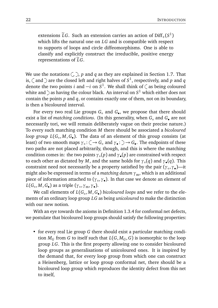extensions  $\tilde{L}G$ . Such an extension carries an action of Diff<sub>+</sub>( $S^1$ ) which lifts the natural one on *LG* and is compatible with respect to supports of loops and circle diffeomorphisms. One is able to classify and explicitly construct the irreducible, positive energy representations of  $\tilde{L}G$ .

We use the notations  $\langle , \rangle$ , p and q as they are explained in Section 1.7. That is,  $\zeta$  and  $\hat{}$  are the closed left and right halves of  $S^1$ , respectively, and  $p$  and  $q$ denote the two points *i* and  $-i$  on  $S^1$ . We shall think of  $\zeta$  as being coloured white and  $\supset$  as having the colour black. An interval on  $S^1$  which either does not contain the points *p* and *q*, or contains exactly one of them, not on its boundary, is then a bicoloured interval.

For every two real Lie groups *G*◦ and *G*• , we propose that there should exist a list of *matching conditions*. (In this generality, when *G*◦ and *G*• are not necessarily tori, we will remain deliberately vague on their precise nature.) To every such matching condition *M* there should be associated a *bicoloured loop group L*(*G*◦ , *M*,*G*• ). The data of an element of this group consists (at least) of two smooth maps  $\gamma_{\circ} : \zeta \to G_{\circ}$  and  $\gamma_{\bullet} : \zeta \to G_{\bullet}$ . The endpoints of these two paths are not placed arbitrarily, though, and this is where the matching condition comes in: the two points *γ*◦ (*p*) and *γ*• (*p*) are constrained with respect to each other as dictated by *M*, and the same holds for *γ*◦ (*q*) and *γ*• (*q*). This constraint need not necessarily be a property satisfied by the pair (*γ*◦ ,*γ*• )—it might also be expressed in terms of a *matching datum* γ<sub>m</sub>, which is an additional piece of information attached to (*γ*◦ ,*γ*• ). In that case we denote an element of *L*(*G*◦ , *M*,*G*• ) as a triple (*γ*◦ ,*γ*m,*γ*• ).

We call elements of *L*(*G*◦ , *M*,*G*• ) *bicoloured loops* and we refer to the elements of an ordinary loop group *LG* as being *unicoloured* to make the distinction with our new notion.

With an eye towards the axioms in Definition 1.3.4 for conformal net defects, we postulate that bicoloured loop groups should satisfy the following properties:

• for every real Lie group *G* there should exist a particular matching condition  $M_G$  from *G* to itself such that  $L(G, M_G, G)$  is isomorphic to the loop group *LG*. This is the first property allowing one to consider bicoloured loop groups as generalisations of unicoloured ones. It is inspired by the demand that, for every loop group from which one can construct a Heisenberg, lattice or loop group conformal net, there should be a bicoloured loop group which reproduces the identity defect from this net to itself,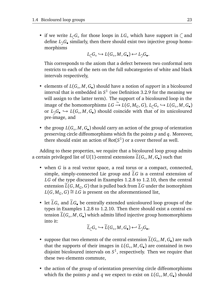• if we write  $L_{\zeta}G_{\circ}$  for those loops in  $LG_{\circ}$  which have support in  $\zeta$  and define  $L_{\supset} G_\bullet$  similarly, then there should exist two injective group homomorphisms

$$
L_\zeta G_\circ \hookrightarrow L(G_\circ, M, G_\bullet) \hookleftarrow L_\supset G_\bullet.
$$

This corresponds to the axiom that a defect between two conformal nets restricts to each of the nets on the full subcategories of white and black intervals respectively,

- elements of *L*(*G* , *M*,*G* ) should have a notion of *support* in a bicoloured interval that is embedded in  $S^1$  (see Definition 3.2.9 for the meaning we will assign to the latter term). The support of a bicoloured loop in the  $\lim_{\epsilon \to 0}$  of the homomorphisms *LG* → *L*(*G*, *M<sub>G</sub>*, *G*), *L*<sub>⊂</sub>*G*<sub>∘</sub> → *L*(*G*<sub>∘</sub>, *M*, *G*<sup>•</sup>) or  $L_{\mathcal{G}}G_{\bullet} \hookrightarrow L(G_{\circ}, M, G_{\bullet})$  should coincide with that of its unicoloured pre-image, and
- the group *L*(*G* , *M*,*G* ) should carry an action of the group of orientation preserving circle diffeomorphisms which fix the points *p* and *q*. Moreover, there should exist an action of  $Rot(S^1)$  or a cover thereof as well.

Adding to these properties, we require that a bicoloured loop group admits a certain privileged list of U(1)-central extensions  $L(G_\circ, M, G_\bullet)$  such that

- when *G* is a real vector space, a real torus or a compact, connected, simple, simply-connected Lie group and  $\tilde{L}G$  is a central extension of *LG* of the type discussed in Examples 1.2.8 to 1.2.10, then the central extension  $\widetilde{L}(G, M_G, G)$  that is pulled back from  $\widetilde{L}G$  under the isomorphism *L*(*G*, *M*<sub>*G*</sub>, *G*) ≅ *LG* is present on the aforementioned list,
- let  $\widetilde{L}G_{\circ}$  and  $\widetilde{L}G_{\bullet}$  be centrally extended unicoloured loop groups of the types in Examples 1.2.8 to 1.2.10. Then there should exist a central extension *L*(*G<sub>◦</sub>, M*, *G*•) which admits lifted injective group homomorphisms<br>. into it:

$$
\widetilde{L}_{\zeta}G_{\circ} \hookrightarrow \widetilde{L}(G_{\circ}, M, G_{\bullet}) \hookleftarrow \widetilde{L}_{\supset}G_{\bullet},
$$

- suppose that two elements of the central extension  $L(G_0, M, G_0)$  are such that the supports of their images in  $L(G_\circ, M, G_\bullet)$  are contained in two disjoint bicoloured intervals on *S* 1 , respectively. Then we require that these two elements commute,
- the action of the group of orientation preserving circle diffeomorphisms which fix the points  $p$  and  $q$  we expect to exist on  $L(G_\circ, M, G_\bullet)$  should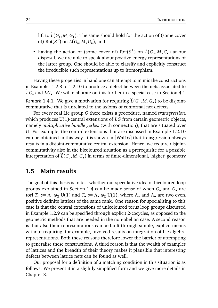lift to  $L(G_\circ, M, G_\bullet)$ . The same should hold for the action of (some cover of) Rot( $S^1$ ) on  $L(G_\circ, M, G_\bullet)$ , and

• having the action of (some cover of)  $Rot(S^1)$  on  $\widetilde{L}(G_\circ, M, G_\bullet)$  at our disposal, we are able to speak about positive energy representations of the latter group. One should be able to classify and explicitly construct the irreducible such representations up to isomorphism.

Having these properties in hand one can attempt to mimic the constructions in Examples 1.2.8 to 1.2.10 to produce a defect between the nets associated to *LG*<sub>∘</sub> and *LG*<sub>•</sub>. We will elaborate on this further in a special case in Section 4.1. *Remark* 1.4.1. We give a motivation for requiring  $L(G_\circ, M, G_\bullet)$  to be disjointcommutative that is unrelated to the axioms of conformal net defects.

For every real Lie group *G* there exists a procedure, named *transgression*, which produces U(1)-central extensions of *LG* from certain geometric objects, namely *multiplicative bundle gerbes* (with connection), that are situated over *G*. For example, the central extensions that are discussed in Example 1.2.10 can be obtained in this way. It is shown in [Wal16] that transgression always results in a disjoint-commutative central extension. Hence, we require disjointcommutativity also in the bicoloured situation as a prerequisite for a possible interpretation of  $L(G_\circ, M, G_\bullet)$  in terms of finite-dimensional, 'higher' geometry.

### **1.5 Main results**

The goal of this thesis is to test whether our speculative idea of bicoloured loop groups explained in Section 1.4 can be made sense of when *G*◦ and *G*• are tori  $T_\circ := \Lambda_\circ \otimes_{\mathbb{Z}} U(1)$  and  $T_\bullet := \Lambda_\bullet \otimes_{\mathbb{Z}} U(1)$ , where  $\Lambda_\circ$  and  $\Lambda_\bullet$  are two even, positive definite lattices of the same rank. One reason for specialising to this case is that the central extensions of unicoloured torus loop groups discussed in Example 1.2.9 can be specified through explicit 2-cocycles, as opposed to the geometric methods that are needed in the non-abelian case. A second reason is that also their representations can be built through simple, explicit means without requiring, for example, involved results on integration of Lie algebra representations. Both these reasons therefore lower the barrier of attempting to generalise these constructions. A third reason is that the wealth of examples of lattices and the breadth of their theory makes it plausible that interesting defects between lattice nets can be found as well.

Our proposal for a definition of a matching condition in this situation is as follows. We present it in a slightly simplified form and we give more details in Chapter 3.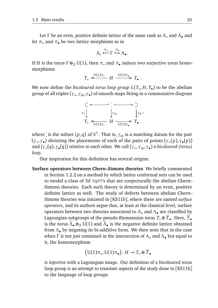Let *Γ* be an even, positive definite lattice of the same rank as *Λ*◦ and *Λ*• and let  $\pi_{\circ}$  and  $\pi_{\bullet}$  be two lattice morphisms as in

$$
\Lambda_{\circ} \stackrel{\pi_{\circ}}{\longleftrightarrow} \Gamma \stackrel{\pi_{\bullet}}{\hookrightarrow} \Lambda_{\bullet}.
$$

If *H* is the torus  $\Gamma \otimes_{\mathbb{Z}} U(1)$ , then  $\pi_{\circ}$  and  $\pi_{\bullet}$  induce two surjective torus homomorphisms

$$
T_{\circ} \stackrel{\mathrm{U}(1)\pi_{\circ}}{\longleftrightarrow} H \stackrel{\mathrm{U}(1)\pi_{\bullet}}{\longrightarrow} T_{\bullet} .
$$

We now define the *bicoloured torus loop group L*(*T*◦ , *H*, *T*• ) to be the abelian group of all triples (*γ*◦ ,*γ*m,*γ*• ) of smooth maps fitting in a commutative diagram



where  $\dot{\phantom{\phi}}$  is the subset  $\{p,q\}$  of  $S^1$ . That is,  $\gamma_{\rm m}$  is a matching datum for the pair (*γ*◦ ,*γ*• ) dictating the placements of each of the pairs of points (*γ*◦ (*p*),*γ*• (*p*)) and (*γ*◦ (*q*),*γ*• (*q*)) relative to each other. We call (*γ*◦ ,*γ*m,*γ*• ) a *bicoloured (torus) loop*.

Our inspiration for this definition has several origins:

**Surface operators between Chern–Simons theories** We briefly commented in Section 1.2.2 on a method by which lattice conformal nets can be used to model a class of 3d TQFT's that are conjecturally the abelian Chern– Simons theories. Each such theory is determined by an even, positive definite lattice as well. The study of defects between abelian Chern– Simons theories was initiated in [KS11b], where these are named *surface operators*, and its authors argue that, at least at the classical level, surface operators between two theories associated to *Λ*◦ and *Λ*• are classified by Lagrangian subgroups of the pseudo-Riemannian torus  $T_\circ \oplus \overline{T}_\bullet.$  Here,  $\overline{T}_\bullet$ is the torus  $\overline{\Lambda}_\bullet \otimes_\mathbb{Z} \mathrm{U}(1)$  and  $\overline{\Lambda}_\bullet$  is the negative definite lattice obtained from *Λ*• by negating its bi-additive form. We then note that in the case when *Γ* is not just contained in the intersection of *Λ*◦ and *Λ*• but equal to it, the homomorphism

$$
\big(\mathrm{U}(1)\pi_\circ,\mathrm{U}(1)\pi_\bullet\big)\colon H\to T_\circ\oplus\overline{T}_\bullet
$$

is injective with a Lagrangian image. Our definition of a bicoloured torus loop group is an attempt to translate aspects of the study done in [KS11b] to the language of loop groups.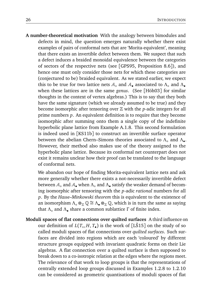**A number-theoretical motivation** With the analogy between bimodules and defects in mind, the question emerges naturally whether there exist examples of pairs of conformal nets that are 'Morita-equivalent', meaning that there exists an invertible defect between them. We suspect that such a defect induces a braided monoidal equivalence between the categories of sectors of the respective nets (see [GPS95, Proposition 8.6]), and hence one must only consider those nets for which these categories are (conjectured to be) braided equivalent. As we stated earlier, we expect this to be true for two lattice nets  $A_0$  and  $A_2$  associated to  $Λ_0$  and  $Λ_2$ when these lattices are in the same *genus*. (See [Höh03] for similar thoughts in the context of vertex algebras.) This is to say that they both have the same signature (which we already assumed to be true) and they become isomorphic after tensoring over Z with the *p*-adic integers for all prime numbers *p*. An equivalent definition is to require that they become isomorphic after summing onto them a single copy of the indefinite hyperbolic plane lattice from Example A.1.8. This second formulation is indeed used in [KS11b] to construct an invertible surface operator between the abelian Chern–Simons theories associated to *Λ*◦ and *Λ*• . However, their method also makes use of the theory assigned to the hyperbolic plane lattice. Because its conformal net counterpart does not exist it remains unclear how their proof can be translated to the language of conformal nets.

We abandon our hope of finding Morita-equivalent lattice nets and ask more generally whether there exists a not-necessarily invertible defect between A◦ and A• when *Λ*◦ and *Λ*• satisfy the weaker demand of becoming isomorphic after tensoring with the *p*-adic *rational* numbers for all *p*. By the *Hasse–Minkowski theorem* this is equivalent to the existence of an isomorphism  $\Lambda_{\circ} \otimes_{\mathbb{Z}} \mathbb{Q} \cong \Lambda_{\bullet} \otimes_{\mathbb{Z}} \mathbb{Q}$ , which is in turn the same as saying that *Λ*◦ and *Λ*• share a common sublattice *Γ* of finite index.

**Moduli spaces of flat connections over quilted surfaces** A third influence on our definition of  $L(T_\circ, H, T_\bullet)$  is the work of [LS15] on the study of so called moduli spaces of flat connections over *quilted surfaces*. Such surfaces are divided into regions which are each 'coloured' by different structure groups equipped with invariant quadratic forms on their Lie algebras. A flat connection over a quilted surface is then supposed to break down to a co-isotropic relation at the edges where the regions meet. The relevance of that work to loop groups is that the representations of centrally extended loop groups discussed in Examples 1.2.8 to 1.2.10 can be considered as geometric quantisations of moduli spaces of flat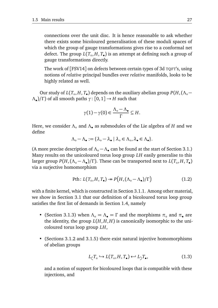connections over the unit disc. It is hence reasonable to ask whether there exists some bicoloured generalisation of these moduli spaces of which the group of gauge transformations gives rise to a conformal net defect. The group *L*(*T*◦ , *H*, *T*• ) is an attempt at defining such a group of gauge transformations directly.

The work of [FSV14] on defects between certain types of 3d TQFT's, using notions of *relative* principal bundles over *relative* manifolds, looks to be highly related as well.

Our study of  $L(T_\circ, H, T_\bullet)$  depends on the auxiliary abelian group  $P(H, (\Lambda_\circ -$ *Λ*• )*/Γ* ) of all smooth paths *γ*: [0, 1] → *H* such that

$$
\gamma(1) - \gamma(0) \in \frac{\Lambda_{\circ} - \Lambda_{\bullet}}{\Gamma} \subseteq H.
$$

Here, we consider *Λ*◦ and *Λ*• as submodules of the Lie algebra of *H* and we define

$$
\Lambda_\circ-\Lambda_\bullet:=\{\lambda_\circ-\lambda_\bullet\mid \lambda_\circ\in\Lambda_\circ, \lambda_\bullet\in\Lambda_\bullet\}.
$$

(A more precise description of *Λ*◦ − *Λ*• can be found at the start of Section 3.1.) Many results on the unicoloured torus loop group *LH* easily generalise to this larger group  $P(H, (\Lambda_{\circ} - \Lambda_{\bullet})/ \Gamma)$ . These can be transported next to  $L(T_{\circ}, H, T_{\bullet})$ via a surjective homomorphism

$$
\text{Pth}: L(T_{\circ}, H, T_{\bullet}) \twoheadrightarrow P\big(H, (\Lambda_{\circ} - \Lambda_{\bullet})/\Gamma\big) \tag{1.2}
$$

with a finite kernel, which is constructed in Section 3.1.1. Among other material, we show in Section 3.1 that our definition of a bicoloured torus loop group satisfies the first list of demands in Section 1.4, namely

- (Section 3.1.3) when  $\Lambda_{\circ} = \Lambda_{\bullet} = \Gamma$  and the morphisms  $\pi_{\circ}$  and  $\pi_{\bullet}$  are the identity, the group  $L(H, H, H)$  is canonically isomorphic to the unicoloured torus loop group *LH*,
- (Sections 3.1.2 and 3.1.5) there exist natural injective homomorphisms of abelian groups

$$
L_{\zeta}T_{\circ} \hookrightarrow L(T_{\circ}, H, T_{\bullet}) \hookleftarrow L_{\zeta}T_{\bullet}, \tag{1.3}
$$

and a notion of support for bicoloured loops that is compatible with these injections, and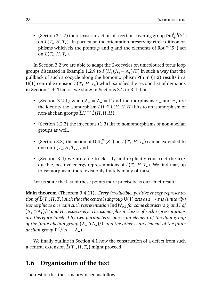• (Section 3.1.7) there exists an action of a certain covering group  $\text{Diff}^{(n)}_+(S^1)$ on  $L(T_o, H, T_o)$ . In particular, the orientation preserving circle diffeomorphisms which fix the points  $p$  and  $q$  and the elements of Rot<sup> $(n)$ </sup> $(S^1)$  act on  $L(T_\circ, H, T_\bullet)$ .

In Section 3.2 we are able to adapt the 2-cocycles on unicoloured torus loop groups discussed in Example 1.2.9 to *P*(*H*,(*Λ*◦ − *Λ*• )*/Γ* ) in such a way that the pullback of such a cocycle along the homomorphism Pth in (1.2) results in a U(1)-central extension *L*(*T*<sub>◦</sub>, *H*, *T*•) which satisfies the second list of demands in Section 1.4. That is, we show in Sections 3.2 to 3.4 that

- (Section 3.2.1) when  $\Lambda$ <sup>°</sup> =  $\Lambda$ <sup>•</sup> = Γ and the morphisms  $\pi$ <sup>°</sup> and  $\pi$ <sup>•</sup> are the identity the isomorphism  $LH \cong L(H, H, H)$  lifts to an isomorphism of non-abelian groups  $\widetilde{L}H \cong \widetilde{L}(H, H, H)$ ,
- (Section 3.2.3) the injections (1.3) lift to homomorphisms of non-abelian groups as well,
- (Section 3.3) the action of  $\text{Diff}^{(n)}_{+}(S^1)$  on  $L(T_o, H, T_o)$  can be extended to one on  $L(T_\circ, H, T_\bullet)$ , and
- (Section 3.4) we are able to classify and explicitly construct the irreducible, positive energy representations of  $L(T_\circ, H, T_\bullet)$ . We find that, up to isomorphism, there exist only finitely many of these.

Let us state the last of these points more precisely as our chief result:

**Main theorem** (Theorem 3.4.11)**.** *Every irreducible, positive energy representa-* $\widetilde{L}(T_\circ, H, T_\bullet)$  *such that the central subgroup* U(1) *acts as*  $z \mapsto z$  *is (unitarily) isomorphic to a certain such representation* Ind*Wχ*,*<sup>l</sup> for some characters χ and l of* (*Λ*◦ ∩ *Λ*• )*/Γ and H, respectively. The isomorphism classes of such representations are therefore labelled by two parameters: one is an element of the dual group of the finite abelian group* (*Λ*◦ ∩ *Λ*• )*/Γ and the other is an element of the finite abelian group Γ* ∨ */*(*Λ*◦ − *Λ*• )*.*

We finally outline in Section 4.1 how the construction of a defect from such a central extension *L*(*T*<sub>◦</sub>,*H*, *T*•) might proceed.

## **1.6 Organisation of the text**

The rest of this thesis is organised as follows.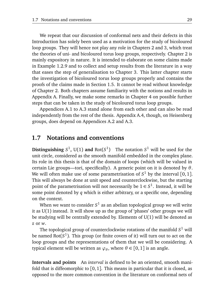We repeat that our discussion of conformal nets and their defects in this Introduction has solely been used as a motivation for the study of bicoloured loop groups. They will hence not play any role in Chapters 2 and 3, which treat the theories of uni- and bicoloured torus loop groups, respectively. Chapter 2 is mainly expository in nature. It is intended to elaborate on some claims made in Example 1.2.9 and to collect and setup results from the literature in a way that eases the step of generalisation to Chapter 3. This latter chapter starts the investigation of bicoloured torus loop groups properly and contains the proofs of the claims made in Section 1.5. It cannot be read without knowledge of Chapter 2. Both chapters assume familiarity with the notions and results in Appendix A. Finally, we make some remarks in Chapter 4 on possible further steps that can be taken in the study of bicoloured torus loop groups.

Appendices A.1 to A.3 stand alone from each other and can also be read independently from the rest of the thesis. Appendix A.4, though, on Heisenberg groups, does depend on Appendices A.2 and A.3.

#### **1.7 Notations and conventions**

**Distinguishing**  $S^1$ , U(1) **and** Rot( $S^1$ ) The notation  $S^1$  will be used for the unit circle, considered as the smooth manifold embedded in the complex plane. Its role in this thesis is that of the domain of loops (which will be valued in certain Lie groups—tori, specifically). A generic point on it is denoted by *θ*. We will often make use of some parametrisation of  $S^1$  by the interval  $[0,1]$ . This will always be done at unit speed and counterclockwise, but the starting point of the parametrisation will not necessarily be  $1 \in S^1.$  Instead, it will be some point denoted by *q* which is either arbitrary, or a specific one, depending on the context.

When we want to consider  $S^1$  as an abelian topological group we will write it as U(1) instead. It will show up as the group of 'phases' other groups we will be studying will be centrally extended by. Elements of  $U(1)$  will be denoted as *z* or *w*.

The topological group of counterclockwise rotations of the manifold  $S^1$  will be named Rot(*S* 1 ). This group (or finite covers of it) will turn out to act on the loop groups and the representations of them that we will be considering. A typical element will be written as  $\varphi_{\theta}$ , where  $\theta \in [0,1]$  is an angle.

**Intervals and points** An *interval* is defined to be an oriented, smooth manifold that is diffeomorphic to  $[0, 1]$ . This means in particular that it is closed, as opposed to the more common convention in the literature on conformal nets of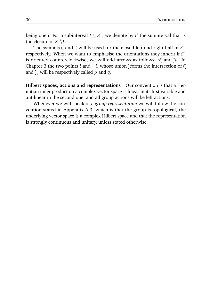being open. For a subinterval  $I \subseteq S^1$ , we denote by  $I'$  the subinterval that is the closure of  $S^1\backslash I.$ 

The symbols  $\zeta$  and  $\supset$  will be used for the closed left and right half of  $S^1,$ respectively. When we want to emphasise the orientations they inherit if *S* 1 is oriented counterclockwise, we will add arrows as follows:  $\leq$  and  $\geq$ . In Chapter 3 the two points *i* and  $-i$ , whose union forms the intersection of  $\zeta$ and  $\hat{ }$ , will be respectively called *p* and *q*.

**Hilbert spaces, actions and representations** Our convention is that a Hermitian inner product on a complex vector space is linear in its first variable and antilinear in the second one, and all group actions will be left actions.

Whenever we will speak of a *group representation* we will follow the convention stated in Appendix A.3, which is that the group is topological, the underlying vector space is a complex Hilbert space and that the representation is strongly continuous and unitary, unless stated otherwise.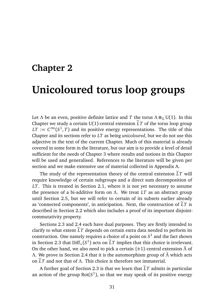# **Chapter 2 Unicoloured torus loop groups**

Let *Λ* be an even, positive definite lattice and *T* the torus  $\Lambda \otimes_{\mathbb{Z}} U(1)$ . In this Chapter we study a certain U(1)-central extension  $\tilde{L}T$  of the torus loop group  $LT := C^\infty(S^1, T)$  and its positive energy representations. The title of this Chapter and its sections refer to *LT* as being *unicoloured*, but we do not use this adjective in the text of the current Chapter. Much of this material is already covered in some form in the literature, but our aim is to provide a level of detail sufficient for the needs of Chapter 3 where results and notions in this Chapter will be used and generalised. References to the literature will be given per section and we make extensive use of material collected in Appendix A.

The study of the representation theory of the central extension  $\tilde{L}T$  will require knowledge of certain subgroups and a direct sum decomposition of *LT*. This is treated in Section 2.1, where it is not yet necessary to assume the presence of a bi-additive form on *Λ*. We treat *LT* as an abstract group until Section 2.5, but we will refer to certain of its subsets earlier already as 'connected components', in anticipation. Next, the construction of  $LT$  is described in Section 2.2 which also includes a proof of its important disjointcommutativity property.

Sections 2.3 and 2.4 each have dual purposes. They are firstly intended to clarify to what extent  $\tilde{L}T$  depends on certain extra data needed to perform its construction. One namely requires a choice of a point on *S* 1 and the fact shown in Section 2.3 that  $\text{Diff}_+(S^1)$  acts on  $\tilde{L}T$  implies that this choice is irrelevant. On the other hand, we also need to pick a certain {±1}-central extension *Λ*˜ of *Λ*. We prove in Section 2.4 that it is the automorphism group of *Λ*˜ which acts on <sup>e</sup>*LT* and not that of *<sup>Λ</sup>*. This choice is therefore not immaterial.

A further goal of Section 2.3 is that we learn that  $\tilde{L}T$  admits in particular an action of the group  $\mathsf{Rot}(S^1)$ , so that we may speak of its positive energy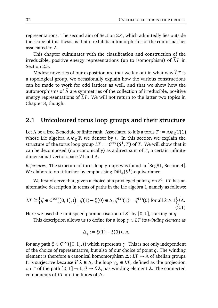representations. The second aim of Section 2.4, which admittedly lies outside the scope of this thesis, is that it exhibits automorphisms of the conformal net associated to *Λ*.

This chapter culminates with the classification and construction of the irreducible, positive energy representations (up to isomorphism) of  $LT$  in Section 2.5.

Modest novelties of our exposition are that we lay out in what way  $\tilde{L}T$  is a topological group, we occasionally explain how the various constructions can be made to work for odd lattices as well, and that we show how the automorphisms of *Λ*˜ are symmetries of the collection of irreducible, positive energy representations of  $\tilde{L}T$ . We will not return to the latter two topics in Chapter 3, though.

### **2.1 Unicoloured torus loop groups and their structure**

Let *Λ* be a free Z-module of finite rank. Associated to it is a torus  $T := \Lambda \otimes_{\mathbb{Z}} U(1)$ whose Lie algebra  $\Lambda \otimes_{\mathbb{Z}} \mathbb{R}$  we denote by t. In this section we explain the structure of the torus loop group  $LT := C^\infty(S^1, T)$  of *T*. We will show that it can be decomposed (non-canonically) as a direct sum of *T*, a certain infinitedimensional vector space *V*t and *Λ*.

*References.* The structure of torus loop groups was found in [Seg81, Section 4]. We elaborate on it further by emphasising  $\mathrm{Diff}_+(S^1)$ -equivariance.

We first observe that, given a choice of a privileged point *q* on *S* 1 , *LT* has an alternative description in terms of paths in the Lie algebra t, namely as follows:

$$
LT \cong \left\{ \xi \in C^{\infty}([0,1],\mathfrak{t}) \mid \xi(1) - \xi(0) \in \Lambda, \, \xi^{(k)}(1) = \xi^{(k)}(0) \text{ for all } k \ge 1 \right\} \bigg/ \Lambda.
$$
\n
$$
(2.1)
$$

Here we used the unit speed parametrisation of  $S^1$  by  $[0,1]$ , starting at  $q$ .

This description allows us to define for a loop *γ* ∈ *LT* its *winding element* as

$$
\Delta_{\gamma} := \xi(1) - \xi(0) \in \Lambda
$$

for any path  $\xi \in C^{\infty}([0,1],t)$  which represents  $\gamma$ . This is not only independent of the choice of representative, but also of our choice of point *q*. The winding element is therefore a canonical homomorphism *∆*: *LT* → *Λ* of abelian groups. It is surjective because if  $\lambda \in \Lambda$ , the loop  $\gamma_{\lambda} \in LT$ , defined as the projection on *T* of the path  $[0,1] \rightarrow \mathfrak{t}, \theta \mapsto \theta \lambda$ , has winding element  $\lambda$ . The connected components of *LT* are the fibres of *∆*.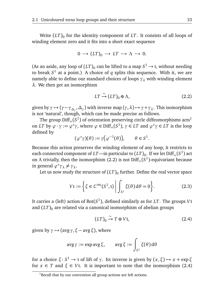Write  $(LT)_{0}$  for the identity component of  $LT$  . It consists of all loops of winding element zero and it fits into a short exact sequence

$$
0 \to (LT)_0 \to LT \to \Lambda \to 0.
$$

(As an aside, any loop of  $(LT)_0$  can be lifted to a map  $S^1 \to \mathfrak{t}$ , without needing to break *S* 1 at a point.) A choice of *q* splits this sequence. With it, we are namely able to define our standard choices of loops  $\gamma_{\lambda}$  with winding element *λ*. We then get an isomorphism

$$
LT \xrightarrow{\sim} (LT)_0 \oplus \Lambda, \tag{2.2}
$$

given by  $\gamma \mapsto (\gamma - \gamma_{\Delta_\gamma}, \Delta_\gamma)$  with inverse map  $(\gamma, \lambda) \mapsto \gamma + \gamma_{\lambda}$ . This isomorphism is not 'natural', though, which can be made precise as follows.

The group  $\text{Diff}_+(S^1)$  of orientation preserving circle diffeomorphisms acts<sup>1</sup> on *LT* by  $\varphi \cdot \gamma := \varphi^* \gamma$ , where  $\varphi \in \text{Diff}_+(S^1)$ ,  $\gamma \in LT$  and  $\varphi^* \gamma \in LT$  is the loop defined by

$$
(\varphi^*\gamma)(\theta) := \gamma(\varphi^{-1}(\theta)), \qquad \theta \in S^1.
$$

Because this action preserves the winding element of any loop, it restricts to each connected component of *LT*—in particular to  $(LT)_{0}$ . If we let  $\mathrm{Diff}_+(S^1)$  act on Λ trivially, then the isomorphism (2.2) is not Diff<sub>+</sub>(*S*<sup>1</sup>)-equivariant because in general  $\varphi^* \gamma_\lambda \neq \gamma_\lambda$ .

Let us now study the structure of  $\left(LT\right)_0$  further. Define the real vector space

$$
Vt := \left\{ \xi \in C^{\infty}(S^1, t) \middle| \int_{S^1} \xi(\theta) d\theta = 0 \right\}.
$$
 (2.3)

It carries a (left) action of Rot(*S* 1 ), defined similarly as for *LT*. The groups *V*t and  $(LT)$ <sup>0</sup> are related via a canonical isomorphism of abelian groups

$$
(LT)_0 \xrightarrow{\sim} T \oplus V \mathfrak{t},\tag{2.4}
$$

given by  $\gamma \mapsto (avg \gamma, \xi - avg \xi)$ , where

$$
avg \gamma := exp avg \xi, \quad avg \xi := \int_{S^1} \xi(\theta) d\theta
$$

for a choice  $\xi$ : *S*<sup>1</sup> → t of lift of *γ*. Its inverse is given by  $(x, \xi)$  →  $x$  + exp  $\xi$ for  $x \in T$  and  $\xi \in V$ t. It is important to note that the isomorphism (2.4)

 $1$ Recall that by our convention all group actions are left actions.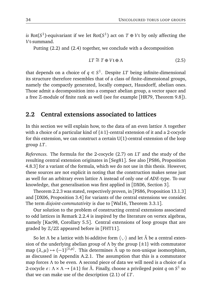*is* Rot( $S^1$ )-equivariant if we let Rot( $S^1$ ) act on  $T \oplus V$ t by only affecting the *V*t-summand.

Putting (2.2) and (2.4) together, we conclude with a decomposition

$$
LT \cong T \oplus V \mathfrak{t} \oplus \Lambda \tag{2.5}
$$

that depends on a choice of  $q \in S^1$ . Despite  $LT$  being infinite-dimensional its structure therefore resembles that of a class of finite-dimensional groups, namely the compactly generated, locally compact, Hausdorff, abelian ones. Those admit a decomposition into a compact abelian group, a vector space and a free Z-module of finite rank as well (see for example [HR79, Theorem 9.8]).

#### **2.2 Central extensions associated to lattices**

In this section we will explain how, to the data of an even lattice *Λ* together with a choice of a particular kind of  $\{\pm 1\}$ -central extension of it and a 2-cocycle for this extension, we can construct a certain  $U(1)$ -central extension of the loop group *LT*.

*References.* The formula for the 2-cocycle (2.7) on *LT* and the study of the resulting central extension originates in [Seg81]. See also [PS86, Proposition 4.8.3] for a variant of the formula, which we do not use in this thesis. However, these sources are not explicit in noting that the construction makes sense just as well for an arbitrary even lattice *Λ* instead of only one of *ADE*-type. To our knowledge, that generalisation was first applied in [DX06, Section 3].

Theorem 2.2.3 was stated, respectively proven, in [PS86, Proposition 13.1.3] and [DX06, Proposition 3.4] for variants of the central extensions we consider. The term *disjoint-commutativity* is due to [Wal16, Theorem 3.3.1].

Our solution to the problem of constructing central extensions associated to odd lattices in Remark 2.2.4 is inspired by the literature on vertex algebras, namely [Kac98, Corollary 5.5]. Central extensions of loop groups that are graded by Z*/*2Z appeared before in [FHT11].

So let  $\Lambda$  be a lattice with bi-additive form  $\langle \cdot, \cdot \rangle$  and let  $\tilde{\Lambda}$  be a central extension of the underlying abelian group of  $\Lambda$  by the group  $\{\pm 1\}$  with commutator map  $(\lambda, \mu) \mapsto (-1)^{\langle \lambda, \mu \rangle}$ . This determines  $\tilde{\Lambda}$  up to non-unique isomorphism, as discussed in Appendix A.2.1. The assumption that this is a commutator map forces *Λ* to be even. A second piece of data we will need is a choice of a 2-cocycle *ε* : *Λ* × *Λ* → {±1} for *Ã*. Finally, choose a privileged point *q* on *S*<sup>1</sup> so that we can make use of the description (2.1) of *LT*.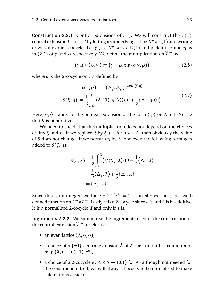**Construction 2.2.1** (Central extensions of *LT*)**.** We will construct the U(1) central extension  $\tilde{L}T$  of  $LT$  by letting its underlying set be  $LT \times U(1)$  and writing down an explicit cocycle. Let *γ*,*ρ* ∈ *LT*, *z*, *w* ∈ U(1) and pick lifts *ξ* and *η* as in (2.1) of  $\gamma$  and  $\rho$  respectively. We define the multiplication on  $\tilde{L}T$  by

$$
(\gamma, z) \cdot (\rho, w) := (\gamma + \rho, zw \cdot c(\gamma, \rho)) \tag{2.6}
$$

where *c* is the 2-cocycle on *LT* defined by

$$
c(\gamma, \rho) := \varepsilon(\Delta_{\gamma}, \Delta_{\rho})e^{2\pi i S(\xi, \eta)}
$$

$$
S(\xi, \eta) := \frac{1}{2} \int_0^1 \langle \xi'(\theta), \eta(\theta) \rangle d\theta + \frac{1}{2} \langle \Delta_{\gamma}, \eta(0) \rangle.
$$
 (2.7)

Here,  $\langle \cdot, \cdot \rangle$  stands for the bilinear extension of the form  $\langle \cdot, \cdot \rangle$  on  $\Lambda$  to t. Notice that *S* is bi-additive.

We need to check that this multiplication does not depend on the choices of lifts *ξ* and *η*. If we replace *ξ* by *ξ* + *λ* for a *λ* ∈ *Λ*, then obviously the value of *S* does not change. If we perturb  $\eta$  by  $\lambda$ , however, the following term gets added to *S*(*ξ*,*η*):

$$
S(\xi, \lambda) = \frac{1}{2} \int_0^1 \langle \xi'(\theta), \lambda \rangle d\theta + \frac{1}{2} \langle \Delta_\gamma, \lambda \rangle
$$
  
=  $\frac{1}{2} \langle \Delta_\gamma, \lambda \rangle + \frac{1}{2} \langle \Delta_\gamma, \lambda \rangle$   
=  $\langle \Delta_\gamma, \lambda \rangle$ .

Since this is an integer, we have  $e^{2\pi i S(\xi,\lambda)} = 1$ . This shows that *c* is a welldefined function on  $LT \times LT$ . Lastly, it is a 2-cocycle since  $\varepsilon$  is and *S* is bi-additive. It is a normalised 2-cocycle if and only if  $\varepsilon$  is.

**Ingredients 2.2.2.** We summarise the ingredients used in the construction of the central extension  $LT$  for clarity:

- an even lattice  $(\Lambda, \langle \cdot, \cdot \rangle)$ ,
- a choice of a { $\pm$ 1}-central extension  $\tilde{\Lambda}$  of  $\Lambda$  such that it has commutator map  $(\lambda, \mu) \mapsto (-1)^{\langle \lambda, \mu \rangle},$
- a choice of a 2-cocycle  $\varepsilon$  :  $\Lambda \times \Lambda \to \{\pm 1\}$  for  $\Lambda$  (although not needed for the construction itself, we will always choose  $\varepsilon$  to be normalised to make calculations easier),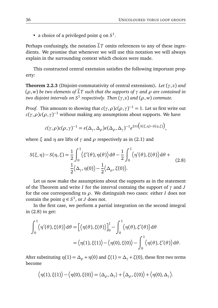• a choice of a privileged point *q* on *S* 1 .

Perhaps confusingly, the notation  $\tilde{L}T$  omits references to any of these ingredients. We promise that whenever we will use this notation we will always explain in the surrounding context which choices were made.

This constructed central extension satisfies the following important property:

**Theorem 2.2.3** (Disjoint-commutativity of central extensions)**.** *Let* (*γ*, *z*) *and*  $(\rho, w)$  be two elements of  $\widetilde{L}T$  *such that the supports of*  $\gamma$  *and*  $\rho$  *are contained in two disjoint intervals on S*<sup>1</sup> *respectively. Then* (*γ*, *z*) *and* (*ρ*, *w*) *commute.*

*Proof.* This amounts to showing that  $c(\gamma, \rho) c(\rho, \gamma)^{-1} = 1$ . Let us first write out  $c(\gamma, \rho)c(\rho, \gamma)^{-1}$  without making any assumptions about supports. We have

$$
c(\gamma, \rho)c(\rho, \gamma)^{-1} = \varepsilon(\Delta_{\gamma}, \Delta_{\rho})\varepsilon(\Delta_{\rho}, \Delta_{\gamma})^{-1}e^{2\pi i(S(\xi, \eta)-S(\eta, \xi))},
$$

where  $\xi$  and  $\eta$  are lifts of  $\gamma$  and  $\rho$  respectively as in (2.1) and

$$
S(\xi, \eta) - S(\eta, \xi) = \frac{1}{2} \int_0^1 \langle \xi'(\theta), \eta(\theta) \rangle d\theta - \frac{1}{2} \int_0^1 \langle \eta'(\theta), \xi(\theta) \rangle d\theta + \frac{1}{2} \langle \Delta_\gamma, \eta(0) \rangle - \frac{1}{2} \langle \Delta_\rho, \xi(0) \rangle.
$$
 (2.8)

Let us now make the assumptions about the supports as in the statement of the Theorem and write *I* for the interval containg the support of *γ* and *J* for the one corresponding to *ρ*. We distinguish two cases: either *I* does not contain the point  $q \in S^1$ , or *J* does not.

In the first case, we perform a partial integration on the second integral in (2.8) to get:

$$
\int_0^1 \langle \eta'(\theta), \xi(\theta) \rangle d\theta = \left[ \langle \eta(\theta), \xi(\theta) \rangle \right]_0^1 - \int_0^1 \langle \eta(\theta), \xi'(\theta) \rangle d\theta
$$

$$
= \langle \eta(1), \xi(1) \rangle - \langle \eta(0), \xi(0) \rangle - \int_0^1 \langle \eta(\theta), \xi'(\theta) \rangle d\theta.
$$

After substituting  $\eta(1) = \Delta_{\rho} + \eta(0)$  and  $\xi(1) = \Delta_{\gamma} + \xi(0)$ , these first two terms become

$$
\big\langle \eta(1), \xi(1) \big\rangle - \big\langle \eta(0), \xi(0) \big\rangle = \langle \Delta_{\rho}, \Delta_{\gamma} \rangle + \big\langle \Delta_{\rho}, \xi(0) \big\rangle + \big\langle \eta(0), \Delta_{\gamma} \big\rangle.
$$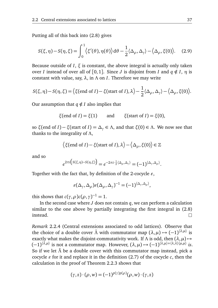Putting all of this back into (2.8) gives

$$
S(\xi,\eta) - S(\eta,\xi) = \int_0^1 \langle \xi'(\theta), \eta(\theta) \rangle d\theta - \frac{1}{2} \langle \Delta_\rho, \Delta_\gamma \rangle - \langle \Delta_\rho, \xi(0) \rangle. \tag{2.9}
$$

Because outside of *I*, *ξ* is constant, the above integral is actually only taken over *I* instead of over all of [0,1]. Since *J* is disjoint from *I* and  $q \notin I$ ,  $\eta$  is constant with value, say, *λ*, in *Λ* on *I*. Therefore we may write

$$
S(\xi, \eta) - S(\eta, \xi) = \left\langle \xi(\text{end of } I) - \xi(\text{start of } I), \lambda \right\rangle - \frac{1}{2} \langle \Delta_{\rho}, \Delta_{\gamma} \rangle - \left\langle \Delta_{\rho}, \xi(0) \right\rangle.
$$

Our assumption that  $q \notin I$  also implies that

$$
\xi
$$
(end of *I*) =  $\xi$ (1) and  $\xi$ (start of *I*) =  $\xi$ (0),

so *ξ*(end of *I*) − *ξ*(start of *I*) = *∆<sup>γ</sup>* ∈ *Λ*, and that *ξ*(0) ∈ *Λ*. We now see that thanks to the integrality of *Λ*,

$$
\langle \xi(\text{end of } I) - \xi(\text{start of } I), \lambda \rangle - \langle \Delta_{\rho}, \xi(0) \rangle \in \mathbb{Z}
$$

and so

$$
e^{2\pi i \left(S(\xi,\eta)-S(\eta,\xi)\right)} = e^{-2\pi i \cdot \frac{1}{2}\langle\Delta_{\rho},\Delta_{\gamma}\rangle} = (-1)^{\langle\Delta_{\gamma},\Delta_{\rho}\rangle}.
$$

Together with the fact that, by definition of the 2-cocycle  $\varepsilon$ ,

$$
\varepsilon(\Delta_{\gamma}, \Delta_{\rho}) \varepsilon(\Delta_{\rho}, \Delta_{\gamma})^{-1} = (-1)^{\langle \Delta_{\gamma}, \Delta_{\rho} \rangle},
$$

this shows that  $c(\gamma, \rho)c(\rho, \gamma)^{-1} = 1$ .

In the second case where *J* does not contain *q*, we can perform a calculation similar to the one above by partially integrating the first integral in (2.8) instead.  $\Box$ 

*Remark* 2.2.4 (Central extensions associated to odd lattices)*.* Observe that the choice of a double cover  $\tilde{\Lambda}$  with commutator map  $(\lambda, \mu) \mapsto (-1)^{\langle \lambda, \mu \rangle}$  is exactly what makes the disjoint-commutativity work. If  $\Lambda$  is odd, then  $(\lambda, \mu) \mapsto$  $(-1)^{\langle \lambda,\mu \rangle}$  is not a commutator map. However,  $(\lambda,\mu) \mapsto (-1)^{\langle \lambda,\mu \rangle + \langle \lambda,\lambda \rangle \langle \mu,\mu \rangle}$  is. So if we let *Λ*˜ be a double cover with this commutator map instead, pick a cocycle  $\varepsilon$  for it and replace it in the definition (2.7) of the cocycle  $c$ , then the calculation in the proof of Theorem 2.2.3 shows that

$$
(\gamma, z) \cdot (\rho, w) = (-1)^{p(\gamma)p(\rho)}(\rho, w) \cdot (\gamma, z)
$$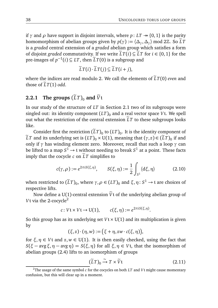if  $\gamma$  and  $\rho$  have support in disjoint intervals, where  $p: LT \rightarrow \{0, 1\}$  is the parity homomorphism of abelian groups given by  $p(\gamma) := \langle \Delta_{\gamma}, \Delta_{\gamma} \rangle \text{ mod } 2\mathbb{Z}$ . So  $\tilde{L}T$ is a *graded* central extension of a *graded* abelian group which satisfies a form of disjoint *graded* commutativity. If we write  $\tilde{L}T(i) \subseteq \tilde{L}T$  for  $i \in \{0, 1\}$  for the pre-images of  $p^{-1}(i) \subseteq LT$ , then  $\widetilde{L}T(0)$  is a subgroup and

$$
\widetilde{L}T(i)\cdot \widetilde{L}T(j)\subseteq \widetilde{L}T(i+j),
$$

where the indices are read modulo 2. We call the elements of  $\tilde{L}T(0)$  *even* and those of  $\tilde{L}T(1)$  *odd.* 

## **2.2.1** The groups  $(\tilde{L}T)_{0}$  and  $\tilde{V}t$

In our study of the structure of *LT* in Section 2.1 two of its subgroups were singled out: its identity component  $(LT)$ <sub>0</sub> and a real vector space *Vt*. We spell out what the restriction of the central extension  $\tilde{L}T$  to these subgroups looks like.

Consider first the restriction  $(LT)_{0}$  to  $(LT)_{0}$ . It is the identity component of  $\widetilde{L}T$  and its underlying set is  $(LT)_0 \times U(1)$ , meaning that  $(\gamma, z) \in (\widetilde{L}T)_0$  if and only if *γ* has winding element zero. Moreover, recall that such a loop *γ* can be lifted to a map  $S^1 \to$  t without needing to break  $S^1$  at a point. These facts imply that the cocycle  $c$  on  $\tilde{L}T$  simplifies to

$$
c(\gamma, \rho) := e^{2\pi i S(\xi, \eta)}, \qquad S(\xi, \eta) := \frac{1}{2} \int_{S^1} \langle d\xi, \eta \rangle \tag{2.10}
$$

when restricted to  $(\widetilde{L}T)_0$ , where  $\gamma, \rho \in (LT)_0$  and  $\xi, \eta: S^1 \to \mathfrak{t}$  are choices of respective lifts.

Now define a U(1)-central extension  $\tilde{V}$ t of the underlying abelian group of *V*t via the 2-cocycle<sup>2</sup>

$$
c: V \mathfrak{t} \times V \mathfrak{t} \to U(1), \qquad c(\xi, \eta) := e^{2\pi i S(\xi, \eta)}.
$$

So this group has as its underlying set  $V \times U(1)$  and its multiplication is given by

$$
(\xi,z)\cdot(\eta,w):=\big(\xi+\eta,zw\cdot c(\xi,\eta)\big),
$$

for  $\xi, \eta \in V$ t and  $z, w \in U(1)$ . It is then easily checked, using the fact that *S*( $ξ - avgξ, η - avgη$ ) = *S*( $ξ, η$ ) for all  $ξ, η ∈ V$ t, that the isomorphism of abelian groups (2.4) lifts to an isomorphism of groups

$$
(\widetilde{L}T)_0 \xrightarrow{\sim} T \times \widetilde{V}t \tag{2.11}
$$

<sup>&</sup>lt;sup>2</sup>The usage of the same symbol  $c$  for the cocycles on both  $LT$  and  $Vt$  might cause momentary confusion, but this will clear up in a moment.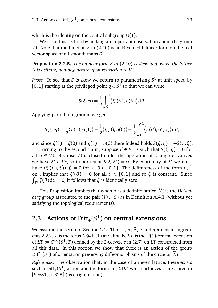which is the identity on the central subgroup  $U(1)$ .

We close this section by making an important observation about the group  $\tilde{V}$ t. Note that the function *S* in (2.10) is an  $\mathbb{R}$ -valued bilinear form on the real vector space of all smooth maps  $S^1 \to \mathfrak{t}$ .

**Proposition 2.2.5.** *The bilinear form S in* (2.10) *is skew and, when the lattice Λ is definite, non-degenerate upon restriction to V*t*.*

*Proof.* To see that *S* is skew we return to parametrising  $S^1$  at unit speed by [0, 1] starting at the privileged point  $q \in S^1$  so that we can write

$$
S(\xi, \eta) = \frac{1}{2} \int_0^1 \langle \xi'(\theta), \eta(\theta) \rangle d\theta.
$$

Applying partial integration, we get

$$
S(\xi,\eta) = \frac{1}{2} \langle \xi(1), \eta(1) \rangle - \frac{1}{2} \langle \xi(0), \eta(0) \rangle - \frac{1}{2} \int_0^1 \langle \xi(\theta), \eta'(\theta) \rangle d\theta,
$$

and since  $\xi(1) = \xi(0)$  and  $\eta(1) = \eta(0)$  there indeed holds  $S(\xi, \eta) = -S(\eta, \xi)$ .

Turning to the second claim, suppose *ξ* ∈ *V*t is such that *S*(*ξ*,*η*) = 0 for all  $\eta \in V$ t. Because *V*t is closed under the operation of taking derivatives  $w$ e have *ξ'* ∈ *V*t, so in particular *S*(*ξ*,*ξ'*) = 0. By continuity of *ξ'* we must have  $\langle \xi'(\theta), \xi'(\theta) \rangle = 0$  for all  $\theta \in [0,1]$ . The definiteness of the form  $\langle \cdot, \cdot \rangle$ on t implies that  $\xi'(\theta) = 0$  for all  $\theta \in [0,1]$  and so  $\xi$  is constant. Since  $\int_{S^1}$  *ξ*(*θ*)d*θ* = 0, it follows that *ξ* is identically zero.  $\Box$ 

This Proposition implies that when  $\Lambda$  is a definite lattice,  $\widetilde{V}$ t is the *Heisenberg group* associated to the pair (*V*t,−*S*) as in Definition A.4.1 (without yet satisfying the topological requirements).

# **2.3** Actions of  $\text{Diff}_+(S^1)$  on central extensions

We assume the setup of Section 2.2. That is, Λ,  $\tilde{\Lambda}$ ,  $\varepsilon$  and *q* are as in Ingredients 2.2.2, *T* is the torus  $\Lambda \otimes_{\mathbb{Z}} U(1)$  and, finally,  $\widetilde{L}T$  is the U(1)-central extension of  $LT := C^\infty(S^1, T)$  defined by the 2-cocycle *c* in (2.7) on *LT* constructed from all this data. In this section we show that there is an action of the group  $Diff_{+}(S^{1})$  of orientation preserving diffeomorphisms of the circle on  $\tilde{L}T$ .

*References.* The observation that, in the case of an even lattice, there exists such a  $\text{Diff}_+(S^1)$ -action and the formula (2.19) which achieves it are stated in  $[Seg81, p. 325]$  (as a right action).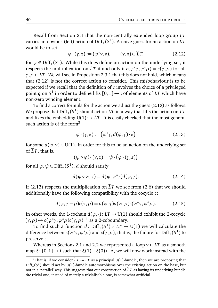Recall from Section 2.1 that the non-centrally extended loop group *LT* carries an obvious (left) action of  $\mathrm{Diff}_+(S^1)$ . A naive guess for an action on  $\tilde{L}T$ would be to set

$$
\varphi \cdot (\gamma, z) := (\varphi^* \gamma, z), \qquad (\gamma, z) \in \widetilde{L}T. \tag{2.12}
$$

for  $\varphi \in \text{Diff}_+(S^1)$ . While this does define an action on the underlying set, it respects the multiplication on  $\widetilde{L}T$  if and only if  $c(\varphi^*\gamma, \varphi^*\rho) = c(\gamma, \rho)$  for all  $\gamma, \rho \in LT$ . We will see in Proposition 2.3.1 that this does not hold, which means that (2.12) is not the correct action to consider. This misbehaviour is to be expected if we recall that the definition of *c* involves the choice of a privileged point  $q$  on  $S^1$  in order to define lifts  $[0,1] \rightarrow$  t of elements of  $LT$  which have non-zero winding element.

To find a correct formula for the action we adjust the guess (2.12) as follows. We propose that  $\text{Diff}_+(S^1)$  should act on  $\tilde{L}T$  in a way that lifts the action on  $LT$ and fixes the embedding  $U(1) \hookrightarrow \tilde{L}T$ . It is easily checked that the most general such action is of the form $3$ 

$$
\varphi \cdot (\gamma, z) := (\varphi^* \gamma, d(\varphi, \gamma) \cdot z) \tag{2.13}
$$

for some  $d(\varphi, \gamma) \in U(1)$ . In order for this to be an action on the underlying set of  $LT$ , that is,

$$
(\psi \circ \varphi) \cdot (\gamma, z) = \psi \cdot (\varphi \cdot (\gamma, z))
$$

for all  $\varphi, \psi \in \mathrm{Diff}_+(S^1), d$  should satisfy

$$
d(\psi \circ \varphi, \gamma) = d(\psi, \varphi^* \gamma) d(\varphi, \gamma).
$$
 (2.14)

If (2.13) respects the multiplication on  $\tilde{L}T$  we see from (2.6) that we should additionally have the following compatibility with the cocycle *c*:

$$
d(\varphi, \gamma + \rho)c(\gamma, \rho) = d(\varphi, \gamma)d(\varphi, \rho)c(\varphi^* \gamma, \varphi^* \rho). \tag{2.15}
$$

In other words, the 1-cochain  $d(\varphi, \cdot)$ :  $LT \rightarrow U(1)$  should exhibit the 2-cocycle  $(\gamma, \rho) \mapsto c(\varphi^* \gamma, \varphi^* \rho) c(\gamma, \rho)^{-1}$  as a 2-coboundary.

To find such a function  $d$ :  $\text{Diff}_+(S^1) \times LT \rightarrow U(1)$  we will calculate the difference between  $c(\varphi^*\gamma,\varphi^*\rho)$  and  $c(\gamma,\rho)$ , that is, the failure for  $\mathrm{Diff}_+(S^1)$  to preserve *c*.

Whereas in Sections 2.1 and 2.2 we represented a loop *γ* ∈ *LT* as a smooth map *ξ*: [0, 1] → t such that *ξ*(1)−*ξ*(0) ∈ *Λ*, we will now work instead with the

<sup>&</sup>lt;sup>3</sup>That is, if we consider  $\tilde{L}T \rightarrow LT$  as a principal U(1)-bundle, then we are proposing that  $\mathrm{Diff}_+(S^1)$  should act by U(1)-bundle automorphisms over the existing action on the base, but not in a 'parallel' way. This suggests that our construction of  $\tilde{L}T$  as having its underlying bundle *the* trivial one, instead of merely a trivialisable one, is somewhat artificial.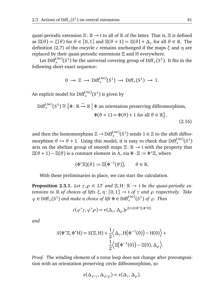quasi-periodic extension *Ξ*: R → t to all of R of the latter. That is, *Ξ* is defined as  $\Xi(\theta) = \xi(\theta)$  for  $\theta \in [0,1]$  and  $\Xi(\theta + 1) = \Xi(\theta) + \Delta_{\gamma}$  for all  $\theta \in \mathbb{R}$ . The definition (2.7) of the cocycle *c* remains unchanged if the maps *ξ* and *η* are replaced by their quasi-periodic extensions *Ξ* and H everywhere.

Let  $\text{Diff}_{+}^{(\infty)}(S^1)$  be the universal covering group of  $\text{Diff}_{+}(S^1)$ . It fits in the  $\frac{1}{2}$  following short exact sequence:

$$
0 \to \mathbb{Z} \to \mathrm{Diff}^{(\infty)}_+(S^1) \to \mathrm{Diff}_+(S^1) \to 1.
$$

An explicit model for  $\mathrm{Diff}^{(\infty)}_+(S^1)$  is given by

$$
\text{Diff}_{+}^{(\infty)}(S^{1}) \cong \{ \Phi \colon \mathbb{R} \xrightarrow{\sim} \mathbb{R} \mid \Phi \text{ an orientation preserving diffeomorphism,}
$$

$$
\Phi(\theta + 1) = \Phi(\theta) + 1 \text{ for all } \theta \in \mathbb{R} \},
$$
(2.16)

and then the homomorphism  $\mathbb{Z} \to \mathrm{Diff}_+^{(\infty)}(S^1)$  sends  $1 \in \mathbb{Z}$  to the shift diffeomorphism  $\theta \mapsto \theta + 1$ . Using this model, it is easy to check that  $\text{Diff}_{+}^{(\infty)}(S^1)$ acts on the abelian group of smooth maps *Ξ*: R → t with the property that  $\Xi(\theta + 1) - \Xi(\theta)$  is a constant element in  $\Lambda$ , via  $\Phi \cdot \Xi := \Phi^* \Xi$ , where

$$
(\Phi^* \Xi)(\theta) := \Xi(\Phi^{-1}(\theta)), \qquad \theta \in \mathbb{R}.
$$

With these preliminaries in place, we can start the calculation.

**Proposition 2.3.1.** *Let*  $\gamma, \rho \in LT$  *and*  $\Xi, H: \mathbb{R} \to$  *t be the quasi-periodic extensions to*  $\mathbb R$  *of choices of lifts*  $\xi, \eta$ : [0,1]  $\rightarrow$  *t of*  $\gamma$  *and*  $\rho$  *respectively. Take*  $\varphi \in \text{Diff}_+(S^1)$  and make a choice of lift  $\Phi \in \text{Diff}_+^{(\infty)}(S^1)$  of  $\varphi$ . Then

$$
c(\varphi^*\gamma, \varphi^*\rho) = \varepsilon(\Delta_\gamma, \Delta_\rho)e^{2\pi i S(\Phi^*\Xi, \Phi^*\mathcal{H})}
$$

*and*

$$
S(\Phi^* \Xi, \Phi^* H) = S(\Xi, H) + \frac{1}{2} \Big\langle \Delta_{\gamma}, H(\Phi^{-1}(0)) - H(0) \Big\rangle + \frac{1}{2} \Big\langle \Xi(\Phi^{-1}(0)) - \Xi(0), \Delta_{\rho} \Big\rangle.
$$

*Proof.* The winding element of a torus loop does not change after precomposition with an orientation preserving circle diffeomorphism, so

$$
\varepsilon(\Delta_{\varphi^*\gamma}, \Delta_{\varphi^*\rho}) = \varepsilon(\Delta_{\gamma}, \Delta_{\rho}).
$$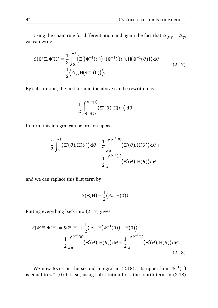Using the chain rule for differentiation and again the fact that  $\Delta_{\varphi^*\gamma}=\Delta_\gamma,$ we can write

$$
S(\Phi^* \Xi, \Phi^* H) = \frac{1}{2} \int_0^1 \langle \Xi'(\Phi^{-1}(\theta)) \cdot (\Phi^{-1})'(\theta), H(\Phi^{-1}(\theta)) \rangle d\theta + \frac{1}{2} \langle \Delta_\gamma, H(\Phi^{-1}(0)) \rangle.
$$
 (2.17)

By substitution, the first term in the above can be rewritten as

$$
\frac{1}{2}\int_{\Phi^{-1}(0)}^{\Phi^{-1}(1)} \langle \Xi'(\theta), H(\theta) \rangle d\theta.
$$

In turn, this integral can be broken up as

$$
\frac{1}{2} \int_0^1 \langle \Xi'(\theta), H(\theta) \rangle d\theta - \frac{1}{2} \int_0^{\Phi^{-1}(0)} \langle \Xi'(\theta), H(\theta) \rangle d\theta + \frac{1}{2} \int_1^{\Phi^{-1}(1)} \langle \Xi'(\theta), H(\theta) \rangle d\theta,
$$

and we can replace this first term by

$$
S(\Xi, H) - \frac{1}{2} \langle \Delta_{\gamma}, H(0) \rangle.
$$

Putting everything back into (2.17) gives

$$
S(\Phi^* \Xi, \Phi^* \mathbf{H}) = S(\Xi, \mathbf{H}) + \frac{1}{2} \langle \Delta_\gamma, \mathbf{H}(\Phi^{-1}(0)) - \mathbf{H}(0) \rangle -
$$
  

$$
\frac{1}{2} \int_0^{\Phi^{-1}(0)} \langle \Xi'(\theta), \mathbf{H}(\theta) \rangle d\theta + \frac{1}{2} \int_1^{\Phi^{-1}(1)} \langle \Xi'(\theta), \mathbf{H}(\theta) \rangle d\theta.
$$
(2.18)

We now focus on the second integral in (2.18). Its upper limit  $\Phi^{-1}(1)$ is equal to  $\Phi^{-1}(0) + 1$ , so, using substitution first, the fourth term in (2.18)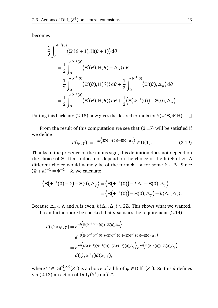becomes

$$
\frac{1}{2} \int_0^{\Phi^{-1}(0)} \langle \Xi'(\theta+1), H(\theta+1) \rangle d\theta
$$
\n
$$
= \frac{1}{2} \int_0^{\Phi^{-1}(0)} \langle \Xi'(\theta), H(\theta) + \Delta_\rho \rangle d\theta
$$
\n
$$
= \frac{1}{2} \int_0^{\Phi^{-1}(0)} \langle \Xi'(\theta), H(\theta) \rangle d\theta + \frac{1}{2} \int_0^{\Phi^{-1}(0)} \langle \Xi'(\theta), \Delta_\rho \rangle d\theta
$$
\n
$$
= \frac{1}{2} \int_0^{\Phi^{-1}(0)} \langle \Xi'(\theta), H(\theta) \rangle d\theta + \frac{1}{2} \langle \Xi(\Phi^{-1}(0)) - \Xi(0), \Delta_\rho \rangle.
$$

Putting this back into (2.18) now gives the desired formula for *S*(*Φ* <sup>∗</sup>*Ξ*,*Φ* <sup>∗</sup>H).  $\Box$ 

From the result of this computation we see that (2.15) will be satisfied if we define

$$
d(\varphi, \gamma) := e^{\pi i \left\langle \Xi(\Phi^{-1}(0)) - \Xi(0), \Delta_{\gamma} \right\rangle} \in U(1). \tag{2.19}
$$

Thanks to the presence of the minus sign, this definition does not depend on the choice of *Ξ*. It also does not depend on the choice of the lift *Φ* of *ϕ*. A different choice would namely be of the form  $\Phi + k$  for some  $k \in \mathbb{Z}$ . Since  $(\Phi + k)^{-1} = \Phi^{-1} - k$ , we calculate

$$
\langle \Xi(\Phi^{-1}(0)-k)-\Xi(0),\Delta_{\gamma} \rangle = \langle \Xi(\Phi^{-1}(0))-k\Delta_{\gamma}-\Xi(0),\Delta_{\gamma} \rangle
$$
  
=\langle \Xi(\Phi^{-1}(0))- \Xi(0),\Delta\_{\gamma} \rangle - k\langle \Delta\_{\gamma},\Delta\_{\gamma} \rangle.

Because  $\Delta_{\gamma} \in \Lambda$  and  $\Lambda$  is even,  $k\langle \Delta_{\gamma}, \Delta_{\gamma} \rangle \in 2\mathbb{Z}$ . This shows what we wanted.

It can furthermore be checked that *d* satisfies the requirement (2.14):

$$
d(\psi \circ \varphi, \gamma) = e^{\pi i \left\langle \Xi(\Phi^{-1}\Psi^{-1}(0)) - \Xi(0), \Delta_{\gamma} \right\rangle}
$$
  
\n
$$
= e^{\pi i \left\langle \Xi(\Phi^{-1}\Psi^{-1}(0)) - \Xi(\Phi^{-1}(0)) + \Xi(\Phi^{-1}(0)) - \Xi(0), \Delta_{\gamma} \right\rangle}
$$
  
\n
$$
= e^{\pi i \left\langle (\Xi \circ \Phi^{-1})(\Psi^{-1}(0)) - (\Xi \circ \Phi^{-1})(0), \Delta_{\gamma} \right\rangle} e^{\pi i \left\langle \Xi(\Phi^{-1}(0)) - \Xi(0), \Delta_{\gamma} \right\rangle}
$$
  
\n
$$
= d(\psi, \varphi^* \gamma) d(\varphi, \gamma),
$$

where  $\Psi \in \text{Diff}^{(\infty)}_+(S^1)$  is a choice of a lift of  $\psi \in \text{Diff}_+(S^1)$ . So this *d* defines via (2.13) an action of  $\text{Diff}_+(S^1)$  on  $\widetilde{L}T$ .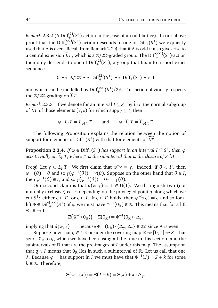*Remark* 2.3.2 (A  $Diff_{+}^{(2)}(S^1)$ -action in the case of an odd lattice). In our above proof that the Diff $_{+}^{(\infty)}(S^{1})$ -action descends to one of Diff $_{+}(S^{1})$  we explicitly + used that *Λ* is even. Recall from Remark 2.2.4 that if *Λ* is odd it also gives rise to a central extension  $\widetilde{L}T$ , which is a  $\mathbb{Z}/2\mathbb{Z}$ -graded group. The Diff<sup>(∞)</sup>( $S^1$ )-action then only descends to one of  $\text{Diff}^{(2)}_{+}(S^1)$ , a group that fits into a short exact sequence

$$
0 \to \mathbb{Z}/2\mathbb{Z} \to \text{Diff}^{(2)}_{+}(S^1) \to \text{Diff}_{+}(S^1) \to 1
$$

and which can be modelled by Diff<sup>(∞)</sup>( $S$ <sup>1</sup>)/2Z. This action obviously respects the  $\mathbb{Z}/2\mathbb{Z}$ -grading on  $\tilde{L}T$ .

*Remark* 2.3.3*.* If we denote for an interval  $I \subseteq S^1$  by  $\widetilde{L}_I T$  the normal subgroup of  $\widetilde{L}T$  of those elements ( $\gamma$ , *z*) for which supp  $\gamma \subseteq I$ , then

$$
\varphi \cdot L_I T = L_{\varphi(I)} T
$$
 and  $\varphi \cdot \widetilde{L}_I T = \widetilde{L}_{\varphi(I)} T$ .

The following Proposition explains the relation between the notion of support for elements of  $\mathrm{Diff}_+(S^1)$  with that for elements of  $\widetilde{LT}$ .

**Proposition 2.3.4.** *If*  $\varphi \in \text{Diff}_+(S^1)$  *has support in an interval*  $I \subseteq S^1$ *, then*  $\varphi$ acts trivially on  $\widetilde{L}_{I'}T$ , where  $I'$  is the subinterval that is the closure of  $S^1\backslash I$ .

*Proof.* Let  $\gamma \in L_I$  *T*. We first claim that  $\varphi^* \gamma = \gamma$ . Indeed, if  $\theta \in I'$ , then  $\varphi^{-1}(\theta) = \theta$  and so  $\gamma(\varphi^{-1}(\theta)) = \gamma(\theta)$ . Suppose on the other hand that  $\theta \in I$ , then  $\varphi^{-1}(\theta) \in I$ , and so  $\gamma(\varphi^{-1}(\theta)) = 0_T = \gamma(\theta)$ .

Our second claim is that  $d(\varphi, \gamma) = 1 \in U(1)$ . We distinguish two (not mutually exclusive) cases depending on the privileged point *q* along which we cut *S*<sup>1</sup>: either *q* ∈ *I'*, or *q* ∈ *I*. If *q* ∈ *I'* holds, then  $\varphi^{-1}(q) = q$  and so for a lift  $\Phi \in \text{Diff}^{(\infty)}_+(S^1)$  of  $\varphi$  we must have  $\Phi^{-1}(0_\mathbb{R}) \in \mathbb{Z}$ . This means that for a lift *Ξ*: R → t,

$$
\Xi\big(\Phi^{-1}(0_{\mathbb R})\big)-\Xi(0_{\mathbb R})=\Phi^{-1}(0_{\mathbb R})\cdot\Delta_{\gamma},
$$

implying that  $d(\varphi, \gamma) = 1$  because  $\Phi^{-1}(0_{\mathbb{R}}) \cdot \langle \Delta_{\gamma}, \Delta_{\gamma} \rangle \in 2\mathbb{Z}$  since  $\Lambda$  is even.

Suppose now that *q*  $\in$  *I*. Consider the covering map  $\mathbb{R} \rightarrow [0,1] \rightarrow S^1$  that sends  $0<sub>R</sub>$  to *q*, which we have been using all the time in this section, and the subintervals of  $\mathbb R$  that are the pre-images of  $I$  under this map. The assumption that  $q \in I$  means that  $0_{\mathbb{R}}$  lies in such a subinterval of  $\mathbb{R}$ . Let us call that one *J*. Because  $\varphi^{-1}$  has support in *I* we must have that  $\Phi^{-1}(J) = J + k$  for some  $k \in \mathbb{Z}$ . Therefore,

$$
\Xi(\Phi^{-1}(J)) = \Xi(J+k) = \Xi(J) + k \cdot \Delta_{\gamma}.
$$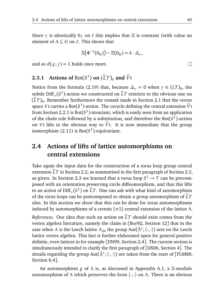Since  $\gamma$  is identically  $0_T$  on *I* this implies that  $\Xi$  is constant (with value an element of  $\Lambda \subseteq \mathfrak{t}$ ) on *J*. This shows that

$$
\Xi(\Phi^{-1}(0_{\mathbb{R}})) - \Xi(0_{\mathbb{R}}) = k \cdot \Delta_{\gamma},
$$

and so  $d(\varphi, \gamma) = 1$  holds once more.

# **2.3.1** Actions of  $Rot(S^1)$  on  $(LT)_0$  and  $\tilde{V}$ t

Notice from the formula (2.19) that, because  $\Delta_{\gamma} = 0$  when  $\gamma \in (LT)_0$ , the subtle  $\text{Diff}_+(S^1)$ -action we constructed on  $LT$  restricts to the obvious one on  $(LT)_0$ . Remember furthermore the remark made in Section 2.1 that the vector space *V*t carries a Rot( $S^1$ )-action. The cocycle defining the central extension  $\tilde{V}$ t from Section 2.2.1 is Rot(*S* 1 )-invariant, which is easily seen from an application of the chain rule followed by a substitution, and therefore the  $Rot(S^1)$ -action on *Vt* lifts in the obvious way to  $\tilde{V}$ t. It is now immediate that the group isomorphism (2.11) is Rot(*S* 1 )-equivariant.

# **2.4 Actions of lifts of lattice automorphisms on central extensions**

Take again the input data for the construction of a torus loop group central extension  $\tilde{L}T$  in Section 2.2, as summarised in the first paragraph of Section 2.3, as given. In Section 2.3 we learned that a torus loop  $S^1 \to T$  can be precomposed with an orientation preserving circle diffeomorphism, and that this lifts to an action of  $\text{Diff}_+(S^1)$  on  $\tilde{L}T$ . One can ask with what kind of automorphism of the torus loops can be postcomposed to obtain a group automorphism of  $LT$ also. In this section we show that this can be done for torus automorphisms induced by automorphisms of a certain {±1}-central extension of the lattice *Λ*.

*References.* Our idea that such an action on  $\tilde{L}T$  should exist comes from the vertex algebra literature, namely the claim in [Bor92, Section 12] that in the case when *Λ* is the Leech lattice  $\Lambda_{24}$  the group Aut( $\tilde{\Lambda}^{\varepsilon}; \langle \cdot, \cdot \rangle$ ) acts on the Leech lattice vertex algebra. This fact is further elaborated upon for general positive definite, even lattices in for example [DN99, Section 2.4]. The current section is simultaneously intended to clarify the first paragraph of [DX06, Section 4]. The details regarding the group Aut( $\tilde{\Lambda}^{\varepsilon}; \langle \cdot, \cdot \rangle$ ) are taken from the start of [FLM88, Section 6.4].

An automorphism *g* of *Λ* is, as discussed in Appendix A.1, a Z-module automorphism of *Λ* which preserves the form 〈·,·〉 on *Λ*. There is an obvious

 $\Box$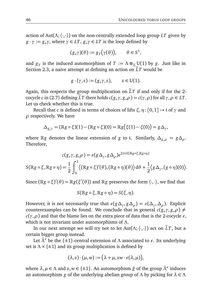action of Aut( $\Lambda$ ;  $\langle \cdot, \cdot \rangle$ ) on the non-centrally extended loop group *LT* given by  $g \cdot \gamma := g_* \gamma$ , where  $\gamma \in LT$ ,  $g_* \gamma \in LT$  is the loop defined by

$$
(g_*\gamma)(\theta) := g_T(\gamma(\theta)), \qquad \theta \in S^1,
$$

and  $g_T$  is the induced automorphism of  $T := \Lambda \otimes_{\mathbb{Z}} U(1)$  by  $g$ . Just like in Section 2.3, a naive attempt at defining an action on  $LT$  would be

$$
g \cdot (\gamma, z) := (g_* \gamma, z), \qquad z \in U(1).
$$

Again, this respects the group multiplication on  $\tilde{L}T$  if and only if for the 2cocycle *c* in (2.7) defining  $\tilde{L}T$  there holds  $c(g_*\gamma, g_*\rho) = c(\gamma, \rho)$  for all  $\gamma, \rho \in LT$ . Let us check whether this is true.

Recall that *c* is defined in terms of choices of lifts *ξ*,*η*: [0, 1] → t of *γ* and *ρ* respectively. We have

$$
\Delta_{g_{*}\gamma} = (\mathbb{R}g \circ \xi)(1) - (\mathbb{R}g \circ \xi)(0) = \mathbb{R}g(\xi(1) - \xi(0)) = g\Delta_{\gamma},
$$

where R*g* denotes the linear extension of *g* to t. Similarly,  $\Delta_{g}$ <sub>*g*</sub></sub> =  $g\Delta_{g}$ . Therefore,

$$
c(g_{*}\gamma, g_{*}\rho) = \varepsilon(g\Delta_{\gamma}, g\Delta_{\rho})e^{2\pi i S(\mathbb{R}g\circ\xi, \mathbb{R}g\circ\eta)}
$$

$$
S(\mathbb{R}g\circ\xi, \mathbb{R}g\circ\eta) = \frac{1}{2}\int_{0}^{1} \langle (\mathbb{R}g\circ\xi)'(\theta), (\mathbb{R}g\circ\eta)(\theta) \rangle d\theta + \frac{1}{2} \langle g\Delta_{\gamma}, (g\circ\eta)(0) \rangle.
$$

Since  $(\mathbb{R} g \circ \xi)'(\theta) = \mathbb{R} g(\xi'(\theta))$  and  $\mathbb{R} g$  preserves the form  $\langle \cdot, \cdot \rangle$ , we find that

$$
S(\mathbb{R}g \circ \xi, \mathbb{R}g \circ \eta) = S(\xi, \eta).
$$

However, it is not necessarily true that  $\varepsilon(g\Delta_\gamma,g\Delta_\rho)=\varepsilon(\Delta_\gamma,\Delta_\rho).$  Explicit counterexamples can be found. We conclude that in general  $c(g_*\gamma, g_*\rho) \neq$  $c(\gamma, \rho)$  and that the blame lies on the extra piece of data that is the 2-cocycle  $\varepsilon$ , which is not invariant under automorphisms of *Λ*.

In our next attempt we will try not to let  $Aut(\Lambda; \langle \cdot, \cdot \rangle)$  act on  $\tilde{L}T$ , but a certain bigger group instead.

Let  $\tilde{\Lambda}^{\varepsilon}$  be the  $\{\pm 1\}$ -central extension of  $\Lambda$  associated to  $\varepsilon$ . Its underlying set is  $\Lambda \times \{\pm 1\}$  and its group multiplication is defined by

$$
(\lambda, z) \cdot (\mu, w) := (\lambda + \mu, zw \cdot \varepsilon(\lambda, \mu)),
$$

where  $\lambda, \mu \in \Lambda$  and  $z, w \in \{\pm 1\}$ . An automorphism  $\tilde{g}$  of the group  $\tilde{\Lambda}^{\varepsilon}$  induces an automorphism *g* of the underlying abelian group of *Λ* by picking for *λ* ∈ *Λ*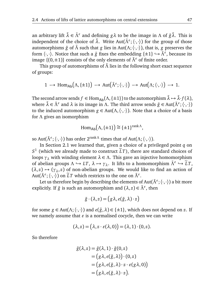an arbitrary lift *λ*˜ ∈ *Λ*˜*"* and defining *gλ* to be the image in *Λ* of *g*˜*λ*˜. This is independent of the choice of  $\tilde{\lambda}$ . Write Aut( $\tilde{\Lambda}^{\varepsilon}$ ;  $\langle \cdot, \cdot \rangle$ ) for the group of those automorphisms *g*˜ of *Λ*˜ such that *g* lies in Aut(*Λ*;〈·,·〉), that is, *g* preserves the form 〈·,·〉. Notice that such a *g*˜ fixes the embedding {±1} *,*→ *Λ*˜*"* , because its image  $\{(0, \pm 1)\}\)$  consists of the only elements of  $\tilde{\Lambda}^{\varepsilon}$  of finite order.

This group of automorphisms of  $\tilde{\Lambda}$  lies in the following short exact sequence of groups:

$$
1 \longrightarrow \text{Hom}_{\text{Ab}}(\Lambda, \{\pm 1\}) \longrightarrow \text{Aut}(\tilde{\Lambda}^{\varepsilon}; \langle \cdot, \cdot \rangle) \longrightarrow \text{Aut}(\Lambda; \langle \cdot, \cdot \rangle) \longrightarrow 1.
$$

The second arrow sends  $f \in \text{Hom}_{\text{Ab}}(\Lambda, \{\pm 1\})$  to the automorphism  $\tilde{\lambda} \mapsto \tilde{\lambda} \cdot f(\lambda)$ , where  $\tilde{\lambda} \in \tilde{\Lambda}^{\varepsilon}$  and  $\lambda$  is its image in  $\Lambda$ . The third arrow sends  $\tilde{g} \in$  Aut $(\tilde{\Lambda}^{\varepsilon}; \langle \cdot, \cdot \rangle)$ to the induced automorphism  $g \in Aut(\Lambda, \langle \cdot, \cdot \rangle)$ . Note that a choice of a basis for *Λ* gives an isomorphism

$$
\text{Hom}_{\text{Ab}}(\Lambda, \{\pm 1\}) \cong \{\pm 1\}^{\text{rank}\Lambda},
$$

so Aut( $\tilde{\Lambda}^{\varepsilon}$ ;  $\langle \cdot, \cdot \rangle$ ) has order 2<sup>rankΛ</sup> times that of Aut(Λ;  $\langle \cdot, \cdot \rangle$ ).

In Section 2.1 we learned that, given a choice of a privileged point *q* on  $S<sup>1</sup>$  (which we already made to construct  $\tilde{L}T$ ), there are standard choices of loops  $γ<sub>λ</sub>$  with winding element  $λ ∈ Λ$ . This gave an injective homomorphism of abelian groups  $\Lambda \hookrightarrow LT$ ,  $\lambda \mapsto \gamma_{\lambda}$ . It lifts to a homomorphism  $\tilde{\Lambda}^{\varepsilon} \hookrightarrow \tilde{L}T$ ,  $(\lambda, z) \mapsto (\gamma_{\lambda}, z)$  of non-abelian groups. We would like to find an action of Aut $(\tilde{\Lambda}^{\varepsilon}; \langle \cdot, \cdot \rangle)$  on  $\tilde{L}T$  which restricts to the one on  $\tilde{\Lambda}^{\varepsilon}$ .

Let us therefore begin by describing the elements of Aut( $\tilde{\Lambda}^\varepsilon; \langle \cdot,\cdot \rangle$ ) a bit more explicitly. If  $\tilde{g}$  is such an automorphism and  $(\lambda, z) \in \tilde{\Lambda}^{\varepsilon}$ , then

$$
\tilde{g} \cdot (\lambda, z) = (g \lambda, e(\tilde{g}, \lambda) \cdot z)
$$

for some  $g \in Aut(\Lambda; \langle \cdot, \cdot \rangle)$  and  $e(\tilde{g}, \lambda) \in \{\pm 1\}$ , which does not depend on *z*. If we namely assume that  $\varepsilon$  is a normalised cocycle, then we can write

$$
(\lambda, z) = (\lambda, z \cdot \varepsilon(\lambda, 0)) = (\lambda, 1) \cdot (0, z).
$$

So therefore

$$
\tilde{g}(\lambda, z) = \tilde{g}(\lambda, 1) \cdot \tilde{g}(0, z)
$$
  
=  $(g \lambda, e(\tilde{g}, \lambda)) \cdot (0, z)$   
=  $(g \lambda, e(\tilde{g}, \lambda) \cdot z \cdot \varepsilon(g \lambda, 0))$   
=  $(g \lambda, e(\tilde{g}, \lambda) \cdot z).$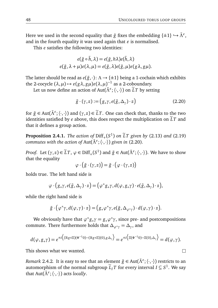$\Box$ 

Here we used in the second equality that  $\tilde{g}$  fixes the embedding  $\{\pm 1\} \hookrightarrow \tilde{\Lambda}^{\varepsilon}$ , and in the fourth equality it was used again that  $\varepsilon$  is normalised.

This *e* satisfies the following two identities:

$$
e(\tilde{g} \circ \tilde{h}, \lambda) = e(\tilde{g}, h\lambda)e(\tilde{h}, \lambda)
$$

$$
e(\tilde{g}, \lambda + \mu)\varepsilon(\lambda, \mu) = e(\tilde{g}, \lambda)e(\tilde{g}, \mu)\varepsilon(g\lambda, g\mu).
$$

The latter should be read as  $e(\tilde{g}, \cdot): \Lambda \to \{\pm 1\}$  being a 1-cochain which exhibits the 2-cocycle  $(\lambda, \mu) \mapsto \varepsilon(g\lambda, g\mu)\varepsilon(\lambda, \mu)^{-1}$  as a 2-coboundary.

Let us now define an action of Aut( $\tilde{\Lambda}^{\varepsilon}$ ;  $\langle \cdot, \cdot \rangle$ ) on  $\tilde{L}T$  by setting

$$
\tilde{g} \cdot (\gamma, z) := (g_* \gamma, e(\tilde{g}, \Delta_\gamma) \cdot z)
$$
\n(2.20)

for  $\tilde{g} \in \text{Aut}(\tilde{\Lambda}^{\varepsilon}; \langle \cdot, \cdot \rangle)$  and  $(\gamma, z) \in \tilde{L}T$ . One can check that, thanks to the two identities satisfied by  $e$  above, this does respect the multiplication on  $\tilde{L}T$  and that it defines a group action.

**Proposition 2.4.1.** *The action of*  $\text{Diff}_+(S^1)$  *on*  $\tilde{L}T$  *given by* (2.13) *and* (2.19) *commutes with the action of* Aut(*Λ*˜*"* ;〈·,·〉) *given in* (2.20)*.*

*Proof.* Let  $(\gamma, z) \in \widetilde{L}T$ ,  $\varphi \in \text{Diff}_+(S^1)$  and  $\widetilde{g} \in \text{Aut}(\widetilde{\Lambda}^{\varepsilon}; \langle \cdot, \cdot \rangle)$ . We have to show that the equality

$$
\varphi \cdot (\tilde{g} \cdot (\gamma,z)) = \tilde{g} \cdot (\varphi \cdot (\gamma,z))
$$

holds true. The left hand side is

$$
\varphi \cdot (g_*\gamma, e(\tilde{g}, \Delta_\gamma) \cdot z) = (\varphi^* g_* \gamma, d(\varphi, g_* \gamma) \cdot e(\tilde{g}, \Delta_\gamma) \cdot z),
$$

while the right hand side is

$$
\tilde{g} \cdot (\varphi^* \gamma, d(\varphi, \gamma) \cdot z) = (g_* \varphi^* \gamma, e(\tilde{g}, \Delta_{\varphi^* \gamma}) \cdot d(\varphi, \gamma) \cdot z).
$$

We obviously have that  $\varphi^* g_* \gamma = g_* \varphi^* \gamma$ , since pre- and postcompositions  $\alpha$  commute. There furthermore holds that  $\Delta_{\varphi^*\gamma}=\Delta_\gamma$ , and

$$
d(\varphi, g_*\gamma) = e^{\pi i \left\langle (\mathbb{R} g \circ \Xi)(\Phi^{-1} 0) - (\mathbb{R} g \circ \Xi)(0), g \Delta_\gamma \right\rangle} = e^{\pi i \left\langle \Xi(\Phi^{-1} 0) - \Xi(0), \Delta_\gamma \right\rangle} = d(\varphi, \gamma).
$$

This shows what we wanted.

*Remark* 2.4.2. It is easy to see that an element  $\tilde{g} ∈ Aut(\tilde{\Lambda}^{\varepsilon}; \langle \cdot, \cdot \rangle)$  restricts to an automorphism of the normal subgroup  $\widetilde{L}_I T$  for every interval  $I \subseteq S^1$ . We say that Aut(*Λ*˜*"* ;〈·,·〉) acts *locally*.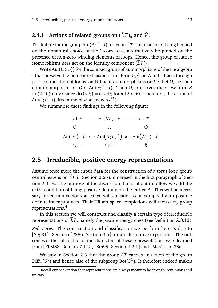### **2.4.1** Actions of related groups on  $(\widetilde{L}T)_{0}$  and  $\widetilde{V}$ t

The failure for the group Aut( $\Lambda$ ;  $\langle \cdot, \cdot \rangle$ ) to act on  $\tilde{L}T$  can, instead of being blamed on the unnatural choice of the 2-cocycle  $\varepsilon$ , alternatively be pinned on the presence of non-zero winding elements of loops. Hence, this group of lattice isomorphisms *does* act on the identity component  $(LT)_0$ .

Write Aut( $\mathfrak{t}; \langle \cdot, \cdot \rangle$ ) for the compact group of automorphisms of the Lie algebra t that preserve the bilinear extension of the form 〈·,·〉 on *Λ* to t. It acts through post-composition of loops via R-linear automorphisms on *V*t. Let *O*<sup>∗</sup> be such an automorphism for  $O \in Aut(t; \langle \cdot, \cdot \rangle)$ . Then  $O_*$  preserves the skew form *S* in (2.10) on *V*t since  $d(O \circ \xi) = O \circ d\xi$  for all  $\xi \in Vt$ . Therefore, the action of Aut( $t$ ;  $\langle \cdot, \cdot \rangle$ ) lifts in the obvious way to  $\tilde{V}t$ .

We summarise these findings in the following figure:

$$
\widetilde{V}t \longleftarrow \widetilde{L}T \longrightarrow \widetilde{L}T
$$
\n
$$
\circlearrowleft \qquad \circlearrowleft \qquad \circlearrowleft \qquad \circlearrowleft \widetilde{L}T
$$
\n
$$
\circlearrowleft \qquad \circlearrowleft \qquad \circlearrowleft \qquad \circlearrowleft \qquad \circlearrowleft \right \wedge \cdots \wedge \cdots \wedge \vartriangleleft \wedge \mathrm{Aut}(\widetilde{\Lambda}^{\varepsilon}; \langle \cdot, \cdot \rangle) \wedge \cdots \wedge \mathrm{Aut}(\widetilde{\Lambda}^{\varepsilon}; \langle \cdot, \cdot \rangle) \wedge \cdots \wedge \mathrm{Aut}(\widetilde{\Lambda}^{\varepsilon}; \langle \cdot, \cdot \rangle) \wedge \cdots \wedge \mathrm{Aut}(\widetilde{\Lambda}^{\varepsilon}; \langle \cdot, \cdot \rangle) \wedge \cdots \wedge \mathrm{Aut}(\widetilde{\Lambda}^{\varepsilon}; \langle \cdot, \cdot \rangle) \wedge \cdots \wedge \mathrm{Aut}(\widetilde{\Lambda}^{\varepsilon}; \langle \cdot, \cdot \rangle) \wedge \cdots \wedge \mathrm{Aut}(\widetilde{\Lambda}^{\varepsilon}; \langle \cdot, \cdot \rangle) \wedge \cdots \wedge \mathrm{Aut}(\widetilde{\Lambda}^{\varepsilon}; \langle \cdot, \cdot \rangle) \wedge \cdots \wedge \mathrm{Aut}(\widetilde{\Lambda}^{\varepsilon}; \langle \cdot, \cdot \rangle) \wedge \cdots \wedge \mathrm{Aut}(\widetilde{\Lambda}^{\varepsilon}; \langle \cdot, \cdot \rangle) \wedge \cdots \wedge \mathrm{Aut}(\widetilde{\Lambda}^{\varepsilon}; \langle \cdot, \cdot \rangle) \wedge \cdots \wedge \mathrm{Aut}(\widetilde{\Lambda}^{\varepsilon}; \langle \cdot, \cdot \rangle) \wedge \cdots \wedge \mathrm{Aut}(\widetilde{\Lambda}^{\varepsilon}; \langle \cdot, \cdot \rangle) \wedge \cdots \wedge \mathrm{Aut}(\widetilde{\Lambda}^{\varepsilon}; \langle \cdot, \cdot \rangle) \wedge \cdots \wedge \mathrm{Aut}(\widetilde{\Lambda}^{\varepsilon}; \langle \cdot, \cdot \rangle) \wedge \cdots \wedge \mathrm{Aut}(\widetilde{\Lambda}^{\varepsilon}; \langle \cdot, \cdot \rangle) \wedge \cdots \wedge \mathrm{Aut}(\widetilde{\Lambda}^{\varepsilon}; \langle \cdot
$$

#### **2.5 Irreducible, positive energy representations**

Assume once more the input data for the construction of a torus loop group central extension LT in Section 2.2 summarised in the first paragraph of Section 2.3. For the purpose of the discussion that is about to follow we add the extra condition of being positive definite on the lattice *Λ*. This will be necessary for certain vector spaces we will consider to be equipped with positive definite inner products. Their Hilbert space completions will then carry group representations.<sup>4</sup>

In this section we will construct and classify a certain type of irreducible representations of  $LT$ , namely the *positive energy* ones (see Definition A.3.13).

*References.* The construction and classification we perform here is due to [Seg81]. See also [PS86, Section 9.5] for an alternative exposition. The outcomes of the calculation of the characters of these representations were learned from [FLM88, Remark 7.1.2], [Sta95, Section 4.2.1] and [Mas14, p. 356].

We saw in Section 2.3 that the group  $LT$  carries an action of the group  $\text{Diff}_+(S^1)$  and hence also of the subgroup Rot( $S^1$ ). It therefore indeed makes

.

<sup>&</sup>lt;sup>4</sup>Recall our convention that representations are always meant to be strongly continuous and unitary.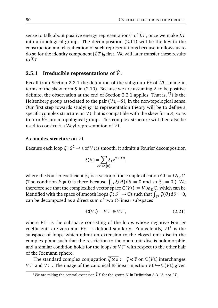sense to talk about positive energy representations<sup>5</sup> of  $\tilde{L}T$ , once we make  $\tilde{L}T$ into a topological group. The decomposition (2.11) will be the key to the construction and classification of such representations because it allows us to do so for the identity component  $(\widetilde{L}T)_0$  first. We will later transfer these results to  $\widetilde{L}T$ .

#### **2.5.1 Irreducible representations of**  $\widetilde{V}$ t

Recall from Section 2.2.1 the definition of the subgroup  $\tilde{V}$ t of  $\tilde{L}T$ , made in terms of the skew form *S* in (2.10). Because we are assuming *Λ* to be positive definite, the observation at the end of Section 2.2.1 applies. That is,  $\tilde{V}t$  is the Heisenberg group associated to the pair (*V*t,−*S*), in the non-topological sense. Our first step towards studying its representation theory will be to define a specific complex structure on *V*t that is compatible with the skew form *S*, so as to turn  $\tilde{V}$ t into a topological group. This complex structure will then also be used to construct a Weyl representation of  $\tilde{V}$ t.

#### **A complex structure on** *V*t

Because each loop *ξ*: *S* <sup>1</sup> → t of *V*t is smooth, it admits a Fourier decomposition

$$
\xi(\theta) = \sum_{k \in \mathbb{Z} \setminus \{0\}} \xi_k e^{2\pi i k \theta},
$$

where the Fourier coefficient  $\xi_k$  is a vector of the complexification  $\mathbb{C}\mathfrak{t}:=\mathfrak{t}\otimes_{\mathbb{R}}\mathbb{C}.$ (The condition  $k \neq 0$  is there because  $\int_{S^1} \xi(\theta) d\theta = 0$  and so  $\xi_0 = 0$ .) We therefore see that the complexified vector space  $\mathbb{C}(Vt) := Vt \otimes_{\mathbb{R}} \mathbb{C}$ , which can be identified with the space of smooth loops *ξ* : *S*<sup>1</sup> → ℂt such that  $\int_{S^1}$  ξ(θ)dθ = 0, can be decomposed as a direct sum of two C-linear subspaces

$$
\mathbb{C}(V\mathfrak{t}) = V\mathfrak{t}^+ \oplus V\mathfrak{t}^-, \tag{2.21}
$$

where *V*t <sup>+</sup> is the subspace consisting of the loops whose negative Fourier coefficients are zero and *V*t <sup>−</sup> is defined similarly. Equivalently, *V*t <sup>+</sup> is the subspace of loops which admit an extension to the closed unit disc in the complex plane such that the restriction to the open unit disc is holomorphic, and a similar condition holds for the loops of  $Vt^-$  with respect to the other half of the Riemann sphere.

The standard complex conjugation  $\overline{\xi \otimes z} := \xi \otimes \overline{z}$  on  $\mathbb{C}(V\mathfrak{t})$  interchanges *V*<sup>+</sup> and *V*<sup> $-$ </sup>. The image of the canonical R-linear injection *V*<sup>t</sup>  $\hookrightarrow$  C(*V*<sup>t</sup>) given

<sup>&</sup>lt;sup>5</sup>We are taking the central extension  $\tilde{L}T$  for the group *N* in Definition A.3.13, not *LT*.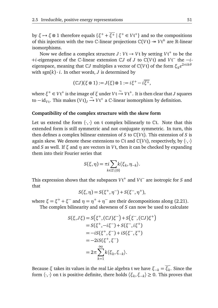by *ξ* → *ξ* ⊗ 1 therefore equals {*ξ*<sup>+</sup> +  $\overline{\xi^+}$  | *ξ*<sup>+</sup> ∈ *V*t<sup>+</sup>} and so the compositions of this injection with the two  $\mathbb{C}\text{-}$  linear projections  $\mathbb{C}(V\mathfrak{t}) \twoheadrightarrow V\mathfrak{t}^\pm$  are  $\mathbb{R}\text{-}$  linear isomorphisms.

Now we define a complex structure *J* : *V*t → *V*t by setting *V*t <sup>+</sup> to be the +*i*-eigenspace of the C-linear extension C*J* of *J* to C(*V*t) and *V*t <sup>−</sup> the −*i*eigenspace, meaning that  $\mathbb{C}J$  multiplies a vector of  $\mathbb{C}(V\mathfrak{t})$  of the form  $\xi_k e^{2\pi i k \theta}$ with  $sgn(k) \cdot i$ . In other words, *J* is determined by

$$
(\mathbb{C}J)(\xi\otimes 1):=J(\xi)\otimes 1:=i\xi^+-i\overline{\xi^+},
$$

 $\text{where } ξ^+ \in V\mathfrak{t}^+ \text{ is the image of } ξ \text{ under } V\mathfrak{t} \xrightarrow{\sim} V\mathfrak{t}^+. \text{ It is then clear that } J \text{ squares}.$ to  $-i d_{V_t}$ . This makes  $(V_t)_J \stackrel{\sim}{\rightarrow} V_t^+$  a  $\mathbb{C}$ -linear isomorphism by definition.

#### **Compatibility of the complex structure with the skew form**

Let us extend the form  $\langle \cdot, \cdot \rangle$  on t complex bilinearly to Ct. Note that this extended form is still symmetric and not conjugate symmetric. In turn, this then defines a complex bilinear extension of  $S$  to  $\mathbb{C}(V_t)$ . This extension of  $S$  is again skew. We denote these extensions to  $\mathbb{C}$ t and  $\mathbb{C}(V_t)$ , respectively, by  $\langle \cdot, \cdot \rangle$ and *S* as well. If  $\xi$  and  $\eta$  are vectors in *V*t, then it can be checked by expanding them into their Fourier series that

$$
S(\xi, \eta) = \pi i \sum_{k \in \mathbb{Z} \setminus \{0\}} k \langle \xi_k, \eta_{-k} \rangle.
$$

This expression shows that the subspaces  $Vt^+$  and  $Vt^-$  are isotropic for *S* and that

$$
S(\xi, \eta) = S(\xi^+, \eta^-) + S(\xi^-, \eta^+),
$$

where  $\xi = \xi^+ + \xi^-$  and  $\eta = \eta^+ + \eta^-$  are their decompositions along (2.21).

The complex bilinearity and skewness of *S* can now be used to calculate

$$
S(\xi, J\xi) = S(\xi^+, (CJ)\xi^-) + S(\xi^-, (CJ)\xi^+)
$$
  
=  $S(\xi^+, -i\xi^-) + S(\xi^-, i\xi^+)$   
=  $-iS(\xi^+, \xi^-) + iS(\xi^-, \xi^+)$   
=  $-2iS(\xi^+, \xi^-)$   
=  $2\pi \sum_{k=1}^{\infty} k(\xi_k, \xi_{-k}).$ 

Because *ξ* takes its values in the real Lie algebra t we have *ξ*−*<sup>k</sup>* = *ξ<sup>k</sup>* . Since the form 〈·,·〉 on t is positive definite, there holds 〈*ξ<sup>k</sup>* ,*ξ*−*<sup>k</sup>* 〉 ≥ 0. This proves that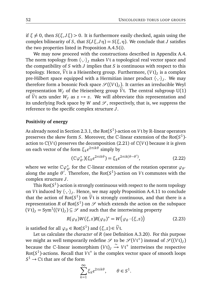if  $\xi \neq 0$ , then  $S(\xi, J\xi) > 0$ . It is furthermore easily checked, again using the complex bilinearity of *S*, that  $S(J\xi, J\eta) = S(\xi, \eta)$ . We conclude that *J* satisfies the two properties listed in Proposition A.4.5(i).

We may now proceed with the constructions described in Appendix A.4. The norm topology from  $\langle \cdot, \cdot \rangle$  makes *V*t a topological real vector space and the compatibility of *S* with *J* implies that *S* is continuous with respect to this topology. Hence, *V*t is a Heisenberg group. Furthermore, (*V*t)<sub>*J*</sub> is a complex pre-Hilbert space equipped with a Hermitian inner product  $\langle \cdot, \cdot \rangle_J$ . We may therefore form a bosonic Fock space  $\mathcal{S}((Vt)_J)$ . It carries an irreducible Weyl representation  $W_I$  of the Heisenberg group  $\tilde{V}$ t. The central subgroup U(1) of  $\tilde{V}$ t acts under  $W_J$  as  $z \mapsto z$ . We will abbreviate this representation and its underlying Fock space by  $W$  and  $\mathcal{S}$ , respectively, that is, we suppress the reference to the specific complex structure *J*.

#### **Positivity of energy**

As already noted in Section 2.3.1, the Rot( $S^1$ )-action on  $V$ t by  $\R$ -linear operators preserves the skew form *S*. Moreover, the C-linear extension of the Rot(*S* 1 ) action to  $\mathbb{C}(V)$  preserves the decomposition (2.21) of  $\mathbb{C}(V)$  because it is given on each vector of the form  $\xi_k e^{2\pi i k \theta}$  simply by

$$
(\mathbb{C}\varphi_{\theta'}^*)(\xi_k e^{2\pi ik\theta}) = \xi_k e^{2\pi ik(\theta - \theta')},\tag{2.22}
$$

where we write  $\mathbb{C}\varphi_{\theta}^*$  for the  $\mathbb{C}\text{-linear extension of the rotation operator } \varphi_{\theta}$ along the angle  $\theta'$ . Therefore, the Rot( $S^1$ )-action on *V*t commutes with the complex structure *J*.

This  $\mathsf{Rot}(S^1)$ -action is strongly continuous with respect to the norm topology on *V*t induced by  $\langle \cdot, \cdot \rangle_j$ . Hence, we may apply Proposition A.4.11 to conclude that the action of Rot( $S^1$ ) on  $\tilde{V}$ <sup>t</sup> is strongly continuous, and that there is a representation *R* of Rot( $S^1$ ) on  $\mathscr S$  which extends the action on the subspace  $(Vt)_{J} = Sym^{1}((Vt)_{J}) \subseteq \mathscr{S}$  and such that the intertwining property

$$
R(\varphi_{\theta})W(\xi,z)R(\varphi_{\theta})^* = W\big(\varphi_{\theta}\cdot(\xi,z)\big) \tag{2.23}
$$

is satisfied for all  $\varphi_{\theta} \in \text{Rot}(S^1)$  and  $(\xi, z) \in \widetilde{V}$ t.

Let us calculate the *character* of *R* (see Definition A.3.20). For this purpose we might as well temporarily redefine  $\mathscr S$  to be  $\mathscr S(V{\mathfrak t}^+)$  instead of  $\mathscr S((V{\mathfrak t})_J)$ because the C-linear isomorphism  $(Vt)$ <sub>*J*</sub>  $\rightarrow Vt^+$  intertwines the respective Rot( $S^1$ )-actions. Recall that  $V\mathfrak{t}^+$  is the complex vector space of smooth loops  $S^1 \to \mathbb{C} \mathfrak{t}$  that are of the form

$$
\sum_{k=1}^{\infty} \xi_k e^{2\pi i k \theta}, \qquad \theta \in S^1.
$$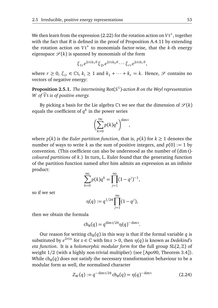We then learn from the expression (2.22) for the rotation action on V t<sup>+</sup>, together with the fact that *R* is defined in the proof of Proposition A.4.11 by extending the rotation action on *V*t <sup>+</sup> to monomials factor-wise, that the *k*-th energy eigenspace  $\mathscr{S}(k)$  is spanned by monomials of the form

$$
\xi_{1r}e^{2\pi ik_1\theta}\xi_{2r}e^{2\pi ik_2\theta}\cdots\xi_{rr}e^{2\pi ik_r\theta},
$$

where  $r \ge 0$ ,  $\xi_{ir} \in \mathbb{C}$ t,  $k_i \ge 1$  and  $k_1 + \cdots + k_r = k$ . Hence,  $\mathscr{S}$  contains no vectors of negative energy:

**Proposition 2.5.1.** *The intertwining* Rot(*S* 1 )*-action R on the Weyl representation W* of  $\tilde{V}$ t *is of positive energy.* 

By picking a basis for the Lie algebra  $\mathbb C$ t we see that the dimension of  $\mathscr S(k)$ equals the coefficient of  $q^k$  in the power series

$$
\left(\sum_{k=0}^{\infty} p(k)q^{k}\right)^{\dim t},
$$

where  $p(k)$  is the *Euler partition function*, that is,  $p(k)$  for  $k \geq 1$  denotes the number of ways to write *k* as the sum of positive integers, and  $p(0) := 1$  by convention. (This coefficient can also be understood as the number of (dimt) *coloured partitions* of *k*.) In turn, L. Euler found that the generating function of the partition function named after him admits an expression as an infinite product:

$$
\sum_{k=0}^{\infty} p(k)q^{k} = \prod_{j=1}^{\infty} (1 - q^{j})^{-1},
$$

so if we set

$$
\eta(q) := q^{1/24} \prod_{j=1}^{\infty} (1 - q^j),
$$

then we obtain the formula

$$
ch_R(q) = q^{\dim t/24} \eta(q)^{-\dim t}.
$$

Our reason for writing  $\ch_R(q)$  in this way is that if the formal variable  $q$  is substituted by  $e^{2\pi i z}$  for  $z \in \mathbb{C}$  with Im $z > 0$ , then  $\eta(q)$  is known as *Dedekind's eta function*. It is a *holomorphic modular form* for the full group SL(2,Z) of weight  $1/2$  (with a highly non-trivial multiplier) (see [Apo90, Theorem 3.4]). While  $\mathrm{ch}_R(q)$  does not satisfy the necessary transformation behaviour to be a modular form as well, the normalised character

$$
Z_W(q) := q^{-\dim t/24} \operatorname{ch}_R(q) = \eta(q)^{-\dim t} \tag{2.24}
$$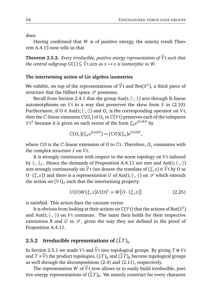does.

Having confirmed that *W* is of positive energy, the unicity result Theorem A.4.13 now tells us that

**Theorem 2.5.2.** *Every irreducible, positive energy representation of*  $\widetilde{V}$ t *such that the central subgroup*  $U(1) \subseteq \tilde{V}$ t *acts as*  $z \mapsto z$  *is isomorphic to W.* 

#### **The intertwining action of Lie algebra isometries**

We exhibit, on top of the representations of  $\tilde{V}$ t and Rot( $S^1$ ), a third piece of structure that the Hilbert space  $\mathscr S$  possesses.

Recall from Section 2.4.1 that the group Aut( $\{t, \langle \cdot, \cdot \rangle\}$  acts through R-linear automorphisms on *V*t in a way that preserves the skew form *S* in (2.10). Furthermore, if *O*  $\in$  Aut( $t$ ;  $\langle \cdot, \cdot \rangle$ ) and  $O_*$  is the corresponding operator on *V*<sup>t</sup>, then the  $\mathbb C$ -linear extension  $\mathbb C(O_*)$  of  $O_*$  to  $\mathbb C(V\mathfrak t)$  preserves each of the subspaces *V*t <sup>±</sup> because it is given on each vector of the form *<sup>ξ</sup><sup>k</sup> e* <sup>2</sup>*πik<sup>θ</sup>* by

$$
\mathbb{C}(O_*) (\xi_k e^{2\pi i k \theta}) = (\mathbb{C}O)(\xi_k) e^{2\pi i k \theta},
$$

where C*O* is the C-linear extension of *O* to Ct. Therefore, *O*<sup>∗</sup> commutes with the complex structure *J* on *V*t.

It is strongly continuous with respect to the norm topology on *V*t induced by  $\langle \cdot, \cdot \rangle_J$ . Hence the demands of Proposition A.4.11 are met and Aut $(\cdot, \langle \cdot, \cdot \rangle)$ acts strongly continuously on  $\tilde{V}$ t (we denote the translate of ( $\xi, z$ )  $\in \tilde{V}$ t by *O* as  $O \cdot (\xi, z)$ ) and there is a representation *U* of Aut(t;  $\langle \cdot, \cdot \rangle$ ) on *S* which extends the action on (*V*t)*<sup>J</sup>* such that the intertwining property

$$
U(O)W(\xi, z)U(O)^* = W\big(O \cdot (\xi, z)\big) \tag{2.25}
$$

is satisfied. This action fixes the vacuum vector.

It is obvious from looking at their actions on  $\mathbb{C}(V\mathfrak{t})$  that the actions of  $\mathrm{Rot}(S^1)$ and Aut( $\{t; \langle \cdot, \cdot \rangle\}$ ) on *V*t commute. The same then holds for their respective extensions *R* and *U* to  $\mathcal{S}$ , given the way they are defined in the proof of Proposition A.4.11.

## **2.5.2 Irreducible representations of**  $(\tilde{L}T)_{0}$

In Section 2.5.1 we made *V*t and  $\tilde{V}$ t into topological groups. By giving  $T \oplus V$ t and  $T \times \tilde{V}$ t the product topologies,  $(LT)_{0}$  and  $(\tilde{L}T)_{0}$  become topological groups as well through the decompositions (2.4) and (2.11), respectively.

The representation *W* of  $\tilde{V}$ t now allows us to easily build irreducible, positive energy representations of  $(LT)_0$ . We namely construct for every character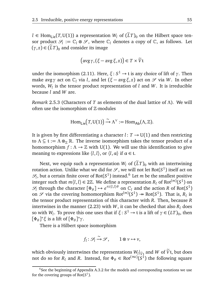*l* ∈ Hom<sub>Lie</sub>(*T*, U(1)) a representation *W<sub>l</sub>* of ( $\tilde{L}T$ )<sub>0</sub> on the Hilbert space tensor product  $\mathcal{S}_l := \mathbb{C}_l \otimes \mathcal{S}$ , where  $\mathbb{C}_l$  denotes a copy of  $\mathbb{C}$ , as follows. Let  $(\gamma, z) \in (\tilde{L}T)_{0}$  and consider its image

$$
(\text{avg }\gamma, (\xi - \text{avg }\xi, z)) \in T \times \widetilde{V}t
$$

under the isomorphism (2.11). Here, *ξ*: *S* <sup>1</sup> → t is any choice of lift of *γ*. Then make avgγ act on  $C_l$  via *l*, and let  $(ξ - avgξ, z)$  act on *S* via *W*. In other words, *W<sup>l</sup>* is the tensor product representation of *l* and *W*. It is irreducible because *l* and *W* are.

*Remark* 2.5.3 (Characters of *T* as elements of the dual lattice of *Λ*)*.* We will often use the isomorphism of  $\mathbb Z$ -modules

$$
\mathrm{Hom}_{\mathsf{Lie}}\bigl(T,\mathrm{U}(1)\bigr)\stackrel{\sim}{\to} \Lambda^\vee:=\mathrm{Hom}_{\mathsf{Ab}}(\Lambda,\mathbb{Z}).
$$

It is given by first differentiating a character  $l: T \rightarrow U(1)$  and then restricting to  $\Lambda \subseteq \mathfrak{t} := \Lambda \otimes_{\mathbb{Z}} \mathbb{R}$ . The inverse isomorphism takes the tensor product of a homomorphism  $f: \Lambda \to \mathbb{Z}$  with U(1). We will use this identification to give meaning to expressions like  $\langle l, l \rangle$ , or  $\langle l, \alpha \rangle$  if  $\alpha \in \mathfrak{t}$ .

Next, we equip such a representation  $W_l$  of  $(\tilde{L}T)$ <sub>0</sub> with an intertwining rotation action. Unlike what we did for  $\mathscr{S},$  we will not let Rot( $S^1$ ) itself act on  $\mathscr{S}_l$ , but a certain finite cover of Rot( $S^1$ ) instead.<sup>6</sup> Let *m* be the smallest positive integer such that  $m\langle l,l\rangle \in 2\mathbb{Z}$ . We define a representation  $R_l$  of Rot $^{(m)}(S^1)$  on  $\mathcal{S}_l$  through the character  $[\Phi_{\theta}] \mapsto e^{\pi i \langle l, l \rangle \theta}$  on  $\mathbb{C}_l$  and the action *R* of Rot(*S*<sup>1</sup>) on  $\mathscr S$  via the covering homomorphism Rot<sup> $(m)(S^1)$ </sup>  $\rightarrow$  Rot $(S^1)$ . That is,  $R_l$  is the tensor product representation of this character with *R*. Then, because *R* intertwines in the manner (2.23) with  $W$ , it can be checked that also  $R_l$  does so with *W*<sub>*l*</sub>. To prove this one uses that if  $\xi$  :  $S^1 \to \mathfrak{t}$  is a lift of  $\gamma \in (LT)_0$ , then [*Φ<sup>θ</sup>* ] <sup>∗</sup>*<sup>ξ</sup>* is a lift of [*Φ<sup>θ</sup>* ] ∗*γ*.

There is a Hilbert space isomorphism

$$
f_l: \mathcal{S}_l \xrightarrow{\sim} \mathcal{S}, \qquad 1 \otimes v \mapsto v,
$$

which obviously intertwines the representations  $W_l|_{\tilde{V}_t}$  and  $W$  of  $\tilde{V}_t$ , but does not do so for  $R_l$  and  $R$ . Instead, for  $\Phi_\theta \in \text{Rot}^{(\infty)}(S^1)$  the following square

 $6$ See the beginning of Appendix A.3.2 for the models and corresponding notations we use for the covering groups of  $Rot(S^1)$ .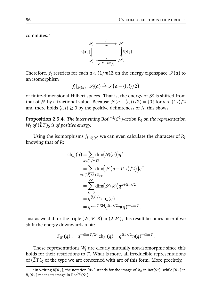commutes:<sup>7</sup>



Therefore,  $f_l$  restricts for each  $a \in (1/m)\mathbb{Z}$  on the energy eigenspace  $\mathscr{S}(a)$  to an isomorphism

$$
f_l|_{\mathscr{S}_l(a)}\colon \mathscr{S}_l(a)\xrightarrow{\sim} \mathscr{S}\big(a-\langle l,l\rangle/2\big)
$$

of finite-dimensional Hilbert spaces. That is, the energy of  $\mathcal{S}_l$  is shifted from that of  $\mathcal{S}$  by a fractional value. Because  $\mathcal{S}(a - \langle l, l \rangle/2) = \{0\}$  for  $a < \langle l, l \rangle/2$ and there holds  $\langle l, l \rangle \ge 0$  by the positive definiteness of  $\Lambda$ , this shows

**Proposition 2.5.4.** The intertwining  $Rot^{(m)}(S^1)$ -action  $R_l$  on the representation  $W_l$  of  $(LT)_0$  is of positive energy.

Using the isomorphisms  $f_l|_{\mathscr{S}_l(a)}$  we can even calculate the character of  $R_l$ knowing that of *R*:

$$
ch_{R_l}(q) = \sum_{a \in (1/m)\mathbb{Z}} dim(\mathcal{S}_l(a))q^a
$$
  
= 
$$
\sum_{a \in \langle l,l \rangle/2 + \mathbb{Z}_{\geq 0}} dim(\mathcal{S}(a - \langle l,l \rangle/2))q^a
$$
  
= 
$$
\sum_{k=0}^{\infty} dim(\mathcal{S}(k))q^{k + \langle l,l \rangle/2}
$$
  
= 
$$
q^{\langle l,l \rangle/2} ch_R(q)
$$
  
= 
$$
q^{\dim T/24} q^{\langle l,l \rangle/2} \eta(q)^{-\dim T}.
$$

Just as we did for the triple  $(W, \mathcal{S}, R)$  in (2.24), this result becomes nicer if we shift the energy downwards a bit:

$$
Z_{W_l}(q) := q^{-\dim T/24} \operatorname{ch}_{R_l}(q) = q^{\langle l, l \rangle/2} \eta(q)^{-\dim T}.
$$

These representations  $W_l$  are clearly mutually non-isomorphic since this holds for their restrictions to *T*. What is more, all irreducible representations of  $(\tilde{L}T)_0$  of the type we are concerned with are of this form. More precisely,

 $^7$ In writing *R*[ $\Phi_\theta$ ], the notation [ $\Phi_\theta$ ] stands for the image of  $\Phi_\theta$  in Rot( $S^1$ ), while [ $\Phi_\theta$ ] in  $R_l[\Phi_\theta]$  means its image in Rot<sup>(*m*)</sup>(*S*<sup>1</sup>).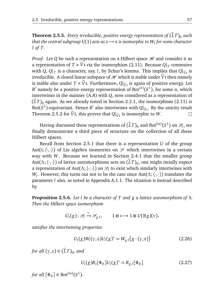**Theorem 2.5.5.** *Every irreducible, positive energy representation of*  $(LT)_{0}$  such  $t$ hat the central subgroup U(1) acts as  $z \mapsto z$  is isomorphic to  $W_l$  for some character *l of T.*

*Proof.* Let *Q* be such a representation on a Hilbert space  $H$  and consider it as a representation of  $T \times \widetilde{V}$ t via the isomorphism (2.11). Because  $Q|_T$  commutes with *Q*,  $Q|_T$  is a character, say, *l*, by Schur's lemma. This implies that  $Q|\tilde{v}_t$  is irreducible. A closed linear subspace of  $\mathcal H$  which is stable under  $\tilde V$ t then namely is stable also under  $T \times \tilde{V}$ t. Furthermore,  $Q|_{\tilde{V}^t}$  is again of positive energy. Let  $P'$  come le a positive energy neurogeneration of  $\text{Per}^{(n)}(G)$ , for some neurogeneration *R*<sup> $\prime$ </sup> namely be a positive energy representation of Rot<sup> $(n)$ </sup> $(S<sup>1</sup>)$ , for some *n*, which intertwines in the manner (A.8) with *Q*, now considered as a representation of  $(\tilde{L}T)_0$  again. As we already noted in Section 2.3.1, the isomorphism (2.11) is Rot( $S^1$ )-equivariant. Hence  $R'$  also intertwines with  $Q|_{\tilde{V}_t}$ . By the unicity result Theorem 2.5.2 for  $\widetilde{V}$ t, this proves that  $Q|_{\widetilde{V}$ t is isomorphic to  $W$ .  $\Box$ 

Having discussed these representations of  $(\widetilde{L}T)_0$  and Rot<sup>(*m*)</sup>( $S^1$ ) on  $\mathscr{S}_l$ , we finally demonstrate a third piece of structure on the collection of all these Hilbert spaces.

Recall from Section 2.5.1 that there is a representation *U* of the group Aut(t;  $\langle \cdot, \cdot \rangle$ ) of Lie algebra isometries on  $\mathscr S$  which intertwines in a certain way with *W*. Because we learned in Section 2.4.1 that the smaller group Aut( $\Lambda$ ;  $\langle \cdot, \cdot \rangle$ ) of lattice automorphisms acts on  $(\tilde{L}T)_0$ , one might intially expect a representation of  $Aut(\Lambda; \langle \cdot, \cdot \rangle)$  on  $\mathscr{S}_l$  to exist which similarly intertwines with *W*<sub>*l*</sub>. However, this turns out not to be the case since Aut( $Λ$ ;  $\langle \cdot, \cdot \rangle$ ) translates the parameter *l* also, as noted in Appendix A.1.1. The situation is instead described by

**Proposition 2.5.6.** *Let l be a character of T and g a lattice automorphism of Λ. Then the Hilbert space isomorphism*

$$
U_l(g) \colon \mathscr{S}_l \xrightarrow{\sim} \mathscr{S}_{g \cdot l}, \qquad 1 \otimes \nu \mapsto 1 \otimes U(\mathbb{R}g)(\nu).
$$

*satisfies the intertwining properties*

$$
U_{l}(g)W_{l}(\gamma,z)U_{l}(g)^{*}=W_{g\cdot l}(g\cdot(\gamma,z))
$$
\n(2.26)

*for all*  $(\gamma, z) \in (\tilde{L}T)_0$ , and

$$
U_{l}(g)R_{l}[\Phi_{\theta}]U_{l}(g)^{*}=R_{g\cdot l}[\Phi_{\theta}]
$$
\n(2.27)

*for all*  $[\Phi_{\theta}] \in \text{Rot}^{(m)}(S^1)$ *.*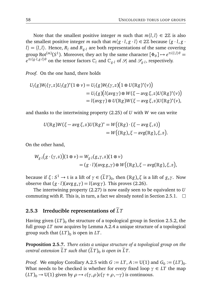Note that the smallest positive integer *m* such that  $m\langle l, l \rangle \in 2\mathbb{Z}$  is also the smallest positive integer *m* such that  $m\langle g \cdot l, g \cdot l \rangle \in 2\mathbb{Z}$  because  $\langle g \cdot l, g \cdot l \rangle$  $l$  =  $\langle l, l \rangle$ . Hence,  $R_l$  and  $R_{g,l}$  are both representations of the same covering group Rot<sup> $(m)(S^1)$ </sup>. Moreover, they act by the same character  $[\Phi_\theta] \mapsto e^{\pi i \langle l,l \rangle \theta} =$  $e^{\pi i \langle g \cdot l, g \cdot l \rangle \theta}$  on the tensor factors  $\mathbb{C}_l$  and  $\mathbb{C}_{g \cdot l}$  of  $\mathscr{S}_l$  and  $\mathscr{S}_{g \cdot l}$ , respectively.

*Proof.* On the one hand, there holds

$$
U_l(g)W_l(\gamma,z)U_l(g)^*(1 \otimes \nu) = U_l(g)W_l(\gamma,z)\big(1 \otimes U(\mathbb{R}g)^*(\nu)\big)
$$
  
= 
$$
U_l(g)\big(l(\text{avg }\gamma) \otimes W(\xi - \text{avg }\xi,z)U(\mathbb{R}g)^*(\nu)\big)
$$
  
= 
$$
l(\text{avg }\gamma) \otimes U(\mathbb{R}g)W(\xi - \text{avg }\xi,z)U(\mathbb{R}g)^*(\nu),
$$

and thanks to the intertwining property (2.25) of *U* with *W* we can write

$$
U(\mathbb{R}g)W(\xi - \operatorname{avg}\xi, z)U(\mathbb{R}g)^* = W((\mathbb{R}g) \cdot (\xi - \operatorname{avg}\xi, z))
$$
  
= 
$$
W((\mathbb{R}g)_*\xi - \operatorname{avg}(\mathbb{R}g)_*\xi, z).
$$

On the other hand,

$$
W_{g\cdot l}(g\cdot(\gamma,z))(1\otimes\nu)=W_{g\cdot l}(g_{*}\gamma,z)(1\otimes\nu)
$$
  
=  $(g\cdot l)(\text{avg }g_{*}\gamma)\otimes W((\mathbb{R}g)_{*}\xi-\text{avg}(\mathbb{R}g)_{*}\xi,z),$ 

because if  $\xi$ :  $S^1 \to$  t is a lift of  $\gamma \in (\tilde{L}T)_0$ , then  $(\mathbb{R}g)_{*}\xi$  is a lift of  $g_{*}\gamma$ . Now observe that  $(g \cdot l)(\text{avg } g_* \gamma) = l(\text{avg } \gamma)$ . This proves (2.26).

The intertwining property (2.27) is now easily seen to be equivalent to *U* commuting with *R*. This is, in turn, a fact we already noted in Section 2.5.1.  $\Box$ 

#### **2.5.3** Irreducible representations of  $LT$

Having given  $\left(LT\right)_0$  the structure of a topological group in Section 2.5.2, the full group *LT* now acquires by Lemma A.2.4 a unique structure of a topological group such that  $(LT)_0$  is open in  $LT$ .

**Proposition 2.5.7.** *There exists a unique structure of a topological group on the central extension LT such that*  $(LT)$ <sub>0</sub> is open in LT.

*Proof.* We employ Corollary A.2.5 with  $G := LT, A := U(1)$  and  $G_0 := (LT)_0$ . What needs to be checked is whether for every fixed loop  $\gamma \in LT$  the map  $(LT)_0 \rightarrow U(1)$  given by  $\rho \rightarrow c(\gamma, \rho)c(\gamma + \rho, -\gamma)$  is continuous.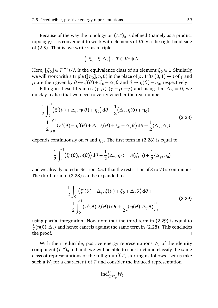Because of the way the topology on  $\left(LT\right)_0$  is defined (namely as a product topology) it is convenient to work with elements of *LT* via the right hand side of (2.5). That is, we write *γ* as a triple

$$
([\xi_0], \xi, \Delta_\gamma) \in T \oplus V \mathfrak{t} \oplus \Lambda.
$$

Here,  $[\xi_0] \in T \cong \mathfrak{t}/\Lambda$  is the equivalence class of an element  $\xi_0 \in \mathfrak{t}$ . Similarly, we will work with a triple  $([\eta_0], \eta, 0)$  in the place of  $\rho$ . Lifts  $[0, 1] \rightarrow$  t of  $\gamma$  and *ρ* are then given by  $θ$  →  $ξ(θ) + ξ_0 + Δ_γθ$  and  $θ$  →  $η(θ) + η_0$ , respectively.

Filling in these lifts into  $c(\gamma, \rho)c(\gamma + \rho, -\gamma)$  and using that  $\Delta_{\rho} = 0$ , we quickly realise that we need to verify whether the real number

$$
\frac{1}{2} \int_0^1 \langle \xi'(\theta) + \Delta_\gamma, \eta(\theta) + \eta_0 \rangle d\theta + \frac{1}{2} \langle \Delta_\gamma, \eta(0) + \eta_0 \rangle -
$$
\n
$$
\frac{1}{2} \int_0^1 \langle \xi'(\theta) + \eta'(\theta) + \Delta_\gamma, \xi(\theta) + \xi_0 + \Delta_\gamma \theta \rangle d\theta - \frac{1}{2} \langle \Delta_\gamma, \Delta_\gamma \rangle
$$
\n(2.28)

depends continuously on  $\eta$  and  $\eta_0.$  The first term in (2.28) is equal to

$$
\frac{1}{2} \int_0^1 \langle \xi'(\theta), \eta(\theta) \rangle d\theta + \frac{1}{2} \langle \Delta_\gamma, \eta_0 \rangle = S(\xi, \eta) + \frac{1}{2} \langle \Delta_\gamma, \eta_0 \rangle
$$

and we already noted in Section 2.5.1 that the restriction of *S* to *V*t is continuous. The third term in (2.28) can be expanded to

$$
\frac{1}{2} \int_0^1 \langle \xi'(\theta) + \Delta_\gamma, \xi(\theta) + \xi_0 + \Delta_\gamma \theta \rangle d\theta +
$$
\n
$$
\frac{1}{2} \int_0^1 \langle \eta'(\theta), \xi(\theta) \rangle d\theta + \frac{1}{2} \Big[ \langle \eta(\theta), \Delta_\gamma \theta \rangle \Big]_0^1 \tag{2.29}
$$

using partial integration. Now note that the third term in (2.29) is equal to 1  $\frac{1}{2}$ ( $\eta$ (0),  $\Delta_{\gamma}$ ) and hence cancels against the same term in (2.28). This concludes the proof.  $\Box$ 

With the irreducible, positive energy representations  $W_l$  of the identity component  $(LT)_0$  in hand, we will be able to construct and classify the same class of representations of the full group  $\tilde{L}T$ , starting as follows. Let us take such a *W<sup>l</sup>* for a character *l* of *T* and consider the induced representation

$$
\operatorname{Ind}_{(\widetilde{L}T)_0}^{\widetilde{L}T}W_l
$$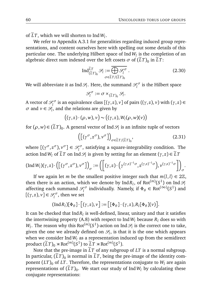of  $LT$ , which we will shorten to Ind  $W_l$ .

We refer to Appendix A.3.1 for generalities regarding induced group representations, and content ourselves here with spelling out some details of this particular one. The underlying Hilbert space of Ind*W<sup>l</sup>* is the completion of an algebraic direct sum indexed over the left cosets  $\sigma$  of  $(LT)_0$  in  $LT$ :

$$
\operatorname{Ind}_{(\widetilde{L}T)_0}^{\widetilde{L}T} \mathcal{S}_l := \overline{\bigoplus_{\sigma \in \widetilde{L}T/(\widetilde{L}T)_0} \mathcal{S}_l^{\sigma}}.
$$
 (2.30)

We will abbreviate it as Ind  $\mathscr{S}_l$ . Here, the summand  $\mathscr{S}_l^{\sigma}$  $l_l^{\sigma}$  is the Hilbert space

$$
\mathcal{S}_l^{\sigma} := \sigma \times_{(\widetilde{L}T)_0} \mathcal{S}_l.
$$

A vector of  $\mathscr{S}^\sigma_l$  $\ell_l^{\circ \sigma}$  is an equivalence class [(*γ*, *z*), *ν*] of pairs ((*γ*, *z*), *ν*) with (*γ*, *z*) ∈  $\sigma$  and  $v \in \mathscr{S}_l$ , and the relations are given by

$$
((\gamma,z)\cdot(\rho,w),v)\sim((\gamma,z),W_l(\rho,w)(v))
$$

for  $(\rho, w) \in (\tilde{L}T)_0$ . A general vector of Ind  $\mathscr{S}_l$  is an infinite tuple of vectors

$$
\left( \left[ \left( \gamma^{\sigma}, z^{\sigma} \right), \nu^{\sigma} \right] \right)_{\sigma \in \widetilde{L}T/(\widetilde{L}T)_{0}}, \tag{2.31}
$$

where  $[(\gamma^{\sigma}, z^{\sigma}), \nu^{\sigma}] \in \mathcal{S}_l^{\sigma}$ , satisfying a square-integrability condition. The action Ind  $W_l$  of  $\widetilde{L}T$  on Ind  $\mathscr{S}_l$  is given by setting for an element  $(\gamma, z) \in \widetilde{L}T$ 

$$
(\operatorname{Ind} W_l)(\gamma,z) \cdot \left( \left[ (\gamma^\sigma, z^\sigma), \nu^\sigma \right] \right)_{\sigma} := \left( \left[ (\gamma, z) \cdot \left( \gamma^{(\gamma,z)^{-1} \sigma}, z^{(\gamma,z)^{-1} \sigma} \right), \nu^{(\gamma,z)^{-1} \sigma} \right] \right)_{\sigma}.
$$

If we again let *m* be the smallest positive integer such that  $m\langle l, l \rangle \in 2\mathbb{Z}$ , then there is an action, which we denote by  $\mathrm{Ind} R_l$ , of  $\mathrm{Rot}^{(m)}(S^1)$  on  $\mathrm{Ind}\mathcal{S}_l$ affecting each summand  $\mathcal{S}^{\sigma}_{l}$ <sup>*ρ*</sup> individually. Namely, if  $Φ$ <sup>*θ*</sup> ∈ Rot<sup>(∞)</sup>(*S*<sup>1</sup>) and  $[(\gamma, z), \nu] \in \mathcal{S}_l^{\sigma}$ , then we set

$$
(\mathrm{Ind}\,R_l)[\Phi_\theta]\cdot[(\gamma,z),\nu]:=[[\Phi_\theta]\cdot(\gamma,z),R_l[\Phi_\theta](\nu)].
$$

It can be checked that  $\mathrm{Ind}\,R_l$  is well-defined, linear, unitary and that it satisfies the intertwining property (A.8) with respect to Ind  $W_l$  because  $R_l$  does so with  $W_l.$  The reason why this Rot $^{(m)}(S^1)$ -action on Ind $\mathscr{S}_l$  is the correct one to take, given the one we already defined on  $\mathcal{S}_l$ , is that it is the one which appears when we consider Ind  $W_l$  as a representation induced up from the semidirect product  $(\widetilde{L}T)_0 \rtimes \mathrm{Rot}^{(m)}(S^1)$  to  $\widetilde{L}T \rtimes \mathrm{Rot}^{(m)}(S^1)$ .

Note that the pre-image in  $\tilde{L}T$  of any subgroup of  $LT$  is a normal subgroup. In particular,  $(LT)_0$  is normal in  $LT$ , being the pre-image of the identity component  $(LT)$ <sup>0</sup> of *LT*. Therefore, the representations conjugate to  $W$ <sup>*l*</sup> are again representations of  $(LT)_0$ . We start our study of Ind  $W_l$  by calculating these conjugate representations: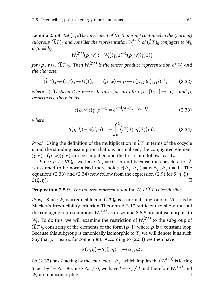**Lemma 2.5.8.** *Let*  $(\gamma, z)$  *be an element of*  $\widetilde{L}T$  *that is not contained in the (normal)*  $\sup_{l}$  *subgroup*  $(\widetilde{L}T)_0$  *and consider the representation*  $W_l^{(\gamma,z)}$  $\int_l^{(1,2)}$  of  $(LT)_0$  conjugate to  $W_l$ , *defined by*

$$
W_l^{(\gamma,z)}(\rho,w):=W_l((\gamma,z)^{-1}(\rho,w)(\gamma,z))
$$

*for*  $(\rho, w) \in (\tilde{L}T)_0$ . Then  $W_l^{(\gamma, z)}$  $\frac{d}{dt}$  is the tensor product representation of  $W_l$  and *the character*

$$
(\tilde{L}T)_0 \to (LT)_0 \to U(1), \qquad (\rho, w) \to \rho \to c(\rho, \gamma)c(\gamma, \rho)^{-1}, \qquad (2.32)
$$

*where* U(1) *acts on*  $\mathbb{C}$  *as*  $z \mapsto z$ *. In turn, for any lifts*  $\xi, \eta$ : [0, 1]  $\rightarrow$  t *of*  $\gamma$  *and*  $\rho$ *, respectively, there holds*

$$
c(\rho,\gamma)c(\gamma,\rho)^{-1} = e^{2\pi i \left(S(\eta,\xi)-S(\xi,\eta)\right)},\tag{2.33}
$$

*where*

$$
S(\eta, \xi) - S(\xi, \eta) = -\int_0^1 \langle \xi'(\theta), \eta(\theta) \rangle d\theta.
$$
 (2.34)

*Proof.* Using the definition of the multiplication in  $LT$  in terms of the cocycle *c* and the standing assumption that *c* is normalised, the conjugated element  $(\gamma, z)^{-1}(\rho, w)(\gamma, z)$  can be simplified and the first claim follows easily.

Since  $\rho \in (LT)_0$ , we have  $\Delta_{\rho} = 0 \in \Lambda$  and because the cocycle  $\varepsilon$  for  $\tilde{\Lambda}$ is assumed to be normalised there holds  $\varepsilon(\Delta_\gamma,\Delta_\rho)=\varepsilon(\Delta_\rho,\Delta_\gamma)=1.$  The equations (2.33) and (2.34) now follow from the expression (2.9) for  $S(\eta, \xi)$  − *S*(*ξ*,*η*).  $\Box$ 

#### **Proposition 2.5.9.** *The induced representation* Ind  $W_l$  *of*  $\widetilde{L}T$  *is irreducible.*

*Proof.* Since  $W_l$  is irreducible and  $(LT)_0$  is a normal subgroup of  $LT$ , it is by Mackey's irreducibility criterion Theorem A.3.12 sufficient to show that all the conjugate representations *W* (*γ*,*z*) *l* as in Lemma 2.5.8 are not isomorphic to *W*<sub>*l*</sub>. To do this, we will examine the restriction of  $W_l^{(\gamma,z)}$  $\int_l^{l_1(s)}$  to the subgroup of  $(LT)_0$  consisting of the elements of the form  $(\rho, 1)$  where  $\rho$  is a constant loop. Because this subgroup is canonically isomorphic to *T*, we will denote it as such. Say that  $\rho = \exp \alpha$  for some  $\alpha \in \mathfrak{t}$ . According to (2.34) we then have

$$
S(\eta, \xi) - S(\xi, \eta) = -\langle \Delta_{\gamma}, \alpha \rangle.
$$

So (2.32) has  $T$  acting by the character  $-\Delta_\gamma$ , which implies that  $W_l^{(\gamma,z)}$ *l* is letting *T* act by  $l - \Delta_\gamma$ . Because  $\Delta_\gamma \neq 0$ , we have  $l - \Delta_\gamma \neq l$  and therefore  $W_l^{(\gamma,z)}$  $\int_l^{(1,2)}$  and *W<sup>l</sup>* are not isomorphic. $\Box$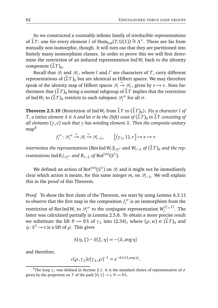So we constructed a countably infinite family of irreducible representations of  $\widetilde{L}T$ ; one for every element *l* of  $\text{Hom}_{\text{Lie}}(T, \text{U}(1)) \cong \Lambda^{\vee}$ . These are far from mutually non-isomorphic, though. It will turn out that they are partitioned into finitely many isomorphism classes. In order to prove this we will first determine the restriction of an induced representation  $\text{Ind } W_l$  back to the identity  $\text{component} (LT)_0.$ 

Recall that  $\mathcal{S}_l$  and  $\mathcal{S}_{l'}$ , where *l* and *l'* are characters of *T*, carry different representations of  $(\tilde{L}T)_0$  but are identical as Hilbert spaces. We may therefore speak of the identity map of Hilbert spaces  $\mathcal{S}_l \xrightarrow{\sim} \mathcal{S}_l$ , given by  $v \mapsto v$ . Note furthermore that  $(\tilde{L}T)$ <sub>0</sub> being a normal subgroup of  $\tilde{L}T$  implies that the restriction of Ind  $W_l$  to  $(\tilde{L}T)_0$  restricts to each subspace  $\mathscr{S}_l^{\sigma}$  $\int_l^{\sigma}$  for all  $\sigma$ .

**Theorem 2.5.10** (Restriction of Ind  $W_l$  from LT to  $(LT)_0$ ). *Fix a character l* of *T*, a lattice element  $\lambda \in \Lambda$  and let  $\sigma$  be the (left) coset of  $(\tilde{L}T)_0$  in  $\tilde{L}T$  consisting of *all elements* (*γ*, *z*) *such that γ has winding element λ. Then the composite unitary map*<sup>8</sup>

> *f σ l* : S *σ l*  $\stackrel{\sim}{\to}$   $\mathcal{S}_l \stackrel{\sim}{\to} \mathcal{S}_{l-\lambda}$ ,  $[(\gamma_{\lambda}, 1), v] \mapsto v \mapsto v$

 $int$  *intertwines the representations* (Res Ind  $W_l$ )| $_{\mathscr{S}_l^{\sigma}}$  and  $W_{l-\lambda}$  of  $(\widetilde{L}T)_0$  and the rep- $\sigma$  *resentations*  $\mathrm{Ind}\,R_l|_{\mathscr{S}_l^{\sigma}}$  and  $R_{l-\lambda}$  of  $\mathrm{Rot}^{(m)}(S^1)$ .

We defined an action of  $\mathrm{Rot}^{(m)}(S^1)$  on  $\mathscr{S}_l$  and it might not be immediately clear which action is meant, for this same integer  $m$ , on  $\mathcal{S}_{l-2}$ . We will explain this in the proof of this Theorem.

*Proof.* To show the first claim of the Theorem, we start by using Lemma A.3.11 to observe that the first map in the composition  $f_l^{\sigma}$  is an isomorphism from the *l* restriction of Res Ind  $W_l$  to  $\mathscr{S}^\sigma_l$  $\mathcal{U}^{\sigma\sigma}_{l}$  to the conjugate representation  $W_l^{(\gamma_{\lambda},1)}$ *l* . The latter was calculated partially in Lemma 2.5.8. To obtain a more precise result we substitute the lift  $\theta \mapsto \theta \lambda$  of  $\gamma_{\lambda}$  into (2.34), where ( $\rho, w$ )  $\in (\tilde{L}T)_{0}$  and  $\eta\colon S^1\to \mathfrak{t}$  is a lift of  $\rho$  . This gives

$$
S(\eta, \xi) - S(\xi, \eta) = -\langle \lambda, \operatorname{avg} \eta \rangle
$$

and therefore,

$$
c(\rho, \gamma_{\lambda})c(\gamma_{\lambda}, \rho)^{-1} = e^{-2\pi i \langle \lambda, \text{avg } \eta \rangle}.
$$

<sup>&</sup>lt;sup>8</sup>The loop  $\gamma_{\lambda}$  was defined in Section 2.1. It is the standard choice of representative of  $\sigma$ given by the projection on *T* of the path  $[0, 1] \rightarrow \mathfrak{t}, \theta \mapsto \theta \lambda$ .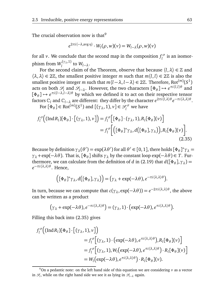The crucial observation now is that<sup>9</sup>

$$
e^{2\pi i \langle -\lambda, \text{avg } \eta \rangle} \cdot W_l(\rho, w)(v) = W_{l-\lambda}(\rho, w)(v)
$$

for all *v*. We conclude that the second map in the composition  $f_l^{\sigma}$  $\int_l^{\sigma}$  is an isomorphism from  $W_l^{(\gamma_{\lambda},1)}$  to  $W_{l-\lambda}$ .

For the second claim of the Theorem, observe that because  $\langle l, \lambda \rangle \in \mathbb{Z}$  and  $\langle \lambda, \lambda \rangle \in 2\mathbb{Z}$ , the smallest positive integer *m* such that  $m\langle l, l \rangle \in 2\mathbb{Z}$  is also the smallest positive integer *m* such that  $m\langle l - \lambda, l - \lambda \rangle \in 2\mathbb{Z}$ . Therefore, Rot<sup>(*m*)</sup>(*S*<sup>1</sup>) acts on both  $\mathcal{S}_l$  and  $\mathcal{S}_{l-\lambda}$ . However, the two characters  $[\Phi_{\theta}] \mapsto e^{\pi i \langle l,l \rangle \theta}$  and  $[\Phi_{\theta}] \mapsto e^{\pi i (l-\lambda, l-\lambda)\theta}$  by which we defined it to act on their respective tensor  $\int$  factors  $\mathbb{C}_l$  and  $\mathbb{C}_{l-\lambda}$  are different: they differ by the character  $e^{2\pi i \bar{\lambda},\lambda}$   $\theta$   $e^{-\pi i \langle \lambda,\lambda \rangle \theta}$ .

For  $[\Phi_{\theta}] \in \text{Rot}^{(m)}(S^1)$  and  $[(\gamma_{\lambda}, 1), \nu] \in \mathcal{S}_l^{\sigma}$  we have

$$
f_l^{\sigma}\Big((\text{Ind} R_l)[\Phi_{\theta}]\cdot \Big[(\gamma_{\lambda}, 1), \nu\Big]\Big) = f_l^{\sigma}\Big[\Big[\Phi_{\theta}]\cdot (\gamma_{\lambda}, 1), R_l[\Phi_{\theta}](\nu)\Big] = f_l^{\sigma}\Big[\Big((\Phi_{\theta}]\ast \gamma_{\lambda}, d\Big([\Phi_{\theta}], \gamma_{\lambda}\Big)\Big), R_l[\Phi_{\theta}](\nu)\Big].
$$
(2.35)

Because by definition  $\gamma_{\lambda}(\theta') = \exp(\lambda \theta')$  for all  $\theta' \in [0, 1]$ , there holds  $[\Phi_{\theta}]^* \gamma_{\lambda} =$  $\gamma_{\lambda}$  + exp(−*λθ*). That is, [ $\Phi_{\theta}$ ] shifts  $\gamma_{\lambda}$  by the constant loop exp(−*λθ*) ∈ *T*. Furthermore, we can calculate from the definition of *d* in (2.19) that  $d([\Phi_{\theta}], \gamma_{\lambda}) =$ *e* −*πi*〈*λ*,*λ*〉*θ* . Hence,

$$
((\Phi_{\theta})^*\gamma_{\lambda}, d((\Phi_{\theta}), \gamma_{\lambda})) = (\gamma_{\lambda} + \exp(-\lambda \theta), e^{-\pi i \langle \lambda, \lambda \rangle \theta}).
$$

In turn, because we can compute that  $c(\gamma_{\lambda}, \exp(-\lambda \theta)) = e^{-2\pi i \langle \lambda, \lambda \rangle \theta}$ , the above can be written as a product

$$
(\gamma_{\lambda} + \exp(-\lambda \theta), e^{-\pi i \langle \lambda, \lambda \rangle \theta}) = (\gamma_{\lambda}, 1) \cdot (\exp(-\lambda \theta), e^{\pi i \langle \lambda, \lambda \rangle \theta}).
$$

Filling this back into (2.35) gives

$$
f_l^{\sigma} \Big( (\text{Ind} R_l) [\Phi_{\theta}] \cdot [(\gamma_{\lambda}, 1), \nu] \Big) = f_l^{\sigma} \Big[ (\gamma_{\lambda}, 1) \cdot (\exp(-\lambda \theta), e^{\pi i \langle \lambda, \lambda \rangle \theta}), R_l [\Phi_{\theta}] (\nu) \Big] = f_l^{\sigma} \Big[ (\gamma_{\lambda}, 1), W_l (\exp(-\lambda \theta), e^{\pi i \langle \lambda, \lambda \rangle \theta}) \cdot R_l [\Phi_{\theta}] (\nu) \Big] = W_l (\exp(-\lambda \theta), e^{\pi i \langle \lambda, \lambda \rangle \theta}) \cdot R_l [\Phi_{\theta}] (\nu).
$$

 $9$ On a pedantic note: on the left hand side of this equation we are considering  $v$  as a vector  $\inf$  *S*<sub>l</sub>, while on the right hand side we see it as lying in  $S$ <sub>l−</sub> $\lambda$  again.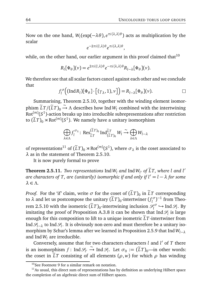Now on the one hand,  $W_l(\exp(-\lambda \theta), e^{\pi i \langle \lambda, \lambda \rangle \theta})$  acts as multiplication by the scalar

$$
e^{-2\pi i \langle l,\lambda\rangle\theta}e^{\pi i \langle \lambda,\lambda\rangle\theta},
$$

while, on the other hand, our earlier argument in this proof claimed that  $10$ 

$$
R_l[\Phi_\theta](v) = e^{2\pi i \langle l,\lambda\rangle \theta} e^{-\pi i \langle \lambda,\lambda\rangle \theta} R_{l-\lambda}[\Phi_\theta](v).
$$

We therefore see that all scalar factors cancel against each other and we conclude that

$$
f_l^{\sigma}\Big((\mathrm{Ind} R_l)[\Phi_{\theta}]\cdot \big[(\gamma_{\lambda},1),\nu\big]\Big)=R_{l-\lambda}[\Phi_{\theta}](\nu).
$$

Summarising, Theorem 2.5.10, together with the winding element isomorphism  $\widetilde{L}T/(\widetilde{L}T)_0 \stackrel{\sim}{\rightarrow} \Lambda$  describes how Ind  $W_l$  combined with the intertwining  $Rot^{(m)}(S^1)$ -action breaks up into irreducible subrepresentations after restriction to  $(\tilde{L}T)_0 \rtimes \mathrm{Rot}^{(m)}(S^1)$ . We namely have a unitary isomorphism

$$
\bigoplus_{\lambda \in \Lambda} f_l^{\sigma_{\lambda}} \colon \text{Res}_{\widetilde{L}T}^{(\widetilde{L}T)_{0}} \text{Ind}_{(\widetilde{L}T)_{0}}^{\widetilde{L}T} W_l \xrightarrow{\sim} \bigoplus_{\lambda \in \Lambda} W_{l-\lambda}
$$

of representations<sup>11</sup> of  $(\widetilde{L}T)_0 \rtimes \text{Rot}^{(m)}(S^1)$ , where  $\sigma_{\lambda}$  is the coset associated to *λ* as in the statement of Theorem 2.5.10.

It is now purely formal to prove

**Theorem 2.5.11.** *Two representations*  $\text{Ind } W_l$  *and*  $\text{Ind } W_l$  *of*  $\widetilde{L}T$ *, where l and l' are characters of T, are (unitarily) isomorphic if and only if l* <sup>0</sup> <sup>=</sup> *<sup>l</sup>* <sup>−</sup> *<sup>λ</sup> for some λ* ∈ *Λ.*

*Proof.* For the 'if' claim, write  $\sigma$  for the coset of  $(LT)_0$  in  $LT$  corresponding to  $\lambda$  and let us postcompose the unitary  $(\tilde{L}T)_0$ -intertwiner  $(f_l^{\sigma})$  $\int_l^{\sigma}$ )<sup>-1</sup> from Theorem 2.5.10 with the isometric  $(\tilde{L}T)_0$ -intertwining inclusion  $\mathcal{S}_l^{\sigma}$  $\int_l^{\infty}$   $\hookrightarrow$  Ind  $\mathscr{S}_l$ . By imitating the proof of Proposition A.3.8 it can be shown that  $\text{Ind } \mathscr{S}_l$  is large enough for this composition to lift to a unique isometric  $\tilde{L}T$ -intertwiner from Ind  $\mathscr{S}_{l-\lambda}$  to Ind  $\mathscr{S}_l$ . It is obviously non-zero and must therefore be a unitary isomorphism by Schur's lemma after we learned in Proposition 2.5.9 that Ind*Wl*−*<sup>λ</sup>* and Ind  $W_l$  are irreducible.

Conversely, assume that for two characters characters *l* and *l'* of *T* there is an isomorphism  $f$ : Ind  $\mathcal{S}_l$ ,  $\stackrel{\sim}{\to}$  Ind  $\mathcal{S}_l$ . Let  $\sigma_0 := (\tilde{L}T)_0$ —in other words: the coset in  $\tilde{L}T$  consisting of all elements ( $\rho, w$ ) for which  $\rho$  has winding

 $10$ See Footnote 9 for a similar remark on notation.

 $11$ As usual, this direct sum of representations has by definition as underlying Hilbert space the completion of an algebraic direct sum of Hilbert spaces.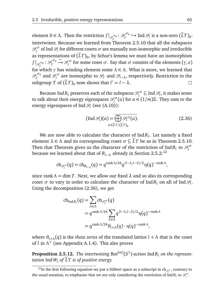element  $0 \in \Lambda$ . Then the restriction  $f|_{\mathscr{S}_{l'}^{ \sigma_0}} : \mathscr{S}_{l'}^{\sigma_0}$  $\mathcal{C}^{\sigma_0}_{l'}$  → Ind  $\mathcal{S}_l$  is a non-zero  $(\tilde{L}T)_0$ intertwiner. Because we learned from Theorem 2.5.10 that all the subspaces S *σ*  $\mathcal{C}^{\sigma}$  of Ind  $\mathcal{S}_l$  for different cosets  $\sigma$  are mutually non-isomorphic and irreducible as representations of  $(LT)_0$ , by Schur's lemma we must have an isomorphism  $ightharpoonup$   $\mathcal{S}_l^{\sigma}$  for some coset *σ*. Say that *σ* consists of the elements (*γ*, *z*)  $f|_{\mathscr{S}^{\sigma_0}_{l'}}: \mathscr{S}^{\sigma_0}_{l'}$ *l* 0 *l l l l l l l l l**l**c**l**l**c**l**l**c**l**c**l**c**l**c**l**c**l**c**l**c**l**c**l**c**l**c**l**c**l**c**l**c**l**c**l**c**l**c**l**c**l**c**l**c**l**c* $\mathscr{S}^{\sigma_0}_{\alpha}$  $\int_l^{\sigma_0}$  and  $\mathscr{S}_l^{\sigma}$ *l*<sup>*o*</sup> are isomorphic to *S*<sub>*l*</sub></sub> and *S*<sub>*l*−*λ*</sub>, respectively. Restriction to the subgroup *T* of  $(LT)_0$  now shows that  $l' = l - \lambda$ .  $\Box$ 

Because Ind $R_l$  preserves each of the subspaces  $\mathscr{S}^\sigma_l$  $\mathcal{C}_l^{\sigma} \subseteq \text{Ind }\mathcal{S}_l$ , it makes sense to talk about their energy eigenspaces  $\mathscr{S}^\sigma_l$  $\int_l^{\infty}$  (*a*) for *a* ∈ (1/*m*) $\mathbb{Z}$ . They sum to the energy eigenspaces of Ind  $\mathscr{S}_l$  (see (A.10)):

$$
(\operatorname{Ind} \mathcal{S}_l)(a) = \overline{\bigoplus_{\sigma \in \widetilde{L}T/(\widetilde{L}T)_0} \mathcal{S}_l^{\sigma}(a)}.
$$
 (2.36)

We are now able to calculate the character of Ind*R<sup>l</sup>* . Let namely a fixed element  $\lambda \in \Lambda$  and its corresponding coset  $\sigma \subseteq \overline{L}T$  be as in Theorem 2.5.10. Then that Theorem gives us the character of the restriction of  $\text{Ind}R_l$  to  $\mathcal{S}_l^{\sigma}$ *l* because we learned about that of  $R_{l-λ}$  already in Section 2.5.2:<sup>12</sup>

$$
\mathrm{ch}_{\mathscr{S}_l^{\sigma}}(q) = \mathrm{ch}_{R_{l-\lambda}}(q) = q^{\mathrm{rank}\,\Lambda/24} q^{\langle l-\lambda,l-\lambda\rangle/2} \eta(q)^{-\mathrm{rank}\,\Lambda},
$$

since rank  $\Lambda = \dim T$ . Next, we allow our fixed  $\lambda$  and so also its corresponding coset  $\sigma$  to vary in order to calculate the character of  $\text{Ind} R_l$  on all of  $\text{Ind} S_l$ . Using the decomposition (2.36), we get

$$
ch_{\text{Ind}R_{l}}(q) = \sum_{\lambda \in \Lambda} ch_{\mathcal{S}_{l}^{\sigma}}(q)
$$
  
=  $q^{\text{rank}\Lambda/24} \sum_{\lambda \in \Lambda} q^{\langle l-\lambda, l-\lambda \rangle/2} \eta(q)^{-\text{rank}\Lambda}$   
=  $q^{\text{rank}\Lambda/24} \theta_{l+\Lambda}(q) \cdot \eta(q)^{-\text{rank}\Lambda},$ 

where  $\theta_{l+\Lambda}(q)$  is the *theta series* of the translated lattice  $l + \Lambda$  that is the coset of *l* in *Λ* ∨ (see Appendix A.1.4). This also proves

**Proposition 2.5.12.** The intertwining  $Rot^{(m)}(S^1)$ -action  $IndR_l$  on the represen*tation* Ind  $W_l$  *of*  $\widetilde{L}T$  *is of positive energy.* 

<sup>&</sup>lt;sup>12</sup>In the first following equation we put a Hilbert space as a subscript in ch<sub> $\mathscr{S}^{\sigma}$ </sub>, contrary to the usual notation, to emphasise that we are only considering the restriction of  $\text{Ind} R_l$  to  $\mathcal{S}_l^{\sigma}$ .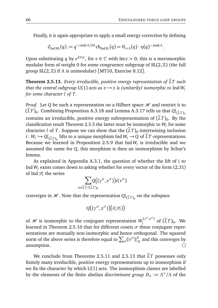Finally, it is again appropriate to apply a small energy correction by defining

$$
Z_{\text{Ind }W_l}(q) := q^{-\text{rank }\Lambda/24} \operatorname{ch}_{\text{Ind }R_l}(q) = \theta_{l+\Lambda}(q) \cdot \eta(q)^{-\text{rank }\Lambda}.
$$

Upon substituting  $q$  by  $e^{2\pi i z}$ , for  $z \in \mathbb{C}$  with Im $z > 0$ , this is a meromorphic modular form of weight 0 for some congruence subgroup of  $SL(2, \mathbb{Z})$  (the full group SL(2,Z) if *Λ* is unimodular) [MT10, Exercise 8.12].

**Theorem 2.5.13.** *Every irreducible, positive energy representation of*  $LT$  *such that the central subgroup* U(1) *acts as*  $z \mapsto z$  *is (unitarily) isomorphic to* Ind  $W_l$ *for some character l of T.*

*Proof.* Let *Q* be such a representation on a Hilbert space  $H$  and restrict it to  $(\widetilde{L}T)_0.$  Combining Proposition A.3.18 and Lemma A.3.17 tells us that  $Q|$  $(LT)_0$ contains an irreducible, positive energy subrepresentation of  $(LT)_{0}$ . By the classification result Theorem 2.5.5 the latter must be isomorphic to *W<sup>l</sup>* for some character *l* of *T*. Suppose we can show that the  $(LT)_0$ -intertwining inclusion *i*:  $W_l$  → *Q*|<sub>( $\tilde{L}_l T$ )<sub>0</sub></sub> lifts to a unique morphism Ind $W_l$  → *Q* of  $\tilde{L}T$ -representations. EXCR( $\mu$ <sup>1</sup>  $\sim$   $\alpha$ <sub>1</sub>( $\mu$ <sub>T</sub>)<sub>0</sub> miss to a unique morphism ma $w_l$   $\sim$   $\alpha$  or  $\mu$ <sub>1</sub> - representations because we learned in Proposition 2.5.9 that Ind  $W_l$  is irreducible and we assumed the same for *Q*, this morphism is then an isomorphism by Schur's lemma.

As explained in Appendix A.3.1, the question of whether the lift of *i* to Ind  $W_l$  exists comes down to asking whether for every vector of the form  $(2.31)$ of Ind  $\mathcal{S}_l$  the series

$$
\sum_{\sigma\in\widetilde{L}T/(\widetilde{L}T)_{0}}\!\!\!\!\!Q\big((\gamma^{\sigma},z^{\sigma})\big)i(\nu^{\sigma})
$$

converges in  $\mathscr{H}.$  Note that the representation  $Q|_{(\widetilde{L}T)_0}$  on the subspace

$$
Q\big((\gamma^\sigma,z^\sigma)\big)(i(\mathscr{S}_l)\big)
$$

of  $\mathscr H$  is isomorphic to the conjugate representation  $W_l^{(\gamma^\sigma,z^\sigma)}$  $\int_l^{(r)}$ <sup>2</sup> of  $(LT)_0$ . We learned in Theorem 2.5.10 that for different cosets  $\sigma$  these conjugate representations are mutually non-isomorphic and hence orthogonal. The squared norm of the above series is therefore equal to  $\sum_{\sigma} ||v^{\sigma}||_{\mathscr{S}_l}^2$  and this converges by assumption.  $\Box$ 

We conclude from Theorems 2.5.11 and 2.5.13 that  $LT$  possesses only finitely many irreducible, positive energy representations up to isomorphism if we fix the character by which  $U(1)$  acts. The isomorphism classes are labelled by the elements of the finite abelian *discriminant group D<sup>Λ</sup>* := *Λ* ∨ */Λ* of the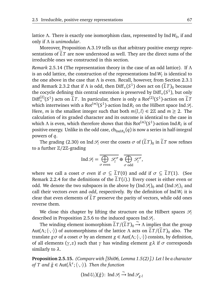lattice Λ. There is exactly one isomorphism class, represented by Ind W<sub>0</sub>, if and only if *Λ* is *unimodular*.

Moreover, Proposition A.3.19 tells us that arbitrary positive energy representations of  $\tilde{L}T$  are now understood as well. They are the direct sums of the irreducible ones we constructed in this section.

*Remark* 2.5.14 (The representation theory in the case of an odd lattice)*.* If *Λ* is an odd lattice, the construction of the representations Ind $\emph{W}_{l}$  is identical to the one above in the case that *Λ* is even. Recall, however, from Section 2.3.1 and Remark 2.3.2 that if  $\Lambda$  is odd, then  $\text{Diff}_+(S^1)$  does act on  $(\tilde{L}T)_0$  because the cocycle defining this central extension is preserved by  $\text{Diff}_+(S^1)$ , but only  $Diff_{+}^{(2)}(S^1)$  acts on  $\tilde{L}T$ . In particular, there is only a Rot<sup>(2)</sup>( $S^1$ )-action on  $\tilde{L}T$ which intertwines with a Rot<sup> $(m)$ </sup>( $S^1$ )-action Ind $R_l$  on the Hilbert space Ind  $\mathscr{S}_l$ . Here, *m* is the smallest integer such that both  $m\langle l, l \rangle \in 2\mathbb{Z}$  and  $m \geq 2$ . The calculation of its graded character and its outcome is identical to the case in which  $\Lambda$  is even, which therefore shows that this  $Rot^{(m)}(S^1)$ -action Ind $R_l$  is of positive energy. Unlike in the odd case,  $\mathrm{ch}_{\mathrm{Ind} R_0}(q)$  is now a series in half-integral powers of *q*.

The grading (2.30) on Ind  $\mathcal{S}_l$  over the cosets  $\sigma$  of  $(\tilde{L}T)_0$  in  $\tilde{L}T$  now refines to a further Z*/*2Z-grading

$$
\operatorname{Ind} \mathcal{S}_l = \overline{\bigoplus_{\sigma \text{ even}} \mathcal{S}_l^{\sigma}} \oplus \overline{\bigoplus_{\sigma \text{ odd}} \mathcal{S}_l^{\sigma}},
$$

where we call a coset  $\sigma$  *even* if  $\sigma \subseteq \tilde{L}T(0)$  and *odd* if  $\sigma \subseteq \tilde{L}T(1)$ . (See Remark 2.2.4 for the definitions of the  $\tilde{L}T(i)$ .) Every coset is either even or odd. We denote the two subspaces in the above by  $\left(\text{Ind }\mathcal{S}_l\right)_0$  and  $\left(\text{Ind }\mathcal{S}_l\right)_1$  and call their vectors *even* and *odd*, respectively. By the definition of Ind*W<sup>l</sup>* it is clear that even elements of  $LT$  preserve the parity of vectors, while odd ones reverse them.

We close this chapter by lifting the structure on the Hilbert spaces  $\mathcal{S}_l$ described in Proposition 2.5.6 to the induced spaces Ind  $\mathcal{S}_l$ .

The winding element isomorphism  $\tilde{L}T/(\tilde{L}T)_0 \rightarrow \Lambda$  implies that the group Aut( $\Lambda$ ;  $\langle \cdot, \cdot \rangle$ ) of automorphisms of the lattice  $\Lambda$  acts on  $\tilde{L}T/(\tilde{L}T)_{0}$  also. The translate *gσ* of a coset *σ* by an element *g*  $\in$  Aut( $Λ$ ;  $\langle \cdot, \cdot \rangle$ ) consists, by definition, of all elements ( $γ, z$ ) such that  $γ$  has winding element  $gλ$  if  $σ$  corresponds similarly to *λ*.

**Proposition 2.5.15.** *(Compare with [Shi06, Lemma 1.5(2)].) Let l be a character of T and*  $\tilde{g}$  ∈ Aut( $\tilde{Λ}^ε$ ;  $\langle \cdot, \cdot \rangle$ ). *Then the function* 

$$
(\operatorname{Ind} U_l)(\tilde{g})\colon \operatorname{Ind} \mathcal{S}_l \xrightarrow{\sim} \operatorname{Ind} \mathcal{S}_{g\cdot l}
$$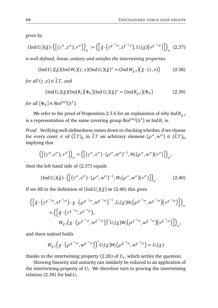*given by*

$$
(\operatorname{Ind} U_l)(\tilde{g}) \cdot \left( \left[ (\gamma^\sigma, z^\sigma), \nu^\sigma \right] \right)_{\sigma} := \left( \left[ \tilde{g} \cdot \left( \gamma^{g^{-1}\sigma}, z^{g^{-1}\sigma} \right), U_l(g) \left( \nu^{g^{-1}\sigma} \right) \right] \right)_{\sigma} \tag{2.37}
$$

*is well-defined, linear, unitary and satisfies the intertwining properties*

$$
(\operatorname{Ind} U_l)(\tilde{g}) (\operatorname{Ind} W_l)(\gamma, z) (\operatorname{Ind} U_l)(\tilde{g})^* = (\operatorname{Ind} W_{g\cdot l})(\tilde{g} \cdot (\gamma, z)) \tag{2.38}
$$

*for all*  $(\gamma, z) \in \tilde{L}T$ *, and* 

$$
(\operatorname{Ind} U_l)(\tilde{g}) (\operatorname{Ind} R_l)[\Phi_\theta] (\operatorname{Ind} U_l)(\tilde{g})^* = (\operatorname{Ind} R_{g\cdot l})[\Phi_\theta]
$$
(2.39)

*for all*  $[\Phi_{\theta}] \in \text{Rot}^{(m)}(S^1)$ *.* 

We refer to the proof of Proposition 2.5.6 for an explanation of why Ind*Rg*·*<sup>l</sup>* is a representation of the same covering group  $Rot^{(m)}(S^1)$  as  $IndR_l$  is.

*Proof.* Verifying well-definedness comes down to checking whether, if we choose for every coset  $\sigma$  of  $(\tilde{L}T)_0$  in  $\tilde{L}T$  an arbitrary element  $(\rho^{\sigma}, w^{\sigma}) \in (\tilde{L}T)_0$ , implying that

$$
\left( \left[ (\gamma^{\sigma}, z^{\sigma}), \nu^{\sigma} \right] \right)_{\sigma} = \left( \left[ (\gamma^{\sigma}, z^{\sigma}) \cdot (\rho^{\sigma}, \omega^{\sigma})^{-1}, W_l(\rho^{\sigma}, \omega^{\sigma})(\nu^{\sigma}) \right] \right)_{\sigma},
$$

then the left hand side of (2.37) equals

$$
(\operatorname{Ind} U_l)(\tilde{g}) \cdot \left( \left[ (\gamma^\sigma, z^\sigma) \cdot (\rho^\sigma, w^\sigma)^{-1}, W_l(\rho^\sigma, w^\sigma) (\nu^\sigma) \right] \right)_{\sigma}.
$$
 (2.40)

If we fill in the definition of  $($ Ind $U_l$  $)(\tilde{g})$  in  $(2.40)$  this gives

$$
\begin{split} & \left( \left[ \tilde{g} \cdot \left( \gamma^{g^{-1}\sigma}, z^{g^{-1}\sigma} \right) \cdot g \cdot \left( \rho^{g^{-1}\sigma}, w^{g^{-1}\sigma} \right)^{-1}, U_l(g) W_l \left( \rho^{g^{-1}\sigma}, w^{g^{-1}\sigma} \right) \left( v^{g^{-1}\sigma} \right) \right] \right)_{\sigma} \\ &= \left( \left[ \tilde{g} \cdot \left( \gamma^{g^{-1}\sigma}, z^{g^{-1}\sigma} \right), \right. \\ & W_{g \cdot l} \left( g \cdot \left( \rho^{g^{-1}\sigma}, w^{g^{-1}\sigma} \right) \right)^* U_l(g) W_l \left( \rho^{g^{-1}\sigma}, w^{g^{-1}\sigma} \right) \left( v^{g^{-1}\sigma} \right) \right] \right)_{\sigma}, \end{split}
$$

and there indeed holds

$$
W_{g\cdot l}\Big(g\cdot\big(\rho^{g^{-1}\sigma},w^{g^{-1}\sigma}\big)\Big)^*U_l(g)W_l\big(\rho^{g^{-1}\sigma},w^{g^{-1}\sigma}\big)=U_l(g)
$$

thanks to the intertwining property (2.26) of *U<sup>l</sup>* , which settles the question.

Showing linearity and unitarity can similarly be reduced to an application of the intertwining property of *U<sup>l</sup>* . We therefore turn to proving the intertwining relation (2.38) for Ind*U<sup>l</sup>* .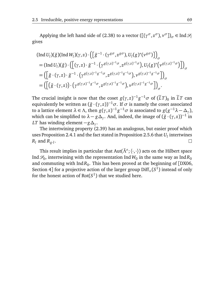Applying the left hand side of (2.38) to a vector  $([\gamma^\sigma, z^\sigma), v^\sigma])_\sigma \in \text{Ind }\mathcal{S}_l$ gives

$$
\begin{aligned}\n\text{(Ind } U_l)(\tilde{g})\text{(Ind } W_l)(\gamma, z) \cdot \left( \left[ \tilde{g}^{-1} \cdot (\gamma^{g\sigma}, z^{g\sigma}), U_l(g)^*(\nu^{g\sigma}) \right] \right)_{\sigma} \\
&= \left( \text{Ind } U_l)(\tilde{g}) \cdot \left( \left[ (\gamma, z) \cdot \tilde{g}^{-1} \cdot (\gamma^{g(\gamma, z)^{-1}\sigma}, z^{g(\gamma, z)^{-1}\sigma}), U_l(g)^*(\nu^{g(\gamma, z)^{-1}\sigma}) \right] \right)_{\sigma} \\
&= \left( \left[ \tilde{g} \cdot (\gamma, z) \cdot \tilde{g}^{-1} \cdot (\gamma^{g(\gamma, z)^{-1}g^{-1}\sigma}, z^{g(\gamma, z)^{-1}g^{-1}\sigma}), \nu^{g(\gamma, z)^{-1}g^{-1}\sigma} \right] \right)_{\sigma} \\
&= \left( \left[ \left( \tilde{g} \cdot (\gamma, z) \right) \cdot (\gamma^{g(\gamma, z)^{-1}g^{-1}\sigma}, z^{g(\gamma, z)^{-1}g^{-1}\sigma}), \nu^{g(\gamma, z)^{-1}g^{-1}\sigma} \right] \right)_{\sigma}.\n\end{aligned}
$$

The crucial insight is now that the coset  $g(\gamma, z)^{-1}g^{-1}\sigma$  of  $(\tilde{L}T)_0$  in  $\tilde{L}T$  can equivalently be written as  $(\tilde{g} \cdot (\gamma, z))^{-1} \sigma$ . If  $\sigma$  is namely the coset associated to a lattice element  $\lambda \in \Lambda$ , then  $g(\gamma, z)^{-1}g^{-1}\sigma$  is associated to  $g(g^{-1}\lambda - \Delta_{\gamma})$ , which can be simplified to  $\lambda - g\Delta_{\gamma}$ . And, indeed, the image of  $(\tilde{g} \cdot (\gamma, z))^{-1}$  in *LT* has winding element −*g∆<sup>γ</sup>* .

The intertwining property (2.39) has an analogous, but easier proof which uses Proposition 2.4.1 and the fact stated in Proposition 2.5.6 that *U<sup>l</sup>* intertwines  $\Box$  $R_l$  and  $R_{g\cdot l}$  .

This result implies in particular that Aut( $\tilde{\Lambda}^{\varepsilon}; \langle \cdot, \cdot \rangle$ ) acts on the Hilbert space Ind  $\mathcal{S}_0$ , intertwining with the representation Ind  $W_0$  in the same way as  $\text{Ind}R_0$ and commuting with Ind $R_0$ . This has been proved at the beginning of [DX06, Section 4] for a projective action of the larger group  $\text{Diff}_+(S^1)$  instead of only for the honest action of  $Rot(S^1)$  that we studied here.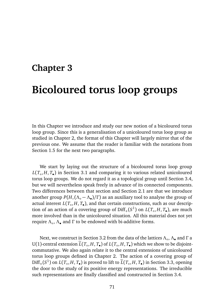# **Chapter 3 Bicoloured torus loop groups**

In this Chapter we introduce and study our new notion of a bicoloured torus loop group. Since this is a generalisation of a unicoloured torus loop group as studied in Chapter 2, the format of this Chapter will largely mirror that of the previous one. We assume that the reader is familiar with the notations from Section 1.5 for the next two paragraphs.

We start by laying out the structure of a bicoloured torus loop group *L*(*T*◦ , *H*, *T*• ) in Section 3.1 and comparing it to various related unicoloured torus loop groups. We do not regard it as a topological group until Section 3.4, but we will nevertheless speak freely in advance of its connected components. Two differences between that section and Section 2.1 are that we introduce another group *P*(*H*,(*Λ*◦ − *Λ*• )*/Γ* ) as an auxiliary tool to analyse the group of actual interest *L*(*T*◦ , *H*, *T*• ), and that certain constructions, such as our description of an action of a covering group of  $\text{Diff}_+(S^1)$  on  $L(T_\circ, H, T_\bullet)$ , are much more involved than in the unicoloured situation. All this material does not yet require *Λ*◦ , *Λ*• and *Γ* to be endowed with bi-additive forms.

Next, we construct in Section 3.2 from the data of the lattices *Λ*◦ , *Λ*• and *Γ* a U(1)-central extension  $L(T_o, H, T_o)$  of  $L(T_o, H, T_o)$  which we show to be disjointcommutative. We also again relate it to the central extensions of unicoloured torus loop groups defined in Chapter 2. The action of a covering group of  $Diff_{+}(S^{1})$  on  $L(T_{\circ}, H, T_{\bullet})$  is proved to lift to  $\widetilde{L}(T_{\circ}, H, T_{\bullet})$  in Section 3.3, opening the door to the study of its positive energy representations. The irreducible such representations are finally classified and constructed in Section 3.4.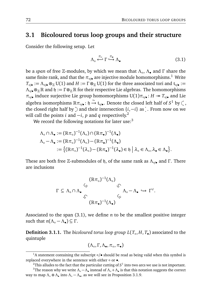## **3.1 Bicoloured torus loop groups and their structure**

Consider the following setup. Let

$$
\Lambda_{\circ} \stackrel{\pi_{\circ}}{\longleftrightarrow} \Gamma \stackrel{\pi_{\bullet}}{\hookrightarrow} \Lambda_{\bullet} \tag{3.1}
$$

be a *span* of free Z-modules, by which we mean that *Λ*◦ , *Λ*• and *Γ* share the same finite rank, and that the  $\pi_{\text{o/e}}$  are injective module homomorphisms.<sup>1</sup> Write  $T_{\circ/\bullet} := \Lambda_{\circ/\bullet} \otimes_{\mathbb{Z}} U(1)$  and  $H := \Gamma \otimes_{\mathbb{Z}} U(1)$  for the three associated tori and  $\mathfrak{t}_{\circ/\bullet} :=$ *Λ*<sub>○/•</sub>⊗<sub>*Z*</sub> ℝ and  $\mathfrak{h} := \Gamma \otimes_{\mathbb{Z}} \mathbb{R}$  for their respective Lie algebras. The homomorphisms *π*◦/• induce surjective Lie group homomorphisms U(1)*π*◦/• : *<sup>H</sup> <sup>T</sup>*◦/• and Lie algebra isomorphisms  $\mathbb{R} \pi_{\circ / \bullet} : \mathfrak{h} \xrightarrow{\sim} \mathfrak{t}_{\circ / \bullet}$ . Denote the closed left half of *S*<sup>1</sup> by  $\subset$ , the closed right half by  $\sum$  and their intersection  $\{i, -i\}$  as . From now on we will call the points *i* and  $-i$ , *p* and *q* respectively.<sup>2</sup>

We record the following notations for later use: $3$ 

$$
\Lambda_{\circ} \cap \Lambda_{\bullet} := (\mathbb{R}\pi_{\circ})^{-1}(\Lambda_{\circ}) \cap (\mathbb{R}\pi_{\bullet})^{-1}(\Lambda_{\bullet})
$$
  

$$
\Lambda_{\circ} - \Lambda_{\bullet} := (\mathbb{R}\pi_{\circ})^{-1}(\Lambda_{\circ}) - (\mathbb{R}\pi_{\bullet})^{-1}(\Lambda_{\bullet})
$$
  

$$
:= \{ (\mathbb{R}\pi_{\circ})^{-1}(\lambda_{\circ}) - (\mathbb{R}\pi_{\bullet})^{-1}(\lambda_{\bullet}) \in \mathfrak{h} \mid \lambda_{\circ} \in \Lambda_{\circ}, \lambda_{\bullet} \in \Lambda_{\bullet} \}.
$$

These are both free *Z*-submodules of *h*, of the same rank as *Λ*<sub>∘/•</sub> and Γ. There are inclusions

$$
\Gamma \subseteq \Lambda_{\circ} \cap \Lambda_{\bullet} \qquad \begin{array}{c} (\mathbb{R}\pi_{\circ})^{-1}(\Lambda_{\circ}) \\ \swarrow \\ \swarrow \\ (\mathbb{R}\pi_{\bullet})^{-1}(\Lambda_{\bullet}) \end{array} \qquad \begin{array}{c} \\ \swarrow \\ \swarrow \\ \swarrow \end{array} \qquad \begin{array}{c} \\ \swarrow \\ \swarrow \end{array} \qquad \Gamma^{\vee}.
$$

Associated to the span (3.1), we define *n* to be the smallest positive integer such that  $n(Λ<sub>o</sub> - Λ<sub>•</sub>) ⊆ Γ$ .

**Definition 3.1.1.** The *bicoloured torus loop group L*(*T*◦ , *H*, *T*• ) associated to the quintuple

$$
(\Lambda_\circ, \Gamma, \Lambda_\bullet, \pi_\circ, \pi_\bullet)
$$

<sup>1</sup>A statement containing the subscript ◦*/*• should be read as being valid when this symbol is replaced everywhere in the sentence with either ∘ or •.

 $^{\rm 2}$ This alludes to the fact that the particular cutting of  $S^1$  into two arcs we use is not important.

<sup>&</sup>lt;sup>3</sup>The reason why we write  $\Lambda_\circ - \Lambda_\bullet$  instead of  $\Lambda_\circ + \Lambda_\bullet$  is that this notation suggests the correct way to map *Λ*◦ ⊕ *Λ*• into *Λ*◦ − *Λ*• , as we will see in Proposition 3.1.9.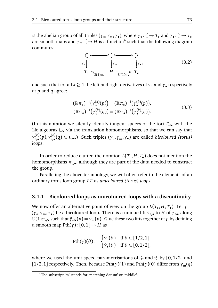is the abelian group of all triples ( $\gamma_0, \gamma_m, \gamma_0$ ), where  $\gamma_0: \zeta \to T_0$  and  $\gamma_0: \zeta \to T_0$ are smooth maps and  $\gamma_m$ :  $\rightarrow$  *H* is a function<sup>4</sup> such that the following diagram commutes:

$$
\begin{array}{ccc}\n\bigcirc & \xleftarrow{\bullet} & \xleftarrow{\bullet} & \searrow \\
\gamma_{\circ} & \downarrow{\gamma_{\rm m}} & \downarrow{\gamma_{\bullet}} \\
T_{\circ} & \xleftarrow{\bullet} & \text{U}(1)\pi_{\circ} & H \xrightarrow{\bullet} & T_{\bullet}\n\end{array} \tag{3.2}
$$

and such that for all  $k \geq 1$  the left and right derivatives of  $\gamma_{\circ}$  and  $\gamma_{\bullet}$  respectively at *p* and *q* agree:

$$
(\mathbb{R}\pi_{\circ})^{-1}(\gamma_{\circ}^{(k)}(p)) = (\mathbb{R}\pi_{\bullet})^{-1}(\gamma_{\bullet}^{(k)}(p)),(\mathbb{R}\pi_{\circ})^{-1}(\gamma_{\circ}^{(k)}(q)) = (\mathbb{R}\pi_{\bullet})^{-1}(\gamma_{\bullet}^{(k)}(q)).
$$
(3.3)

(In this notation we silently identify tangent spaces of the tori  $T_{\circ/\bullet}$  with the Lie algebras  $t_{\circ/\bullet}$  via the translation homomorphisms, so that we can say that *γ*<sup>(*k*</sup>)</sup>(*p*),*γ*<sup>(*k*</sup>)(*q*) ∈ t<sub>∘/•</sub>.) Such triples (*γ*<sub>∘</sub>,*γ*<sub>m</sub>,*γ*<sub>•</sub>) are called *bicoloured (torus) loops*.

In order to reduce clutter, the notation  $L(T_\circ, H, T_\bullet)$  does not mention the homomorphisms  $\pi_{\circ/\bullet}$ , although they are part of the data needed to construct the group.

Paralleling the above terminology, we will often refer to the elements of an ordinary torus loop group *LT* as *unicoloured (torus) loops*.

#### **3.1.1 Bicoloured loops as unicoloured loops with a discontinuity**

We now offer an alternative point of view on the group  $L(T_\circ, H, T_\bullet)$ . Let  $\gamma =$ (*γ*◦ ,*γ*m,*γ*• ) be a bicoloured loop. There is a unique lift *γ*ˆ◦/• to *H* of *γ*◦/• along U(1)*π*◦/• such that *γ*ˆ◦/• (*p*) = *γ*m(*p*). Glue these two lifts together at *p* by defining a smooth map Pth(*γ*): [0, 1] → *H* as

$$
\mathrm{Pth}(\gamma)(\theta) := \begin{cases} \hat{\gamma}_{\circ}(\theta) & \text{if } \theta \in [1/2, 1], \\ \hat{\gamma}_{\bullet}(\theta) & \text{if } \theta \in [0, 1/2], \end{cases}
$$

where we used the unit speed parametrisations of  $\geq$  and  $\leq$  by [0,1/2] and [1/2, 1] respectively. Then, because Pth( $\gamma$ )(1) and Pth( $\gamma$ )(0) differ from  $\gamma_m(q)$ 

<sup>4</sup>The subscript 'm' stands for 'matching datum' or 'middle'.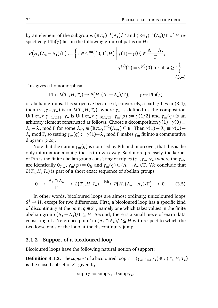by an element of the subgroups  $(\mathbb{R}\pi_{\circ})^{-1}(\Lambda_{\circ})/\Gamma$  and  $(\mathbb{R}\pi_{\bullet})^{-1}(\Lambda_{\bullet})/\Gamma$  of *H* respectively, Pth(*γ*) lies in the following group of paths on *H*:

$$
P\big(H, (\Lambda_{\circ} - \Lambda_{\bullet})/\Gamma\big) := \left\{\gamma \in C^{\infty}\big([0,1],H\big) \middle| \gamma(1) - \gamma(0) \in \frac{\Lambda_{\circ} - \Lambda_{\bullet}}{\Gamma}, \right\}
$$
  

$$
\gamma^{(k)}(1) = \gamma^{(k)}(0) \text{ for all } k \ge 1 \right\}.
$$
  
(3.4)

This gives a homomorphism

$$
\text{Pth}: L(T_{\circ}, H, T_{\bullet}) \to P\big(H, (\Lambda_{\circ} - \Lambda_{\bullet})/\Gamma\big), \qquad \gamma \mapsto \text{Pth}(\gamma)
$$

of abelian groups. It is surjective because if, conversely, a path *γ* lies in (3.4), then (*γ*◦ ,*γ*m,*γ*• ) is in *L*(*T*◦ , *H*, *T*• ), where *γ*◦ is defined as the composition U(1) $\pi_{\circ} \circ \gamma|_{[1/2,1]}, \gamma_{\bullet}$  is U(1) $\pi_{\bullet} \circ \gamma|_{[0,1/2]}, \gamma_{\mathfrak{m}}(p) := \gamma(1/2)$  and  $\gamma_{\mathfrak{m}}(q)$  is an arbitrary element constructed as follows. Choose a decomposition  $\gamma(1) - \gamma(0) \equiv$  $\lambda_{\circ} - \lambda_{\bullet} \mod \Gamma$  for some  $\lambda_{\circ/\bullet} \in (\mathbb{R}\pi_{\circ/\bullet})^{-1}(\Lambda_{\circ/\bullet}) \subseteq \mathfrak{h}$ . Then  $\gamma(1) - \lambda_{\circ} \equiv \gamma(0)$  $λ$ • mod Γ, so setting  $γ_m(q) := γ(1) - λ$ <sub>◦</sub> mod Γ makes  $γ_m$  fit into a commutative diagram (3.2).

Note that the datum  $\gamma_{m}(q)$  is not used by Pth and, moreover, that this is the only information about *γ* that is thrown away. Said more precisely, the kernel of Pth is the finite abelian group consisting of triples (*γ*◦ ,*γ*m,*γ*• ) where the *γ*◦/• are identically  $0_{T_{\circ/\bullet}}$ ,  $\gamma_m(p) = 0_H$  and  $\gamma_m(q) \in (\Lambda_\circ \cap \Lambda_\bullet)/\Gamma$ . We conclude that *L*(*T*◦ , *H*, *T*• ) is part of a short exact sequence of abelian groups

$$
0 \longrightarrow \frac{\Lambda_{\circ} \cap \Lambda_{\bullet}}{\Gamma} \longrightarrow L(T_{\circ}, H, T_{\bullet}) \xrightarrow{\text{Pth}} P\big(H, (\Lambda_{\circ} - \Lambda_{\bullet})/\Gamma\big) \longrightarrow 0. \tag{3.5}
$$

In other words, bicoloured loops are almost ordinary, unicoloured loops  $S^1$   $\rightarrow$  *H*, except for two differences. First, a bicoloured loop has a specific kind of discontinuity at the point  $q \in S^1$ , namely one which takes values in the finite abelian group (*Λ*◦ − *Λ*• )*/Γ* ⊆ *H*. Second, there is a small piece of extra data consisting of a 'reference point' in (*Λ*◦ ∩ *Λ*• )*/Γ* ⊆ *H* with respect to which the two loose ends of the loop at the discontinuity jump.

#### **3.1.2 Support of a bicoloured loop**

Bicoloured loops have the following natural notion of support:

**Definition 3.1.2.** The *support* of a bicoloured loop  $\gamma = (\gamma_0, \gamma_m, \gamma_0) \in L(T_0, H, T_0)$ is the closed subset of  $S^1$  given by

$$
\operatorname{supp}\gamma:=\operatorname{supp}\gamma_\circ\cup\operatorname{supp}\gamma_\bullet.
$$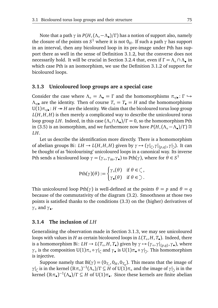Note that a path *γ* in *P*(*H*,(*Λ*◦−*Λ*• )*/Γ* ) has a notion of support also, namely the closure of the points on  $S^1$  where it is not  $0_H$ . If such a path  $\gamma$  has support in an interval, then any bicoloured loop in its pre-image under Pth has support there as well in the sense of Definition 3.1.2, but the converse does not necessarily hold. It will be crucial in Section 3.2.4 that, even if *Γ* = *Λ*◦ ∩ *Λ*• in which case Pth is an isomorphism, we use the Definition 3.1.2 of support for bicoloured loops.

#### **3.1.3 Unicoloured loop groups are a special case**

Consider the case where  $\Lambda$ <sup>°</sup> =  $\Lambda$ <sup>•</sup> = *Γ* and the homomorphisms  $\pi_{\circ/\bullet} : \Gamma \hookrightarrow$ *Λ*<sup>o</sup><sub>/•</sub> are the identity. Then of course  $T$ <sup>°</sup> =  $T$ <sup>•</sup> = *H* and the homomorphisms U(1) $\pi_{\circ/\bullet}$ : *H* → *H* are the identity. We claim that the bicoloured torus loop group  $L(H, H, H)$  is then merely a complicated way to describe the unicoloured torus loop group *LH*. Indeed, in this case (*Λ*◦∩*Λ*• )*/Γ* = 0, so the homomorphism Pth in (3.5) is an isomorphism, and we furthermore now have  $P(H,(\Lambda_\circ - \Lambda_\bullet)/\Gamma) \cong$ *LH*.

Let us describe the identification more directly. There is a homomorphism of abelian groups Bi:  $LH \to L(H, H, H)$  given by  $\gamma \mapsto (\gamma|_{\zeta}, \gamma|_{\{p,q\}}, \gamma|_{\zeta})$ . It can be thought of as 'bicolourising' unicoloured loops in a canonical way. Its inverse Pth sends a bicoloured loop  $\gamma = (\gamma_0, \gamma_m, \gamma_*)$  to Pth $(\gamma)$ , where for  $\theta \in S^1$ 

$$
\mathrm{Pth}(\gamma)(\theta) := \begin{cases} \gamma_{\circ}(\theta) & \text{if } \theta \in \mathcal{C}, \\ \gamma_{\bullet}(\theta) & \text{if } \theta \in \mathcal{C}. \end{cases}
$$

This unicoloured loop Pth( $\gamma$ ) is well-defined at the points  $\theta = p$  and  $\theta = q$ because of the commutativity of the diagram (3.2). Smoothness at those two points is satisfied thanks to the conditions (3.3) on the (higher) derivatives of *γ*◦ and *γ*• .

#### **3.1.4 The inclusion of** *LH*

Generalising the observation made in Section 3.1.3, we may see unicoloured loops with values in *H* as certain bicoloured loops in *L*(*T*◦ , *H*, *T*• ). Indeed, there is a homomorphism Bi:  $LH \to L(T_o, H, T_o)$  given by  $\gamma \mapsto (\gamma_o, \gamma|_{\{p,q\}}, \gamma_o)$ , where *γ*∘ is the composition U(1)π° ∘ *γ*| and *γ*• is U(1)π• ∘ *γ*| . This homomorphism is injective.

Suppose namely that  $Bi(\gamma) = (0_{T_{\circ}}, 0_H, 0_{T_{\bullet}})$ . This means that the image of *γ*|<sub>*ζ*</sub> is in the kernel  $(\mathbb{R}\pi_{\circ})^{-1}(\Lambda_{\circ})/\Gamma \subseteq H$  of U(1) $\pi_{\circ}$  and the image of *γ*|<sub>2</sub> is in the kernel  $(\mathbb{R}\pi_{\bullet})^{-1}(\Lambda_{\bullet})/\Gamma \subseteq H$  of U(1) $\pi_{\bullet}$ . Since these kernels are finite abelian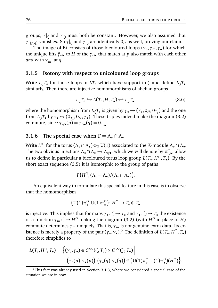groups,  $\gamma$ <sub>|</sub> and  $\gamma$ | must both be constant. However, we also assumed that *γ*| $\{f_{p,q}\}$  vanishes. So *γ*| $\epsilon$  and *γ*| $\delta$  are identically  $0_H$  as well, proving our claim.

The image of Bi consists of those bicoloured loops (*γ*◦ ,*γ*m,*γ*• ) for which the unique lifts  $\hat{\gamma}_{\circ/\bullet}$  to *H* of the  $\gamma_{\circ/\bullet}$  that match at *p* also match with each other, *and* with  $\gamma_m$ , at *q*.

#### **3.1.5 Isotony with respect to unicoloured loop groups**

Write  $L_{\zeta}T_{\circ}$  for those loops in  $LT_{\circ}$  which have support in  $\zeta$  and define  $L_{\gamma}T_{\bullet}$ similarly. Then there are injective homomorphisms of abelian groups

$$
L_{\zeta}T_{\circ} \hookrightarrow L(T_{\circ}, H, T_{\bullet}) \hookleftarrow L_{\zeta}T_{\bullet},\tag{3.6}
$$

where the homomorphism from  $L_{\zeta}T_{\circ}$  is given by  $\gamma_{\circ} \mapsto (\gamma_{\circ}, 0_H, 0_{T_{\bullet}})$  and the one from  $L_2 T_{\bullet}$  by  $\gamma_{\bullet} \mapsto (0_{T_{\circ}}, 0_H, \gamma_{\bullet})$ . These triples indeed make the diagram (3.2) commute, since  $\gamma_{\circ/\bullet}(p) = \gamma_{\circ/\bullet}(q) = 0_{T_{\circ/\bullet}}.$ 

### **3.1.6** The special case when  $\Gamma = \Lambda$ <sup>°</sup>  $\cap \Lambda$ <sup>•</sup>

Write *H*<sup>∩</sup> for the torus (Λ<sub>∘</sub> ∩ Λ<sub>•</sub>) ⊗<sub>ℤ</sub>U(1) associated to the ℤ-module Λ<sub>∘</sub> ∩ Λ<sub>•</sub>. The two obvious injections  $\Lambda_0 \cap \Lambda_0 \hookrightarrow \Lambda_{\circ/\bullet}$ , which we will denote by  $\pi_{\circ/\bullet}^{\cap}$ , allow us to define in particular a bicoloured torus loop group  $L(T_\circ, H^\cap, T_\bullet)$ . By the short exact sequence (3.5) it is isomorphic to the group of paths

$$
P\big(H^{\cap},(\Lambda_{\circ}-\Lambda_{\bullet})/(\Lambda_{\circ}\cap\Lambda_{\bullet})\big).
$$

An equivalent way to formulate this special feature in this case is to observe that the homomorphism

$$
\big(U(1)\pi_{\circ}^{\cap},U(1)\pi_{\bullet}^{\cap}\big)\colon H^{\cap}\to T_{\circ}\oplus T_{\bullet}
$$

is injective. This implies that for maps  $\gamma \circ : \phi \to T_{\circ}$  and  $\gamma \circ : \phi \to T_{\bullet}$  the existence of a function  $\gamma_m$ :  $\rightarrow$  *H*<sup>∩</sup> making the diagram (3.2) (with *H*<sup>∩</sup> in place of *H*) commute determines  $\gamma_m$  uniquely. That is,  $\gamma_m$  is not genuine extra data. Its existence is merely a property of the pair  $(\gamma_0, \gamma_0)$ .<sup>5</sup> The definition of  $L(T_0, H^{\cap}, T_0)$ therefore simplifies to

$$
L(T_o, H^{\cap}, T_{\bullet}) = \left\{ (\gamma_o, \gamma_{\bullet}) \in C^{\infty}((\zeta, T_o) \times C^{\infty}(\zeta), T_{\bullet}) \Big| \right\}
$$

$$
(\gamma_o(p), \gamma_{\bullet}(p)), (\gamma_o(q), \gamma_{\bullet}(q)) \in (U(1)\pi_o^{\cap}, U(1)\pi_o^{\cap})(H^{\cap}) \right\}.
$$

 $5$ This fact was already used in Section 3.1.3, where we considered a special case of the situation we are in now.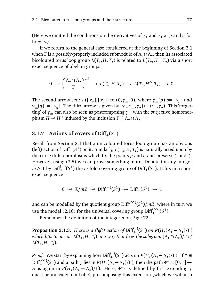(Here we omitted the conditions on the derivatives of  $\gamma_0$  and  $\gamma_2$  at *p* and *q* for brevity.)

If we return to the general case considered at the beginning of Section 3.1 when Γ is a possibly-properly included submodule of  $Λ$ <sub>ο</sub> ∩ $Λ$ <sub>●</sub>, then its associated bicoloured torus loop group *L*(*T*◦ , *H*, *T*• ) is related to *L*(*T*◦ , *H* ∩ , *T*• ) via a short exact sequence of abelian groups

$$
0 \longrightarrow \left(\frac{\Lambda_{\circ} \cap \Lambda_{\bullet}}{\Gamma}\right)^{\oplus 2} \longrightarrow L(T_{\circ}, H, T_{\bullet}) \longrightarrow L(T_{\circ}, H^{\cap}, T_{\bullet}) \longrightarrow 0.
$$

The second arrow sends  $([\nu_p],[\nu_q])$  to  $(0,\gamma_m,0)$ , where  $\gamma_m(p):=[\nu_p]$  and  $\gamma_{m}(q) := [\nu_{q}]$ . The third arrow is given by ( $\gamma_{\circ}, \gamma_{m}, \gamma_{\bullet}$ )  $\rightarrow$  ( $\gamma_{\circ}, \gamma_{\bullet}$ ). This 'forgetting' of  $\gamma_m$  can also be seen as postcomposing  $\gamma_m$  with the surjective homomor- $\lim_{\lambda \to 0} H^{\cap}$  induced by the inclusion  $\Gamma \subseteq \Lambda_{\circ} \cap \Lambda_{\bullet}$ .

## **3.1.7** Actions of covers of  $\text{Diff}_+(S^1)$

Recall from Section 2.1 that a unicoloured torus loop group has an obvious (left) action of  $\text{Diff}_+(S^1)$  on it. Similarly,  $L(T_\circ, H, T_\bullet)$  is naturally acted upon by the circle diffeomorphisms which fix the points p and q and preserve  $\binom{ }{ }$  and  $\cdots$ However, using (3.5) we can prove something more. Denote for any integer  $m \geq 1$  by  $\text{Diff}^{(m)}_+(S^1)$  the *m*-fold covering group of  $\text{Diff}_+(S^1)$ . It fits in a short exact sequence

$$
0 \to \mathbb{Z}/m\mathbb{Z} \to \mathrm{Diff}^{(m)}_+(S^1) \to \mathrm{Diff}_+(S^1) \to 1
$$

and can be modelled by the quotient group  $\mathrm{Diff}^{(\infty)}_+(S^1)/m\mathbb{Z}$ , where in turn we use the model (2.16) for the universal covering group  $\text{Diff}^{(\infty)}_+ (S^1)$ .

Remember the definition of the integer *n* on Page 72.

**Proposition 3.1.3.** *There is a (left) action of*  $\text{Diff}^{(n)}_{+}(S^1)$  *on*  $P(H, (\Lambda_\circ - \Lambda_\bullet)/\Gamma)$ *which lifts to one on L*(*T*◦ , *H*, *T*• ) *in a way that fixes the subgroup* (*Λ*◦ ∩ *Λ*• )*/Γ of*  $L(T_\circ, H, T_\bullet)$ .

*Proof.* We start by explaining how Diff<sup>(*n*)</sup>(*S*<sup>1</sup>) acts on *P*(*H*,(Λ<sub>◦</sub> − Λ•)/Γ). If  $Φ ∈$  $Diff_{+}^{(\infty)}(S^1)$  and a path *γ* lies in *P*(*H*,(Λ<sup></sup>◦ −Λ•)/Γ), then the path  $Φ^*γ$ : [0, 1] → *H* is again in *P*(*H*,( $Λ◦ - Λ•$ )/Γ). Here,  $Φ^*γ$  is defined by first extending  $γ$ quasi-periodically to all of R, precomposing this extension (which we will also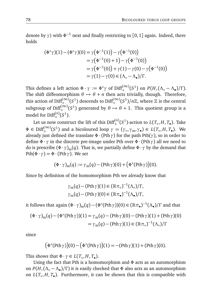denote by *γ*) with *Φ* <sup>−</sup><sup>1</sup> next and finally restricting to [0, <sup>1</sup>] again. Indeed, there holds

$$
(\Phi^*\gamma)(1) - (\Phi^*\gamma)(0) = \gamma(\Phi^{-1}(1)) - \gamma(\Phi^{-1}(0))
$$
  
=\gamma(\Phi^{-1}(0) + 1) - \gamma(\Phi^{-1}(0))  
=\gamma(\Phi^{-1}(0)) + \gamma(1) - \gamma(0) - \gamma(\Phi^{-1}(0))  
=\gamma(1) - \gamma(0) \in (\Lambda\_o - \Lambda\_o)/\Gamma.

This defines a left action  $\Phi \cdot \gamma := \Phi^* \gamma$  of  $\text{Diff}_+^{(\infty)}(S^1)$  on  $P(H, (\Lambda_\circ - \Lambda_\bullet)/\Gamma)$ . The shift diffeomorphism  $\theta \mapsto \theta + n$  then acts trivially, though. Therefore, this action of Diff $_{+}^{(\infty)}(S^1)$  descends to Diff $_{+}^{(\infty)}(S^1)/n\mathbb{Z}$ , where  $\mathbb Z$  is the central subgroup of  $\text{Diff}_{+}^{(\infty)}(S^1)$  generated by  $\theta \mapsto \theta + 1$ . This quotient group is a  $\text{model for Diff}^{(n)}_{+}(S^1).$ 

Let us now construct the lift of this Diff $_{+}^{(n)}(S^1)$ -action to  $L(T_\circ, H, T_\bullet)$ . Take  $\Phi \in \text{Diff}_{+}^{(\infty)}(S^1)$  and a bicoloured loop  $\gamma = (\gamma_0, \gamma_m, \gamma_0) \in L(T_0, H, T_0)$ . We already just defined the translate  $\Phi \cdot (Pth \gamma)$  for the path  $Pth(\gamma)$ , so in order to define *Φ* · *γ* in the discrete pre-image under Pth over *Φ* ·(Pth*γ*) all we need to do is prescribe  $(\Phi \cdot \gamma)_{m}(q)$ . That is, we partially define  $\Phi \cdot \gamma$  by the demand that Pth( $\Phi \cdot \gamma$ ) =  $\Phi \cdot (Pth \gamma)$ . We set

$$
(\Phi \cdot \gamma)_{m}(q) := \gamma_{m}(q) - (\text{Pth }\gamma)(0) + (\Phi^{*}(\text{Pth }\gamma))(0).
$$

Since by definition of the homomorphism Pth we already know that

$$
\gamma_{\mathfrak{m}}(q) - (\mathrm{Pth}\,\gamma)(1) \in (\mathbb{R}\pi_{\circ})^{-1}(\Lambda_{\circ})/\Gamma,
$$
  

$$
\gamma_{\mathfrak{m}}(q) - (\mathrm{Pth}\,\gamma)(0) \in (\mathbb{R}\pi_{\bullet})^{-1}(\Lambda_{\bullet})/\Gamma,
$$

it follows that again  $(\Phi \cdot \gamma)_{\rm m}(q) - (\Phi^*({\rm Pth}\,\gamma))(0) \in (\mathbb{R}\pi_\bullet)^{-1}(\Lambda_\bullet)/\Gamma$  and that

$$
(\Phi \cdot \gamma)_{\mathbf{m}}(q) - (\Phi^*(\mathrm{Pth}\,\gamma))(1) = \gamma_{\mathbf{m}}(q) - (\mathrm{Pth}\,\gamma)(0) - (\mathrm{Pth}\,\gamma)(1) + (\mathrm{Pth}\,\gamma)(0)
$$

$$
= \gamma_{\mathbf{m}}(q) - (\mathrm{Pth}\,\gamma)(1) \in (\mathbb{R}\,\pi_\circ)^{-1}(\Lambda_\circ)/\Gamma
$$

since

$$
(\Phi^*(\mathrm{Pth}\,\gamma))(0)-(\Phi^*(\mathrm{Pth}\,\gamma))(1)=-(\mathrm{Pth}\,\gamma)(1)+(\mathrm{Pth}\,\gamma)(0).
$$

This shows that  $\Phi \cdot \gamma \in L(T_o, H, T_o)$ .

Using the fact that Pth is a homomorphism and *Φ* acts as an automorphism on *P*(*H*,(*Λ*◦ − *Λ*• )*/Γ* ) it is easily checked that *Φ* also acts as an automorphism on  $L(T_\circ, H, T_\bullet)$ . Furthermore, it can be shown that this is compatible with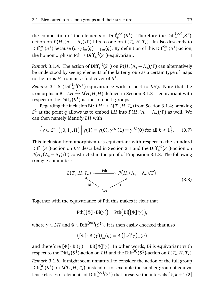the composition of the elements of Diff $_{+}^{(\infty)}(S^1)$ . Therefore the Diff $_{+}^{(\infty)}(S^1)$ action on  $P(H, (\Lambda_o - \Lambda_o)/\Gamma)$  lifts to one on  $L(T_o, H, T_o)$ . It also descends to  $Diff^{(n)}_{+}(S^1)$  because  $(n \cdot \gamma)_{m}(q) = \gamma_{m}(q)$ . By definition of this Diff<sup>(*n*)</sup>( $S^1$ )-action, the homomorphism Pth is Diff<sup>(n)</sup>( $S^1$ )-equivariant.  $\Box$ 

*Remark* 3.1.4. The action of  $\text{Diff}^{(n)}_+(S^1)$  on  $P(H, (\Lambda_\circ - \Lambda_\bullet)/\Gamma)$  can alternatively be understood by seeing elements of the latter group as a certain type of maps to the torus *H* from an *n*-fold cover of  $S^1$ .

*Remark* 3.1.5 ( $\text{Diff}^{(n)}_+(S^1)$ -equivariance with respect to *LH*). Note that the  $\limsup$  isomorphism Bi:  $LH \stackrel{\sim}{\rightarrow} L(H,H,H)$  defined in Section 3.1.3 is equivariant with respect to the  $\mathrm{Diff}_+(S^1)$ -actions on both groups.

Regarding the inclusion Bi:  $LH \hookrightarrow L(T_\circ, H, T_\bullet)$  from Section 3.1.4; breaking *S*<sup>1</sup> at the point *q* allows us to embed *LH* into  $P(H, (Λ₀ - Λ•) / Γ)$  as well. We can then namely identify *LH* with

$$
\left\{\gamma \in C^{\infty}([0,1],H)\,\middle|\,\gamma(1) = \gamma(0),\,\gamma^{(k)}(1) = \gamma^{(k)}(0) \text{ for all } k \ge 1\right\}.\tag{3.7}
$$

This inclusion homomorphism *ι* is equivariant with respect to the standard  $\text{Diff}_{+}(S^1)$ -action on *LH* described in Section 2.1 and the  $\text{Diff}_{+}^{(n)}(S^1)$ -action on  $P(H, (\Lambda_o - \Lambda_o)/\Gamma)$  constructed in the proof of Proposition 3.1.3. The following triangle commutes:

$$
L(T_o, H, T_o) \xrightarrow{\text{Pth}} P\left(H, (\Lambda_o - \Lambda_o)/\Gamma\right)
$$
\n
$$
LH
$$
\n(3.8)

Together with the equivariance of Pth this makes it clear that

$$
\mathrm{Pth}([\Phi] \cdot \mathrm{Bi}(\gamma)) = \mathrm{Pth}(\mathrm{Bi}([\Phi]^*\gamma)),
$$

where  $\gamma \in LH$  and  $\Phi \in \mathrm{Diff}^{(\infty)}_+(S^1)$ . It is then easily checked that also

$$
([\Phi] \cdot \text{Bi}(\gamma) \big)_{m}(q) = \text{Bi}([\Phi]^* \gamma)_{m}(q)
$$

and therefore [*Φ*] · Bi(*γ*) = Bi([*Φ*] <sup>∗</sup>*γ*). In other words, Bi is equivariant with respect to the Diff<sub>+</sub>( $S^1$ )-action on *LH* and the Diff<sup>(*n*)</sup>( $S^1$ )-action on *L*( $T_o, H, T_o$ ). *Remark* 3.1.6*.* It might seem unnatural to consider the action of the full group  $Diff<sup>(n)</sup><sub>+</sub>(S<sup>1</sup>)$  on *L*(*T*<sub>◦</sub>, *H*, *T*<sub>●</sub>), instead of for example the smaller group of equivalence classes of elements of  $\text{Diff}^{(\infty)}_+(S^1)$  that preserve the intervals  $[k, k+1/2]$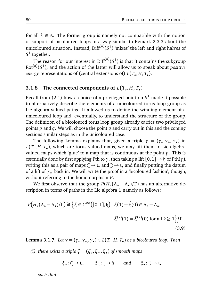for all  $k \in \mathbb{Z}$ . The former group is namely not compatible with the notion of support of bicoloured loops in a way similar to Remark 2.3.3 about the unicoloured situation. Instead,  $\text{Diff}_{+}^{(n)}(S^1)$  'mixes' the left and right halves of  $S^1$  together.

The reason for our interest in  $\mathrm{Diff}^{(n)}_+(S^1)$  is that it contains the subgroup  $Rot^{(n)}(S^1)$ , and the action of the latter will allow us to speak about *positive energy* representations of (central extensions of) *L*(*T*◦ , *H*, *T*• ).

## **3.1.8** The connected components of  $L(T_o, H, T_o)$

Recall from (2.1) how a choice of a privileged point on *S* <sup>1</sup> made it possible to alternatively describe the elements of a unicoloured torus loop group as Lie algebra valued paths. It allowed us to define the winding element of a unicoloured loop and, eventually, to understand the structure of the group. The definition of a bicoloured torus loop group already carries two privileged points *p* and *q*. We will choose the point *q* and carry out in this and the coming sections similar steps as in the unicoloured case.

The following Lemma explains that, given a triple  $\gamma = (\gamma_0, \gamma_m, \gamma_{\bullet})$  in *L*(*T*◦ , *H*, *T*• ), which are torus valued maps, we may lift them to Lie algebra valued maps which 'glue' to a map that is continuous at the point *p*. This is essentially done by first applying Pth to  $\gamma$ , then taking a lift  $[0, 1] \rightarrow \mathfrak{h}$  of Pth( $\gamma$ ), writing this as a pair of maps  $\zeta \rightarrow t_0$  and  $\zeta \rightarrow t_0$  and finally putting the datum of a lift of *γ*<sup>m</sup> back in. We will write the proof in a 'bicoloured fashion', though, without referring to the homomorphism *P*.

We first observe that the group *P*(*H*,(*Λ*◦ − *Λ*• )*/Γ* ) has an alternative description in terms of paths in the Lie algebra t, namely as follows:

$$
P\big(H, (\Lambda_{\circ} - \Lambda_{\bullet})/\Gamma\big) \cong \Big\{\hat{\xi} \in C^{\infty}\big([0,1], \mathfrak{h}\big) \Big| \hat{\xi}(1) - \hat{\xi}(0) \in \Lambda_{\circ} - \Lambda_{\bullet},
$$
  

$$
\hat{\xi}^{(k)}(1) = \hat{\xi}^{(k)}(0) \text{ for all } k \ge 1\Big\}\Big|\Gamma.
$$
  
(3.9)

**Lemma 3.1.7.** *Let*  $\gamma = (\gamma_0, \gamma_m, \gamma_\bullet) \in L(T_0, H, T_\bullet)$  *be a bicoloured loop. Then* 

*(i) there exists a triple ξ* = (*ξ*◦ ,*ξm*,*ξ*• ) *of smooth maps*

$$
\xi_{\circ} : \zeta \to \mathfrak{t}_{\circ}, \qquad \xi_{m} : \dot{\mathfrak{t}} \to \mathfrak{h} \qquad \text{and} \qquad \xi_{\bullet} : \mathfrak{t}_{\bullet}
$$

*such that*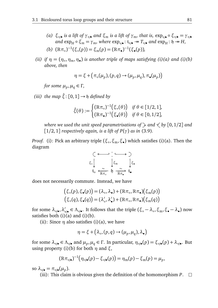- *(a)*  $\xi_{\circ}/\bullet$  *is a lift of*  $\gamma_{\circ}/\bullet$  *and*  $\xi_m$  *is a lift of*  $\gamma_m$ *, that is,* exp<sub>∘</sub> $\bullet \circ \xi_{\circ}/\bullet = \gamma_{\circ}\bullet$  $\alpha$  and  $\exp_H \circ \xi_m = \gamma_m$ , where  $\exp_{\circ}/\bullet : \mathfrak{t}_{\circ}/\bullet \to T_{\circ}/\bullet$  and  $\exp_H : \mathfrak{h} \to H$ , *(b)*  $(\mathbb{R}\pi_{\circ})^{-1}(\xi_{\circ}(p)) = \xi_{m}(p) = (\mathbb{R}\pi_{\bullet})^{-1}(\xi_{\bullet}(p)),$
- *(ii) if*  $\eta = (\eta_{\circ}, \eta_{m}, \eta_{\bullet})$  *is another triple of maps satisfying (i)(a) and (i)(b) above, then*

$$
\eta = \xi + (\pi_{\circ}(\mu_p), (p, q) \rightarrow (\mu_p, \mu_q), \pi_{\bullet}(\mu_p))
$$

*for some*  $\mu_p, \mu_q \in \Gamma$ *,* 

*(iii) the map*  $\hat{\xi}$ :  $[0, 1] \rightarrow \mathfrak{h}$  *defined by* 

$$
\hat{\xi}(\theta) := \begin{cases} (\mathbb{R}\pi_{\circ})^{-1}(\xi_{\circ}(\theta)) & \text{if } \theta \in [1/2, 1], \\ (\mathbb{R}\pi_{\bullet})^{-1}(\xi_{\bullet}(\theta)) & \text{if } \theta \in [0, 1/2], \end{cases}
$$

*where we used the unit speed parametrisations of*  $\rightarrow$  and  $\leq$  by [0, 1/2] and [1*/*2, 1] *respectively again, is a lift of P*(*γ*) *as in* (3.9)*.*

*Proof.* (i): Pick an arbitrary triple (*ξ*◦ ,*ξ*m,*ξ*• ) which satisfies (i)(a). Then the diagram

$$
\begin{array}{ccc}\n\zeta & \xrightarrow{\cdot} & \xrightarrow{\cdot} & \searrow \\
\xi_{\circ} & \downarrow & \xi_{\rm m} & \downarrow \xi_{\bullet} \\
t_{\circ} & \xleftarrow{\sim} & \eta & \xrightarrow{\sim} & \xi_{\bullet} \\
\end{array}
$$

does not necessarily commute. Instead, we have

$$
(\xi_{\circ}(p), \xi_{\bullet}(p)) = (\lambda_{\circ}, \lambda_{\bullet}) + (\mathbb{R}\pi_{\circ}, \mathbb{R}\pi_{\bullet})(\xi_{\rm m}(p))
$$

$$
(\xi_{\circ}(q), \xi_{\bullet}(q)) = (\lambda_{\circ}', \lambda_{\bullet}') + (\mathbb{R}\pi_{\circ}, \mathbb{R}\pi_{\bullet})(\xi_{\rm m}(q))
$$

for some  $\lambda_{\circ/\bullet}, \lambda'_{\circ/\bullet} \in \Lambda_{\circ/\bullet}$ . It follows that the triple  $(\xi_{\circ} - \lambda_{\circ}, \xi_{\rm m}, \xi_{\bullet} - \lambda_{\bullet})$  now satisfies both  $(i)(a)$  and  $(i)(b)$ .

(ii): Since  $\eta$  also satisfies (i)(a), we have

$$
\eta = \xi + (\lambda_{\circ}, (p, q) \rightarrow (\mu_p, \mu_q), \lambda_{\bullet})
$$

for some  $\lambda_{\circ/\bullet} \in \Lambda_{\circ/\bullet}$  and  $\mu_p, \mu_q \in \Gamma$ . In particular,  $\eta_{\circ/\bullet}(p) = \xi_{\circ/\bullet}(p) + \lambda_{\circ/\bullet}$ . But using property (i)(b) for both  $η$  and  $ξ$ ,

$$
(\mathbb{R}\pi_{\circ/\bullet})^{-1}(\eta_{\circ/\bullet}(p)-\xi_{\circ/\bullet}(p))=\eta_m(p)-\xi_m(p)=\mu_p,
$$

so  $\lambda_{\circ/\bullet} = \pi_{\circ/\bullet}(\mu_p)$ .

(iii): This claim is obvious given the definition of the homomorphism  $P$ .  $\Box$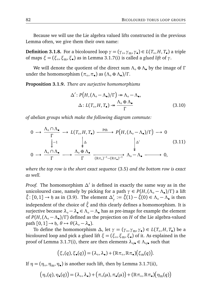Because we will use the Lie algebra valued lifts constructed in the previous Lemma often, we give them their own name:

**Definition 3.1.8.** For a bicoloured loop  $\gamma = (\gamma \circ, \gamma_{\rm m}, \gamma \bullet) \in L(T \circ, H, T \bullet)$  a triple of maps *ξ* = (*ξ*◦ ,*ξ*m,*ξ*• ) as in Lemma 3.1.7(i) is called a *glued lift* of *γ*.

We will denote the quotient of the direct sum *Λ*◦ ⊕ *Λ*• by the image of *Γ* under the homomorphism  $(\pi_0, \pi_{\bullet})$  as  $(\Lambda_{\circ} \oplus \Lambda_{\bullet})/\Gamma$ .

**Proposition 3.1.9.** *There are surjective homomorphisms*

$$
\Delta': P\big(H, (\Lambda_{\circ} - \Lambda_{\bullet})/\Gamma\big) \twoheadrightarrow \Lambda_{\circ} - \Lambda_{\bullet},
$$
  

$$
\Delta: L(T_{\circ}, H, T_{\bullet}) \twoheadrightarrow \frac{\Lambda_{\circ} \oplus \Lambda_{\bullet}}{\Gamma}
$$
 (3.10)

*of abelian groups which make the following diagram commute:*

$$
0 \to \frac{\Lambda_{\circ} \cap \Lambda_{\bullet}}{\Gamma} \to L(T_{\circ}, H, T_{\bullet}) \xrightarrow{\text{Pth}} P\big(H, (\Lambda_{\circ} - \Lambda_{\bullet})/\Gamma\big) \to 0
$$
  

$$
\downarrow -1 \qquad \qquad \downarrow \Delta \qquad \qquad \downarrow \Delta'
$$
  

$$
0 \to \frac{\Lambda_{\circ} \cap \Lambda_{\bullet}}{\Gamma} \longrightarrow \frac{\Lambda_{\circ} \oplus \Lambda_{\bullet}}{\Gamma} \xrightarrow{\text{R}\pi_{\circ})^{-1} - (\text{R}\pi_{\bullet})^{-1}} \Lambda_{\circ} - \Lambda_{\bullet} \longrightarrow 0,
$$
  
(3.11)

*where the top row is the short exact sequence* (3.5) *and the bottom row is exact as well.*

*Proof.* The homomorphism *∆*<sup>0</sup> is defined in exactly the same way as in the unicoloured case, namely by picking for a path  $\gamma \in P(H, (\Lambda_{\circ} - \Lambda_{\bullet})/\Gamma)$  a lift  $\hat{\xi}$ : [0, 1] → h as in (3.9). The element  $\Delta'_{\gamma} := \hat{\xi}(1) - \hat{\xi}(0) \in \Lambda_0 - \Lambda_0$  is then independent of the choice of *ξ*ˆ and this clearly defines a homomorphism. It is surjective because  $\lambda_{\circ} - \lambda_{\bullet} \in \Lambda_{\circ} - \Lambda_{\bullet}$  has as pre-image for example the element of *P*(*H*,(*Λ*◦ − *Λ*• )*/Γ* ) defined as the projection on *H* of the Lie algebra-valued path  $[0, 1] \rightarrow \mathfrak{h}, \theta \mapsto \theta(\lambda_{\circ} - \lambda_{\bullet}).$ 

To define the homomorphism  $\Delta$ , let  $\gamma = (\gamma_0, \gamma_m, \gamma_0) \in L(T_0, H, T_0)$  be a bicoloured loop and pick a glued lift *ξ* = (*ξ*◦ ,*ξ*m,*ξ*• ) of it. As explained in the proof of Lemma 3.1.7(i), there are then elements  $\lambda_{\circ/\bullet} \in \Lambda_{\circ/\bullet}$  such that

$$
(\xi_{\circ}(q), \xi_{\bullet}(q)) = (\lambda_{\circ}, \lambda_{\bullet}) + (\mathbb{R}\pi_{\circ}, \mathbb{R}\pi_{\bullet})(\xi_{\rm m}(q)).
$$

If  $\eta = (\eta_{\circ}, \eta_{\rm m}, \eta_{\bullet})$  is another such lift, then by Lemma 3.1.7(ii),

$$
(\eta_{\circ}(q), \eta_{\bullet}(q)) = (\lambda_{\circ}, \lambda_{\bullet}) + (\pi_{\circ}(\mu), \pi_{\bullet}(\mu)) + (\mathbb{R}\pi_{\circ}, \mathbb{R}\pi_{\bullet})(\eta_{\rm m}(q))
$$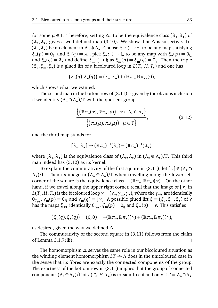for some  $\mu \in \Gamma$ . Therefore, setting  $\Delta_{\gamma}$  to be the equivalence class  $[\lambda_{\circ}, \lambda_{\bullet}]$  of (*λ*◦ ,*λ*• ) gives a well-defined map (3.10). We show that *∆* is surjective. Let (*λ*◦ ,*λ*• ) be an element in *Λ*◦ ⊕ *Λ*• . Choose *ξ*◦ : → t◦ to be any map satisfying  $\zeta$ <sub>ο</sub> $(p) = 0$ <sub>t</sub><sub>ο</sub> and  $\zeta$ <sub>ο</sub> $(q) = \lambda$ <sub>ο</sub>, pick  $\zeta$ <sub>•</sub>:  $\geq$   $\rightarrow$  t<sub>•</sub> to be any map with  $\zeta$ <sub>•</sub> $(p) = 0$ <sub>t</sub><sub>•</sub> and  $\xi_{\bullet}(q) = \lambda_{\bullet}$  and define  $\xi_{m} : \cdot \rightarrow \mathfrak{h}$  as  $\xi_{m}(p) = \xi_{m}(q) = 0_{\mathfrak{h}}$ . Then the triple (*ξ*◦ ,*ξ*m,*ξ*• ) is a glued lift of a bicoloured loop in *L*(*T*◦ , *H*, *T*• ) and one has

$$
(\xi_{\circ}(q), \xi_{\bullet}(q)) = (\lambda_{\circ}, \lambda_{\bullet}) + (\mathbb{R}\pi_{\circ}, \mathbb{R}\pi_{\bullet})(0),
$$

which shows what we wanted.

The second map in the bottom row of (3.11) is given by the obvious inclusion if we identify (*Λ*◦ ∩ *Λ*• )*/Γ* with the quotient group

$$
\frac{\left\{ \left( \mathbb{R}\pi_{\circ}(\nu), \mathbb{R}\pi_{\bullet}(\nu) \right) \middle| \nu \in \Lambda_{\circ} \cap \Lambda_{\bullet} \right\}}{\left\{ \left( \pi_{\circ}(\mu), \pi_{\bullet}(\mu) \right) \middle| \mu \in \Gamma \right\}},\tag{3.12}
$$

and the third map stands for

$$
[\lambda_{\circ}, \lambda_{\bullet}] \mapsto (\mathbb{R} \pi_{\circ})^{-1} (\lambda_{\circ}) - (\mathbb{R} \pi_{\bullet})^{-1} (\lambda_{\bullet}),
$$

where  $[λ<sub>o</sub>, λ<sub>•</sub>]$  is the equivalence class of  $(λ<sub>o</sub>, λ<sub>•</sub>)$  in  $(Λ<sub>o</sub> ⊕ Λ<sub>•</sub>)/Γ$ . This third map indeed has (3.12) as its kernel.

To explain the commutativity of the first square in (3.11), let  $\lceil v \rceil \in (\Lambda_0 \cap \Lambda_1)$ *Λ*• )*/Γ* . Then its image in (*Λ*◦ ⊕ *Λ*• )*/Γ* when travelling along the lower left corner of the square is the equivalence class  $-[(\mathbb{R}\pi_{\circ}, \mathbb{R}\pi_{\bullet})(\nu)]$ . On the other hand, if we travel along the upper right corner, recall that the image of [*ν*] in  $L(T_\circ, H, T_\bullet)$  is the bicoloured loop  $\gamma = (\gamma_\circ, \gamma_{\rm m}, \gamma_\bullet)$ , where the  $\gamma_{\circ/\bullet}$  are identically  $0_{T_{\circ/\bullet}}, \gamma_{\rm m}(p) = 0_H$  and  $\gamma_{\rm m}(q) = [\nu]$ . A possible glued lift *ξ* = (*ξ*<sub>○</sub>, *ξ*<sub>m</sub>, *ξ*<sub>•</sub>) of  $\gamma$ has the maps  $\xi_{\circ/\bullet}$  identically 0<sub>t→ $\circ$ </sub>,  $\xi_{\rm m}(p)=0_{\rm \mathfrak{h}}$  and  $\xi_{\rm m}(q)=\nu.$  This satisfies

$$
(\xi_{\circ}(q), \xi_{\bullet}(q)) = (0,0) = -(\mathbb{R}\pi_{\circ}, \mathbb{R}\pi_{\bullet})(\nu) + (\mathbb{R}\pi_{\circ}, \mathbb{R}\pi_{\bullet})(\nu),
$$

as desired, given the way we defined *∆*.

The commutativity of the second square in (3.11) follows from the claim of Lemma 3.1.7(iii).  $\Box$ 

The homomorphism *∆* serves the same role in our bicoloured situation as the winding element homomorphism  $LT \rightarrow \Lambda$  does in the unicoloured case in the sense that its fibres are exactly the connected components of the group. The exactness of the bottom row in (3.11) implies that the group of connected components  $(\Lambda_{\circ} \oplus \Lambda_{\bullet})/\Gamma$  of  $L(T_{\circ}, H, T_{\bullet})$  is torsion-free if and only if  $\Gamma = \Lambda_{\circ} \cap \Lambda_{\bullet}$ .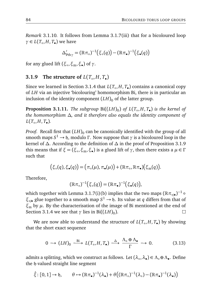*Remark* 3.1.10*.* It follows from Lemma 3.1.7(iii) that for a bicoloured loop  $γ ∈ L(T<sub>o</sub>, H, T<sub>•</sub>)$  we have

$$
\Delta'_{\mathrm{Pth}\gamma} = (\mathbb{R}\pi_{\circ})^{-1}(\xi_{\circ}(q)) - (\mathbb{R}\pi_{\bullet})^{-1}(\xi_{\bullet}(q))
$$

for any glued lift (*ξ*◦ ,*ξ*m,*ξ*• ) of *γ*.

## **3.1.9** The structure of  $L(T_\circ, H, T_\bullet)$

Since we learned in Section 3.1.4 that *L*(*T*◦ , *H*, *T*• ) contains a canonical copy of *LH* via an injective 'bicolouring' homomorphism Bi, there is in particular an inclusion of the identity component  $(LH)$ <sup>0</sup> of the latter group.

**Proposition 3.1.11.** The subgroup  $\text{Bi}((LH)_0)$  of  $L(T_\circ, H, T_\bullet)$  is the kernel of *the homomorphism ∆, and it therefore also equals the identity component of*  $L(T_\circ, H, T_\bullet)$ .

*Proof*. Recall first that  $(LH)_0$  can be canonically identified with the group of all smooth maps *S* <sup>1</sup> → h, modulo *Γ* . Now suppose that *γ* is a bicoloured loop in the kernel of *∆*. According to the definition of *∆* in the proof of Proposition 3.1.9 this means that if  $\xi = (\xi_{\circ}, \xi_{\rm m}, \xi_{\bullet})$  is a glued lift of  $\gamma$ , then there exists a  $\mu \in \Gamma$ such that

$$
(\xi_{\circ}(q), \xi_{\bullet}(q)) = (\pi_{\circ}(\mu), \pi_{\bullet}(\mu)) + (\mathbb{R}\pi_{\circ}, \mathbb{R}\pi_{\bullet})(\xi_{\rm m}(q)).
$$

Therefore,

$$
(\mathbb{R}\pi_{\circ})^{-1}(\xi_{\circ}(q)) = (\mathbb{R}\pi_{\bullet})^{-1}(\xi_{\bullet}(q)),
$$

which together with Lemma 3.1.7(i)(b) implies that the two maps  $(\mathbb{R} \pi_{\circ/\bullet})^{-1}$   $\circ$ *ξ*◦/• glue together to a smooth map *S* <sup>1</sup> → h. Its value at *q* differs from that of *ξ*<sup>m</sup> by *µ*. By the characterisation of the image of Bi mentioned at the end of  $\Box$ Section 3.1.4 we see that  $\gamma$  lies in Bi $((LH)_0)$ .

We are now able to understand the structure of *L*(*T*◦ , *H*, *T*• ) by showing that the short exact sequence

$$
0 \longrightarrow (LH)_0 \xrightarrow{\text{Bi}} L(T_o, H, T_{\bullet}) \xrightarrow{\Delta} \frac{\Lambda_o \oplus \Lambda_{\bullet}}{\Gamma} \longrightarrow 0. \tag{3.13}
$$

admits a splitting, which we construct as follows. Let (*λ*◦ ,*λ*• ) ∈ *Λ*◦ ⊕*Λ*• . Define the h-valued straight line segment

$$
\hat{\xi}: [0,1] \to \mathfrak{h}, \qquad \theta \mapsto (\mathbb{R}\pi_{\bullet})^{-1}(\lambda_{\bullet}) + \theta((\mathbb{R}\pi_{\circ})^{-1}(\lambda_{\circ}) - (\mathbb{R}\pi_{\bullet})^{-1}(\lambda_{\bullet}))
$$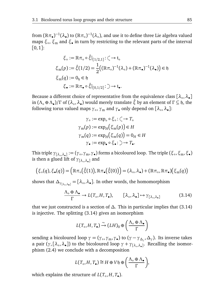from  $(\Bbb R\pi_\bullet)^{-1}(\lambda_\bullet)$  to  $(\Bbb R\pi_\circ)^{-1}(\lambda_\circ)$ , and use it to define three Lie algebra valued maps *ξ*◦ , *ξ*<sup>m</sup> and *ξ*• in turn by restricting to the relevant parts of the interval  $[0, 1]$ :

$$
\xi_{\circ} := \mathbb{R}\pi_{\circ} \circ \hat{\xi}|_{[1/2,1]} : \zeta \to \mathfrak{t}_{\circ}
$$
  
\n
$$
\xi_{\mathbf{m}}(p) := \hat{\xi}(1/2) = \frac{1}{2} \big( (\mathbb{R}\pi_{\circ})^{-1}(\lambda_{\circ}) + (\mathbb{R}\pi_{\bullet})^{-1}(\lambda_{\bullet}) \big) \in \mathfrak{h}
$$
  
\n
$$
\xi_{\mathbf{m}}(q) := 0_{\mathfrak{h}} \in \mathfrak{h}
$$
  
\n
$$
\xi_{\bullet} := \mathbb{R}\pi_{\bullet} \circ \hat{\xi}|_{[0,1/2]} : \zeta \to \mathfrak{t}_{\bullet}.
$$

Because a different choice of representative from the equivalence class [λ<sub>∘</sub>, λ<sub>•</sub>] in (*Λ*◦ ⊕ *Λ*• )*/Γ* of (*λ*◦ ,*λ*• ) would merely translate *ξ*ˆ by an element of *Γ* ⊆ h, the following torus valued maps *γ*◦ , *γ*<sup>m</sup> and *γ*• only depend on [*λ*◦ ,*λ*• ]:

$$
\gamma_{\circ} := \exp_{\circ} \circ \xi_{\circ} : \zeta \to T_{\circ}
$$

$$
\gamma_{\mathfrak{m}}(p) := \exp_{H}(\xi_{\mathfrak{m}}(p)) \in H
$$

$$
\gamma_{\mathfrak{m}}(q) := \exp_{H}(\xi_{\mathfrak{m}}(q)) = 0_{H} \in H
$$

$$
\gamma_{\bullet} := \exp_{\bullet} \circ \xi_{\bullet} : \supset \to T_{\bullet}.
$$

 $\gamma_{\rm [2a_0,2a_1]}:= (\gamma_{\circ},\gamma_{\rm m},\gamma_{\bullet})$  forms a bicoloured loop. The triple  $(\xi_{\circ},\xi_{\rm m},\xi_{\bullet})$ is then a glued lift of *γ*[*λ*◦ ,*λ*• ] and

$$
(\xi_{\circ}(q), \xi_{\bullet}(q)) = (\mathbb{R}\pi_{\circ}(\hat{\xi}(1)), \mathbb{R}\pi_{\bullet}(\hat{\xi}(0))) = (\lambda_{\circ}, \lambda_{\bullet}) + (\mathbb{R}\pi_{\circ}, \mathbb{R}\pi_{\bullet})(\xi_{\rm m}(q))
$$

shows that  $\Delta_{\gamma_{\{ \lambda_o, \lambda_o\}}} = [\lambda_o, \lambda_o]$ . In other words, the homomorphism

$$
\frac{\Lambda_{\circ} \oplus \Lambda_{\bullet}}{\Gamma} \to L(T_{\circ}, H, T_{\bullet}), \qquad [\lambda_{\circ}, \lambda_{\bullet}] \mapsto \gamma_{[\lambda_{\circ}, \lambda_{\bullet}]} \tag{3.14}
$$

that we just constructed is a section of  $\Delta$ . This in particular implies that (3.14) is injective. The splitting (3.14) gives an isomorphism

$$
L(T_{\circ}, H, T_{\bullet}) \xrightarrow{\sim} (LH)_{0} \oplus \left( \frac{\Lambda_{\circ} \oplus \Lambda_{\bullet}}{\Gamma} \right)
$$

sending a bicoloured loop  $\gamma = (\gamma_0, \gamma_m, \gamma_*)$  to  $(\gamma - \gamma_{\Delta_\gamma}, \Delta_\gamma)$ . Its inverse takes a pair (*γ*, [*λ*◦ ,*λ*• ]) to the bicoloured loop *γ* + *γ*[*λ*◦ ,*λ*• ] . Recalling the isomorphism (2.4) we conclude with a decomposition

$$
L(T_{\circ}, H, T_{\bullet}) \cong H \oplus V\mathfrak{h} \oplus \left(\frac{\Lambda_{\circ} \oplus \Lambda_{\bullet}}{\Gamma}\right),
$$

which explains the structure of  $L(T_\circ, H, T_\bullet)$ .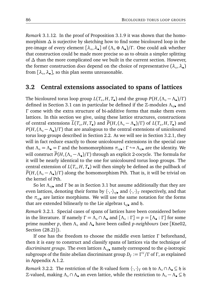*Remark* 3.1.12*.* In the proof of Proposition 3.1.9 it was shown that the homomorphism *∆* is surjective by sketching how to find some bicoloured loop in the pre-image of every element [*λ*◦ ,*λ*• ] of (*Λ*◦ ⊕ *Λ*• )*/Γ* . One could ask whether that construction could be made more precise so as to obtain a simpler splitting of *∆* than the more complicated one we built in the current section. However, the former construction *does* depend on the choice of representative (λ<sub>∘</sub>, λ<sub>●</sub>) from [*λ*◦ ,*λ*• ], so this plan seems unreasonable.

## **3.2 Central extensions associated to spans of lattices**

The bicoloured torus loop group  $L(T_\circ, H, T_\bullet)$  and the group  $P(H, (\Lambda_\circ - \Lambda_\bullet)/\Gamma)$ defined in Section 3.1 can in particular be defined if the <sup>Z</sup>-modules *<sup>Λ</sup>*◦/• and *Γ* come with the extra structure of bi-additive forms that make them even lattices. In this section we give, using these lattice structures, constructions of central extensions  $\widetilde{L}(T_o, H, T_o)$  and  $\widetilde{P}(H, (\Lambda_o - \Lambda_o)/\Gamma)$  of  $L(T_o, H, T_o)$  and *P*(*H*,(*Λ*◦ − *Λ*• )*/Γ* ) that are analogous to the central extensions of unicoloured torus loop groups described in Section 2.2. As we will see in Section 3.2.1, they will in fact reduce exactly to those unicoloured extensions in the special case that  $\Lambda_o = \Lambda_\bullet = \Gamma$  and the homomorphisms  $\pi_{\circ/\bullet} : \Gamma \hookrightarrow \Lambda_{\circ/\bullet}$  are the identity. We will construct  $\widetilde{P}(H, (\Lambda_{\circ} - \Lambda_{\bullet}) / \Gamma)$  through an explicit 2-cocycle. The formula for it will be nearly identical to the one for unicoloured torus loop groups. The central extension of *L*(*T*◦ , *H*, *T*• ) will then simply be defined as the pullback of *<sup>P</sup>*e(*H*,(*Λ*◦ <sup>−</sup> *<sup>Λ</sup>*• )*/Γ* ) along the homomorphism Pth. That is, it will be trivial on the kernel of Pth.

So let *Λ*◦/• and *Γ* be as in Section 3.1 but assume additionally that they are even lattices, denoting their forms by  $\langle \cdot, \cdot \rangle_{\circ/\bullet}$  and  $\langle \cdot, \cdot \rangle_{\Gamma}$  respectively, and that the  $\pi_{\circ/\bullet}$  are lattice morphisms. We will use the same notation for the forms that are extended bilinearly to the Lie algebras  $t_{\circ/\bullet}$  and  $\mathfrak{h}$ .

*Remark* 3.2.1*.* Special cases of spans of lattices have been considered before in the literature. If namely  $\Gamma = \Lambda_{\circ} \cap \Lambda_{\bullet}$  and  $[\Lambda_{\circ} : \Gamma] = p = [\Lambda_{\bullet} : \Gamma]$  for some prime number *p*, then *Λ*◦ and *Λ*• have been called *p-neighbours* (see [Kne02, Section (28.2)]).

If one has the freedom to choose the middle even lattice *Γ* beforehand, then it is easy to construct and classify spans of lattices via the technique of *discriminant groups*. The even lattices *Λ*◦/• namely correspond to the *q*-isotropic  $\sup$  *s*ubgroups of the finite abelian discriminant group  $D_{\Gamma} := \Gamma^{\vee}/\Gamma$  of  $\Gamma$ , as explained in Appendix A.1.2.

*Remark* 3.2.2*.* The restriction of the R-valued form  $\langle \cdot, \cdot \rangle_{\Gamma}$  on  $\mathfrak{h}$  to  $\Lambda_{\circ} \cap \Lambda_{\bullet} \subseteq \mathfrak{h}$  is Z-valued, making *Λ*◦ ∩ *Λ*• an even lattice, while the restriction to *Λ*◦ − *Λ*• ⊆ h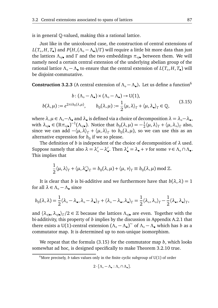is in general Q-valued, making this a rational lattice.

Just like in the unicoloured case, the construction of central extensions of  $L(T_\circ, H, T_\bullet)$  and  $P(H, (\Lambda_\circ - \Lambda_\bullet)/\Gamma)$  will require a little bit more data than just the lattices  $Λ_{\circ/\bullet}$  and Γ and the two embeddings  $\pi_{\circ/\bullet}$  between them. We will namely need a certain central extension of the underlying abelian group of the rational lattice  $\Lambda_{\circ} - \Lambda_{\bullet}$  to ensure that the central extension of  $L(T_{\circ}, H, T_{\bullet})$  will be disjoint-commutative.

**Construction 3.2.3** (A central extension of Λ<sub>ο</sub> − Λ<sub>●</sub>). Let us define a function<sup>6</sup>

$$
b: (\Lambda_{\circ} - \Lambda_{\bullet}) \times (\Lambda_{\circ} - \Lambda_{\bullet}) \to U(1),
$$
  

$$
b(\lambda, \mu) := e^{2\pi i b_0(\lambda, \mu)}, \qquad b_0(\lambda, \mu) := \frac{1}{2} \langle \mu, \lambda \rangle_{\Gamma} + \langle \mu, \lambda_{\bullet} \rangle_{\Gamma} \in \mathbb{Q},
$$
 (3.15)

where  $\lambda, \mu \in \Lambda_\circ - \Lambda_\bullet$  and  $\lambda_\bullet$  is defined via a choice of decomposition  $\lambda = \lambda_\circ - \lambda_\bullet$ , with  $\lambda_{\circ/\bullet} \in (\mathbb{R}\pi_{\circ/\bullet})^{-1}(\Lambda_{\circ/\bullet})$ . Notice that  $b_0(\lambda,\mu) = -\frac{1}{2}$  $\frac{1}{2}\langle \mu, \lambda \rangle_{\Gamma} + \langle \mu, \lambda_{\circ} \rangle_{\Gamma}$  also, since we can add  $-\langle \mu, \lambda \rangle_{\Gamma} + \langle \mu, \lambda \rangle_{\Gamma}$  to  $b_0(\lambda, \mu)$ , so we can use this as an alternative expression for  $b_0$  if we so please.

The definition of *b* is independent of the choice of decomposition of *λ* used. Suppose namely that also  $\lambda = \lambda'_{\circ} - \lambda'_{\bullet}$ . Then  $\lambda'_{\bullet} = \lambda_{\bullet} + \nu$  for some  $\nu \in \Lambda_{\circ} \cap \Lambda_{\bullet}$ . This implies that

$$
\frac{1}{2}\langle \mu, \lambda \rangle_{\Gamma} + \langle \mu, \lambda'_{\bullet} \rangle_{\Gamma} = b_0(\lambda, \mu) + \langle \mu, \nu \rangle_{\Gamma} \equiv b_0(\lambda, \mu) \bmod \mathbb{Z}.
$$

It is clear that *b* is bi-additive and we furthermore have that  $b(\lambda, \lambda) = 1$ for all  $\lambda \in \Lambda_0 - \Lambda_0$  since

$$
b_0(\lambda,\lambda)=\frac{1}{2}\langle \lambda_\circ-\lambda_\bullet,\lambda_\circ-\lambda_\bullet\rangle_\Gamma+\langle \lambda_\circ-\lambda_\bullet,\lambda_\bullet\rangle_\Gamma=\frac{1}{2}\langle \lambda_\circ,\lambda_\circ\rangle_\Gamma-\frac{1}{2}\langle \lambda_\bullet,\lambda_\bullet\rangle_\Gamma,
$$

and  $\langle \lambda_{\circ/\bullet}, \lambda_{\circ/\bullet} \rangle_{\Gamma}/2 \in \mathbb{Z}$  because the lattices  $\Lambda_{\circ/\bullet}$  are even. Together with the bi-additivity, this property of *b* implies by the discussion in Appendix A.2.1 that there exists a U(1)-central extension  $(\Lambda_0 - \Lambda_2)^\sim$  of  $\Lambda_0 - \Lambda_2$  which has *b* as a commutator man. It is determined un to non unique isomorphism commutator map. It is determined up to non-unique isomorphism.

We repeat that the formula (3.15) for the commutator map *b*, which looks somewhat ad hoc, is designed specifically to make Theorem 3.2.10 true.

$$
2\cdot[\Lambda_\circ-\Lambda_\bullet:\Lambda_\circ\cap\Lambda_\bullet].
$$

<sup>&</sup>lt;sup>6</sup>More precisely, *b* takes values only in the finite cyclic subgroup of  $U(1)$  of order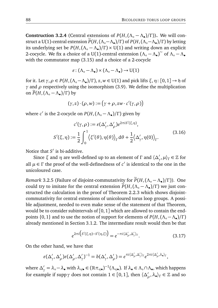**Construction 3.2.4** (Central extensions of  $P(H, (\Lambda_{\circ} - \Lambda_{\bullet})/\Gamma)$ ). We will construct a U(1)-central extension  $\widetilde{P}(H,(\Lambda_{\circ}-\Lambda_{\bullet})/\Gamma)$  of  $P(H,(\Lambda_{\circ}-\Lambda_{\bullet})/\Gamma)$  by letting its underlying set be *P*(*H*,(*Λ*◦ − *Λ*• )*/Γ* ) × U(1) and writing down an explicit 2-cocycle. We fix a choice of a U(1)-central extension  $(Λ<sub>o</sub> - Λ<sub>•</sub>)<sup>∼</sup>$  of  $Λ<sub>o</sub> - Λ<sub>•</sub>$ with the commutator map (3.15) and a choice of a 2-cocycle

$$
\varepsilon\colon (\Lambda_\circ-\Lambda_\bullet)\times (\Lambda_\circ-\Lambda_\bullet)\to \mathrm{U}(1)
$$

for it. Let  $\gamma, \rho \in P(H, (\Lambda_\circ - \Lambda_\bullet)/\Gamma)$ ,  $z, w \in U(1)$  and pick lifts  $\xi, \eta : [0, 1] \to \mathfrak{h}$  of *γ* and *ρ* respectively using the isomorphism (3.9). We define the multiplication on  $\widetilde{P}(H,(\Lambda_\circ-\Lambda_\bullet)/\Gamma)$  by

$$
(\gamma,z)\cdot(\rho,w):=\big(\gamma+\rho,zw\cdot c'(\gamma,\rho)\big)
$$

where *c'* is the 2-cocycle on *P*(*H*,(Λ<sub>○</sub> − Λ<sub>●</sub>)/Γ) given by

$$
c'(\gamma, \rho) := \varepsilon(\Delta'_{\gamma}, \Delta'_{\rho})e^{2\pi i S'(\xi, \eta)},
$$
  

$$
S'(\xi, \eta) := \frac{1}{2} \int_0^1 \langle \xi'(\theta), \eta(\theta) \rangle_{\Gamma} d\theta + \frac{1}{2} \langle \Delta'_{\gamma}, \eta(0) \rangle_{\Gamma}.
$$
 (3.16)

Notice that S<sup>'</sup> is bi-additive.

Since  $\xi$  and  $\eta$  are well-defined up to an element of  $\Gamma$  and  $\langle \Delta'_{\gamma}, \mu \rangle_{\Gamma} \in \mathbb{Z}$  for all  $\mu \in \Gamma$  the proof of the well-definedness of  $c'$  is identical to the one in the unicoloured case.

*Remark* 3.2.5 (Failure of disjoint-commutativity for  $\widetilde{P}(H,(\Lambda_{\circ}-\Lambda_{\bullet})/\Gamma)$ ). One could try to imitate for the central extension  $\widetilde{P}(H,(\Lambda_{\circ}-\Lambda_{\bullet})/\Gamma)$  we just constructed the calculation in the proof of Theorem 2.2.3 which shows disjointcommutativity for central extensions of unicoloured torus loop groups. A possible adjustment, needed to even make sense of the statement of that Theorem, would be to consider subintervals of  $[0, 1]$  which are allowed to contain the endpoints {0, 1} and to use the notion of support for elements of *P*(*H*,(*Λ*◦ −*Λ*• )*/Γ* ) already mentioned in Section 3.1.2. The intermediate result would then be that

$$
e^{2\pi i \left(S'(\xi,\eta)-S'(\eta,\xi)\right)} = e^{-\pi i \langle \Delta'_{\rho},\Delta'_{\gamma}\rangle_{\Gamma}}.
$$
\n(3.17)

On the other hand, we have that

$$
\varepsilon(\Delta'_{\gamma}, \Delta'_{\rho})\varepsilon(\Delta'_{\rho}, \Delta'_{\gamma})^{-1} = b(\Delta'_{\gamma}, \Delta'_{\rho}) = e^{\pi i \langle \Delta'_{\rho}, \Delta'_{\gamma} \rangle_{\Gamma}} e^{2\pi i \langle \Delta'_{\rho}, \lambda_{\bullet} \rangle_{\Gamma}},
$$

where  $\Delta'_\gamma = \lambda_\circ - \lambda_\bullet$  with  $\lambda_{\circ/\bullet} \in (\mathbb{R}\pi_{\circ/\bullet})^{-1}(\Lambda_{\circ/\bullet})$ . If  $\lambda_\bullet \in \Lambda_\circ \cap \Lambda_\bullet$ , which happens for example if supp *γ* does not contain  $1 \in [0,1]$ , then  $\langle \Delta'_\rho, \lambda_\bullet \rangle_\Gamma \in \mathbb{Z}$  and so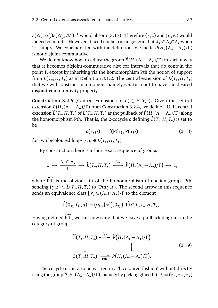$\epsilon(\Delta'_{\gamma}, \Delta'_{\rho})\epsilon(\Delta'_{\rho}, \Delta'_{\gamma})^{-1}$  would absorb (3.17). Therefore (*γ*, *z*) and (*ρ*, *w*) would indeed commute. However, it need not be true in general that *λ*• ∈ *Λ*◦∩*Λ*• when <sup>1</sup> <sup>∈</sup> supp*γ*. We conclude that with the definitions we made *<sup>P</sup>*e(*H*,(*Λ*◦ <sup>−</sup> *<sup>Λ</sup>*• )*/Γ* ) is not disjoint-commutative.

We do not know how to adjust the group  $\widetilde{P}(H,(\Lambda_0-\Lambda_0)/\Gamma)$  in such a way that it becomes disjoint-commutative also for intervals that do contain the point 1, except by inheriting via the homomorphism Pth the notion of support from  $L(T_\circ, H, T_\bullet)$  as in Definition 3.1.2. The central extension of  $L(T_\circ, H, T_\bullet)$ that we will construct in a moment namely *will* turn out to have the desired disjoint-commutativity property.

**Construction 3.2.6** (Central extensions of  $L(T_\circ, H, T_\bullet)$ ). Given the central extension  $\widetilde{P}(H,(\Lambda_o - \Lambda_o)/\Gamma)$  from Construction 3.2.4, we define a U(1)-central extension  $\widetilde{L}(T_o, H, T_o)$  of  $L(T_o, H, T_o)$  as the pullback of  $\widetilde{P}(H_o(\Lambda_o - \Lambda_o)/\Gamma)$  along the homomorphism Pth. That is, the 2-cocycle *c* defining *L*(*T*<sub>◦</sub>,*H*, *T*<sub>●</sub>) is set to be

$$
c(\gamma, \rho) := c'(\text{Pth }\gamma, \text{Pth }\rho) \tag{3.18}
$$

for two bicoloured loops  $\gamma, \rho \in L(T_\circ, H, T_\bullet)$ .

By construction there is a short exact sequence of groups

$$
0 \longrightarrow \frac{\Lambda_{\circ} \cap \Lambda_{\bullet}}{\Gamma} \longrightarrow \widetilde{L}(T_{\circ}, H, T_{\bullet}) \xrightarrow{\widetilde{P}th} \widetilde{P}(H, (\Lambda_{\circ} - \Lambda_{\bullet})/\Gamma) \longrightarrow 1,
$$

where Pth is the obvious lift of the homomorphism of abelian groups Pth, sending  $(\gamma, z) \in \widetilde{L}(T_o, H, T_o)$  to (Pth $\gamma, z$ ). The second arrow in this sequence sends an equivalence class [*ν*] ∈ (*Λ*◦ ∩ *Λ*• )*/Γ* to the element

$$
((0_{T_o}, (p,q) \rightarrow (0_H, [\nu]), 0_{T_o}), 1) \in \widetilde{L}(T_o, H, T_o).
$$

Having defined Pth, we can now state that we have a pullback diagram in the category of groups:

$$
\widetilde{L}(T_o, H, T_{\bullet}) \xrightarrow{\text{Pth}} \widetilde{P}(H, (\Lambda_o - \Lambda_{\bullet})/\Gamma)
$$
\n
$$
\downarrow \qquad \qquad \downarrow \qquad (3.19)
$$
\n
$$
L(T_o, H, T_{\bullet}) \xrightarrow{\text{Pth}} P(H, (\Lambda_o - \Lambda_{\bullet})/\Gamma).
$$

The cocycle *c* can also be written in a 'bicoloured fashion' without directly  $\lim_{\delta \to 0}$  (*H*<sub>0</sub> (*Λ*<sub>○</sub>−*Λ*•)/*Γ*), namely by picking glued lifts *ξ* = (*ξ*<sub>○</sub>, *ξ*<sub>m</sub>, *ξ*•)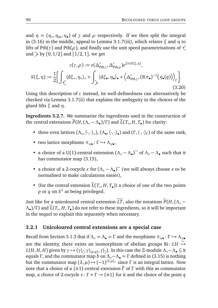and  $\eta = (\eta_\circ, \eta_\text{m}, \eta_\bullet)$  of  $\gamma$  and  $\rho$  respectively. If we then split the integral in (3.16) in the middle, appeal to Lemma 3.1.7(iii), which relates *ξ* and *η* to lifts of Pth( $\gamma$ ) and Pth( $\rho$ ), and finally use the unit speed parametrisations of  $\epsilon$ and  $\rightarrow$  by [0, 1/2] and [1/2, 1], we get

$$
c(\gamma, \rho) := \varepsilon(\Delta'_{\text{pth}\gamma}, \Delta'_{\text{pth}\rho})e^{2\pi i S(\xi, \eta)},
$$

$$
S(\xi, \eta) := \frac{1}{2} \Big[ \int_{\mathcal{L}} \langle d\xi_{\circ}, \eta_{\circ} \rangle_{\circ} + \int_{\mathcal{L}} \langle d\xi_{\bullet}, \eta_{\bullet} \rangle_{\bullet} + \langle \Delta'_{\text{pth}\gamma}, (\mathbb{R}\pi_{\bullet})^{-1}(\eta_{\bullet}(q)) \rangle_{\Gamma} \Big].
$$
(3.20)

Using this description of *c* instead, its well-definedness can alternatively be checked via Lemma 3.1.7(ii) that explains the ambiguity in the choices of the glued lifts *ξ* and *η*.

**Ingredients 3.2.7.** We summarise the ingredients used in the construction of the central extensions  $\widetilde{P}(H,(\Lambda_\circ - \Lambda_\bullet)/\Gamma)$  and  $\widetilde{L}(T_\circ,H,T_\bullet)$  for clarity:

- three even lattices  $(Λ<sub>o</sub>, (·,·)<sub>o</sub>), (Λ<sub>•</sub>, (·,·)<sub>•</sub>)$  and  $(Γ, (·,·)<sub>Γ</sub>)$  of the same rank,
- two lattice morphisms  $\pi_{\circ/\bullet} : \Gamma \hookrightarrow \Lambda_{\circ/\bullet}$ ,
- a choice of a U(1)-central extension  $(\Lambda_0 \Lambda_0)^\sim$  of  $\Lambda_0 \Lambda_0$  such that it has commutator map (3.15),
- a choice of a 2-cocycle  $\varepsilon$  for  $(\Lambda_o \Lambda_o)^{\sim}$  (we will always choose  $\varepsilon$  to be normalized to make calculations easier). normalised to make calculations easier),
- (for the central extension  $L(T_o, H, T_o)$ ) a choice of one of the two points *p* or *q* on *S* 1 as being privileged.

Just like for a unicoloured central extension  $\widetilde{LT}$ , also the notations  $\widetilde{P}(H,(\Lambda_{\circ}-$ *Λ*•)/Γ) and *L*(*T*<sub>◦</sub>,*H*, *T*•) do not refer to these ingredients, so it will be important in the sequel to explain this separately when necessary.

## **3.2.1 Unicoloured central extensions are a special case**

Recall from Section 3.1.3 that if  $\Lambda$ <sup>°</sup> =  $\Lambda$ <sup>•</sup> = *Γ* and the morphisms  $\pi_{\circ/\bullet} : \Gamma \hookrightarrow \Lambda_{\circ/\bullet}$ are the identity, there exists an isomorphism of abelian groups Bi: *LH* → *L*(*H*, *H*, *H*) given by *γ* → (*γ*|<sub>*(*</sub>, *γ*|<sub>{*p*,*q*}</sub>, *γ*|<sub>2</sub>). In this case the ℤ-module Λ∘−*Λ*• ⊆ *h* equals *Γ* , and the commutator map *b* on *Λ*◦−*Λ*• = *Γ* defined in (3.15) is nothing but the commutator map  $(λ, μ)$  →  $(-1)^{(λ, μ)_Γ}$  since Γ is an integral lattice. Now note that a choice of a {±1}-central extension *Γ*˜ of *Γ* with this as commutator map, a choice of 2-cocycle  $\varepsilon : \Gamma \times \Gamma \to \{\pm 1\}$  for it and the choice of the point *q*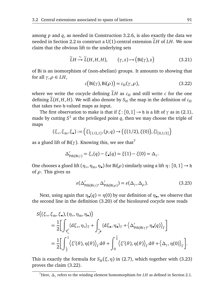among *p* and *q*, as needed in Construction 3.2.6, is also exactly the data we needed in Section 2.2 to construct a U(1)-central extension  $\widetilde{L}H$  of  $LH$ . We now claim that the obvious lift to the underlying sets

$$
\widetilde{L}H \xrightarrow{\sim} \widetilde{L}(H,H,H), \qquad (\gamma, z) \mapsto (\text{Bi}(\gamma), z) \tag{3.21}
$$

of Bi is an isomorphism of (non-abelian) groups. It amounts to showing that for all  $\gamma, \rho \in LH$ ,

$$
c\big(\text{Bi}(\gamma), \text{Bi}(\rho)\big) = c_H(\gamma, \rho),\tag{3.22}
$$

where we write the cocycle defining  $\tilde{L}H$  as  $c_H$  and still write *c* for the one defining  $\widetilde{L}(H, H, H)$ . We will also denote by  $S_H$  the map in the definition of  $c_H$ that takes two h-valued maps as input.

The first observation to make is that if  $\xi$ : [0, 1]  $\rightarrow$  *h* is a lift of  $\gamma$  as in (2.1), made by cutting  $S^1$  at the privileged point  $q$ , then we may choose the triple of maps

$$
(\xi_{\circ}, \xi_{\rm m}, \xi_{\bullet}) := (\xi|_{[1/2,1]}, (p,q) \rightarrow (\xi(1/2), \xi(0)), \xi|_{[0,1/2]})
$$

as a glued lift of  $Bi(\gamma)$ . Knowing this, we see that<sup>7</sup>

$$
\Delta'_{\mathrm{Pth(Bi\gamma)}} = \xi_{\circ}(q) - \xi_{\bullet}(q) = \xi(1) - \xi(0) = \Delta_{\gamma}.
$$

One chooses a glued lift  $(\eta_\circ, \eta_m, \eta_\bullet)$  for Bi $(\rho)$  similarly using a lift  $\eta: [0, 1] \to \mathfrak{h}$ of *ρ*. This gives us

$$
\varepsilon(\Delta'_{\mathrm{Pth}(\mathrm{Bi}\gamma)}, \Delta'_{\mathrm{Pth}(\mathrm{Bi}\rho)}) = \varepsilon(\Delta_{\gamma}, \Delta_{\rho}).
$$
\n(3.23)

Next, using again that  $\eta_{\bullet}(q) = \eta(0)$  by our definition of  $\eta_{\bullet}$ , we observe that the second line in the definition (3.20) of the bicoloured cocycle now reads

$$
S((\xi_{\circ}, \xi_{\rm m}, \xi_{\bullet}), (\eta_{\circ}, \eta_{\rm m}, \eta_{\bullet}))
$$
  
=  $\frac{1}{2} \Big[ \int_{\zeta} \langle d\xi_{\circ}, \eta_{\circ} \rangle_{\Gamma} + \int_{\searrow} \langle d\xi_{\bullet}, \eta_{\bullet} \rangle_{\Gamma} + \langle \Delta'_{\text{Pth}(Bi\gamma)}, \eta_{\bullet}(q) \rangle_{\Gamma} \Big]$   
=  $\frac{1}{2} \Big[ \int_{\frac{1}{2}}^{1} \langle \xi'(\theta), \eta(\theta) \rangle_{\Gamma} d\theta + \int_{0}^{\frac{1}{2}} \langle \xi'(\theta), \eta(\theta) \rangle_{\Gamma} d\theta + \langle \Delta_{\gamma}, \eta(0) \rangle_{\Gamma} \Big].$ 

This is exactly the formula for  $S_H(\xi, \eta)$  in (2.7), which together with (3.23) proves the claim (3.22).

<sup>7</sup>Here, *∆<sup>γ</sup>* refers to the winding element homomorphism for *LH* as defined in Section 2.1.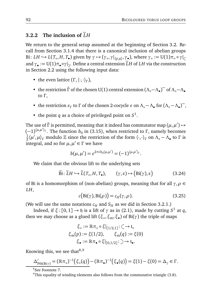## **3.2.2** The inclusion of  $\tilde{L}H$

We return to the general setup assumed at the beginning of Section 3.2. Recall from Section 3.1.4 that there is a canonical inclusion of abelian groups Bi: *LH*  $\hookrightarrow$  *L*(*T*<sub>⊙</sub>,*H*, *T*<sub>•</sub>) given by  $\gamma \mapsto (\gamma \circ, \gamma|_{\{p,q\}}, \gamma \bullet)$ , where  $\gamma \circ := U(1)\pi \circ \circ \gamma$ and  $\gamma_{\bullet} := U(1)\pi_{\bullet} \circ \gamma|_{\Sigma}$ . Define a central extension  $\widetilde{L}H$  of  $LH$  via the construction in Section 2.2 using the following input data:

- the even lattice  $(\Gamma, \langle \cdot, \cdot \rangle_{\Gamma})$ ,
- the restriction  $\tilde{\Gamma}$  of the chosen U(1)-central extension  $(\Lambda_{\circ} \Lambda_{\bullet})^{\sim}$  of  $\Lambda_{\circ} \Lambda_{\bullet}$ to *Γ* ,
- the restriction  $\varepsilon_{\Gamma}$  to  $\Gamma$  of the chosen 2-cocycle  $\varepsilon$  on  $\Lambda_{\circ} \Lambda_{\bullet}$  for  $(\Lambda_{\circ} \Lambda_{\bullet})^{\sim}$ ,
- the point *q* as a choice of privileged point on *S* 1 .

The use of  $\tilde{\Gamma}$  is permitted, meaning that it indeed has commutator map  $(\mu, \mu') \mapsto$  $(-1)^{\langle \mu,\mu' \rangle_{\Gamma}}$ . The function *b*<sub>0</sub> in (3.15), when restricted to Γ, namely becomes 1  $\frac{1}{2}\langle \mu', \mu \rangle_\Gamma$  modulo Z since the restriction of the form  $\langle \cdot, \cdot \rangle_\Gamma$  on  $\Lambda_\circ - \Lambda_\bullet$  to  $\Gamma$  is integral, and so for  $\mu, \mu' \in \Gamma$  we have

$$
b(\mu, \mu') = e^{2\pi i b_0(\mu, \mu')} = (-1)^{\langle \mu, \mu' \rangle_{\Gamma}}.
$$

We claim that the obvious lift to the underlying sets

$$
\widetilde{\text{Bi}}: \widetilde{L}H \hookrightarrow \widetilde{L}(T_o, H, T_{\bullet}), \qquad (\gamma, z) \mapsto (\text{Bi}(\gamma), z) \tag{3.24}
$$

of Bi is a homomorphism of (non-abelian) groups, meaning that for all *γ*,*ρ* ∈ *LH*,

$$
c\big(\text{Bi}(\gamma),\text{Bi}(\rho)\big)=c_H(\gamma,\rho). \hspace{1cm} (3.25)
$$

(We will use the same notations  $c_H$  and  $S_H$  as we did in Section 3.2.1.)

Indeed, if  $\xi$ :  $[0,1] \rightarrow \mathfrak{h}$  is a lift of  $\gamma$  as in (2.1), made by cutting  $S^1$  at  $q$ , then we may choose as a glued lift (*ξ*◦ ,*ξ*m,*ξ*• ) of Bi(*γ*) the triple of maps

$$
\xi_{\circ} := \mathbb{R}\pi_{\circ} \circ \xi|_{[1/2,1]} : \zeta \to \mathfrak{t}_{\circ}
$$

$$
\xi_{\mathfrak{m}}(p) := \xi(1/2), \qquad \xi_{\mathfrak{m}}(q) := \xi(0)
$$

$$
\xi_{\bullet} := \mathbb{R}\pi_{\bullet} \circ \xi|_{[0,1/2]} : \supset \to \mathfrak{t}_{\bullet}.
$$

Knowing this, we see that  $8,9$ 

$$
\Delta'_{\mathrm{Pth}(\mathrm{Bi}\gamma)} = (\mathbb{R}\pi_{\circ})^{-1}(\xi_{\circ}(q)) - (\mathbb{R}\pi_{\bullet})^{-1}(\xi_{\bullet}(q)) = \xi(1) - \xi(0) = \Delta_{\gamma} \in \Gamma.
$$

<sup>8</sup>See Footnote 7.

<sup>9</sup>This equality of winding elements also follows from the commutative triangle  $(3.8)$ .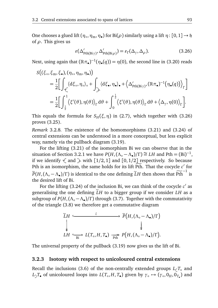One chooses a glued lift  $(\eta_\circ, \eta_m, \eta_\bullet)$  for Bi $(\rho)$  similarly using a lift  $\eta: [0, 1] \to \mathfrak{h}$ of *ρ*. This gives us

$$
\varepsilon(\Delta'_{\mathrm{Pth}(\mathrm{Bi}\gamma)}, \Delta'_{\mathrm{Pth}(\mathrm{Bi}\rho)}) = \varepsilon_{\Gamma}(\Delta_{\gamma}, \Delta_{\rho}). \tag{3.26}
$$

Next, using again that  $(\mathbb{R}\pi_{\bullet})^{-1}(\eta_{\bullet}(q)) = \eta(0)$ , the second line in (3.20) reads

$$
S((\xi_{\circ}, \xi_{\rm m}, \xi_{\bullet}), (\eta_{\circ}, \eta_{\rm m}, \eta_{\bullet}))
$$
  
=  $\frac{1}{2} \Big[ \int_{\zeta} \langle d\xi_{\circ}, \eta_{\circ} \rangle_{\circ} + \int_{\searrow} \langle d\xi_{\bullet}, \eta_{\bullet} \rangle_{\bullet} + \langle \Delta'_{\text{Pth}(Bi\gamma)}, (\mathbb{R}\pi_{\bullet})^{-1}(\eta_{\bullet}(q)) \rangle_{\Gamma} \Big]$   
=  $\frac{1}{2} \Big[ \int_{\frac{1}{2}}^{1} \langle \xi'(\theta), \eta(\theta) \rangle_{\Gamma} d\theta + \int_{0}^{\frac{1}{2}} \langle \xi'(\theta), \eta(\theta) \rangle_{\Gamma} d\theta + \langle \Delta_{\gamma}, \eta(0) \rangle_{\Gamma} \Big].$ 

This equals the formula for  $S_H(\xi, \eta)$  in (2.7), which together with (3.26) proves (3.25).

*Remark* 3.2.8*.* The existence of the homomorphisms (3.21) and (3.24) of central extensions can be understood in a more conceptual, but less explicit way, namely via the pullback diagram (3.19).

For the lifting (3.21) of the isomorphism Bi we can observe that in the situation of Section 3.2.1 we have  $P(H, (\Lambda_o - \Lambda_o)/\Gamma) \cong LH$  and Pth = (Bi)<sup>-1</sup>, if we identify  $\leq$  and  $\geq$  with [1/2,1] and [0,1/2] respectively. So because Pth is an isomorphism, the same holds for its lift  $\widetilde{Pth}$ . That the cocycle  $c'$  for  $\widetilde{P}(H,(\Lambda_{\circ}-\Lambda_{\bullet})/\Gamma)$  is identical to the one defining  $\widetilde{L}H$  then shows that  $\widetilde{Pth}^{-1}$  is the desired lift of Bi.

For the lifting  $(3.24)$  of the inclusion Bi, we can think of the cocycle  $c'$  as generalising the one defining  $\tilde{L}H$  to a bigger group if we consider  $LH$  as a subgroup of *P*(*H*,(*Λ*◦ −*Λ*• )*/Γ* ) through (3.7). Together with the commutativity of the triangle (3.8) we therefore get a commutative diagram

$$
\widetilde{L}H \xrightarrow{\tilde{\iota}} \widetilde{P}\left(H, (\Lambda_{\circ} - \Lambda_{\bullet})/\Gamma\right)
$$
\n
$$
\downarrow \qquad \qquad \downarrow
$$
\n
$$
LH \xrightarrow{\sim} L(T_{\circ}, H, T_{\bullet}) \xrightarrow{\sim} P\left(H, (\Lambda_{\circ} - \Lambda_{\bullet})/\Gamma\right).
$$

The universal property of the pullback (3.19) now gives us the lift of Bi.

#### **3.2.3 Isotony with respect to unicoloured central extensions**

Recall the inclusions (3.6) of the non-centrally extended groups  $L_f T_o$  and *L*<sub>→</sub>*T*• of unicoloured loops into *L*(*T*◦, *H*, *T*•) given by *γ*◦ → (*γ*◦, 0<sub>*H*</sub></sub>, 0<sub>*T*•</sub>) and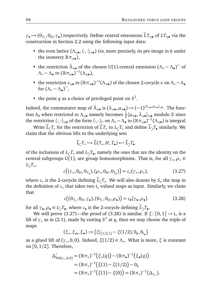$\gamma_{\bullet} \mapsto (0_{T_{\circ}}, 0_H, \gamma_{\bullet})$  respectively. Define central extensions  $\widetilde{L}T_{\circ/\bullet}$  of  $LT_{\circ/\bullet}$  via the construction in Section 2.2 using the following input data:

- the even lattice ( $Λ_{\circ/\bullet}$ ,  $\langle \cdot, \cdot \rangle_{\circ/\bullet}$ ) (or, more precisely, its pre-image in h under the isometry  $\mathbb{R}π_{\circ/\bullet}$ ),
- the restriction  $\tilde{\Lambda}_{\circ/\bullet}$  of the chosen U(1)-central extension  $(\Lambda_{\circ} \Lambda_{\bullet})^{\sim}$  of *Λ*<sub>ο</sub> − *Λ*<sub>•</sub> to (ℝπ<sub>∘/•</sub>)<sup>-1</sup>(Λ<sub>∘/•</sub>),
- the restriction  $\varepsilon_{\circ/\bullet}$  to  $(\mathbb{R}\pi_{\circ/\bullet})^{-1}(\Lambda_{\circ/\bullet})$  of the chosen 2-cocycle  $\varepsilon$  on  $\Lambda_{\circ}-\Lambda_{\bullet}$ for  $(\Lambda_{\circ} - \Lambda_{\bullet})^{\sim}$ ,
- the point *q* as a choice of privileged point on  $S^1$ .

Indeed, the commutator map of  $\tilde{\Lambda}_{\circ/\bullet}$  is  $(\lambda_{\circ/\bullet}, \mu_{\circ/\bullet}) \mapsto (-1)^{\langle \lambda_{\circ/\bullet}, \mu_{\circ/\bullet} \rangle_{\circ/\bullet}}$ . The function *b*<sub>0</sub> when restricted to Λ<sub>∘/•</sub> namely becomes  $\frac{1}{2} \langle \mu_{\circ/\bullet}, \lambda_{\circ/\bullet} \rangle_{\circ/\bullet}$  modulo ℤ since the restriction  $\langle \cdot, \cdot \rangle_{\circ/\bullet}$  of the form  $\langle \cdot, \cdot \rangle_{\Gamma}$  on  $\Lambda_{\circ} - \Lambda_{\bullet}$  to  $(\mathbb{R}\pi_{\circ/\bullet})^{-1}(\Lambda_{\circ/\bullet})$  is integral.

Write  $L_{\zeta}T_{\circ}$  for the restriction of  $LT_{\circ}$  to  $L_{\zeta}T_{\circ}$  and define  $L_{\supset}T_{\bullet}$  similarly. We claim that the obvious lifts to the underlying sets

$$
\widetilde{L}_{\zeta}T_{\circ} \hookrightarrow \widetilde{L}(T_{\circ}, H, T_{\bullet}) \hookleftarrow \widetilde{L}_{\supset}T_{\bullet}
$$

of the inclusions of *L<sub>⊂</sub>T*。and *L<sub>⊇</sub>T*•, namely the ones that are the identity on the central subgroups U(1), are group homomorphisms. That is, for all *γ*∘, *ρ*∘ ∈ *L*←T∘,

$$
c((\gamma_{\circ}, 0_{H}, 0_{T_{\bullet}}), (\rho_{\circ}, 0_{H}, 0_{T_{\bullet}})) = c_{\circ}(\gamma_{\circ}, \rho_{\circ}), \qquad (3.27)
$$

where  $c_{\circ}$  is the 2-cocycle defining  $L_{\zeta}T_{\circ}$ . We will also denote by  $S_{\circ}$  the map in the definition of  $c_{\circ}$  that takes two t $_{\circ}$ -valued maps as input. Similarly, we claim that

$$
c((0_{T_o}, 0_H, \gamma_{\bullet}), (0_{T_o}, 0_H, \rho_{\bullet})) = c_{\bullet}(\gamma_{\bullet}, \rho_{\bullet})
$$
\n(3.28)

for all  $\gamma_{\bullet}, \rho_{\bullet} \in L_{\supset} T_{\bullet}$ , where  $c_{\bullet}$  is the 2-cocycle defining  $\widetilde{L}_{\supset} T_{\bullet}$ .

We will prove  $(3.27)$ —the proof of  $(3.28)$  is similar. If  $\xi$ :  $[0,1] \rightarrow \mathfrak{t}_{\circ}$  is a lift of  $\gamma_\circ$  as in (2.1), made by cutting  $S^1$  at  $q$ , then we may choose the triple of maps

$$
(\xi_{\circ}, \xi_{\rm m}, \xi_{\bullet}) := (\xi|_{[1/2,1]} - \xi(1/2), 0_{\mathfrak{h}}, 0_{\mathfrak{t}_{\bullet}})
$$

as a glued lift of (*γ*◦ ,0,0). Indeed, *ξ*(1*/*2) ∈ *Λ*◦ . What is more, *ξ* is constant on [0, 1*/*2]. Therefore,

$$
\Delta'_{\mathrm{Pth}(\gamma_{\circ},0,0)} = (\mathbb{R}\pi_{\circ})^{-1}(\xi_{\circ}(q)) - (\mathbb{R}\pi_{\bullet})^{-1}(\xi_{\bullet}(q))
$$
  
= 
$$
(\mathbb{R}\pi_{\circ})^{-1}(\xi(1) - \xi(1/2)) - 0_{\mathfrak{h}}
$$
  
= 
$$
(\mathbb{R}\pi_{\circ})^{-1}(\xi(1) - \xi(0)) = (\mathbb{R}\pi_{\circ})^{-1}(\Delta_{\gamma_{\circ}}).
$$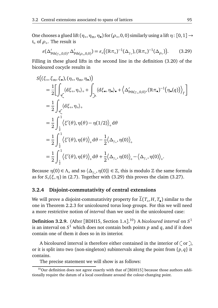One chooses a glued lift  $(\eta_\circ, \eta_\text{m}, \eta_\bullet)$  for  $(\rho_\circ, 0, 0)$  similarly using a lift  $\eta: [0, 1] \to$ t◦ of *ρ*◦ . The result is

$$
\varepsilon(\Delta'_{\mathrm{Pth}(\gamma_\circ,0,0)},\Delta'_{\mathrm{Pth}(\rho_\circ,0,0)}) = \varepsilon_\circ((\mathbb{R}\pi_\circ)^{-1}(\Delta_{\gamma_\circ}),(\mathbb{R}\pi_\circ)^{-1}(\Delta_{\rho_\circ})).\tag{3.29}
$$

Filling in these glued lifts in the second line in the definition (3.20) of the bicoloured cocycle results in

$$
S((\xi_{\circ}, \xi_{\rm m}, \xi_{\bullet}), (\eta_{\circ}, \eta_{\rm m}, \eta_{\bullet}))
$$
\n
$$
= \frac{1}{2} \Big[ \int_{\zeta} \langle d\xi_{\circ}, \eta_{\circ} \rangle_{\circ} + \int_{\gamma} \langle d\xi_{\bullet}, \eta_{\bullet} \rangle_{\bullet} + \langle \Delta'_{\text{Pth}(\gamma_{\circ}, 0, 0)}, (\mathbb{R}\pi_{\bullet})^{-1}(\eta_{\bullet}(q)) \rangle_{\Gamma} \Big]
$$
\n
$$
= \frac{1}{2} \int_{\zeta} \langle d\xi_{\circ}, \eta_{\circ} \rangle_{\circ}
$$
\n
$$
= \frac{1}{2} \int_{\frac{1}{2}}^{1} \langle \xi'(\theta), \eta(\theta) - \eta(1/2) \rangle_{\circ} d\theta
$$
\n
$$
= \frac{1}{2} \int_{\frac{1}{2}}^{1} \langle \xi'(\theta), \eta(\theta) \rangle_{\circ} d\theta - \frac{1}{2} \langle \Delta_{\gamma_{\circ}}, \eta(0) \rangle_{\circ}
$$
\n
$$
= \frac{1}{2} \int_{\frac{1}{2}}^{1} \langle \xi'(\theta), \eta(\theta) \rangle_{\circ} d\theta + \frac{1}{2} \langle \Delta_{\gamma_{\circ}}, \eta(0) \rangle_{\circ} - \langle \Delta_{\gamma_{\circ}}, \eta(0) \rangle_{\circ}.
$$

Because  $\eta(0) \in \Lambda$ <sub>o</sub> and so  $\langle \Delta_{\gamma}$ ,  $\eta(0) \rangle \in \mathbb{Z}$ , this is modulo  $\mathbb Z$  the same formula as for *S*◦ (*ξ*,*η*) in (2.7). Together with (3.29) this proves the claim (3.27).

#### **3.2.4 Disjoint-commutativity of central extensions**

We will prove a disjoint-commutativity property for  $L(T_0, H, T_0)$  similar to the one in Theorem 2.2.3 for unicoloured torus loop groups. For this we will need a more restrictive notion of *interval* than we used in the unicoloured case:

**Definition 3.2.9.** (After [BDH15, Section 1.A]. <sup>10</sup>) A *bicoloured interval* on *S* 1 is an interval on  $S^1$  which does not contain both points  $p$  and  $q$ , and if it does contain one of them it does so in its interior.

A bicoloured interval is therefore either contained in the interior of  $\zeta$  or  $\zeta$ , or it is split into two (non-singleton) subintervals along the point from {*p*, *q*} it contains.

The precise statement we will show is as follows:

 $10$ Our definition does not agree exactly with that of [BDH15] because those authors additionally require the datum of a local coordinate around the colour-changing point.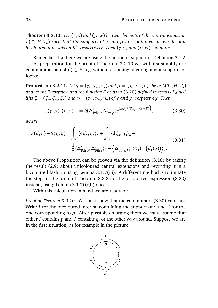**Theorem 3.2.10.** *Let*  $(\gamma, z)$  *and*  $(\rho, w)$  *be two elements of the central extension* <sup>e</sup>*L*(*T*◦ , *H*, *T*• ) *such that the supports of γ and ρ are contained in two disjoint bicoloured intervals on S*<sup>1</sup> *, respectively. Then* (*γ*, *z*) *and* (*ρ*, *w*) *commute.*

Remember that here we are using the notion of support of Definition 3.1.2.

As preparation for the proof of Theorem 3.2.10 we will first simplify the commutator map of *L*(*T*<sub>◦</sub>,*H*, *T*•) without assuming anything about supports of loops:

**Proposition 3.2.11.** Let  $\gamma = (\gamma_\circ, \gamma_m, \gamma_\bullet)$  and  $\rho = (\rho_\circ, \rho_m, \rho_\bullet)$  be in  $L(T_\circ, H, T_\bullet)$ *and let the* 2*-cocycle c and the function S be as in* (3.20) *defined in terms of glued lifts ξ* = (*ξ*◦ ,*ξm*,*ξ*• ) *and η* = (*η*◦ ,*ηm*,*η*• ) *of γ and ρ, respectively. Then*

$$
c(\gamma, \rho)c(\rho, \gamma)^{-1} = b(\Delta'_{\text{Pth }\gamma}, \Delta'_{\text{Pth }\rho})e^{2\pi i(S(\xi, \eta) - S(\eta, \xi))}, \qquad (3.30)
$$

*where*

$$
S(\xi, \eta) - S(\eta, \xi) = \int_{\mathcal{L}} \langle d\xi_{\circ}, \eta_{\circ} \rangle_{\circ} + \int_{\mathcal{L}} \langle d\xi_{\bullet}, \eta_{\bullet} \rangle_{\bullet} -
$$
  

$$
\frac{1}{2} \langle \Delta'_{\text{pth}\rho}, \Delta'_{\text{pth}\gamma} \rangle_{\Gamma} - \langle \Delta'_{\text{pth}\rho}, (\mathbb{R}\pi_{\bullet})^{-1}(\xi_{\bullet}(q)) \rangle_{\Gamma}.
$$
 (3.31)

The above Proposition can be proven via the definition (3.18) by taking the result (2.9) about unicoloured central extensions and rewriting it in a bicoloured fashion using Lemma 3.1.7(iii). A different method is to imitate the steps in the proof of Theorem 2.2.3 for the bicoloured expression (3.20) instead, using Lemma 3.1.7(i)(b) once.

With this calculation in hand we are ready for

*Proof of Theorem 3.2.10.* We must show that the commutator (3.30) vanishes. Write *I* for the bicoloured interval containing the support of *γ* and *J* for the one corresponding to *ρ*. After possibly enlarging them we may assume that either *I* contains *p* and *J* contains *q*, or the other way around. Suppose we are in the first situation, as for example in the picture

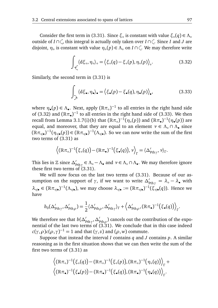Consider the first term in (3.31). Since  $\xi$ <sup>°</sup> is constant with value  $\xi$ <sup>°</sup> (*d*)  $\in \Lambda$ <sup>°</sup> outside of *I* ∩  $\cap$ , this integral is actually only taken over *I* ∩  $\cap$  . Since *I* and *J* are disjoint,  $\eta_{\circ}$  is constant with value  $\eta_{\circ}(p) \in \Lambda_{\circ}$  on *I* ∩  $\subset$ . We may therefore write

$$
\int_{\mathcal{L}} \langle d\xi_{\circ}, \eta_{\circ} \rangle_{\circ} = \langle \xi_{\circ}(q) - \xi_{\circ}(p), \eta_{\circ}(p) \rangle_{\circ}.
$$
 (3.32)

Similarly, the second term in (3.31) is

$$
\int_{\searrow} \langle d\xi_{\bullet}, \eta_{\bullet} \rangle_{\bullet} = \langle \xi_{\bullet}(p) - \xi_{\bullet}(q), \eta_{\bullet}(p) \rangle_{\bullet},
$$
\n(3.33)

where  $\eta_{\bullet}(p) \in \Lambda_{\bullet}$ . Next, apply  $(\mathbb{R}\pi_{\circ})^{-1}$  to all entries in the right hand side of (3.32) and  $(\mathbb{R}\pi_{\bullet})^{-1}$  to all entries in the right hand side of (3.33). We then recall from Lemma 3.1.7(i)(b) that  $(\mathbb{R}\pi_{\circ})^{-1}(\eta_{\circ}(p))$  and  $(\mathbb{R}\pi_{\bullet})^{-1}(\eta_{\bullet}(p))$  are equal, and moreover, that they are equal to an element *ν* ∈ *Λ*◦ ∩ *Λ*• since  $(\mathbb{R}\pi_{\circ/\bullet})^{-1}(\eta_{\circ/\bullet}(p)) \in (\mathbb{R}\pi_{\circ/\bullet})^{-1}(\Lambda_{\circ/\bullet})$ . So we can now write the sum of the first two terms of (3.31) as

$$
\left\langle (\mathbb{R}\pi_{\circ})^{-1}(\xi_{\circ}(q)) - (\mathbb{R}\pi_{\bullet})^{-1}(\xi_{\bullet}(q)), \nu \right\rangle_{\Gamma} = \langle \Delta'_{\mathrm{Pth}\gamma}, \nu \rangle_{\Gamma}.
$$

This lies in  $\mathbb{Z}$  since  $\Delta'_{\text{Pth}\gamma} \in \Lambda_0 - \Lambda_$  and  $\nu \in \Lambda_0 \cap \Lambda_$ . We may therefore ignore these first two terms of (3.31).

We will now focus on the last two terms of (3.31). Because of our assumption on the support of  $\gamma$ , if we want to write  $\Delta'_{\text{pth}\gamma} = \lambda_{\circ} - \lambda_{\bullet}$  with  $\lambda_{\circ/\bullet} \in (\mathbb{R}\pi_{\circ/\bullet})^{-1}(\Lambda_{\circ/\bullet}),$  we may choose  $\lambda_{\circ/\bullet} := (\mathbb{R}\pi_{\circ/\bullet})^{-1}(\xi_{\circ/\bullet}'(q)).$  Hence we have

$$
b_0(\Delta'_{\mathrm{Pth}\gamma}, \Delta'_{\mathrm{Pth}\rho}) = \frac{1}{2} \langle \Delta'_{\mathrm{Pth}\rho}, \Delta'_{\mathrm{Pth}\gamma} \rangle_{\Gamma} + \langle \Delta'_{\mathrm{Pth}\rho}, (\mathbb{R}\pi_{\bullet})^{-1}(\xi_{\bullet}(q)) \rangle_{\Gamma}.
$$

We therefore see that  $b(\Delta'_{\text{pth}\gamma}, \Delta'_{\text{pth}\rho})$  cancels out the contribution of the exponential of the last two terms of  $(3.31)$ . We conclude that in this case indeed *c*(*γ*,  $ρ$ )*c*( $ρ$ ,  $γ$ )<sup>-1</sup> = 1 and that (*γ*, *z*) and (*ρ*, *w*) commute.

Suppose that instead the interval *I* contains *q* and *J* contains *p*. A similar reasoning as in the first situation shows that we can then write the sum of the first two terms of (3.31) as

$$
\left\langle (\mathbb{R}\pi_{\circ})^{-1}(\xi_{\circ}(q)) - (\mathbb{R}\pi_{\circ})^{-1}(\xi_{\circ}(p)), (\mathbb{R}\pi_{\circ})^{-1}(\eta_{\circ}(q)) \right\rangle_{\Gamma} + \left\langle (\mathbb{R}\pi_{\bullet})^{-1}(\xi_{\bullet}(p)) - (\mathbb{R}\pi_{\bullet})^{-1}(\xi_{\bullet}(q)), (\mathbb{R}\pi_{\bullet})^{-1}(\eta_{\bullet}(q)) \right\rangle_{\Gamma}.
$$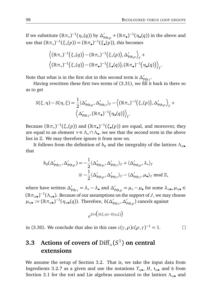If we substitute  $(\R\pi_\circ)^{-1}(\eta_\circ(q))$  by  $\Delta_{\rm Pth\rho}' + (\R\pi_\bullet)^{-1}(\eta_\bullet(q))$  in the above and use that  $(\mathbb{R}\pi_{\circ})^{-1}(\xi_{\circ}(p)) = (\mathbb{R}\pi_{\bullet})^{-1}(\xi_{\bullet}(p))$ , this becomes

$$
\left\langle (\mathbb{R}\pi_{\circ})^{-1}(\xi_{\circ}(q)) - (\mathbb{R}\pi_{\circ})^{-1}(\xi_{\circ}(p)), \Delta'_{\mathrm{Pth}\rho} \right\rangle_{\Gamma} + \left\langle (\mathbb{R}\pi_{\circ})^{-1}(\xi_{\circ}(q)) - (\mathbb{R}\pi_{\bullet})^{-1}(\xi_{\bullet}(q)), (\mathbb{R}\pi_{\bullet})^{-1}(\eta_{\bullet}(q)) \right\rangle_{\Gamma}.
$$

Note that what is in the first slot in this second term is  $\Delta'_{\text{pth}\gamma}$ .

Having rewritten these first two terms of (3.31), we fill it back in there so as to get

$$
S(\xi,\eta)-S(\eta,\xi)=\frac{1}{2}\langle\Delta'_{\text{Pth}\rho},\Delta'_{\text{Pth}\gamma}\rangle_{\Gamma}-\left\langle (\mathbb{R}\pi_{\circ})^{-1}(\xi_{\circ}(p)),\Delta'_{\text{Pth}\rho}\right\rangle_{\Gamma}+\left\langle \Delta'_{\text{Pth}\gamma},(\mathbb{R}\pi_{\bullet})^{-1}(\eta_{\bullet}(q))\right\rangle_{\Gamma}.
$$

Because  $(\mathbb{R}\pi_\circ)^{-1}(\xi_\circ(p))$  and  $(\mathbb{R}\pi_\bullet)^{-1}(\xi_\bullet(p))$  are equal, and moreover, they are equal to an element  $ν ∈ Λ<sub>∘</sub> ∩ Λ<sub>•</sub>$ , we see that the second term in the above lies in  $\mathbb Z$ . We may therefore ignore it from now on.

It follows from the definition of  $b_0$  and the integrality of the lattices  $\Lambda_{\circ/\bullet}$ that

$$
b_0(\Delta'_{\mathrm{Pth}\gamma}, \Delta'_{\mathrm{Pth}\rho}) = -\frac{1}{2} \langle \Delta'_{\mathrm{Pth}\rho}, \Delta'_{\mathrm{Pth}\gamma} \rangle_{\Gamma} + \langle \Delta'_{\mathrm{Pth}\rho}, \lambda_{\circ} \rangle_{\Gamma}
$$
  

$$
\equiv -\frac{1}{2} \langle \Delta'_{\mathrm{Pth}\rho}, \Delta'_{\mathrm{Pth}\gamma} \rangle_{\Gamma} - \langle \Delta'_{\mathrm{Pth}\gamma}, \mu_{\bullet} \rangle_{\Gamma} \mod \mathbb{Z},
$$

where have written  $\Delta'_{\text{pth}\gamma} = \lambda_{\circ} - \lambda_{\bullet}$  and  $\Delta'_{\text{pth}\rho} = \mu_{\circ} - \mu_{\bullet}$  for some  $\lambda_{\circ/\bullet}, \mu_{\circ/\bullet} \in$  $(\mathbb{R}\pi_{\circ/\bullet})^{-1}(\Lambda_{\circ/\bullet})$ . Because of our assumptions on the support of *J*, we may choose  $\mu_{\circ/\bullet} := (\mathbb{R} \pi_{\circ/\bullet}^{\bullet})^{-1}(\eta_{\circ/\bullet}(q))$ . Therefore,  $b(\Delta_{\mathrm{Pth}\gamma}^{\prime}, \Delta_{\mathrm{Pth}\rho}^{\prime})$  cancels against

$$
e^{2\pi i \left( S(\xi,\eta)-S(\eta,\xi) \right)}
$$

in (3.30). We conclude that also in this case  $c(\gamma, \rho)c(\rho, \gamma)^{-1} = 1$ .  $\Box$ 

## **3.3** Actions of covers of  $\text{Diff}_+(S^1)$  on central **extensions**

We assume the setup of Section 3.2. That is, we take the input data from Ingredients 3.2.7 as a given and use the notations  $T_{\circ/\bullet}$ ,  $H$ ,  $\mathfrak{t}_{\circ/\bullet}$  and  $\mathfrak h$  from Section 3.1 for the tori and Lie algebras associated to the lattices  $Λ_{\circ/\bullet}$  and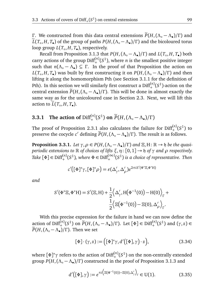*Γ*. We constructed from this data central extensions  $\widetilde{P}(H, (\Lambda_o - \Lambda_o)/\Gamma)$  and  $\widetilde{P}(T, H, T_o)$ ,  $\widetilde{P}(T, H, T_o)$  $\widetilde{L}(T_\circ, H, T_\bullet)$  of the group of paths  $P(H, (\Lambda_\circ - \Lambda_\bullet)/\Gamma)$  and the bicoloured torus loop group *L*(*T*◦ , *H*, *T*• ), respectively.

Recall from Proposition 3.1.3 that  $P(H, (\Lambda_{\circ} - \Lambda_{\bullet})/\Gamma)$  and  $L(T_{\circ}, H, T_{\bullet})$  both carry actions of the group  $\text{Diff}^{(n)}_+(S^1)$ , where *n* is the smallest positive integer such that  $n(\Lambda_o - \Lambda_o) \subseteq \Gamma$ . In the proof of that Proposition the action on *L*(*T*<sub>⊙</sub>,*H*, *T*<sub>•</sub>) was built by first constructing it on *P*(*H*,( $Λ$ <sub>ο</sub> −  $Λ$ <sub>•</sub>)/Γ) and then lifting it along the homomorphism Pth (see Section 3.1.1 for the definition of Pth). In this section we will similarly first construct a  $\text{Diff}^{(n)}_+(S^1)$ -action on the entral extension  $\tilde{P}(H,(\Lambda_o - \Lambda_o)/\Gamma)$ . This will be done in almost exactly the same way as for the unicoloured case in Section 2.3. Next, we will lift this action to  $L(T_\circ, H, T_\bullet)$ .

# **3.3.1** The action of  $\text{Diff}^{(n)}_{+}(S^1)$  on  $\widetilde{P}(H, (\Lambda_{\circ} - \Lambda_{\bullet})/\Gamma)$

The proof of Proposition 2.3.1 also calculates the failure for  $\text{Diff}^{(n)}_{+}(S^{1})$  to preserve the cocycle *c*<sup> $\prime$ </sup> defining  $\widetilde{P}(H,(\Lambda_0 - \Lambda_{\bullet})/\Gamma)$ . The result is as follows.

**Proposition 3.3.1.** Let  $\gamma, \rho \in P(H, (\Lambda_{\circ} - \Lambda_{\bullet})/\Gamma)$  and  $\Xi, H: \mathbb{R} \to \mathfrak{h}$  be the quasi*periodic extensions to*  $\mathbb R$  *of choices of lifts*  $\xi, \eta$ :  $[0, 1] \rightarrow \mathfrak{h}$  *of*  $\gamma$  *and*  $\rho$  *respectively.*  $Take \ [\Phi] \in \text{Diff}^{(n)}_+(S^1)$ , where  $\Phi \in \text{Diff}^{(\infty)}_+(S^1)$  is a choice of representative. Then

$$
c'([\Phi]^*\gamma,[\Phi]^*\rho) = \varepsilon(\Delta'_\gamma,\Delta'_\rho)e^{2\pi i S'(\Phi^*\Xi,\Phi^*H)}
$$

*and*

$$
S'(\Phi^* \Xi, \Phi^* \mathbf{H}) = S'(\Xi, \mathbf{H}) + \frac{1}{2} \Big\langle \Delta'_{\gamma}, \mathbf{H}(\Phi^{-1}(0)) - \mathbf{H}(0) \Big\rangle_{\Gamma} + \frac{1}{2} \Big\langle \Xi(\Phi^{-1}(0)) - \Xi(0), \Delta'_{\rho} \Big\rangle_{\Gamma}.
$$

With this precise expression for the failure in hand we can now define the action of  $Diff_{+}^{(n)}(S^1)$  on  $\widetilde{P}(H,(\Lambda_\circ - \Lambda_\bullet)/\Gamma)$ . Let  $[\Phi] \in Diff_{+}^{(n)}(S^1)$  and  $(\gamma, z) \in$  $\widetilde{P}(H,(\Lambda_{\circ}-\Lambda_{\bullet})/\Gamma)$ . Then we set

$$
[\Phi] \cdot (\gamma, z) := [ [\Phi]^* \gamma, d'([\Phi], \gamma) \cdot z ], \qquad (3.34)
$$

where [Φ]\*γ refers to the action of Diff $_+^{(n)}(S^1)$  on the non-centrally extended  $\frac{1}{2}$  *P*(*H*,( $\Lambda_o - \Lambda_o$ )/*Γ*) constructed in the proof of Proposition 3.1.3 and

$$
d'\big([\Phi], \gamma\big) := e^{\pi i \big\langle \Xi(\Phi^{-1}(0)) - \Xi(0), \Delta'_{\gamma} \big\rangle_{\Gamma}} \in U(1). \tag{3.35}
$$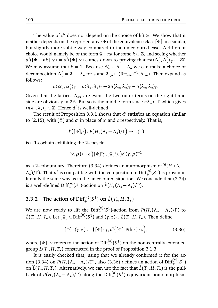The value of *d'* does not depend on the choice of lift Ξ. We show that it neither depends on the representative *Φ* of the equivalence class [*Φ*] in a similar, but slightly more subtle way compared to the unicoloured case. A different choice would namely be of the form  $\Phi + nk$  for some  $k \in \mathbb{Z}$ , and seeing whether  $d'([\Phi + nk], \gamma) = d'([\Phi], \gamma)$  comes down to proving that  $nk \langle \Delta'_{\gamma}, \Delta'_{\gamma} \rangle_{\Gamma} \in 2\mathbb{Z}$ . We may assume that  $k = 1$ . Because  $\Delta'_{\gamma} \in \Lambda_\circ - \Lambda_\bullet$  we can make a choice of decomposition  $\Delta'_\gamma = \lambda_\circ - \lambda_\bullet$  for some  $\lambda_{\circ/\bullet}' \in (\mathbb{R} \pi_{\circ/\bullet})^{-1} (\Lambda_{\circ/\bullet})$ . Then expand as follows:

$$
n\langle \Delta'_{\gamma}, \Delta'_{\gamma} \rangle_{\Gamma} = n\langle \lambda_{\circ}, \lambda_{\circ} \rangle_{\Gamma} - 2n\langle \lambda_{\circ}, \lambda_{\bullet} \rangle_{\Gamma} + n\langle \lambda_{\bullet}, \lambda_{\bullet} \rangle_{\Gamma}.
$$

Given that the lattices  $Λ_{\circ/\bullet}$  are even, the two outer terms on the right hand side are obviously in 2 $\mathbb{Z}$ . But so is the middle term since  $n\lambda$ <sup>°</sup> ∈ *Γ* which gives  $\langle n\lambda_0, \lambda_{\bullet} \rangle_{\Gamma} \in \mathbb{Z}$ . Hence *d'* is well-defined.

The result of Proposition 3.3.1 shows that *d'* satisfies an equation similar to (2.15), with  $[\Phi]$  and  $c'$  in place of  $\varphi$  and  $c$  respectively. That is,

$$
d'([\Phi],\cdot)\colon P\big(H,(\Lambda_\circ-\Lambda_\bullet)/\Gamma\big)\to \mathrm{U}(1)
$$

is a 1-cochain exhibiting the 2-cocycle

$$
(\gamma,\rho)\mapsto c^{\prime}\big([\Phi]^*\gamma,[\Phi]^*\rho\big)c^{\prime}(\gamma,\rho)^{-1}
$$

as a 2-coboundary. Therefore (3.34) defines an automorphism of  $\widetilde{P}(H,(\Lambda_{\circ} Λ$ <sub>•</sub>)/Γ). That *d'* is compatible with the composition in Diff<sup>(*n*)</sup>(*S*<sup>1</sup>) is proven in literally the same way as in the unicoloured situation. We conclude that  $(3.34)$ is a well-defined  $\text{Diff}^{(n)}_+(S^1)$ -action on  $\widetilde{P}(H,(\Lambda_\circ-\Lambda_\bullet)/\Gamma)$ .

## **3.3.2** The action of  $\text{Diff}^{(n)}_{+}(S^1)$  on  $\widetilde{L}(T_o, H, T_o)$

We are now ready to lift the Diff<sup>(*n*)</sup>(*S*<sup>1</sup>)-action from  $\widetilde{P}(H, (\Lambda_{\circ} - \Lambda_{\bullet})/\Gamma)$  to  $\widetilde{L}(T_o, H, T_o)$ . Let  $[\Phi] \in \text{Diff}^{(n)}_+(S^1)$  and  $(\gamma, z) \in \widetilde{L}(T_o, H, T_o)$ . Then define

$$
[\Phi] \cdot (\gamma, z) := [ [\Phi] \cdot \gamma, d'([\Phi], \text{Pth} \gamma) \cdot z ], \tag{3.36}
$$

where  $[\Phi] \cdot \gamma$  refers to the action of  $\mathrm{Diff}^{(n)}_+(S^1)$  on the non-centrally extended group *L*(*T*◦ , *H*, *T*• ) constructed in the proof of Proposition 3.1.3.

It is easily checked that, using that we already confirmed it for the action (3.34) on  $\widetilde{P}(H,(\Lambda_\circ - \Lambda_\bullet)/\Gamma)$ , also (3.36) defines an action of Diff<sup>(*n*)</sup>(*S*<sup>1</sup>) on  $\tilde{L}(T_o, H, T_o)$ . Alternatively, we can use the fact that  $\tilde{L}(T_o, H, T_o)$  is the pullback of  $\widetilde{P}(H,(\Lambda_\circ-\Lambda_\bullet)/\Gamma)$  along the  $\mathrm{Diff}^{(n)}_+(S^1)$ -equivariant homomorphism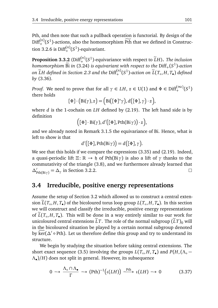Pth, and then note that such a pullback operation is functorial. By design of the  $Diff^{(n)}_{+}(S^1)$ -actions, also the homomorphism  $\widetilde{Pth}$  that we defined in Construction 3.2.6 is  $\text{Diff}^{(n)}_+(S^1)$ -equivariant.

**Proposition 3.3.2** ( $\text{Diff}_{+}^{(n)}(S^1)$ -equivariance with respect to  $\widetilde{L}H$ ). The inclusion *homomorphism*  $\widetilde{Bi}$  *in* (3.24) *is equivariant with respect to the*  $\mathrm{Diff}_+(S^1)$ -action *on*  $\widetilde{L}H$  *defined in Section 2.3 and the*  $\mathrm{Diff}^{(n)}_+(S^1)$ *-action on*  $\widetilde{L}(T_\circ, H, T_\bullet)$  *<i>defined by* (3.36)*.*

*Proof.* We need to prove that for all  $\gamma \in LH$ ,  $z \in U(1)$  and  $\Phi \in \text{Diff}^{(\infty)}_+(S^1)$ there holds

$$
[\Phi] \cdot (\mathrm{Bi}(\gamma), z) = (\mathrm{Bi}([\Phi]^{*}\gamma), d([\Phi], \gamma) \cdot z),
$$

where *d* is the 1-cochain on *LH* defined by (2.19). The left hand side is by definition

$$
([\Phi] \cdot \text{Bi}(\gamma), d'([\Phi], \text{Pth}(\text{Bi}\gamma)) \cdot z),
$$

and we already noted in Remark 3.1.5 the equivariance of Bi. Hence, what is left to show is that

$$
d'([\Phi], \operatorname{Pth}(\operatorname{Bi}\gamma)) = d([\Phi], \gamma).
$$

We see that this holds if we compare the expressions (3.35) and (2.19). Indeed, a quasi-periodic lift  $\Xi: \mathbb{R} \to \mathfrak{h}$  of Pth(Bi $\gamma$ ) is also a lift of  $\gamma$  thanks to the commutativity of the triangle (3.8), and we furthermore already learned that  $\Delta'_{\text{Pth}(Bi\gamma)} = \Delta_{\gamma}$  in Section 3.2.2.  $\Box$ 

## **3.4 Irreducible, positive energy representations**

Assume the setup of Section 3.2 which allowed us to construct a central extension  $L(T_\circ, H, T_\bullet)$  of the bicoloured torus loop group  $L(T_\circ, H, T_\bullet)$ . In this section we will construct and classify the irreducible, positive energy representations of  $L(T_0, H, T_0)$ . This will be done in a way entirely similar to our work for unicoloured central extensions  $\tilde{L}T$ . The role of the normal subgroup  $(\tilde{L}T)_0$  will in the bicoloured situation be played by a certain normal subgroup denoted by ker( $\Delta'$ ∘Pth). Let us therefore define this group and try to understand its structure.

We begin by studying the situation before taking central extensions. The short exact sequence (3.5) involving the groups  $L(T_0, H, T_0)$  and  $P(H, (\Lambda_0 -$ *Λ*• )*/H*) does not split in general. However, its subsequence

$$
0 \longrightarrow \frac{\Lambda_{\circ} \cap \Lambda_{\bullet}}{\Gamma} \longrightarrow (\text{Pth})^{-1}(\iota(LH)) \xrightarrow{\text{Pth}} \iota(LH) \longrightarrow 0 \tag{3.37}
$$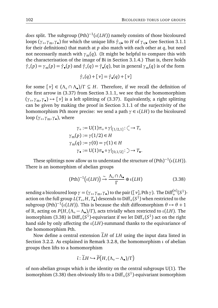$does$  split. The subgroup  $(\mathrm{Pth})^{-1}(\iota(LH))$  namely consists of those bicoloured loops (γ<sub>∘</sub>,γ<sub>m</sub>,γ<sub>•</sub>) for which the unique lifts  $\hat{\gamma}_{\circ/\bullet}$  to *H* of γ<sub>∘⁄•</sub> (see Section 3.1.1 for their definitions) that match at *p* also match with each other at *q*, but need not necessarily match with  $\gamma_m(q)$ . (It might be helpful to compare this with the characterisation of the image of Bi in Section 3.1.4.) That is, there holds  $\hat{\gamma}_{\circ}(p) = \gamma_{\rm m}(p) = \hat{\gamma}_{\bullet}(p)$  and  $\hat{\gamma}_{\circ}(q) = \hat{\gamma}_{\bullet}(q)$ , but in general  $\gamma_{\rm m}(q)$  is of the form

$$
\hat{\gamma}_{\circ}(q) + [\nu] = \hat{\gamma}_{\bullet}(q) + [\nu]
$$

for some  $[\nu] \in (\Lambda_0 \cap \Lambda_0)/\Gamma \subseteq H$ . Therefore, if we recall the definition of the first arrow in (3.37) from Section 3.1.1, we see that the homomorphism (*γ*◦ ,*γ*m,*γ*• ) 7→ [*ν*] is a left splitting of (3.37). Equivalently, a right splitting can be given by making the proof in Section 3.1.1 of the surjectivity of the homomorphism Pth more precise: we send a path  $\gamma \in \iota(LH)$  to the bicoloured loop (*γ*◦ ,*γ*m,*γ*• ), where

$$
\gamma_{\circ} := U(1)\pi_{\circ} \circ \gamma|_{[1/2,1]} : \zeta \to T_{\circ}
$$

$$
\gamma_{\rm m}(p) := \gamma(1/2) \in H
$$

$$
\gamma_{\rm m}(q) := \gamma(0) = \gamma(1) \in H
$$

$$
\gamma_{\bullet} := U(1)\pi_{\bullet} \circ \gamma|_{[0,1/2]} : \zeta \to T_{\bullet}.
$$

These splittings now allow us to understand the structure of  $({\rm Pth})^{-1}(\iota(LH)).$ There is an isomorphism of abelian groups

$$
(\text{Pth})^{-1} \big( \iota(LH) \big) \xrightarrow{\sim} \frac{\Lambda_{\circ} \cap \Lambda_{\bullet}}{\Gamma} \oplus \iota(LH) \tag{3.38}
$$

sending a bicoloured loop  $\gamma = (\gamma_0, \gamma_m, \gamma_0)$  to the pair  $([\nu], \text{Pth }\gamma)$ . The Diff<sup>(*n*)</sup>(*S*<sup>1</sup>)action on the full group  $L(T_\circ, H, T_\bullet)$  descends to  $\mathrm{Diff}_+(S^1)$  when restricted to the subgroup (Pth)<sup>-1</sup>( $\iota$ (*LH*)). This is because the shift diffeomorphism  $\theta \mapsto \theta + 1$ of R, acting on *P*(*H*,(*Λ*◦ − *Λ*• )*/Γ* ), acts trivially when restricted to *ι*(*LH*). The isomorphism (3.38) is  $\mathrm{Diff}_+(S^1)$ -equivariant if we let  $\mathrm{Diff}_+(S^1)$  act on the right hand side by only affecting the *ι*(*LH*)-summand thanks to the equivariance of the homomorphism Pth.

Now define a central extension  $\tilde{L}H$  of  $LH$  using the input data listed in Section 3.2.2. As explained in Remark 3.2.8, the homomorphism *ι* of abelian groups then lifts to a homomorphism

$$
\tilde{\iota} : \widetilde{L}H \hookrightarrow \widetilde{P}\big(H, (\Lambda_{\circ} - \Lambda_{\bullet})/\Gamma\big)
$$

of non-abelian groups which is the identity on the central subgroups  $U(1)$ . The isomorphism (3.38) then obviously lifts to a  $\mathrm{Diff}_+(S^1)$ -equivariant isomorphism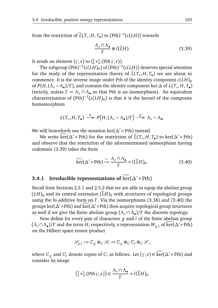from the restriction of  $\widetilde{L}(T_\circ, H, T_\bullet)$  to  $(\mathrm{Pth})^{-1}(\iota(LH))$  towards

$$
\frac{\Lambda_{\circ} \cap \Lambda_{\bullet}}{\Gamma} \oplus \tilde{\iota}(\tilde{L}H). \tag{3.39}
$$

It sends an element  $(\gamma, z)$  to  $([\gamma], (\text{Pth }\gamma, z))$ .

The subgroup  $({\rm Pth})^{-1}(\iota(LH)_0)$  of  $({\rm Pth})^{-1}(\iota(LH))$  deserves special attention for the study of the representation theory of  $L(T_0, H, T_0)$  we are about to commence. It is the inverse image under Pth of the identity component  $\iota(LH)_{0}$ of  $P(H, (\Lambda_\circ - \Lambda_\bullet)/\Gamma)$ , and contains the identity component ker  $\Delta$  of  $L(T_\circ, H, T_\bullet)$ (strictly, unless  $\Gamma = \Lambda_{\circ} \cap \Lambda_{\bullet}$  so that Pth is an isomorphism). An equivalent characterisation of  $({\rm Pth})^{-1}(\iota(LH)_0)$  is that it is the kernel of the composite homomorphism

$$
L(T_{\circ}, H, T_{\bullet}) \stackrel{P}{\longrightarrow} P\big(H, (\Lambda_{\circ} - \Lambda_{\bullet})/\Gamma\big) \stackrel{\Delta'}{\longrightarrow} \Lambda_{\circ} - \Lambda_{\bullet}.
$$

We will henceforth use the notation ker( $\Delta'$ ∘Pth) instead.

We write  $\widetilde{\text{ker}}(\Delta' \circ \text{Pth})$  for the restriction of  $\widetilde{L}(T_o, H, T_o)$  to ker $(\Delta' \circ \text{Pth})$ and observe that the restriction of the aforementioned isomorphism having codomain (3.39) takes the form

$$
\widetilde{\ker}(\Delta' \circ \text{Pth}) \xrightarrow{\sim} \frac{\Lambda_{\circ} \cap \Lambda_{\bullet}}{\Gamma} \times \widetilde{\iota}(\widetilde{L}H)_{0}.
$$
 (3.40)

## **3.4.1** Irreducible representations of  $\widehat{\text{ker}}(\Delta) \circ \text{Pth}$

Recall from Sections 2.5.1 and 2.5.2 that we are able to equip the abelian group  $(LH)$ <sup>0</sup> and its central extension  $(\tilde{L}H)$ <sup>0</sup> with structures of topological groups using the bi-additive form on *Γ* . Via the isomorphisms (3.38) and (3.40) the groups ker(*∆'* ∘ Pth) and ker(*∆'* ∘ Pth) then acquire topological group structures as well if we give the finite abelian group (*Λ*◦ ∩ *Λ*• )*/Γ* the discrete topology.

Now define for every pair of characters *χ* and *l* of the finite abelian group  $(\Lambda_{\circ} \cap \Lambda_{\bullet})/\Gamma$  and the torus *H*, respectively, a representation  $W_{\chi,l}$  of ker( $\Delta' \circ \text{Pth}$ ) on the Hilbert space tensor product

$$
\mathcal{S}_{\chi,l}:=\mathbb{C}_{\chi}\otimes_{\mathbb{C}}\mathcal{S}_{l}:=\mathbb{C}_{\chi}\otimes_{\mathbb{C}}\mathbb{C}_{l}\otimes_{\mathbb{C}}\mathcal{S},
$$

where  $\mathbb{C}_{\chi}$  and  $\mathbb{C}_{l}$  denote copies of  $\mathbb{C}$ , as follows. Let  $(\gamma, z) \in \widetilde{\ker}(\Delta' \circ \text{Pth})$  and consider its image

$$
([\nu], (\mathrm{Pth}\,\gamma, z)) \in \frac{\Lambda_{\circ} \cap \Lambda_{\bullet}}{\Gamma} \times \tilde{\iota}(\widetilde{L}H)_{0}
$$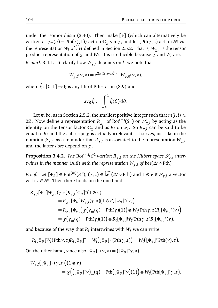under the isomorphism (3.40). Then make [*ν*] (which can alternatively be written as  $\gamma_m(q)$  – Pth( $\gamma$ )(1)) act on  $\mathbb{C}_{\gamma}$  via  $\chi$ , and let (Pth $\gamma$ , *z*) act on  $\mathcal{S}_l$  via the representation *W*<sub>*l*</sub> of *LH* defined in Section 2.5.2. That is,  $W_{\chi,l}$  is the tensor product representation of *χ* and *W<sup>l</sup>* . It is irreducible because *χ* and *W<sup>l</sup>* are.

*Remark* 3.4.1*.* To clarify how  $W_{\gamma l}$  depends on *l*, we note that

$$
W_{\chi,l}(\gamma,z) = e^{2\pi i \langle l, \text{avg} \hat{\xi} \rangle_{\Gamma}} \cdot W_{\chi,0}(\gamma,z),
$$

where  $\hat{\xi}$ : [0, 1]  $\rightarrow$  h is any lift of Pth  $\gamma$  as in (3.9) and

$$
\operatorname{avg}\hat{\xi}:=\int_0^1\hat{\xi}(\theta)\,\mathrm{d}\theta.
$$

Let *m* be, as in Section 2.5.2, the smallest positive integer such that  $m\langle l, l \rangle \in$ 2Z. Now define a representation  $R_{\chi,l}$  of Rot $^{(m)}(S^1)$  on  $\mathscr{S}_{\chi,l}$  by acting as the identity on the tensor factor  $\mathbb{C}_{\chi}$  and as  $R_l$  on  $\mathscr{S}_l$ . So  $R_{\chi,l}$  can be said to be equal to  $R_l$  and the subscript  $\chi$  is actually irrelevant—it serves, just like in the notation  $\mathscr{S}_{\chi,l}$ , as a reminder that  $R_{\chi,l}$  is associated to the representation  $W_{\chi,l}$ and the latter *does* depend on *χ*.

 ${\bf Proof of~}$   ${\bf Proof.}$   ${\bf R}_{\chi,l}$  *on the Hilbert space*  $\mathscr{S}_{\chi,l}$  *intertwines in the manner* (A.8) *with the representation*  $W_{\chi, l}$  *of*  $\widetilde{\ker}(\Delta' \circ \mathrm{Pth}).$ 

*Proof.* Let  $[\Phi_{\theta}] \in \text{Rot}^{(m)}(S^1), (\gamma, z) \in \text{Ker}(\Delta' \circ \text{Pth})$  and  $1 \otimes \nu \in \mathcal{S}_{\chi,l}$  a vector with  $v \in \mathcal{S}_l$ . Then there holds on the one hand

$$
R_{\chi,l}[\Phi_{\theta}]W_{\chi,l}(\gamma,z)R_{\chi,l}[\Phi_{\theta}]^*(1 \otimes v)
$$
  
\n
$$
= R_{\chi,l}[\Phi_{\theta}]W_{\chi,l}(\gamma,z) (1 \otimes R_l[\Phi_{\theta}]^*(v))
$$
  
\n
$$
= R_{\chi,l}[\Phi_{\theta}](\chi(\gamma_m(q) - \text{Pth}(\gamma)(1)) \otimes W_l(\text{Pth} \gamma,z)R_l[\Phi_{\theta}]^*(v))
$$
  
\n
$$
= \chi(\gamma_m(q) - \text{Pth}(\gamma)(1)) \otimes R_l[\Phi_{\theta}]W_l(\text{Pth} \gamma,z)R_l[\Phi_{\theta}]^*(v),
$$

and because of the way that  $R_l$  intertwines with  $W_l$  we can write

 $R_l[\Phi_\theta]W_l(\text{Pth }\gamma,z)R_l[\Phi_\theta]^* = W_l([\Phi_\theta]\cdot(\text{Pth }\gamma,z)] = W_l([\Phi_\theta]^* \text{Pth}(\gamma),z).$ 

On the other hand, since also  $[\Phi_{\theta}] \cdot (\gamma, z) = ([\Phi_{\theta}]^* \gamma, z)$ ,

$$
W_{\chi,l}([\Phi_{\theta}]\cdot(\gamma,z))(1\otimes\nu) = \chi(([\Phi_{\theta}]^*\gamma)_{m}(q) - \text{Pth}([\Phi_{\theta}]^*\gamma)(1))\otimes W_{l}(\text{Pth}[\Phi_{\theta}]^*\gamma,z).
$$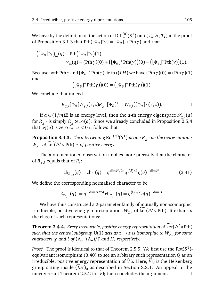We have by the definition of the action of  $\text{Diff}^{(n)}_+(S^1)$  on  $L(T_o, H, T_o)$  in the proof of Proposition 3.1.3 that Pth $([\Phi_{\theta}]^*\gamma) = [\Phi_{\theta}] \cdot (\text{Pth} \gamma)$  and that

$$
\begin{aligned} \left( [\Phi_{\theta}]^* \gamma \right)_{\mathrm{m}} (q) - \mathrm{Pth} \Big( [\Phi_{\theta}]^* \gamma \Big) (1) \\ &= \gamma_{\mathrm{m}} (q) - (\mathrm{Pth} \gamma)(0) + \Big( [\Phi_{\theta}]^* \mathrm{Pth}(\gamma) \Big) (0) - \Big( [\Phi_{\theta}]^* \mathrm{Pth}(\gamma) \Big) (1). \end{aligned}
$$

Because both Pth  $\gamma$  and  $[\Phi_\theta]^*$  Pth $(\gamma)$  lie in *ι*(*LH*) we have (Pth  $\gamma$ )(0) = (Pth  $\gamma$ )(1) and

$$
([\Phi_{\theta}]^* \operatorname{Pth}(\gamma))(0) = ([\Phi_{\theta}]^* \operatorname{Pth}(\gamma))(1).
$$

We conclude that indeed

$$
R_{\chi,l}[\Phi_{\theta}]W_{\chi,l}(\gamma,z)R_{\chi,l}[\Phi_{\theta}]^* = W_{\chi,l}([\Phi_{\theta}]\cdot(\gamma,z)).
$$

If  $a \in (1/m)\mathbb{Z}$  is an energy level, then the *a*-th energy eigenspace  $\mathscr{S}_{\chi,l}(a)$ for  $R_{\chi,l}$  is simply  $\mathbb{C}_\chi\otimes\mathscr{S}_l(a).$  Since we already concluded in Proposition 2.5.4 that  $\mathcal{S}_l(a)$  is zero for  $a < 0$  it follows that

 ${\bf Proposition 3.4.3.}$   $\rm The \textit{intertwining}$   ${\rm Rot}^{(m)}(S^1)$ -action  $R_{\chi,l}$  on the representation  $W_{\chi,l}$  of  $\widetilde{\text{ker}}(\Delta' \circ \text{Pth})$  *is of positive energy.* 

The aforementioned observation implies more precisely that the character of  $R_{\chi,l}$  equals that of  $R_l$ :

$$
\mathrm{ch}_{R_{\chi,l}}(q) = \mathrm{ch}_{R_l}(q) = q^{\dim H/24} q^{\langle l,l\rangle/2} \eta(q)^{-\dim H}.\tag{3.41}
$$

We define the corresponding normalised character to be

$$
Z_{W_{\chi,l}}(q) := q^{-\dim H/24} \, \mathrm{ch}_{R_{\chi,l}}(q) = q^{\langle l,l \rangle/2} \eta(q)^{-\dim H}.
$$

We have thus constructed a 2-parameter family of mutually non-isomorphic, irreducible, positive energy representations  $W_{\chi,l}$  of  $\widetilde{\ker}(\Delta' \circ \mathrm{Pth})$ . It exhausts the class of such representations:

**Theorem 3.4.4.** *Every irreducible, positive energy representation of*  $\widetilde{\text{ker}}(\Delta) \circ \text{Pth}$  $s$ uch that the central subgroup U(1) acts as  $z \mapsto z$  is isomorphic to  $W_{\chi, l}$  for some *characters χ and l of* (*Λ*◦ ∩ *Λ*• )*/Γ and H, respectively.*

*Proof.* The proof is identical to that of Theorem 2.5.5. We first use the  $Rot(S^1)$ equivariant isomorphism (3.40) to see an arbitrary such representation *Q* as an irreducible, positive energy representation of  $\tilde{V}$ h. Here,  $\tilde{V}$ h is the Heisenberg group sitting inside  $(\widetilde{L}H)_0$  as described in Section 2.2.1. An appeal to the unicity result Theorem 2.5.2 for  $\widetilde{V}$  then concludes the argument. unicity result Theorem 2.5.2 for  $\widetilde{V}$ h then concludes the argument.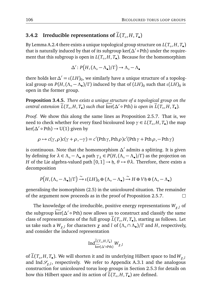### **3.4.2** Irreducible representations of  $L(T_o, H, T_o)$

By Lemma A.2.4 there exists a unique topological group structure on  $L(T_\circ, H, T_\bullet)$ that is naturally induced by that of its subgroup ker( $\Delta'$ ∘Pth) under the requirement that this subgroup is open in *L*(*T*◦ , *H*, *T*• ). Because for the homomorphism

$$
\Delta' \colon P\big(H, (\Lambda_\circ - \Lambda_\bullet)/\Gamma\big) \to \Lambda_\circ - \Lambda_\bullet
$$

there holds ker  $\Delta' = \iota(LH)_0$ , we similarly have a unique structure of a topological group on  $P(H, (\Lambda_\circ - \Lambda_\bullet)/\Gamma)$  induced by that of  $(LH)_0$  such that  $\iota(LH)_0$  is open in the former group.

**Proposition 3.4.5.** *There exists a unique structure of a topological group on the central extension*  $\widetilde{L}(T_o, H, T_o)$  *such that*  $\widetilde{\ker}(\Delta' \circ \mathrm{Pth})$  *is open in*  $\widetilde{L}(T_o, H, T_o)$ *.* 

*Proof.* We show this along the same lines as Proposition 2.5.7. That is, we need to check whether for every fixed bicoloured loop *γ* ∈ *L*(*T*◦ , *H*, *T*• ) the map ker( $\Delta'$ ∘Pth) → U(1) given by

$$
\rho \mapsto c(\gamma, \rho)c(\gamma + \rho, -\gamma) = c'(\text{Pth }\gamma, \text{Pth }\rho)c'(\text{Pth }\gamma + \text{Pth }\rho, -\text{Pth }\gamma)
$$

is continuous. Note that the homomorphism *∆*<sup>0</sup> admits a splitting. It is given by defining for  $\lambda \in \Lambda_0 - \Lambda_0$  a path  $\gamma_{\lambda} \in P(H, (\Lambda_0 - \Lambda_0)/\Gamma)$  as the projection on *H* of the Lie algebra-valued path  $[0, 1] \rightarrow \mathfrak{h}, \theta \mapsto \theta \lambda$ . Therefore, there exists a decomposition

$$
P\big(H, (\Lambda_\circ - \Lambda_\bullet)/\Gamma\big) \xrightarrow{\sim} \iota(LH)_0 \oplus (\Lambda_\circ - \Lambda_\bullet) \xrightarrow{\sim} H \oplus V\mathfrak{h} \oplus (\Lambda_\circ - \Lambda_\bullet)
$$

generalising the isomorphism (2.5) in the unicoloured situation. The remainder of the argument now proceeds as in the proof of Proposition 2.5.7.  $\Box$ 

The knowledge of the irreducible, positive energy representations *Wχ*,*<sup>l</sup>* of the subgroup  $\widetilde{\ker}(\Delta' \circ \mathrm{Pth})$  now allows us to construct and classify the same class of representations of the full group  $L(T_o, H, T_o)$ , starting as follows. Let us take such a *Wχ*,*<sup>l</sup>* for characters *χ* and *l* of (*Λ*◦ ∩ *Λ*• )*/Γ* and *H*, respectively, and consider the induced representation

$$
\operatorname{Ind}_{\widetilde{\ker}(\Delta^{\prime}\circ\operatorname{Pth})}^{\widetilde{L}(T_{\circ},H,T_{\bullet})}W_{\chi,l}
$$

of  $L(T_o, H, T_o)$ . We will shorten it and its underlying Hilbert space to Ind  $W_{\chi,l}$ and Ind  $\mathscr{S}_{\chi,l}$ , respectively. We refer to Appendix A.3.1 and the analogous construction for unicoloured torus loop groups in Section 2.5.3 for details on how this Hilbert space and its action of  $L(T_\circ, H, T_\bullet)$  are defined.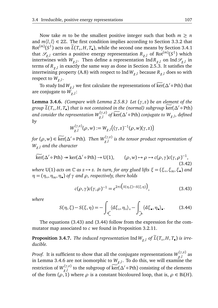Now take *m* to be the smallest positive integer such that both  $m \geq n$ and  $m\langle l, l \rangle \in 2\mathbb{Z}$ . The first condition implies according to Section 3.3.2 that Rot<sup> $(m)(S^1)$ </sup> acts on  $\tilde{L}(T_o, H, T_o)$ , while the second one means by Section 3.4.1 that  $\mathscr{S}_{\chi, l}$  carries a positive energy representation  $R_{\chi, l}$  of Rot $^{(m)}(S^1)$  which intertwines with  $W_{\chi,l}$ . Then define a representation  $\text{Ind} R_{\chi,l}$  on  $\text{Ind} \mathscr{S}_{\chi,l}$  in terms of *Rχ*,*<sup>l</sup>* in exactly the same way as done in Section 2.5.3. It satisfies the intertwining property (A.8) with respect to Ind  $W_{\chi,l}$  because  $R_{\chi,l}$  does so with respect to *Wχ*,*<sup>l</sup>* .

To study Ind  $W_{\chi,l}$  we first calculate the representations of  $\widetilde{\ker}(\Delta' \circ \text{Pth})$  that are conjugate to *Wχ*,*<sup>l</sup>* :

**Lemma 3.4.6.** *(Compare with Lemma 2.5.8.) Let* (*γ*, *z*) *be an element of the group*  $\widetilde{L}(T_o, H, T_o)$  *that is not contained in the (normal) subgroup*  $\widetilde{\ker}(\Delta' \circ \mathrm{Pth})$ *and consider the representation W* (*γ*,*z*)  $\chi^{(\gamma,z)}_{\chi,l}$  of  $\widetilde{\rm ker}(\Delta' \circ {\rm Pth})$  conjugate to  $W_{\chi,l}$ , defined *by*

$$
W_{\chi,l}^{(\gamma,z)}(\rho,w):=W_{\chi,l}((\gamma,z)^{-1}(\rho,w)(\gamma,z))
$$

*for*  $(\rho, w) \in \widetilde{\ker}(\Delta' \circ \text{Pth})$ *. Then*  $W_{\chi, l}^{(\gamma, z)}$ *χ*,*l is the tensor product representation of Wχ*,*<sup>l</sup> and the character*

$$
\widetilde{\ker}(\Delta' \circ \text{Pth}) \twoheadrightarrow \ker(\Delta' \circ \text{Pth}) \to U(1), \qquad (\rho, w) \mapsto \rho \mapsto c(\rho, \gamma)c(\gamma, \rho)^{-1},
$$
\n(3.42)

 $\mathcal{W}$  *where* U(1) acts on  $\mathbb{C}$  as  $z \mapsto z$ . In turn, for any glued lifts  $\xi = (\xi_\circ, \xi_m, \xi_\bullet)$  and *η* = (*η*◦ ,*ηm*,*η*• ) *of γ and ρ, respectively, there holds*

$$
c(\rho,\gamma)c(\gamma,\rho)^{-1} = e^{2\pi i \left( S(\eta,\xi) - S(\xi,\eta) \right)}, \tag{3.43}
$$

*where*

$$
S(\eta, \xi) - S(\xi, \eta) = -\int_{\zeta} \langle d\xi_{\circ}, \eta_{\circ} \rangle_{\circ} - \int_{\lambda} \langle d\xi_{\bullet}, \eta_{\bullet} \rangle_{\bullet}.
$$
 (3.44)

The equations (3.43) and (3.44) follow from the expression for the commutator map associated to *c* we found in Proposition 3.2.11.

**Proposition 3.4.7.** The induced representation  $\text{Ind}\,W_{\chi,l}$  of  $L(T_\circ, H, T_\bullet)$  is irre*ducible.*

*Proof.* It is sufficient to show that all the conjugate representations  $W_{\chi}^{(\gamma,z)}$ *χ*,*l* as in Lemma 3.4.6 are not isomorphic to *Wχ*,*<sup>l</sup>* . To do this, we will examine the restriction of *W* (*γ*,*z*)  $\chi^{(\gamma,z)}_{\chi,l}$  to the subgroup of  $\widetilde{\ker}(\Delta' \circ \mathrm{Pth})$  consisting of the elements of the form  $(\rho, 1)$  where  $\rho$  is a constant bicoloured loop, that is,  $\rho \in \text{Bi}(H)$ .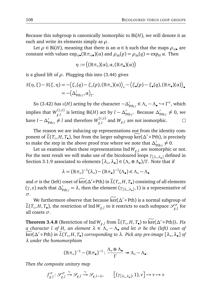Because this subgroup is canonically isomorphic to Bi(*H*), we will denote it as such and write its elements simply as *ρ*.

Let  $\rho \in \text{Bi}(H)$ , meaning that there is an  $\alpha \in \mathfrak{h}$  such that the maps  $\rho_{\circ/\bullet}$  are constant with values  $\exp_{\circ/\bullet}(\mathbb{R}\pi_{\circ/\bullet})(\alpha)$  and  $\rho_m(p) = \rho_m(q) = \exp_H \alpha$ . Then

$$
\eta:=\big((\mathbb{R}\pi_{\circ})(\alpha),\alpha,(\mathbb{R}\pi_{\bullet})(\alpha)\big)
$$

is a glued lift of  $\rho$ . Plugging this into (3.44) gives

$$
S(\eta, \xi) - S(\xi, \eta) = -\langle \xi_{\circ}(q) - \xi_{\circ}(p), (\mathbb{R}\pi_{\circ})(\alpha) \rangle_{\circ} - \langle \xi_{\bullet}(p) - \xi_{\bullet}(q), (\mathbb{R}\pi_{\bullet})(\alpha) \rangle_{\bullet}
$$
  
= -\langle \Delta'\_{\text{Pth }\gamma}, \alpha \rangle\_{\Gamma}.

So (3.42) has *ι*(*H*) acting by the character  $-\Delta'_{\text{pth}\gamma} \in \Lambda_{\circ} - \Lambda_{\bullet} \hookrightarrow \Gamma^{\vee}$ , which implies that  $W_{\nu}^{(\gamma,z)}$ *χ*,*l* is letting Bi(*H*) act by *l* − *∆*<sub>*γ*thγ</sub>. Because  $Δ'_{\text{pthγ}} \neq 0$ , we have  $l - \Delta_{\mathrm{pth}\gamma}' \neq l$  and therefore  $W_{\chi,l}^{(\gamma,z)}$  $\chi^{(7,2)}_{\chi,l}$  and  $W_{\chi,l}$  are not isomorphic.  $\Box$ 

The reason we are inducing up representations not from the identity component of  $\widetilde{L}(T_o, H, T_o)$ , but from the larger subgroup  $\widetilde{\ker}(\Delta' \circ \text{Pth})$ , is precisely to make the step in the above proof true where we note that  $\Delta'_{\text{pth}\gamma} \neq 0$ .

Let us examine when these representations Ind  $W_{\gamma,l}$  are isomorphic or not. For the next result we will make use of the bicoloured loops *γ*[*λ*◦ ,*λ*• ] defined in Section 3.1.9 associated to elements [*λ*◦ ,*λ*• ] ∈ (*Λ*◦ ⊕ *Λ*• )*/Γ* . Note that if

$$
\lambda = (\mathbb{R}\pi_{\circ})^{-1}(\lambda_{\circ}) - (\mathbb{R}\pi_{\bullet})^{-1}(\Lambda_{\bullet}) \in \Lambda_{\circ} - \Lambda_{\bullet}
$$

and  $\sigma$  is the (left) coset of  $\widetilde{\ker}(\Delta' \circ \mathrm{Pth})$  in  $\widetilde{L}(T_\circ, H, T_\bullet)$  consisting of all elements  $(\gamma, z)$  such that  $\Delta'_{\text{pth}\gamma} = \lambda$ , then the element  $(\gamma_{[\lambda_o,\lambda_o]}, 1)$  is a representative of *σ*.

We furthermore observe that because  $\widetilde{\ker}(\Delta' \circ \mathrm{Pth})$  is a normal subgroup of  $\widetilde{L}(T_\circ, H, T_\bullet)$ , the restriction of Ind $W_{\chi, l}$  to it restricts to each subspace  $\mathscr{S}_{\chi, l}^\sigma$ *χ*,*l* for all cosets *σ*.

**Theorem 3.4.8** (Restriction of Ind  $W_{\chi,l}$  from  $\widetilde{L}(T_\circ, H, T_\bullet)$  to ker $(\Delta' \circ \text{Pth})$ ). *Fix a character l of H, an element λ* ∈ *Λ*◦ − *Λ*• *and let σ be the (left) coset of*  $\widetilde{\ker}(\Delta' \circ \text{Pth})$  *in*  $\widetilde{L}(T_\circ, H, T_\bullet)$  corresponding to  $\lambda$ . Pick any pre-image  $[\lambda_\circ, \lambda_\bullet]$  of *λ under the homomorphism*

$$
(\mathbb{R}\pi_{\circ})^{-1} - (\mathbb{R}\pi_{\bullet})^{-1} : \frac{\Lambda_{\circ} \oplus \Lambda_{\bullet}}{\Gamma} \twoheadrightarrow \Lambda_{\circ} - \Lambda_{\bullet}.
$$

*Then the composite unitary map*

$$
f_{\chi,l}^{\sigma} : \mathcal{S}_{\chi,l}^{\sigma} \xrightarrow{\sim} \mathcal{S}_{\chi,l} \xrightarrow{\sim} \mathcal{S}_{\chi,l-\lambda}, \qquad \left[ (\gamma_{[\lambda_{\circ},\lambda_{\bullet}]}, 1), \nu \right] \mapsto \nu \mapsto \nu
$$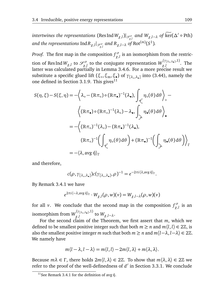$intertwines$  the representations  $(\text{Res Ind}\,W_{\chi,l})|_{\mathscr{S}^\sigma_{\chi,l}}$  and  $W_{\chi,l-\lambda}$  of  $\widetilde{\ker}(\Delta'\circ\text{Pth})$ and the representations  $\mathrm{Ind} \, R_{\chi,l}|_{\mathscr{S}_{\chi,l}^{\sigma}}$  and  $R_{\chi,l-\lambda}$  of  $\mathrm{Rot}^{(m)}(S^1).$ 

*Proof.* The first map in the composition  $f^{\sigma}_{\gamma}$  $\mathcal{L}^{\sigma}_{\chi,l}$  is an isomorphism from the restriction of Res Ind  $W_{\chi,l}$  to  $\mathscr{S}_{\gamma,l}^{\sigma}$  $\chi^{\sigma\sigma}_{\lambda}$  to the conjugate representation  $W^{\left(\gamma_{\left[\lambda_{\circ},\lambda_{\bullet}\right]},1\right)}_{\chi,l}$ *χ*,*l* . The latter was calculated partially in Lemma 3.4.6. For a more precise result we substitute a specific glued lift (*ξ*<sub>○</sub>, ξ<sub>m</sub>, ξ<sub>•</sub>) of γ<sub>[λ<sub>○</sub>,λ<sub>•</sub>] into (3.44), namely the</sub> one defined in Section 3.1.9. This gives<sup>11</sup>

$$
S(\eta, \xi) - S(\xi, \eta) = -\left\langle \lambda_{\circ} - (\mathbb{R}\pi_{\circ}) \circ (\mathbb{R}\pi_{\bullet})^{-1}(\lambda_{\bullet}), \int_{\mathcal{L}} \eta_{\circ}(\theta) d\theta \right\rangle_{\circ} -
$$

$$
\left\langle (\mathbb{R}\pi_{\bullet}) \circ (\mathbb{R}\pi_{\circ})^{-1}(\lambda_{\circ}) - \lambda_{\bullet}, \int_{\mathcal{L}} \eta_{\bullet}(\theta) d\theta \right\rangle_{\bullet}
$$

$$
= -\left\langle (\mathbb{R}\pi_{\circ})^{-1}(\lambda_{\circ}) - (\mathbb{R}\pi_{\bullet})^{-1}(\lambda_{\bullet}), \right.
$$

$$
(\mathbb{R}\pi_{\circ})^{-1} \left( \int_{\mathcal{L}} \eta_{\circ}(\theta) d\theta \right) + (\mathbb{R}\pi_{\bullet})^{-1} \left( \int_{\mathcal{L}} \eta_{\bullet}(\theta) d\theta \right) \right\rangle
$$

$$
= -\langle \lambda, \text{avg } \hat{\eta} \rangle_{\Gamma}
$$

and therefore,

$$
c(\rho, \gamma_{[\lambda_{\circ},\lambda_{\bullet}]})c(\gamma_{[\lambda_{\circ},\lambda_{\bullet}]}, \rho)^{-1} = e^{-2\pi i \langle \lambda, \arg \hat{\eta} \rangle_{\Gamma}}.
$$

By Remark 3.4.1 we have

$$
e^{2\pi i \langle -\lambda, \text{avg } \hat{\eta} \rangle_{\Gamma}} \cdot W_{\chi, l}(\rho, w)(v) = W_{\chi, l-\lambda}(\rho, w)(v)
$$

for all *v*. We conclude that the second map in the composition  $f^{\sigma}_{\nu}$ *χ*,*l* is an isomorphism from  $W_{\nu}^{(\gamma_{[\lambda_o,\lambda_o]},1)}$  $\chi$ <sup>*l*</sup>,*l*  $W_{\chi, l-\lambda}$ .

For the second claim of the Theorem, we first assert that *m*, which we defined to be smallest positive integer such that both  $m \ge n$  and  $m\langle l, l \rangle \in 2\mathbb{Z}$ , is also the smallest positive integer *m* such that both  $m \ge n$  and  $m\langle l-\lambda, l-\lambda \rangle \in 2\mathbb{Z}$ . We namely have

$$
m\langle l-\lambda,l-\lambda\rangle=m\langle l,l\rangle-2m\langle l,\lambda\rangle+m\langle\lambda,\lambda\rangle.
$$

Because  $m\lambda \in \Gamma$ , there holds  $2m\langle l, \lambda \rangle \in 2\mathbb{Z}$ . To show that  $m\langle \lambda, \lambda \rangle \in 2\mathbb{Z}$  we refer to the proof of the well-definedness of  $d'$  in Section 3.3.1. We conclude

*Γ*

<sup>&</sup>lt;sup>11</sup>See Remark 3.4.1 for the definition of avg  $\hat{\eta}$ .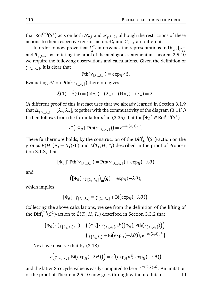that Rot $^{(m)}(S^1)$  acts on both  $\mathscr{S}_{\chi,l}$  and  $\mathscr{S}_{\chi,l-\lambda}$ , although the restrictions of these actions to their respective tensor factors  $C_l$  and  $C_{l-2}$  are different.

In order to now prove that  $f^{\sigma}_{\nu}$ *ί σ*<sub>*χ*,*l*</sup>  $|S_{\chi,l}^{\sigma}|$  intertwines the representations Ind*R*<sub>*χ*,*l*</sub>  $|S_{\chi,l}^{\sigma}|$ </sub> and  $R_{\gamma,l-\lambda}$  by imitating the proof of the analogous statement in Theorem 2.5.10 we require the following observations and calculations. Given the definition of *γ*[*λ*◦ ,*λ*• ] , it is clear that

$$
Pth(\gamma_{[\lambda_\circ,\lambda_\bullet]}) = \exp_H \circ \hat{\xi}.
$$

Evaluating *<sup>∆</sup>*<sup>0</sup> on Pth(*γ*[*λ*◦ ,*λ*• ] ) therefore gives

$$
\hat{\xi}(1) - \hat{\xi}(0) = (\mathbb{R}\pi_{\circ})^{-1}(\lambda_{\circ}) - (\mathbb{R}\pi_{\bullet})^{-1}(\lambda_{\bullet}) = \lambda.
$$

(A different proof of this last fact uses that we already learned in Section 3.1.9 that *∆γ*[*λ*◦,*λ*•] = [*λ*◦ ,*λ*• ], together with the commutativity of the diagram (3.11).) It then follows from the formula for *d'* in (3.35) that for  $[\Phi_{\theta}] \in \mathrm{Rot}^{(m)}(S^1)$ 

$$
d'\big([\Phi_{\theta}], \mathrm{Pth}(\gamma_{[\lambda_{\circ},\lambda_{\bullet}]})\big) = e^{-\pi i \langle \lambda,\lambda \rangle_{\Gamma} \theta}.
$$

There furthermore holds, by the construction of the  $\text{Diff}^{(m)}_{+}(S^1)$ -action on the groups  $P(H, (\Lambda_{\circ} - \Lambda_{\bullet})/\Gamma)$  and  $L(T_{\circ}, H, T_{\bullet})$  described in the proof of Proposition 3.1.3, that

$$
[\Phi_{\theta}]^* \operatorname{Pth}(\gamma_{[\lambda_{\circ},\lambda_{\bullet}]} ) = \operatorname{Pth}(\gamma_{[\lambda_{\circ},\lambda_{\bullet}]} ) + \exp_{H}(-\lambda \theta)
$$

and

$$
\big([\Phi_{\theta}]\cdot\gamma_{[\lambda_{\circ},\lambda_{\bullet}]} \big)_{m}(q) = \exp_{H}(-\lambda\theta),
$$

which implies

$$
[\Phi_{\theta}] \cdot \gamma_{[\lambda_{\circ},\lambda_{\bullet}]} = \gamma_{[\lambda_{\circ},\lambda_{\bullet}]} + \text{Bi}(\exp_H(-\lambda \theta)).
$$

Collecting the above calculations, we see from the definition of the lifting of the Diff $_{+}^{(m)}(S^1)$ -action to  $\widetilde{L}(T_\circ, H, T_\bullet)$  described in Section 3.3.2 that

$$
[\Phi_{\theta}] \cdot (\gamma_{[\lambda_{\circ},\lambda_{\bullet}]}, 1) = ([\Phi_{\theta}] \cdot \gamma_{[\lambda_{\circ},\lambda_{\bullet}]}, d'([\Phi_{\theta}], \mathrm{Pth}(\gamma_{[\lambda_{\circ},\lambda_{\bullet}]})) )
$$
  
= 
$$
(\gamma_{[\lambda_{\circ},\lambda_{\bullet}]} + \mathrm{Bi}(\exp_{H}(-\lambda \theta)), e^{-\pi i \langle \lambda, \lambda \rangle_{\Gamma} \theta}).
$$

Next, we observe that by (3.18),

$$
c(\gamma_{[\lambda_o,\lambda_o]}, \text{Bi}(\exp_H(-\lambda\theta))) = c'(\exp_H \circ \hat{\xi}, \exp_H(-\lambda\theta))
$$

and the latter 2-cocycle value is easily computed to be *e* −2*πi*〈*λ*,*λ*〉*<sup>Γ</sup> θ* . An imitation of the proof of Theorem 2.5.10 now goes through without a hitch. $\Box$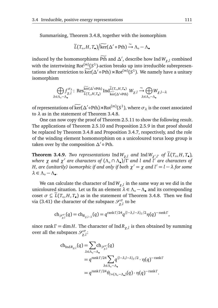Summarising, Theorem 3.4.8, together with the isomorphism

$$
\widetilde{L}(T_o, H, T_{\bullet})/\widetilde{\ker}(\Delta' \circ \text{Pth}) \xrightarrow{\sim} \Lambda_o - \Lambda_{\bullet}
$$

induced by the homomorphisms  $\widetilde{Pth}$  and  $\Delta'$ , describe how Ind  $W_{\chi,l}$  combined with the intertwining Rot<sup>(m)</sup> $(S^1)$ -action breaks up into irreducible subrepresentations after restriction to  $\widetilde{\ker}(\Delta' \circ \mathrm{Pth}) \rtimes \mathrm{Rot}^{(m)}(S^1)$ . We namely have a unitary isomorphism

$$
\bigoplus_{\lambda \in \Lambda_\circ - \Lambda_\bullet} f^{\sigma_\lambda}_{\chi, l} \colon \operatorname{Res}_{\widetilde{L}(T_\circ, H, T_\bullet)}^{\widetilde{\ker}(\Delta' \circ \operatorname{Pth})} \operatorname{Ind}_{\widetilde{\ker}(\Delta' \circ \operatorname{Pth})}^{\widetilde{L}(T_\circ, H, T_\bullet)} W_{\chi, l} \xrightarrow{\sim} \bigoplus_{\lambda \in \Lambda_\circ - \Lambda_\bullet} W_{\chi, l - \lambda}
$$

of representations of  $\widetilde{\text{ker}}(\Delta' \circ \text{Pth}) \rtimes \text{Rot}^{(m)}(S^1)$ , where  $\sigma_{\lambda}$  is the coset associated to *λ* as in the statement of Theorem 3.4.8.

One can now copy the proof of Theorem 2.5.11 to show the following result. The applications of Theorem 2.5.10 and Proposition 2.5.9 in that proof should be replaced by Theorem 3.4.8 and Proposition 3.4.7, respectively, and the role of the winding element homomorphism on a unicoloured torus loop group is taken over by the composition ∆<sup>'</sup> ∘ Pth.

**Theorem 3.4.9.** *Two representations*  $\text{Ind } W_{\chi,l}$  *and*  $\text{Ind } W_{\chi',l'}$  *of*  $L(T_o, H, T_o)$ , *where χ* and *χ'* are characters of (Λ<sub></sub>◦ ∩ Λ•) $\hat{f}$  and l and  $\hat{l}'$  are characters of *H, are (unitarily) isomorphic if and only if both*  $\chi' = \chi$  *and*  $l' = l - \lambda$  *for some*  $λ ∈ Λ<sub>o</sub> − Λ<sub>•</sub>$ .

We can calculate the character of Ind*Wχ*,*<sup>l</sup>* in the same way as we did in the unicoloured situation. Let us fix an element  $\lambda \in \Lambda_0 - \Lambda_0$  and its corresponding coset  $\sigma \subseteq \widetilde{L}(T_o, H, T_o)$  as in the statement of Theorem 3.4.8. Then we find via (3.41) the character of the subspace  $\mathscr{S}^{\sigma}_{\mathscr{S}}$ *χ*,*l* to be

$$
\mathrm{ch}_{\mathscr{S}_{\chi,l}^{\sigma}}(q) = \mathrm{ch}_{R_{\chi,l-\lambda}}(q) = q^{\mathrm{rank}\,\Gamma/24} q^{\langle l-\lambda,l-\lambda\rangle_{\Gamma}/2} \eta(q)^{-\mathrm{rank}\,\Gamma},
$$

since rank *Γ* = dim *H*. The character of Ind*Rχ*,*<sup>l</sup>* is then obtained by summing over all the subspaces S *σ χ*,*l* :

$$
ch_{\text{Ind}R_{\chi,l}}(q) = \sum_{\lambda \in \Lambda_{\circ} - \Lambda_{\bullet}} ch_{\mathcal{S}_{\chi,l}^{\sigma}}(q)
$$
  
=  $q^{\text{rank}\Gamma/24} \sum_{\lambda \in \Lambda_{\circ} - \Lambda_{\bullet}} q^{\langle l - \lambda, l - \lambda \rangle_{\Gamma}/2} \cdot \eta(q)^{-\text{rank}\Gamma}$   
=  $q^{\text{rank}\Gamma/24} \theta_{l + (\Lambda_{\circ} - \Lambda_{\bullet})}(q) \cdot \eta(q)^{-\text{rank}\Gamma}.$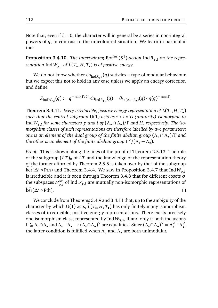Note that, even if  $l = 0$ , the character will in general be a series in non-integral powers of *q*, in contrast to the unicoloured situation. We learn in particular that

 ${\bf Proposition~3.4.10.}$  *The intertwining*  ${\rm Rot}^{(m)}(S^1)$ -action  ${\rm IndR}_{\chi,l}$  on the repre $s$ entation  ${\rm Ind}\, W_{\chi,l}$  of  $L(T_\circ,H,T_\bullet)$  is of positive energy.

We do not know whether ch<sub>Ind*R<sub>χ,</sub>l*(*q*) satisfies a type of modular behaviour,</sub> but we expect this not to hold in any case unless we apply an energy correction and define

 $Z_{\text{Ind }W_{\chi,l}}(q) := q^{-\text{rank } \Gamma/24} \text{ch}_{\text{Ind }R_{\chi,l}}(q) = \theta_{l + (\Lambda_o - \Lambda_o)}(q) \cdot \eta(q)^{-\text{rank } \Gamma}.$ 

**Theorem 3.4.11.** *Every irreducible, positive energy representation of*  $L(T_\circ, H, T_\bullet)$ *such that the central subgroup* U(1) *acts as*  $z \mapsto z$  *is (unitarily) isomorphic to* Ind*Wχ*,*<sup>l</sup> for some characters χ and l of* (*Λ*◦ ∩ *Λ*• )*/Γ and H, respectively. The isomorphism classes of such representations are therefore labelled by two parameters: one is an element of the dual group of the finite abelian group* (*Λ*◦ ∩ *Λ*• )*/Γ and the other is an element of the finite abelian group Γ* ∨ */*(*Λ*◦ − *Λ*• )*.*

*Proof.* This is shown along the lines of the proof of Theorem 2.5.13. The role of the subgroup  $(\tilde{L}T)$ <sub>0</sub> of  $\tilde{L}T$  and the knowledge of the representation theory of the former afforded by Theorem 2.5.5 is taken over by that of the subgroup  $\widetilde{\text{Ker}}(\Delta' \circ \text{Pth})$  and Theorem 3.4.4. We saw in Proposition 3.4.7 that Ind  $W_{\chi}$ ,*l* is irreducible and it is seen through Theorem 3.4.8 that for different cosets *σ* the subspaces  $\mathcal{S}^{\sigma}_{\nu}$  $\int_{\chi,l}^{\rho\sigma}$  of Ind  $\mathscr{S}_{\chi,l}$  are mutually non-isomorphic representations of  $\widetilde{\ker}(\Delta' \circ \mathrm{Pth}).$  $\Box$ 

We conclude from Theorems 3.4.9 and 3.4.11 that, up to the ambiguity of the character by which U(1) acts, *L*(*T*<sub>◦</sub>, *H*, *T*•) has only finitely many isomorphism classes of irreducible, positive energy representations. There exists precisely one isomorphism class, represented by  $IndW_{0,0}$ , if and only if both inclusions  $\Gamma \subseteq \Lambda_{\circ} \cap \Lambda_{\bullet}$  and  $\Lambda_{\circ} - \Lambda_{\bullet} \hookrightarrow (\Lambda_{\circ} \cap \Lambda_{\bullet})^{\vee}$  are equalities. Since  $(\Lambda_{\circ} \cap \Lambda_{\bullet})^{\vee} = \Lambda_{\circ}^{\vee} - \Lambda_{\bullet}^{\vee}$ , the latter condition is fulfilled when *Λ*◦ and *Λ*• are both unimodular.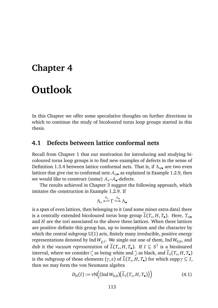# **Chapter 4**

## **Outlook**

In this Chapter we offer some speculative thoughts on further directions in which to continue the study of bicoloured torus loop groups started in this thesis.

#### **4.1 Defects between lattice conformal nets**

Recall from Chapter 1 that our motivation for introducing and studying bicoloured torus loop groups is to find new examples of defects in the sense of Definition 1.3.4 between lattice conformal nets. That is, if  $Λ_{\circ/\bullet}$  are two even lattices that give rise to conformal nets  $A_{\circ/\bullet}$  as explained in Example 1.2.9, then we would like to construct (some)  $\mathcal{A}_{\circ}\text{-}\mathcal{A}_{\bullet}\text{-}{\text{defects.}}$ 

The results achieved in Chapter 3 suggest the following approach, which imitates the construction in Example 1.2.9. If

$$
\Lambda_{\circ} \stackrel{\pi_{\circ}}{\longleftrightarrow} \Gamma \stackrel{\pi_{\bullet}}{\longleftrightarrow} \Lambda_{\bullet}
$$

is a span of even lattices, then belonging to it (and some minor extra data) there is a centrally extended bicoloured torus loop group  $L(T_o, H, T_o)$ . Here,  $T_{\diamond/\bullet}$ and *H* are the tori associated to the above three lattices. When these lattices are positive definite this group has, up to isomorphism and the character by which the central subgroup  $U(1)$  acts, finitely many irreducible, positive energy representations denoted by Ind  $W_{\chi,l}.$  We single out one of them, Ind  $W_{0,0},$  and dub it the *vacuum representation* of  $\widetilde{L}(T_o, H, T_o)$ . If  $I \subseteq S^1$  is a bicoloured interval, where we consider  $\zeta$  as being white and  $\zeta$  as black, and  $L_I(T_\circ, H, T_\bullet)$ is the subgroup of those elements  $(\gamma, z)$  of  $\widetilde{L}(T_o, H, T_o)$  for which supp $\gamma \subseteq I$ , then we may form the von Neumann algebra

$$
D_H(I) := \text{vN}\Big((\text{Ind}\,W_{0,0})\big(\widetilde{L}_I(T_\circ, H, T_\bullet)\big)\Big) \tag{4.1}
$$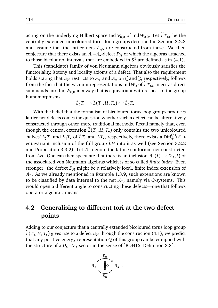acting on the underlying Hilbert space Ind  $\mathcal{S}_{0,0}$  of Ind  $W_{0,0}$ . Let  $\tilde{L}T_{\circ/\bullet}$  be the centrally extended unicoloured torus loop groups described in Section 3.2.3 and assume that the lattice nets  $A_{\circ/\bullet}$  are constructed from these. We then conjecture that there exists an  $\mathcal{A}_{\bullet}$ – $\mathcal{A}_{\bullet}$ -defect  $D_H$  of which the algebras attached to those bicoloured intervals that are embedded in  $S^1$  are defined as in (4.1).

This (candidate) family of von Neumann algebras obviously satisfies the functoriality, isotony and locality axioms of a defect. That also the requirement holds stating that  $D_H$  restricts to  $A_0$  and  $A_0$  on  $\dot{\mathcal{C}}$  and  $\dot{\mathcal{C}}$ , respectively, follows from the fact that the vacuum representations Ind  $W_0$  of  $LT_{\circ/\bullet}$  inject as direct summands into Ind  $W_{0,0}$  in a way that is equivariant with respect to the group homomorphisms

$$
\widetilde{L}_{\zeta}T_{\circ} \hookrightarrow \widetilde{L}(T_{\circ}, H, T_{\bullet}) \hookleftarrow \widetilde{L}_{\supset}T_{\bullet}.
$$

With the belief that the formalism of bicoloured torus loop groups produces lattice net defects comes the question whether such a defect can be alternatively constructed through other, more traditional methods. Recall namely that, even though the central extension  $L(T_o, H, T_o)$  only contains the two unicoloured 'halves'  $\widetilde{L}_\zeta T_\circ$  and  $\widetilde{L}_\zeta T_\bullet$  of  $\widetilde{L}T_\bullet$  and  $\widetilde{L}T_\bullet$ , respectively, there exists a Diff<sup>(*n*)</sup>(*S*<sup>1</sup>)-+ equivariant inclusion of the full group *LH* into it as well (see Section 3.2.2) and Proposition 3.3.2). Let  $A<sub>r</sub>$  denote the lattice conformal net constructed from  $\widetilde{L}H$ . One can then speculate that there is an inclusion  $A_{\Gamma}(I) \hookrightarrow D_H(I)$  of the associated von Neumann algebras which is of so called *finite index*. Even stronger: the defect  $D_H$  might be a relatively local, finite index extension of A*Γ* . As we already mentioned in Example 1.3.9, such extensions are known to be classified by data internal to the net A*<sup>Γ</sup>* , namely via *Q*-systems. This would open a different angle to constructing these defects—one that follows operator-algebraic means.

#### **4.2 Generalising to different tori at the two defect points**

Adding to our conjecture that a centrally extended bicoloured torus loop group  $L(T_\circ, H, T_\bullet)$  gives rise to a defect  $D_H$  through the construction (4.1), we predict that any positive energy representation *Q* of this group can be equipped with the structure of a  $D_H$ - $D_H$ -sector in the sense of [BDH15, Definition 2.2]:

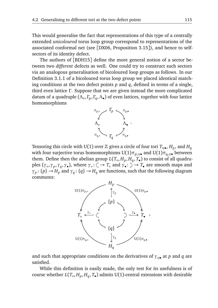This would generalise the fact that representations of this type of a centrally extended *unicoloured* torus loop group correspond to representations of the associated conformal net (see [DX06, Proposition 3.15]), and hence to selfsectors of its identity defect.

The authors of [BDH15] define the more general notion of a sector between two *different* defects as well. One could try to construct such sectors via an analogous generalisation of bicoloured loop groups as follows. In our Definition 3.1.1 of a bicoloured torus loop group we placed identical matching conditions at the two defect points  $p$  and  $q$ , defined in terms of a single, third even lattice *Γ* . Suppose that we are given instead the more complicated datum of a quadruple (*Λ*◦ , *Γ<sup>p</sup>* , *Γ<sup>q</sup>* ,*Λ*• ) of even lattices, together with four lattice homomorphisms



Tensoring this circle with U(1) over  $\mathbb Z$  gives a circle of four tori  $T_{\circ/\bullet}$ ,  $H_p$ , and  $H_q$ with four surjective torus homomorphisms  $U(1)\pi_{p,\circ}/\bullet$  and  $U(1)\pi_{q,\circ}/\bullet$  between them. Define then the abelian group  $L(T_\circ, H_p, H_q, T_\bullet)$  to consist of all quadruples  $(\gamma_0, \gamma_p, \gamma_q, \gamma_0)$ , where  $\gamma_0: \zeta \to T_0$  and  $\gamma_0: \zeta \to T_0$  are smooth maps and *γ*<sub>*p*</sub> : {*p*}  $\rightarrow$  *H<sub>p</sub>* and *γ*<sub>*q*</sub> : {*q*}  $\rightarrow$  *H<sub>q</sub>* are functions, such that the following diagram commutes:



and such that appropriate conditions on the derivatives of  $\gamma_{\circ/\bullet}$  at *p* and *q* are satisfied.

While this definition is easily made, the only test for its usefulness is of course whether *L*(*T*◦ , *H<sup>p</sup>* , *H<sup>q</sup>* , *T*• ) admits U(1)-central extensions with desirable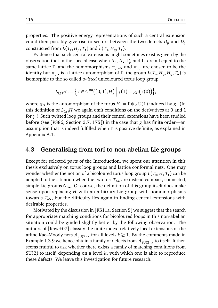properties. The positive energy representations of such a central extension could then possibly give rise to sectors between the two defects  $D_p$  and  $D_q$ constructed from  $L(T_\circ, H_p, T_\bullet)$  and  $L(T_\circ, H_q, T_\bullet)$ .

Evidence that such central extensions might sometimes exist is given by the observation that in the special case when *Λ*◦ , *Λ*• , *Γ<sup>p</sup>* and *Γ<sup>q</sup>* are all equal to the same lattice Γ, and the homomorphisms  $\pi_{p, \circ/}($ • and  $\pi_{q, \circ}$  are chosen to be the identity but  $\pi_{q,\bullet}$  is a lattice automorphism of Γ, the group  $L(T_\circ, H_p, H_q, T_\bullet)$  is isomorphic to the so called *twisted* unicoloured torus loop group

$$
L_{(g)}H := \left\{\gamma \in C^{\infty}\big([0,1],H\big) \middle| \gamma(1) = g_H\big(\gamma(0)\big)\right\},\
$$

where  $g_H$  is the automorphism of the torus  $H := \Gamma \otimes_{\mathbb{Z}} U(1)$  induced by *g*. (In this definition of  $L_{(g)}H$  we again omit conditions on the derivatives at 0 and 1 for *γ*.) Such twisted loop groups and their central extensions have been studied before (see [PS86, Section 3.7, 175]) in the case that *g* has finite order—an assumption that is indeed fulfilled when *Γ* is positive definite, as explained in Appendix A.1.

#### **4.3 Generalising from tori to non-abelian Lie groups**

Except for selected parts of the Introduction, we spent our attention in this thesis exclusively on torus loop groups and lattice conformal nets. One may wonder whether the notion of a bicoloured torus loop group *L*(*T*◦ , *H*, *T*• ) can be adapted to the situation when the two tori  $T_{\circ/\bullet}$  are instead compact, connected, simple Lie groups *G*◦/• . Of course, the definition of this group itself does make sense upon replacing *H* with an arbitrary Lie group with homomorphisms towards *T*◦/• , but the difficulty lies again in finding central extensions with desirable properties.

Motivated by the discussion in [KS11a, Section 5] we suggest that the search for appropriate matching conditions for bicoloured loops in this non-abelian situation could be guided slightly better by the following observation. The authors of [Kaw+07] classify the finite index, relatively local extensions of the affine Kac–Moody nets  $A_{SU(2),k}$  for all levels  $k \geq 1$ . By the comments made in Example 1.3.9 we hence obtain a family of defects from  $\mathcal{A}_{\mathrm{SU}(2),k}$  to itself. It then seems fruitful to ask whether there exists a family of matching conditions from SU(2) to itself, depending on a level *k*, with which one is able to reproduce these defects. We leave this investigation for future research.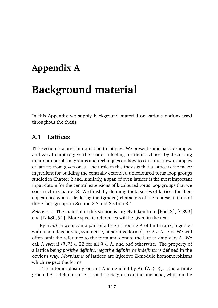## **Appendix A**

## **Background material**

In this Appendix we supply background material on various notions used throughout the thesis.

#### **A.1 Lattices**

This section is a brief introduction to lattices. We present some basic examples and we attempt to give the reader a feeling for their richness by discussing their automorphism groups and techniques on how to construct new examples of lattices from given ones. Their role in this thesis is that a lattice is the major ingredient for building the centrally extended unicoloured torus loop groups studied in Chapter 2 and, similarly, a span of even lattices is the most important input datum for the central extensions of bicoloured torus loop groups that we construct in Chapter 3. We finish by defining theta series of lattices for their appearance when calculating the (graded) characters of the representations of these loop groups in Section 2.5 and Section 3.4.

*References.* The material in this section is largely taken from [Ebe13], [CS99] and [Nik80, §1]. More specific references will be given in the text.

By a *lattice* we mean a pair of a free Z-module *Λ* of finite rank, together with a non-degenerate, symmetric, bi-additive form  $\langle \cdot, \cdot \rangle$ : *Λ* × *Λ* → ℤ. We will often omit the reference to the form and denote the lattice simply by *Λ*. We call *Λ even* if  $\langle \lambda, \lambda \rangle \in 2\mathbb{Z}$  for all  $\lambda \in \Lambda$ , and *odd* otherwise. The property of a lattice being *positive definite*, *negative definite* or *indefinite* is defined in the obvious way. *Morphisms* of lattices are injective Z-module homomorphisms which respect the forms.

The automorphism group of  $\Lambda$  is denoted by Aut $(\Lambda; \langle \cdot, \cdot \rangle)$ . It is a finite group if *Λ* is definite since it is a discrete group on the one hand, while on the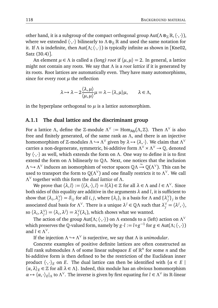other hand, it is a subgroup of the compact orthogonal group Aut( $Λ \otimes_{\mathbb{Z}} \mathbb{R}, \langle \cdot, \cdot \rangle$ ), where we extended  $\langle \cdot, \cdot \rangle$  bilinearly to  $\Lambda \otimes_{\mathbb{Z}} \mathbb{R}$  and used the same notation for it. If  $\Lambda$  is indefinite, then Aut( $\Lambda$ ;  $\langle \cdot, \cdot \rangle$ ) is typically infinite as shown in [Kne02, Satz (30.4)].

An element  $\mu \in \Lambda$  is called a *(long) root* if  $\langle \mu, \mu \rangle = 2$ . In general, a lattice might not contain any roots. We say that *Λ* is a *root lattice* if it is generated by its roots. Root lattices are automatically even. They have many automorphisms, since for every root  $\mu$  the reflection

$$
\lambda \mapsto \lambda - 2 \frac{\langle \lambda, \mu \rangle}{\langle \mu, \mu \rangle} \mu = \lambda - \langle \lambda, \mu \rangle \mu, \qquad \lambda \in \Lambda,
$$

in the hyperplane orthogonal to  $\mu$  is a lattice automorphism.

#### **A.1.1 The dual lattice and the discriminant group**

For a lattice *Λ*, define the Z-module  $\Lambda^{\vee} := \text{Hom}_{\text{Ab}}(\Lambda, \mathbb{Z})$ . Then  $\Lambda^{\vee}$  is also free and finitely generated, of the same rank as *Λ*, and there is an injective **homomorphism of ℤ-modules**  $Λ \hookrightarrow Λ<sup>∨</sup>$  given by  $λ \mapsto ⟨λ,⋅⟩$ . We claim that  $Λ<sup>∨</sup>$ carries a non-degenerate, symmetric, bi-additive form *Λ* <sup>∨</sup> × *Λ* <sup>∨</sup> → Q, denoted by 〈·,·〉 as well, which extends the form on *Λ*. One way to define it is to first extend the form on *Λ* bilinearly to Q*Λ*. Next, one notices that the inclusion *Λ* → *Λ*<sup>V</sup> induces an isomorphism of vector spaces Q*Λ* → Q(*Λ*<sup>V</sup>). This can be used to transport the form to  $\mathbb{Q}(\Lambda^\vee)$  and one finally restricts it to  $\Lambda^\vee$ . We call *Λ* ∨ together with this form the *dual lattice* of *Λ*.

We prove that  $\langle \lambda, l \rangle := \langle \langle \lambda, \cdot \rangle, l \rangle = l(\lambda) \in \mathbb{Z}$  for all  $\lambda \in \Lambda$  and  $l \in \Lambda^{\vee}$ . Since both sides of this equality are additive in the arguments *λ* and *l*, it is sufficient to show that  $\langle \lambda_i, \lambda_j^{\vee} \rangle$ *j*) = *δ*<sub>*i*</sub> for all *i*, *j*, where  $\{\lambda_i\}_i$  is a basis for *Λ* and  $\{\lambda_j^{\vee}\}$  $\binom{v}{j}$ <sub>*j*</sub> is the associated dual basis for  $\Lambda^{\vee}$ . There is a unique  $\lambda^j \in \mathbb{Q}\Lambda$  such that  $\lambda_j^{\vee} = \langle \lambda^j, \cdot \rangle$ , so  $\langle \lambda_i, \lambda_j^{\vee} \rangle$  $\langle \lambda_j^{\vee} \rangle = \langle \lambda_i, \lambda^j \rangle = \lambda_j^{\vee}$  $\int\limits_0^\vee (\lambda_i)$ , which shows what we wanted.

The action of the group Aut(Λ;  $\langle\cdot,\cdot\rangle$ ) on Λ extends to a (left) action on Λ<sup>ν</sup> which preserves the Q-valued form, namely by  $g \cdot l := l \circ g^{-1}$  for  $g \in Aut(\Lambda; \langle \cdot, \cdot \rangle)$ and  $l \in \Lambda^{\vee}$ .

If the injection *Λ* → *Λ*<sup>∨</sup> is surjective, we say that *Λ* is *unimodular*.

Concrete examples of positive definite lattices are often constructed as full rank submodules *Λ* of some linear subspace *E* of  $\mathbb{R}^n$  for some *n* and the bi-additive form is then defined to be the restriction of the Euclidean inner product  $\langle \cdot, \cdot \rangle_F$  on *E*. The dual lattice can then be identified with  $\{ \alpha \in E \mid$  $\langle \alpha, \lambda \rangle_E \in \mathbb{Z}$  for all  $\lambda \in \Lambda$ . Indeed, this module has an obvious homomorphism  $\alpha \mapsto \langle \alpha, \cdot \rangle_E|_{\Lambda}$  to  $\Lambda^{\vee}$ . The inverse is given by first equating for  $l \in \Lambda^{\vee}$  its R-linear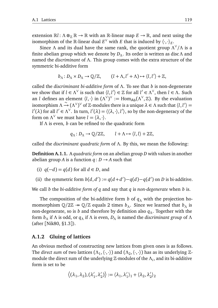extension  $\mathbb{R}l : \Lambda \otimes_{\mathbb{Z}} \mathbb{R} \to \mathbb{R}$  with an  $\mathbb{R}$ -linear map  $E \to \mathbb{R}$ , and next using the isomorphism of the  $\mathbb{R}$ -linear dual  $E^{\vee}$  with *E* that is induced by  $\langle \cdot, \cdot \rangle_E$ .

Since *Λ* and its dual have the same rank, the quotient group *Λ* ∨ */Λ* is a finite abelian group which we denote by *DΛ*. Its order is written as disc*Λ* and named the *discriminant* of *Λ*. This group comes with the extra structure of the symmetric bi-additive form

$$
b_{\Lambda}: D_{\Lambda} \times D_{\Lambda} \to \mathbb{Q}/\mathbb{Z}, \qquad (l + \Lambda, l' + \Lambda) \mapsto \langle l, l' \rangle + \mathbb{Z},
$$

called the *discriminant bi-additive form* of *Λ*. To see that *b* is non-degenerate we show that if  $l \in \Lambda^{\vee}$  is such that  $\langle l, l' \rangle \in \mathbb{Z}$  for all  $l' \in \Lambda^{\vee}$ , then  $l \in \Lambda$ . Such an *l* defines an element  $\langle l, \cdot \rangle$  in  $(\Lambda^{\vee})^{\vee} := \text{Hom}_{\text{Ab}}(\Lambda^{\vee}, \mathbb{Z})$ . By the evaluation  $\lim_{\Delta t \to 0} \frac{1}{\Delta t} \left( \frac{\Delta t}{\Delta t} \right)^{1/2}$  of Z-modules there is a unique  $\lambda \in \Lambda$  such that  $\langle l, l' \rangle =$ *l*<sup> $'$ </sup>(λ) for all *l*<sup> $'$ </sup> ∈ Λ<sup>∨</sup>. In turn, *l*'(λ) =  $\langle$  (λ, · ), *l*'), so by the non-degeneracy of the form on  $\Lambda^{\vee}$  we must have  $l = \langle \lambda, \cdot \rangle$ .

If *Λ* is even, *b* can be refined to the quadratic form

$$
q_{\Lambda}: D_{\Lambda} \to \mathbb{Q}/2\mathbb{Z}, \qquad l + \Lambda \mapsto \langle l, l \rangle + 2\mathbb{Z},
$$

called the *discriminant quadratic form* of *Λ*. By this, we mean the following:

**Definition A.1.1.** A *quadratic form* on an abelian group *D* with values in another abelian group *A* is a function  $q: D \rightarrow A$  such that

- (i)  $q(-d) = q(d)$  for all  $d \in D$ , and
- (ii) the symmetric form  $b(d, d') := q(d+d') q(d) q(d')$  on *D* is bi-additive.

We call *b* the *bi-additive form of q* and say that *q* is *non-degenerate* when *b* is.

The composition of the bi-additive form *b* of *q<sup>Λ</sup>* with the projection homomorphism  $\mathbb{Q}/2\mathbb{Z} \rightarrow \mathbb{Q}/\mathbb{Z}$  equals 2 times  $b_\Lambda$ . Since we learned that  $b_\Lambda$  is non-degenerate, so is *b* and therefore by definition also *qΛ*. Together with the form *b<sup>Λ</sup>* if *Λ* is odd, or *q<sup>Λ</sup>* if *Λ* is even, *D<sup>Λ</sup>* is named the *discriminant group* of *Λ* (after [Nik80, §1.3]).

#### **A.1.2 Gluing of lattices**

An obvious method of constructing new lattices from given ones is as follows. The *direct sum* of two lattices  $(\Lambda_1, \langle \cdot, \cdot \rangle)$  and  $(\Lambda_2, \langle \cdot, \cdot \rangle)$  has as its underlying  $\mathbb{Z}$ module the direct sum of the underlying Z-modules of the *Λ<sup>i</sup>* , and its bi-additive form is set to be

$$
\big\langle (\lambda_1, \lambda_2), (\lambda_1', \lambda_2') \big\rangle := \langle \lambda_1, \lambda_1' \rangle_1 + \langle \lambda_2, \lambda_2' \rangle_2
$$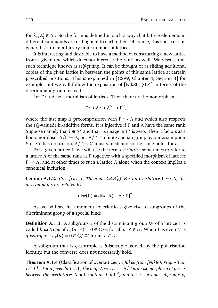for  $\lambda_i$ ,  $\lambda_i'$  $\alpha'$ <sub>*i*</sub>  $\in$  *Λ*<sub>*i*</sub>. So the form is defined in such a way that lattice elements in different summands are orthogonal to each other. Of course, this construction generalises to an arbitrary finite number of lattices.

It is interesting and desirable to have a method of constructing a new lattice from a given one which does not increase the rank, as well. We discuss one such technique known as *self-gluing*. It can be thought of as sliding additional copies of the given lattice in between the points of this same lattice at certain prescribed positions. This is explained in [CS99, Chapter 4, Section 3] for example, but we will follow the exposition of [Nik80, §1.4] in terms of the discriminant group instead.

Let Γ → Λ be a morphism of lattices. Then there are homomorphisms

$$
\Gamma\hookrightarrow\Lambda\hookrightarrow\Lambda^\vee\to\Gamma^\vee,
$$

where the last map is precomposition with  $\Gamma \hookrightarrow \Lambda$  and which also respects the (Q-valued) bi-additive forms. It is injective if *Γ* and *Λ* have the same rank. Suppose namely that  $l \in \Lambda^\vee$  and that its image in  $\Gamma^\vee$  is zero. Then it factors as a homomorphism *Λ/Γ* → Z, but *Λ/Γ* is a finite abelian group by our assumption. Since  $\mathbb Z$  has no torsion,  $\Lambda/\Gamma \rightarrow \mathbb Z$  must vanish and so the same holds for *l*.

For a given lattice *Γ* , we will use the term *overlattice* sometimes to refer to a lattice *Λ* of the same rank as *Γ* together with a specified morphism of lattices *Γ*  $\rightarrow$  *Λ*, and at other times to such a lattice *Λ* alone when the context implies a canonical inclusion.

**Lemma A.1.2.** *(See [Gri11, Theorem 2.3.3].) For an overlattice*  $Γ$   $\rightarrow$  *Λ, the discriminants are related by*

$$
disc(\Gamma) = disc(\Lambda) \cdot [\Lambda : \Gamma]^2.
$$

As we will see in a moment, overlattices give rise to subgroups of the discriminant group of a special kind:

**Definition A.1.3.** A subgroup *U* of the discriminant group *D<sup>Γ</sup>* of a lattice *Γ* is called *b*-isotropic if  $b_{\Gamma}(u, u') = 0 \in \mathbb{Q}/\mathbb{Z}$  for all  $u, u' \in U$ . When  $\Gamma$  is even  $U$  is *q*-isotropic if  $q_{\Gamma}(u) = 0 \in \mathbb{Q}/2\mathbb{Z}$  for all  $u \in U$ .

A subgroup that is *q*-isotropic is *b*-isotropic as well by the polarisation identity, but the converse does not necessarily hold.

**Theorem A.1.4** (Classification of overlattices)**.** *(Taken from [Nik80, Proposition 1.4.1].)* For a given lattice Γ, the map  $Λ$   $→$   $U_Λ$  :=  $Λ/Γ$  is an isomorphism of posets *between the overlattices Λ of Γ contained in Γ* ∨ *, and the b-isotropic subgroups of*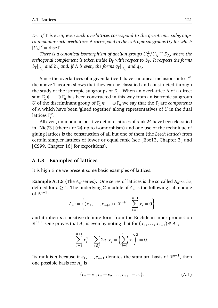*DΓ . If Γ is even, even such overlattices correspond to the q-isotropic subgroups. Unimodular such overlattices Λ correspond to the isotropic subgroups U<sup>Λ</sup> for which*  $|U_\Lambda|^2$  = disc Γ.

*There is a canonical isomorphism of abelian groups*  $U^{\perp}_{\Lambda}$  $\frac{1}{\Lambda}$ / $U_\Lambda$   $\cong$  *D*<sub>Λ</sub>*, where the orthogonal complement is taken inside D<sup>Γ</sup> with respect to b<sup>Γ</sup> . It respects the forms*  $b_{\Gamma}|_{U_{\Lambda}^{\perp}}$  and  $b_{\Lambda}$  and, if  $\Lambda$  is even, the forms  $q_{\Gamma}|_{U_{\Lambda}^{\perp}}$  and  $q_{\Lambda}$ .

Since the overlattices of a given lattice *Γ* have canonical inclusions into *Γ* ∨ , the above Theorem shows that they can be classified and constructed through the study of the isotropic subgroups of *D<sup>Γ</sup>* . When an overlattice *Λ* of a direct sum  $\Gamma_1 \oplus \cdots \oplus \Gamma_n$  has been constructed in this way from an isotropic subgroup *U* of the discriminant group of  $\Gamma_1 \oplus \cdots \oplus \Gamma_n$  we say that the  $\Gamma_i$  are *components* of *Λ* which have been 'glued together' along representatives of *U* in the dual lattices *Γ* ∨ *i* .

All even, unimodular, positive definite lattices of rank 24 have been classified in [Nie73] (there are 24 up to isomorphism) and one use of the technique of gluing lattices is the construction of all but one of them (the *Leech lattice*) from certain simpler lattices of lower or equal rank (see [Ebe13, Chapter 3] and [CS99, Chapter 16] for expositions).

#### **A.1.3 Examples of lattices**

It is high time we present some basic examples of lattices.

**Example A.1.5** (The  $A_n$ -series). One series of lattices is the so called  $A_n$ -series, defined for  $n \geq 1$ . The underlying  $\mathbb{Z}$ -module of  $A_n$  is the following submodule of  $\mathbb{Z}^{n+1}$ :

$$
A_n := \left\{ (x_1, \dots, x_{n+1}) \in \mathbb{Z}^{n+1} \; \middle| \; \sum_{i=1}^{n+1} x_i = 0 \right\}
$$

and it inherits a positive definite form from the Euclidean inner product on  $\mathbb{R}^{n+1}$ . One proves that  $A_n$  is even by noting that for  $(x_1, \ldots, x_{n+1}) \in A_n$ ,

$$
\sum_{i=1}^{n+1} x_i^2 + \sum_{i \neq j} 2x_i x_j = \left(\sum_{i=1}^{n+1} x_i\right)^2 = 0.
$$

Its rank is *n* because if  $\varepsilon_1, \ldots, \varepsilon_{n+1}$  denotes the standard basis of  $\mathbb{R}^{n+1}$ , then one possible basis for *A<sup>n</sup>* is

$$
\{\varepsilon_2 - \varepsilon_1, \varepsilon_3 - \varepsilon_2, \dots, \varepsilon_{n+1} - \varepsilon_n\}.
$$
 (A.1)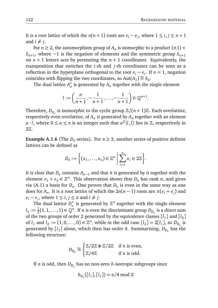It is a root lattice of which the  $n(n + 1)$  roots are  $\varepsilon_i - \varepsilon_j$ , where  $1 \le i, j \le n + 1$ and  $i \neq j$ .

For  $n \geq 2$ , the automorphism group of  $A_n$  is isomorphic to a product  $\{\pm 1\} \times$  $S_{n+1}$ , where −1 is the negation of elements and the symmetric group  $S_{n+1}$ on  $n + 1$  letters acts by permuting the  $n + 1$  coordinates. Equivalently, the transposition that switches the *i*-th and *j*-th coordinates can be seen as a reflection in the hyperplane orthogonal to the root  $\varepsilon_i - \varepsilon_j$ . If  $n = 1$ , negation coincides with flipping the two coordinates, so Aut $(A_1) \cong S_2$ .

The dual lattice  $A_n^{\vee}$  $\frac{1}{n}$  is generated by  $A_n$  together with the single element

$$
l := \left(\frac{n}{n+1}, -\frac{1}{n+1}, \dots, -\frac{1}{n+1}\right) \in \mathbb{Q}^{n+1}.
$$

Therefore,  $D_{A_n}$  is isomorphic to the cyclic group  $\mathbb{Z}/(n+1)\mathbb{Z}$ . Each overlattice, respectively even overlattice, of  $A_n$  is generated by  $A_n$  together with an element *a* · *l*, where  $0 \le a \le n$  is an integer such that  $a^2 \langle l, l \rangle$  lies in  $\mathbb{Z}$ , respectively in 2Z.

**Example A.1.6** (The  $D_n$ -series). For  $n \geq 3$ , another series of positive definite lattices can be defined as

$$
D_n := \left\{ (x_1, \ldots, x_n) \in \mathbb{Z}^n \; \middle| \; \sum_{i=1}^n x_i \in 2\mathbb{Z} \right\}.
$$

It is clear that  $D_n$  contains  $A_{n-1}$  and that it is generated by it together with the element  $\varepsilon_1 + \varepsilon_2 \in \mathbb{Z}^n$ . This observation shows that  $D_n$  has rank *n*, and gives via (A.1) a basis for  $D_n$ . One proves that  $D_n$  is even in the same way as one does for  $A_n$ . It is a root lattice of which the  $2n(n-1)$  roots are  $\pm(\varepsilon_i+\varepsilon_j)$  and  $\varepsilon_i - \varepsilon_j$ , where  $1 \le i, j \le n$  and  $i \ne j$ .

The dual lattice  $D_n^{\vee}$  $\frac{1}{n}$  is generated by  $\mathbb{Z}^n$  together with the single element  $l_1 := \frac{1}{2}$  $\frac{1}{2}(1, 1, \ldots, 1) \in \mathbb{Q}^n$ . If *n* is even the discriminant group  $D_{D_n}$  is a direct sum of the two groups of order 2 generated by the equivalence classes  $\left[ l_1 \right]$  and  $\left[ l_2 \right]$ of  $l_1$  and  $l_2 := (1, 0, \ldots, 0) \in \mathbb{Z}^n$ , while in the odd case  $[l_2] = 2[l_1]$ , so  $D_{D_n}$  is generated by [*l*<sup>1</sup> ] alone, which then has order 4. Summarising, *DD<sup>n</sup>* has the following structure:

$$
D_{D_n} \cong \begin{cases} \mathbb{Z}/2\mathbb{Z} \oplus \mathbb{Z}/2\mathbb{Z} & \text{if } n \text{ is even,} \\ \mathbb{Z}/4\mathbb{Z} & \text{if } n \text{ is odd.} \end{cases}
$$

If *n* is odd, then *DD<sup>n</sup>* has no non-zero *b*-isotropic subgroups since

$$
b_{D_n}([l_1],[l_1])=n/4 \bmod \mathbb{Z}
$$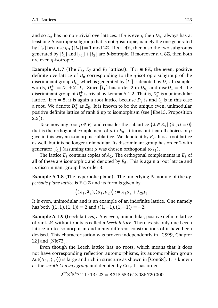and so  $D_n$  has no non-trivial overlattices. If *n* is even, then  $D_{D_n}$  always has at least one *b*-isotropic subgroup that is not *q*-isotropic, namely the one generated by  $[l_2]$  because  $q_{D_n}([l_2]) = 1 \mod 2\mathbb{Z}$ . If  $n \in 4\mathbb{Z}$ , then also the two subgroups generated by  $[l_1]$  and  $[l_1] + [l_2]$  are *b*-isotropic. If moreover  $n \in 8\mathbb{Z}$ , then both are even *q*-isotropic.

**Example A.1.7** (The  $E_6$ ,  $E_7$  and  $E_8$  lattices). If  $n \in 8\mathbb{Z}$ , the even, positive definite overlattice of  $D_n$  corresponding to the  $q$ -isotropic subgroup of the discriminant group  $D_{D_n}$  which is generated by  $\left[ l_1 \right]$  is denoted by  $D_n^+$ . In simpler words,  $D_n^+ := D_n + \mathbb{Z} \cdot l_1$ . Since  $[l_1]$  has order 2 in  $D_{D_n}$  and disc $D_n = 4$ , the discriminant group of  $D_n^+$  is trivial by Lemma A.1.2. That is,  $D_n^+$  is a unimodular lattice. If  $n = 8$ , it is again a root lattice because  $D_8$  is and  $l_1$  is in this case a root. We denote  $D_8^+$  as  $E_8$ . It is known to be the unique even, unimodular, positive definite lattice of rank 8 up to isomorphism (see [Ebe13, Proposition 2.5]).

Take now any root  $\mu \in E_8$  and consider the sublattice  $\{\lambda \in E_8 \mid \langle \lambda, \mu \rangle = 0\}$ that is the orthogonal complement of  $\mu$  in  $E_8.$  It turns out that all choices of  $\mu$ give in this way an isomorphic sublattice. We denote it by *E*<sup>7</sup> . It is a root lattice as well, but it is no longer unimodular. Its discriminant group has order 2 with generator [ $l_1$ ] (assuming that  $\mu$  was chosen orthogonal to  $l_1$ ).

The lattice  $E_8$  contains copies of  $A_2$ . The orthogonal complements in  $E_8$  of all of these are isomorphic and denoted by  $E_6$ . This is again a root lattice and its discriminant group has order 3.

**Example A.1.8** (The hyperbolic plane)**.** The underlying Z-module of the *hyperbolic plane lattice* is  $\mathbb{Z} \oplus \mathbb{Z}$  and its form is given by

$$
\langle (\lambda_1, \lambda_2), (\mu_1, \mu_2) \rangle := \lambda_1 \mu_2 + \lambda_2 \mu_1.
$$

It is even, unimodular and is an example of an indefinite lattice. One namely has both  $\langle (1,1), (1,1) \rangle = 2$  and  $\langle (1,-1), (1,-1) \rangle = -2$ .

**Example A.1.9** (Leech lattices)**.** Any even, unimodular, positive definite lattice of rank 24 without roots is called a *Leech lattice*. There exists only one Leech lattice up to isomorphism and many different constructions of it have been devised. This characterisation was proven independently in [CS99, Chapter 12] and [Nie73].

Even though the Leech lattice has no roots, which means that it does not have corresponding reflection automorphisms, its automorphism group Aut(Λ<sub>24</sub>,  $\langle \cdot, \cdot \rangle$ ) is large and rich in structure as shown in [Con68]. It is known as the *zeroth Conway group* and denoted by Co<sub>0</sub>. It has order

$$
2^{22}3^95^47^211 \cdot 13 \cdot 23 = 8315553613086720000
$$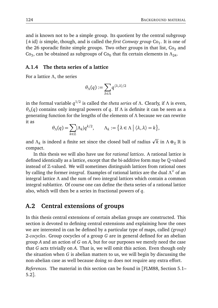and is known not to be a simple group. Its quotient by the central subgroup {±id} *is* simple, though, and is called the *first Conway group* Co<sub>1</sub>. It is one of the 26 sporadic finite simple groups. Two other groups in that list,  $Co<sub>2</sub>$  and Co<sub>3</sub>, can be obtained as subgroups of Co<sub>0</sub> that fix certain elements in  $\Lambda_{24}$ .

#### **A.1.4 The theta series of a lattice**

For a lattice *Λ*, the series

$$
\theta_\Lambda(q):=\sum_{\lambda\in\Lambda}q^{\langle\lambda,\lambda\rangle/2}
$$

in the formal variable *q* 1*/*2 is called the *theta series* of *Λ*. Clearly, if *Λ* is even, *θΛ*(*q*) contains only integral powers of *q*. If *Λ* is definite it can be seen as a generating function for the lengths of the elements of *Λ* because we can rewrite it as

$$
\theta_{\Lambda}(q) = \sum_{k \in \mathbb{Z}} |\Lambda_k| q^{k/2}, \qquad \Lambda_k := \{ \lambda \in \Lambda \mid \langle \lambda, \lambda \rangle = k \},
$$

and  $\Lambda_k$  is indeed a finite set since the closed ball of radius  $\sqrt{k}$  in  $\Lambda \otimes_{\mathbb{Z}} \mathbb{R}$  is compact.

In this thesis we will also have use for *rational lattices*. A rational lattice is defined identically as a lattice, except that the bi-additive form may be Q-valued instead of  $\mathbb Z$ -valued. We will sometimes distinguish lattices from rational ones by calling the former *integral*. Examples of rational lattics are the dual *Λ* <sup>∨</sup> of an integral lattice *Λ* and the sum of two integral lattices which contain a common integral sublattice. Of course one can define the theta series of a rational lattice also, which will then be a series in fractional powers of *q*.

#### **A.2 Central extensions of groups**

In this thesis central extensions of certain abelian groups are constructed. This section is devoted to defining central extensions and explaining how the ones we are interested in can be defined by a particular type of maps, called *(group)* 2*-cocycles*. Group cocycles of a group *G* are in general defined for an abelian group *A* and an action of *G* on *A*, but for our purposes we merely need the case that *G* acts trivially on *A*. That is, we will omit this action. Even though only the situation when *G* is abelian matters to us, we will begin by discussing the non-abelian case as well because doing so does not require any extra effort.

*References.* The material in this section can be found in [FLM88, Section 5.1– 5.2].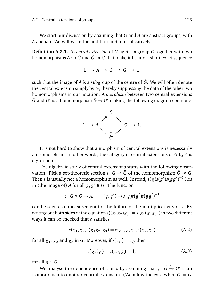We start our discussion by assuming that *G* and *A* are abstract groups, with *A* abelian. We will write the addition in *A* multiplicatively.

**Definition A.2.1.** A *central extension* of *G* by *A* is a group  $\tilde{G}$  together with two homomorphisms  $A \hookrightarrow \tilde{G}$  and  $\tilde{G} \rightarrow G$  that make it fit into a short exact sequence

$$
1 \to A \to \tilde{G} \to G \to 1,
$$

such that the image of  $A$  is a subgroup of the centre of  $\tilde{G}$ . We will often denote the central extension simply by  $\tilde{G}$ , thereby suppressing the data of the other two homomorphisms in our notation. A *morphism* between two central extensions  $\tilde{G}$  and  $\tilde{G}'$  is a homomorphism  $\tilde{G} \to \tilde{G}'$  making the following diagram commute:



It is not hard to show that a morphism of central extensions is necessarily an isomorphism. In other words, the category of central extensions of *G* by *A* is a groupoid.

The algebraic study of central extensions starts with the following observation. Pick a set-theoretic section  $s: G \to \tilde{G}$  of the homomorphism  $\tilde{G} \twoheadrightarrow G$ . Then *s* is usually not a homomorphism as well. Instead,  $s(g)s(g')s(gg')^{-1}$  lies in (the image of) *A* for all  $g, g' \in G$ . The function

$$
c: G \times G \to A, \qquad (g, g') \mapsto s(g)s(g')s(gg')^{-1}
$$

can be seen as a measurement for the failure of the multiplicativity of *s*. By writing out both sides of the equation  $s((g_1g_2)g_3) = s(g_1(g_2g_3))$  in two different ways it can be checked that *c* satisfies

$$
c(g_1, g_2)c(g_1g_2, g_3) = c(g_1, g_2g_3)c(g_2, g_3)
$$
\n(A.2)

for all  $g_1$ ,  $g_2$  and  $g_3$  in *G*. Moreover, if  $s(1_G) = 1_{\tilde{G}}$  then

$$
c(g, 1_G) = c(1_G, g) = 1_A
$$
 (A.3)

for all  $g \in G$ .

−→ *a* − − − *− −*  $\tilde{G}$  is an  $\tilde{G}$  are  $\tilde{G}$  on *s* by assuming that  $f : \tilde{G} \stackrel{\sim}{\to} \tilde{G}'$  is an isomorphism to another central extension. (We allow the case when  $\tilde{G}' = \tilde{G}$ ,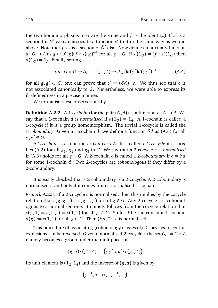the two homomorphisms to *G* are the same and  $f$  is the identity.) If  $s'$  is a section for  $\tilde{G}'$  we can associate a function  $c'$  to it in the same way as we did above. Note that *f* ∘*s* is a section of  $\tilde{G}'$  also. Now define an auxiliary function *d* : *G* → *A* as  $g$  → *s*'(*g*)(*f* ◦ *s*)(*g*)<sup>-1</sup> for all *g* ∈ *G*. If *s'*(1<sub>*G*</sub>) = (*f* ◦ *s*)(1<sub>*G*</sub>) then  $d(1_G) = 1_A$ . Finally setting

$$
\delta d: G \times G \to A, \qquad (g, g') \mapsto d(g)d(g')d(gg')^{-1} \tag{A.4}
$$

for all  $g, g' \in G$ , one can prove that  $c' = (\delta d) \cdot c$ . We thus see that *c* is not associated canonically to  $\tilde{G}$ . Nevertheless, we were able to express its ill-definedness in a precise manner.

We formalise these observations by

**Definition A.2.2.** A 1*-cochain* (for the pair  $(G,A)$ ) is a function  $d: G \rightarrow A$ . We say that a 1-cochain *d* is *normalised* if  $d(1_G) = 1_A$ . A 1-cochain is called a 1*-cocycle* if it is a group homomorphism. The trivial 1-cocycle is called the 1*-coboundary*. Given a 1-cochain *d*, we define a function *δd* as (A.4) for all  $g, g' \in G$ .

A 2-cochain is a function  $c: G \times G \rightarrow A$ . It is called a 2-cocycle if it satisfies (A.2) for all *g*<sup>1</sup> , *g*<sup>2</sup> and *g*<sup>3</sup> in *G*. We say that a 2-cocycle *c* is *normalised* if (A.3) holds for all  $g \in G$ . A 2-cochain *c* is called a 2-*coboundary* if  $c = \delta d$ for some 1-cochain *d*. Two 2-cocycles are *cohomologous* if they differ by a 2-coboundary.

It is easily checked that a 2-coboundary is a 2-cocycle. A 2-coboundary is normalised if and only if it comes from a normalised 1-cochain.

*Remark* A.2.3*.* If a 2-cocycle *c* is normalised, then this implies by the cocycle relation that  $c(g, g^{-1}) = c(g^{-1}, g)$  for all  $g \in G$ . Any 2-cocycle *c* is cohomologous to a normalised one. It namely follows from the cocycle relation that  $c(g, 1) = c(1, g) = c(1, 1)$  for all  $g \in G$ . So let *d* be the constant 1-cochain  $d(g) := c(1, 1)$  for all  $g \in G$ . Then  $(\delta d)^{-1} \cdot c$  is normalised.

This procedure of associating (cohomology classes of) 2-cocycles to central extensions can be reversed. Given a normalised 2-cocycle  $c$  the set  $\tilde{G}_c := G \times A$ namely becomes a group under the multiplication

$$
(g,a)\cdot (g',a') := (gg',aa'\cdot c(g,g')).
$$

Its unit element is  $(1_G, 1_A)$  and the inverse of  $(g, a)$  is given by

$$
\big(g^{-1},a^{-1}c(g,g^{-1})^{-1}\big).
$$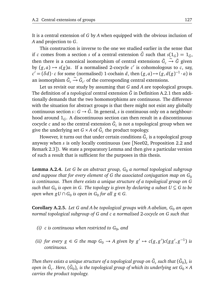It is a central extension of *G* by *A* when equipped with the obvious inclusion of *A* and projection to *G*.

This construction is inverse to the one we studied earlier in the sense that if *c* comes from a section *s* of a central extension  $\tilde{G}$  such that  $s(1_G) = 1_{\tilde{G}}$ , then there is a canonical isomorphism of central extensions  $\tilde{G}_{c}$ ∼ −→ *G*˜ given by  $(g, a) \mapsto s(g)a$ . If a normalised 2-cocycle  $c'$  is cohomologous to *c*, say,  $c' = (\delta d) \cdot c$  for some (normalised) 1-cochain *d*, then  $(g, a) \mapsto (g, d(g)^{-1} \cdot a)$  is an isomorphism  $\tilde{G}_c$  $\stackrel{\sim}{\to} \tilde{G}_{c'}$  of the corresponding central extensions.

Let us revisit our study by assuming that *G* and *A* are topological groups. The definition of a *topological* central extension  $\tilde{G}$  in Definition A.2.1 then additionally demands that the two homomorphisms are continuous. The difference with the situation for abstract groups is that there might not exist any globally continuous section  $s: G \to \tilde{G}$ . In general, *s* is continuous only on a neighbourhood around 1*G*. A discontinuous section can then result in a discontinuous cocycle  $c$  and so the central extension  $\tilde{G}_c$  is not a topological group when we give the underlying set  $G \times A$  of  $\tilde{G}_c$  the product topology.

However, it turns out that under certain conditions  $\tilde{G}_{c}$  is a topological group anyway when *s* is only locally continuous (see [Nee02, Proposition 2.2 and Remark 2.3]). We state a preparatory Lemma and then give a particular version of such a result that is sufficient for the purposes in this thesis.

**Lemma A.2.4.** *Let G be an abstract group, G*<sup>0</sup> *a normal topological subgroup* and suppose that for every element of G the associated conjugation map on  $G_0$ *is continuous. Then there exists a unique structure of a topological group on G*  $s$ uch that  $G_0$  is open in  $G$ . The topology is given by declaring a subset  $U \subseteq G$  to be *open when*  $gU \cap G_0$  *is open in*  $G_0$  *for all*  $g \in G$ *.* 

**Corollary A.2.5.** *Let G and A be topological groups with A abelian*, *G*<sup>0</sup> *an open normal topological subgroup of G and c a normalised* 2*-cocycle on G such that*

- (i)  $\,$  c is continuous when restricted to  $G_0$ , and
- *(ii) for every*  $g \in G$  *the map*  $G_0 \to A$  *given by*  $g' \to c(g, g')c(gg', g^{-1})$  *is continuous.*

Then there exists a unique structure of a topological group on  $\tilde{G}_{c}$  such that  $(\tilde{G}_{0})_{c}$  is open in  $\tilde{G}_{c}$ . Here,  $(\tilde{G}_{0})_{c}$  is the topological group of which its underlying set  $G_{0}\times A$ *carries the product topology.*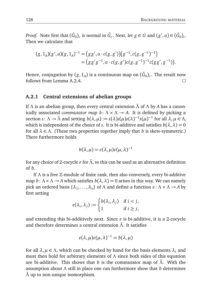*Proof.* Note first that  $(\tilde{G}_0)_c$  is normal in  $\tilde{G}_c$ . Next, let  $g \in G$  and  $(g', a) \in (\tilde{G}_0)_c$ . Then we calculate that

$$
(g,1_A)(g',a)(g,1_A)^{-1} = (gg',a \cdot c(g,g'))(g^{-1},c(g,g^{-1})^{-1})
$$
  
= 
$$
(gg'g^{-1},a \cdot c(g,g')c(g,g^{-1})^{-1}c(gg',g^{-1})).
$$

Hence, conjugation by  $(g,1_A)$  is a continuous map on  $(\tilde{G}_0)_c.$  The result now follows from Lemma A.2.4.  $\Box$ 

#### **A.2.1 Central extensions of abelian groups**

If *Λ* is an abelian group, then every central extension *Λ*˜ of *Λ* by *A* has a canonically associated *commutator map*  $b: \Lambda \times \Lambda \rightarrow A$ . It is defined by picking a section *s*:  $\Lambda \to \tilde{\Lambda}$  and setting  $b(\lambda, \mu) := s(\lambda)s(\mu)s(\lambda)^{-1}s(\mu)^{-1}$  for all  $\lambda, \mu \in \Lambda$ , which is independent of the choice of *s*. It is bi-additive and satisfies  $b(\lambda, \lambda) = 0$ for all  $\lambda \in \Lambda$ . (These two properties together imply that *b* is skew-symmetric.) There furthermore holds

$$
b(\lambda,\mu)=\varepsilon(\lambda,\mu)\varepsilon(\mu,\lambda)^{-1}
$$

for any choice of 2-cocycle  $\varepsilon$  for  $\tilde{\Lambda}$ , so this can be used as an alternative definition of *b*.

If *Λ* is a free Z-module of finite rank, then also conversely, every bi-additive map  $b: \Lambda \times \Lambda \rightarrow A$  which satisfies  $b(\lambda, \lambda) = 0$  arises in this way. We can namely pick an ordered basis  $\{\lambda_1, \ldots, \lambda_n\}$  of  $\Lambda$  and define a function  $\varepsilon : \Lambda \times \Lambda \to A$  by first setting

$$
\varepsilon(\lambda_i, \lambda_j) := \begin{cases} b(\lambda_i, \lambda_j) & \text{if } i < j, \\ 1 & \text{if } i \ge j, \end{cases}
$$

and extending this bi-additively next. Since  $\varepsilon$  is bi-additive, it is a 2-cocycle and therefore determines a central extension *Λ*˜. It satisfies

$$
\varepsilon(\lambda,\mu)\varepsilon(\mu,\lambda)^{-1}=b(\lambda,\mu)
$$

for all  $\lambda, \mu \in \Lambda$ , which can be checked by hand for the basis elements  $\lambda_i$  and must then hold for arbitrary elements of *Λ* since both sides of this equation are bi-additive. This shows that *b* is the commutator map of *Λ*˜. With the assumption about *Λ* still in place one can furthermore show that *b* determines *Λ*˜ up to non-unique isomorphism.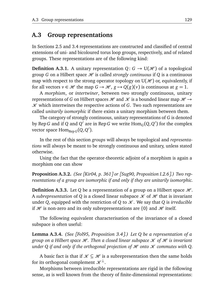#### **A.3 Group representations**

In Sections 2.5 and 3.4 representations are constructed and classified of central extensions of uni- and bicoloured torus loop groups, respectively, and of related groups. These representations are of the following kind:

**Definition A.3.1.** A unitary representation  $Q: G \rightarrow U(\mathcal{H})$  of a topological group *G* on a Hilbert space  $H$  is called *strongly continuous* if *Q* is a continuous map with respect to the strong operator topology on  $U(\mathcal{H})$  or, equivalently, if for all vectors  $v \in \mathcal{H}$  the map  $G \to \mathcal{H}$ ,  $g \mapsto Q(g)(v)$  is continuous at  $g = 1$ .

A *morphism*, or *intertwiner*, between two strongly continuous, unitary representations of *G* on Hilbert spaces  $\mathcal H$  and  $\mathcal K$  is a bounded linear map  $\mathcal H \rightarrow$  $K$  which intertwines the respective actions of  $G$ . Two such representations are called *unitarily isomorphic* if there exists a unitary morphism between them.

The category of strongly continuous, unitary representations of *G* is denoted by Rep  $G$  and if  $Q$  and  $Q'$  are in Rep  $G$  we write  $\text{Hom}_G(Q,Q')$  for the complex vector space  $\text{Hom}_{\text{Rep }G}(Q, Q').$ 

In the rest of this section *groups* will always be topological and *representations* will always be meant to be strongly continuous and unitary, unless stated otherwise.

Using the fact that the operator-theoretic adjoint of a morphism is again a morphism one can show

**Proposition A.3.2.** *(See [Kir04, p. 361] or [Sug90, Proposition I.2.6].) Two representations of a group are isomorphic if and only if they are unitarily isomorphic.*

**Definition A.3.3.** Let *Q* be a representation of a group on a Hilbert space  $\mathcal{H}$ . A *subrepresentation* of Q is a closed linear subspace  $\mathcal K$  of  $\mathcal H$  that is invariant under *Q*, equipped with the restriction of *Q* to  $K$ . We say that *Q* is *irreducible* if  $\mathcal H$  is non-zero and its only subrepresentations are  $\{0\}$  and  $\mathcal H$  itself.

The following equivalent characterisation of the invariance of a closed subspace is often useful:

**Lemma A.3.4.** *(See [Fol95, Proposition 3.4].) Let Q be a representation of a group on a Hilbert space H. Then a closed linear subspace*  $\mathcal X$  *of*  $\mathcal H$  *is invariant under Q if and only if the orthogonal projection of*  $H$  *onto*  $H$  *commutes with Q.* 

A basic fact is that if  $\mathcal{K} \subseteq \mathcal{H}$  is a subrepresentation then the same holds for its orthogonal complement  $\mathcal{K}^{\perp}$ .

Morphisms between irreducible representations are rigid in the following sense, as is well known from the theory of finite-dimensional representations: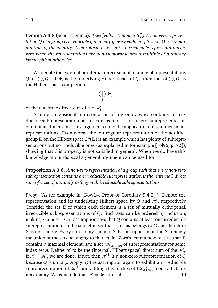**Lemma A.3.5** (Schur's lemma)**.** *(See [Fol95, Lemma 3.5].) A non-zero representation Q of a group is irreducible if and only if every endomorphism of Q is a scalar multiple of the identity. A morphism between two irreducible representations is zero when the representations are non-isomorphic and a multiple of a unitary isomorphism otherwise.*

We denote the external or internal direct sum of a family of representations  $Q_i$  as  $\bigoplus_i Q_i$ . If  $\mathcal{H}_i$  is the underlying Hilbert space of  $Q_i$ , then that of  $\bigoplus_i Q_i$  is the Hilbert space completion

$$
\overline{\bigoplus_i \mathscr{H}_i}
$$

of the algebraic direct sum of the  $\mathcal{H}_i$ .

A finite-dimensional representation of a group always contains an irreducible subrepresentation because one can pick a non-zero subrepresentation of minimal dimension. This argument cannot be applied to infinite-dimensional representations. Even worse, the left regular representation of the additive group  $\R$  on the Hilbert space  $L^2(\R)$  is an example which has plenty of subrepresentations but no irreducible ones (as explained in for example [Fol95, p. 72]), showing that this property is not satisfied in general. When we do have this knowledge at our disposal a general argument can be used for

**Proposition A.3.6.** *A non-zero representation of a group such that every non-zero subrepresentation contains an irreducible subrepresentation is the (internal) direct sum of a set of mutually orthogonal, irreducible subrepresentations.*

*Proof.* (As for example in [Kow14, Proof of Corollary 5.4.2].) Denote the representation and its underlying Hilbert space by  $Q$  and  $H$ , respectively. Consider the set  $\Sigma$  of which each element is a set of mutually orthogonal, irreducible subrepresentations of *Q*. Such sets can be ordered by inclusion, making *Σ* a poset. Our assumption says that *Q* contains at least one irreducible subrepresentation, so the singleton set that it forms belongs to *Σ* and therefore *Σ* is non-empty. Every non-empty chain in *Σ* has an upper bound in *Σ*, namely the union of the sets belonging to that chain. Zorn's lemma now tells us that *Σ* contains a maximal element, say, a set  $\{\mathcal{K}_{\alpha}\}_{{\alpha}\in A}$  of subrepresentations for some index set *A*. Define  $K$  to be the (internal, Hilbert space) direct sum of the  $\mathcal{K}_{\alpha}$ . If  $\mathcal{K} = \mathcal{H}$ , we are done. If not, then  $\mathcal{K}^{\perp}$  is a non-zero subrepresentation of *Q* because *Q* is unitary. Applying the assumption again to exhibit an irreducible subrepresentation of  $\mathcal{K}^{\perp}$  and adding this to the set  $\{\mathcal{K}_{\alpha}\}_{{\alpha}\in A}$  contradicts its maximality. We conclude that  $\mathcal{K} = \mathcal{H}$  after all.  $\Box$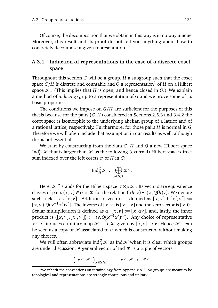Of course, the decomposition that we obtain in this way is in no way unique. Moreover, this result and its proof do not tell you anything about how to concretely decompose a given representation.

#### **A.3.1 Induction of representations in the case of a discrete coset space**

Throughout this section *G* will be a group, *H* a subgroup such that the coset space  $G/H$  is discrete and countable and *Q* a representation<sup>1</sup> of *H* on a Hilbert space  $K$ . (This implies that *H* is open, and hence closed in *G*.) We explain a method of *inducing Q* up to a representation of *G* and we prove some of its basic properties.

The conditions we impose on *G/H* are sufficient for the purposes of this thesis because for the pairs (*G*, *H*) considered in Sections 2.5.3 and 3.4.2 the coset space is isomorphic to the underlying abelian group of a lattice and of a rational lattice, respectively. Furthermore, for those pairs *H* is normal in *G*. Therefore we will often include that assumption in our results as well, although this is not essential.

We start by constructing from the data *G*, *H* and *Q* a new Hilbert space Ind $^G_H\mathscr K$  that is larger than  $\mathscr K$  as the following (external) Hilbert space direct sum indexed over the left cosets  $\sigma$  of *H* in *G*:

$$
\operatorname{Ind}_{H}^{G} \mathscr{K} := \overline{\bigoplus_{\sigma \in G/H} \mathscr{K}^{\sigma}}.
$$

Here,  $\mathcal{K}^{\sigma}$  stands for the Hilbert space  $\sigma \times_H \mathcal{K}$ . Its vectors are equivalence classes of pairs  $(x, y) \in \sigma \times \mathcal{K}$  for the relation  $(xh, y) \sim (x, Q(h)y)$ . We denote such a class as  $[x, y]$ . Addition of vectors is defined as  $[x, y] + [x', y'] :=$  $[x, v+Q(x^{-1}x')v']$ . The inverse of  $[x, v]$  is  $[x, -v]$  and the zero vector is  $[x, 0]$ . Scalar multiplication is defined as  $\alpha \cdot [x, v] := [x, \alpha v]$ , and, lastly, the inner product is  $\langle [x, v], [x', v'] \rangle := \langle v, Q(x^{-1}x')v' \rangle$ . Any choice of representative  $x \in \sigma$  induces a unitary map  $\mathcal{K}^{\sigma} \stackrel{\sim}{\rightarrow} \mathcal{K}$  given by  $[x, y] \mapsto v$ . Hence  $\mathcal{K}^{\sigma}$  can be seen as a copy of  $\mathcal X$  associated to  $\sigma$  which is constructed without making any choices.

We will often abbreviate Ind $^G_H\mathscr{K}$  as Ind  $\mathscr{K}$  when it is clear which groups are under discussion. A general vector of Ind  $K$  is a tuple of vectors

$$
([x^{\sigma}, v^{\sigma}])_{\sigma \in G/H}, \qquad [x^{\sigma}, v^{\sigma}] \in \mathcal{K}^{\sigma},
$$

<sup>&</sup>lt;sup>1</sup>We inherit the conventions on terminology from Appendix A.3. So groups are meant to be topological and representations are strongly continuous and unitary.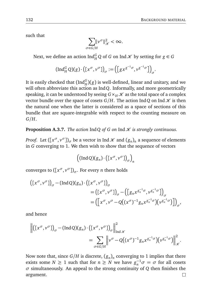such that

$$
\sum_{\sigma \in G/H} \lVert v^{\sigma} \rVert_{\mathcal{K}}^2 < \infty.
$$

Next, we define an action  $\text{Ind}_{H}^{G}Q$  of *G* on  $\text{Ind }\mathcal{K}$  by setting for  $g \in G$ 

$$
(\mathrm{Ind}_{H}^{G} Q)(g) \cdot ([x^{\sigma}, v^{\sigma}])_{\sigma} := ([gx^{g^{-1}\sigma}, v^{g^{-1}\sigma}])_{\sigma}.
$$

It is easily checked that  $(\mathrm{Ind}_H^G)(g)$  is well-defined, linear and unitary, and we will often abbreviate this action as Ind*Q*. Informally, and more geometrically speaking, it can be understood by seeing  $G \times_H \mathcal{K}$  as the total space of a complex vector bundle over the space of cosets  $G/H$ . The action Ind*Q* on Ind  $\mathcal X$  is then the natural one when the latter is considered as a space of sections of this bundle that are square-integrable with respect to the counting measure on *G/H*.

**Proposition A.3.7.** *The action*  $\text{Ind }Q$  *of G on*  $\text{Ind }\mathcal{K}$  *is strongly continuous.* 

*Proof.* Let  $([x^\sigma, v^\sigma])_\sigma$  be a vector in Ind  $\mathscr K$  and  $(g_n)_n$  a sequence of elements in *G* converging to 1. We then wish to show that the sequence of vectors

$$
\left(\left(\text{Ind}\,Q\right)\left(g_n\right)\cdot\left(\left[x^\sigma,v^\sigma\right]\right)_\sigma\right)_n
$$

converges to  $([x^\sigma, v^\sigma])_\sigma$ . For every *n* there holds

$$
\begin{aligned} ([x^{\sigma}, v^{\sigma}])_{\sigma} - (\operatorname{Ind} Q)(g_{n}) \cdot ([x^{\sigma}, v^{\sigma}])_{\sigma} \\ &= ([x^{\sigma}, v^{\sigma}])_{\sigma} - ([g_{n} x^{g_{n}^{-1} \sigma}, v^{g_{n}^{-1} \sigma}])_{\sigma} \\ &= ([x^{\sigma}, v^{\sigma} - Q((x^{\sigma})^{-1} g_{n} x^{g_{n}^{-1} \sigma})(v^{g_{n}^{-1} \sigma})])_{\sigma}, \end{aligned}
$$

and hence

$$
\left\| \left( \left[ x^{\sigma}, v^{\sigma} \right] \right)_{\sigma} - (\operatorname{Ind} Q)(g_n) \cdot \left( \left[ x^{\sigma}, v^{\sigma} \right] \right)_{\sigma} \right\|_{\operatorname{Ind} \mathscr{K}}^2
$$
  

$$
= \sum_{\sigma \in G/H} \left\| v^{\sigma} - Q \left( (x^{\sigma})^{-1} g_n x^{g_n^{-1} \sigma} \right) \left( v^{g_n^{-1} \sigma} \right) \right\|_{\mathscr{K}}^2.
$$

Now note that, since  $G/H$  is discrete,  $(g_n)_n$  converging to  $1$  implies that there exists some  $N \ge 1$  such that for  $n \ge N$  we have  $g_n^{-1}\sigma = \sigma$  for all cosets *σ* simultaneously. An appeal to the strong continuity of *Q* then finishes the argument. $\Box$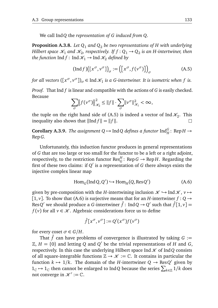We call Ind*Q* the *representation of G induced from Q*.

**Proposition A.3.8.** *Let Q*<sup>1</sup> *and Q*<sup>2</sup> *be two representations of H with underlying Hilbert space*  $\mathscr{K}_1$  *and*  $\mathscr{K}_2$ *, respectively. If*  $f:Q_1 \rightarrow Q_2$  *is an H-intertwiner, then the function* Ind  $f$ : Ind  $\mathcal{K}_1 \rightarrow$  Ind  $\mathcal{K}_2$  *defined by* 

$$
(\text{Ind } f) ([x^{\sigma}, v^{\sigma}])_{\sigma} := ([x^{\sigma}, f(v^{\sigma})])_{\sigma}
$$
 (A.5)

*for all vectors*  $([\mathbf{x}^\sigma, \mathbf{v}^\sigma])_\sigma \in \text{Ind }\mathcal{K}_1$  is a G-intertwiner. It is isometric when f is.

*Proof.* That Ind *f* is linear and compatible with the actions of *G* is easily checked. Because

$$
\sum_{\sigma} \left\| f(v^{\sigma}) \right\|_{\mathcal{K}_2}^2 \leq \|f\| \cdot \sum_{\sigma} \left\| v^{\sigma} \right\|_{\mathcal{K}_1}^2 < \infty,
$$

the tuple on the right hand side of (A.5) is indeed a vector of Ind  $\mathcal{K}_2$ . This inequality also shows that  $\|\text{Ind } f\| = \|f\|$ .

**Corollary A.3.9.** *The assignment*  $Q \mapsto \text{Ind}Q$  *defines a functor*  $\text{Ind}_{H}^{G}$ : Rep $H \rightarrow$ Rep*G.*

Unfortunately, this induction functor produces in general representations of *G* that are too large or too small for the functor to be a left or a right adjoint, respectively, to the restriction functor  $\operatorname{Res}^H_G\colon \operatorname{Rep} G \to \operatorname{Rep} H.$  Regarding the first of these two claims: if  $Q'$  is a representation of *G* there always exists the injective complex linear map

$$
Hom_G(IndQ, Q') \hookrightarrow Hom_H(Q, ResQ') \tag{A.6}
$$

given by pre-composition with the *H*-intertwining inclusion  $\mathcal{K} \hookrightarrow$  Ind  $\mathcal{K}, v \mapsto$ [1, *v*]. To show that (A.6) is surjective means that for an *H*-intertwiner  $f: Q \rightarrow$ Res*Q*<sup>'</sup> we should produce a *G*-intertwiner  $\hat{f}$  : Ind*Q*  $\rightarrow$  *Q*<sup>'</sup> such that  $\hat{f}[1,v]$  = *f* (*v*) for all *v* ∈  $K$ . Algebraic considerations force us to define

$$
\hat{f}[x^{\sigma},v^{\sigma}]:=Q'(x^{\sigma})f(v^{\sigma})
$$

for every coset  $\sigma \in G/H$ .

That  $\hat{f}$  can have problems of convergence is illustrated by taking  $G :=$  $\mathbb{Z}, H = \{0\}$  and letting *Q* and *Q*<sup> $\prime$ </sup> be the trivial representations of *H* and *G*, respectively. In this case the underlying Hilbert space  $\text{Ind }\mathcal{K}$  of Ind*Q* consists of all square-integrable functions  $\mathbb{Z} \to \mathcal{K} := \mathbb{C}$ . It contains in particular the function  $k \mapsto 1/k$ . The domain of the *H*-intertwiner  $Q \to \text{Res } Q'$  given by  $1_\mathbb{C}$   $\mapsto$  1<sub> $\mathbb{C}$ </sub> then cannot be enlarged to Ind*Q* because the series  $\sum_{k\in\mathbb{Z}}1/k$  does not converge in  $\mathcal{K}' := \mathbb{C}$ .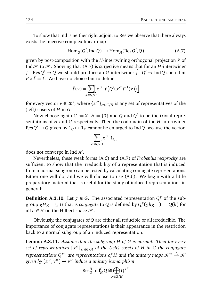To show that Ind is neither right adjoint to Res we observe that there always exists the injective complex linear map

$$
Hom_G(Q', Ind Q) \hookrightarrow Hom_H(Res Q', Q)
$$
 (A.7)

given by post-composition with the *H*-intertwining orthogonal projection *P* of Ind  $K$  to  $K$ . Showing that (A.7) is surjective means that for an *H*-intertwiner *f* : Res $Q' \rightarrow Q$  we should produce an *G*-intertwiner  $\hat{f} : Q' \rightarrow \text{Ind} \hat{Q}$  such that  $P \circ \hat{f} = f$  . We have no choice but to define

$$
\hat{f}(v) = \sum_{\sigma \in G/H} \left[ x^{\sigma}, f\left( Q'(x^{\sigma})^{-1}(v) \right) \right]
$$

for every vector  $v \in \mathcal{K}'$ , where  $\{x^{\sigma}\}_{\sigma \in G/H}$  is any set of representatives of the (left) cosets of *H* in *G*.

Now choose again  $G := \mathbb{Z}$ ,  $H = \{0\}$  and  $Q$  and  $Q'$  to be the trivial representations of *H* and *G* respectively. Then the codomain of the *H*-intertwiner Res $Q' \to Q$  given by  $1_\mathbb{C} \mapsto 1_\mathbb{C}$  cannot be enlarged to Ind*Q* because the vector

$$
\sum_{\sigma\in G/H}[x^\sigma,1_\mathbb{C}]
$$

does not converge in Ind  $\mathcal{K}$ .

Nevertheless, these weak forms (A.6) and (A.7) of *Frobenius reciprocity* are sufficient to show that the irreducibility of a representation that is induced from a normal subgroup can be tested by calculating conjugate representations. Either one will do, and we will choose to use (A.6). We begin with a little preparatory material that is useful for the study of induced representations in general:

**Definition A.3.10.** Let  $g \in G$ . The associated representation  $Q^g$  of the subgroup *gH g*−<sup>1</sup> ⊆ *G* that is *conjugate* to *Q* is defined by *Q g* (*ghg*−<sup>1</sup> ) := *Q*(*h*) for all *h* ∈ *H* on the Hilbert space  $K$ .

Obviously, the conjugates of *Q* are either all reducible or all irreducible. The importance of conjugate representations is their appearance in the restriction back to a normal subgroup of an induced representation:

**Lemma A.3.11.** *Assume that the subgroup H of G is normal. Then for every set of representatives* {*x <sup>σ</sup>*}*σ*∈*G/<sup>H</sup> of the (left) cosets of H in G the conjugate representations*  $Q^{x^{\sigma}}$  are representations of *H* and the unitary maps  $\mathscr{K}^{\sigma} \xrightarrow{\sim} \mathscr{K}$ *given by* [*x <sup>σ</sup>*, *v <sup>σ</sup>*] 7→ *v <sup>σ</sup> induce a unitary isomorphism*

$$
\operatorname{Res}_G^H \operatorname{Ind}_H^G Q \cong \bigoplus_{\sigma \in G/H} Q^{x^{\sigma}}
$$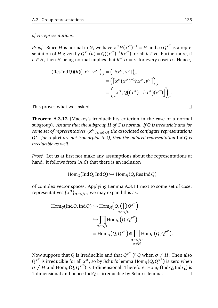*of H-representations.*

*Proof.* Since *H* is normal in *G*, we have  $x^{\sigma}H(x^{\sigma})^{-1} = H$  and so  $Q^{x^{\sigma}}$  is a representation of *H* given by  $Q^{x^{\sigma}}(h) = Q((x^{\sigma})^{-1}h x^{\sigma})$  for all  $h \in H$ . Furthermore, if *h* ∈ *H*, then *H* being normal implies that  $h^{-1}\sigma = \sigma$  for every coset  $\sigma$ . Hence,

(Res Ind Q)(h)
$$
\begin{aligned} (\text{Res Ind Q})(h) \big( \big[ x^{\sigma}, v^{\sigma} \big] \big)_{\sigma} &= \big( \big[ h x^{\sigma}, v^{\sigma} \big] \big)_{\sigma} \\ &= \big( \big[ x^{\sigma} (x^{\sigma})^{-1} h x^{\sigma}, v^{\sigma} \big] \big)_{\sigma} \\ &= \big( \big[ x^{\sigma}, Q \big( (x^{\sigma})^{-1} h x^{\sigma} \big) \big( v^{\sigma} \big) \big] \big)_{\sigma} \end{aligned}
$$

This proves what was asked.

**Theorem A.3.12** (Mackey's irreducibility criterion in the case of a normal subgroup)**.** *Assume that the subgroup H of G is normal. If Q is irreducible and for some set of representatives* {*x <sup>σ</sup>*}*σ*∈*G/<sup>H</sup> the associated conjugate representations*  $Q^{x^\sigma}$  *for*  $\sigma \neq H$  are not isomorphic to Q, then the induced representation IndQ is *irreducible as well.*

*Proof.* Let us at first not make any assumptions about the representations at hand. It follows from (A.6) that there is an inclusion

$$
\text{Hom}_G(\text{Ind}Q,\text{Ind}Q)\hookrightarrow \text{Hom}_H(Q,\text{Res}\,\text{Ind}Q)
$$

of complex vector spaces. Applying Lemma A.3.11 next to some set of coset *representatives*  $\{x^{\sigma}\}_{\sigma \in G/H}$ , we may expand this as:

$$
\text{Hom}_G(\text{Ind}Q, \text{Ind}Q) \hookrightarrow \text{Hom}_H\left(Q, \bigoplus_{\sigma \in G/H} Q^{x^{\sigma}}\right)
$$

$$
\hookrightarrow \prod_{\sigma \in G/H} \text{Hom}_H\left(Q, Q^{x^{\sigma}}\right)
$$

$$
= \text{Hom}_H\left(Q, Q^{x^H}\right) \oplus \prod_{\substack{\sigma \in G/H \\ \sigma \neq H}} \text{Hom}_H\left(Q, Q^{x^{\sigma}}\right).
$$

Now suppose that *Q* is irreducible and that  $Q^{x^\sigma} \not\cong Q$  when  $\sigma \neq H$ . Then also  $Q^{x^{\sigma}}$  is irreducible for all  $x^{\sigma}$ , so by Schur's lemma Hom<sub>*H*</sub> (*Q*, *Q*<sup>*x*<sup> $\sigma$ </sup>) is zero when</sup>  $\sigma \neq H$  and  $\text{Hom}_{H}(Q, Q^{x^H})$  is 1-dimensional. Therefore,  $\text{Hom}_{G}(\text{Ind} \, Q, \text{Ind} \, Q)$  is 1-dimensional and hence Ind*Q* is irreducible by Schur's lemma. $\Box$ 

 $\Box$ 

.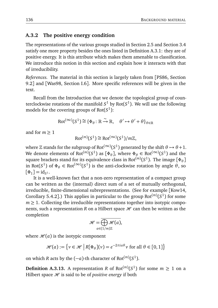#### **A.3.2 The positive energy condition**

The representations of the various groups studied in Section 2.5 and Section 3.4 satisfy one more property besides the ones listed in Definition A.3.1: they are of positive energy. It is this attribute which makes them amenable to classification. We introduce this notion in this section and explain how it interacts with that of irreducibility.

*References.* The material in this section is largely taken from [PS86, Section 9.2] and [Was98, Section I.6]. More specific references will be given in the text.

Recall from the Introduction that we denote the topological group of counterclockwise rotations of the manifold  $S^1$  by Rot $(S^1)$ . We will use the following models for the covering groups of Rot(*S* 1 ):

$$
\text{Rot}^{(\infty)}(S^1) \cong \{ \Phi_{\theta} : \mathbb{R} \xrightarrow{\sim} \mathbb{R}, \quad \theta' \mapsto \theta' + \theta \}_{\theta \in \mathbb{R}}
$$

and for  $m > 1$ 

$$
\text{Rot}^{(m)}(S^1) \cong \text{Rot}^{(\infty)}(S^1)/m\mathbb{Z},
$$

where  $\mathbb Z$  stands for the subgroup of Rot<sup>(∞)</sup>(S<sup>1</sup>) generated by the shift  $\theta \mapsto \theta + 1.$ We denote elements of  $Rot^{(m)}(S^1)$  as  $[\Phi_{\theta}]$ , where  $\Phi_{\theta} \in Rot^{(\infty)}(S^1)$  and the square brackets stand for its equivalence class in Rot<sup>(m)</sup>(S<sup>1</sup>). The image [ $\Phi_{\theta}$ ] in Rot(*S*<sup>1</sup>) of  $\Phi_{\theta} \in \text{Rot}^{(\infty)}(S^1)$  is the anti-clockwise rotation by angle  $\theta$ , so  $[\Phi_1] = id_{S^1}.$ 

It is a well-known fact that a non-zero representation of a compact group can be written as the (internal) direct sum of a set of mutually orthogonal, irreducible, finite-dimensional subrepresentations. (See for example [Kow14, Corollary 5.4.2].) This applies in particular to the group  $Rot<sup>(m)</sup>(S<sup>1</sup>)$  for some  $m \geq 1$ . Collecting the irreducible representations together into isotypic components, such a representation *R* on a Hilbert space  $\mathcal{H}$  can then be written as the completion

$$
\mathscr{H}=\overline{\bigoplus_{a\in(1/m)\mathbb{Z}}\mathscr{H}(a)},
$$

where  $\mathcal{H}(a)$  is the isotypic component

$$
\mathcal{H}(a) := \left\{ v \in \mathcal{H} \mid R[\Phi_{\theta}](v) = e^{-2\pi i a \theta} v \text{ for all } \theta \in [0, 1] \right\}
$$

on which *R* acts by the  $(-a)$ -th character of Rot<sup> $(m)(S^1)$ </sup>.

**Definition A.3.13.** A representation *R* of  $Rot^{(m)}(S^1)$  for some  $m \geq 1$  on a Hilbert space  $H$  is said to be of *positive energy* if both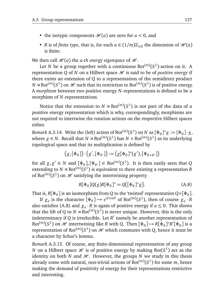- the isotypic components  $\mathcal{H}(a)$  are zero for  $a < 0$ , and
- *R* is of *finite type*, that is, for each  $a \in (1/m)\mathbb{Z}_{\geq 0}$  the dimension of  $\mathcal{H}(a)$ is finite.

We then call  $\mathcal{H}(a)$  the *a-th energy eigenspace* of  $\mathcal{H}$ .

Let *N* be a group together with a continuous  $Rot^{(m)}(S^1)$ -action on it. A representation *Q* of *N* on a Hilbert space  $\mathcal{H}$  is said to be of *positive energy* if there exists an extension of *Q* to a representation of the semidirect product  $N \rtimes \text{Rot}^{(m)}(S^1)$  on  $\mathscr H$  such that its restriction to  $\text{Rot}^{(m)}(S^1)$  is of positive energy. A *morphism* between two positive energy *N*-representations is defined to be a morphism of *N*-representations.

Notice that the extension to  $N \rtimes Rot^{(m)}(S^1)$  is not part of the data of a positive energy representation which is why, correspondingly, morphisms are not required to intertwine the rotation actions on the respective Hilbert spaces either.

*Remark* A.3.14. Write the (left) action of  $Rot^{(m)}(S^1)$  on *N* as  $[\Phi_\theta]^*g := [\Phi_\theta]\cdot g$ , where  $g \in N$ . Recall that  $N \rtimes \text{Rot}^{(m)}(S^1)$  has  $N \times \text{Rot}^{(m)}(S^1)$  as its underlying topological space and that its multiplication is defined by

$$
\left(g,[\Phi_\theta]\right)\cdot \left(g',[\Phi_{\theta'}]\right)\hspace{-.05cm}:=\hspace{-.05cm}\left(g[\Phi_\theta]^*(g'),[\Phi_{\theta+\theta'}]\right)
$$

for all  $g, g' \in N$  and  $[\Phi_{\theta}], [\Phi_{\theta'}] \in Rot^{(m)}(S^1)$ . It is then easily seen that *Q* extending to  $N \rtimes \mathrm{Rot}^{(m)}(S^1)$  is equivalent to there existing a representation  $R$ of  $\mathrm{Rot}^{(m)}(S^1)$  on  $\mathscr H$  satisfying the intertwining property

$$
R[\Phi_{\theta}]Q(g)R[\Phi_{\theta}]^* = Q([\Phi_{\theta}]^*g). \tag{A.8}
$$

That is,  $R[\Phi_\theta]$  is an isomorphism from  $Q$  to the 'twisted' representation  $Q \circ [\Phi_\theta]$ .

If  $\chi_a$  is the character  $[\Phi_\theta] \mapsto e^{2\pi i a \theta}$  of Rot<sup>(*m*)</sup>( $S^1$ ), then of course  $\chi_a \cdot R$ also satisfies (A.8) and  $\chi_a \cdot R$  is again of positive energy if  $a \le 0$ . This shows that the lift of *Q* to *N*  $\rtimes$  Rot<sup>(*m*)</sup>(*S*<sup>1</sup>) is never unique. However, this is the only indeterminacy if  $Q$  is irreducible. Let  $R'$  namely be another representation of  $Rot^{(m)}(S^1)$  on  $\mathcal{H}$  intertwining like *R* with *Q*. Then  $[\Phi_\theta] \mapsto R[\Phi_\theta]^*R'[\Phi_\theta]$  is a representation of Rot $^{\left(m\right)}\!\!\left(S^1\right)$  on  ${\mathscr H}$  which commutes with  $Q$ , hence it must be a character by Schur's lemma.

*Remark* A.3.15*.* Of course, any finite-dimensional representation of any group *N* on a Hilbert space  $\mathscr H$  is of positive energy by making Rot( $S^1$ ) act as the identity on both *N* and  $H$ . However, the groups *N* we study in this thesis already come with natural, non-trivial actions of  $\mathrm{Rot}^{(m)}(S^1)$  for some  $m$ , hence making the demand of positivity of energy for their representations restrictive and interesting.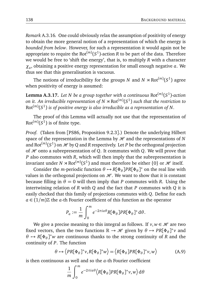*Remark* A.3.16*.* One could obviously relax the assumption of positivity of energy to obtain the more general notion of a representation of which the energy is *bounded from below*. However, for such a representation it would again not be appropriate to require the  $\mathrm{Rot}^{(m)}(S^1)$ -action  $R$  to be part of the data. Therefore we would be free to 'shift the energy', that is, to multiply *R* with a character *χa* , obtaining a positive energy representation for small enough negative *a*. We thus see that this generalisation is vacuous.

The notions of irreducibility for the groups *N* and *N*  $\rtimes$  Rot<sup>(*m*)</sup>(*S*<sup>1</sup>) agree when positivity of energy is assumed:

**Lemma A.3.17.** *Let N be a group together with a continuous* Rot(*m*) (*S* 1 )*-action on it. An irreducible representation of N*  $\rtimes$  Rot $^{(m)}(S^1)$  *such that the restriction to* Rot(*m*) (*S* 1 ) *is of positive energy is also irreducible as a representation of N.*

The proof of this Lemma will actually not use that the representation of  $Rot<sup>(m)</sup>(S<sup>1</sup>)$  is of finite type.

*Proof.* (Taken from [PS86, Proposition 9.2.3].) Denote the underlying Hilbert space of the representation in the Lemma by  $H$  and the representations of  $N$ and  $\mathrm{Rot}^{(m)}(S^1)$  on  $\mathscr{H}$  by  $Q$  and  $R$  respectively. Let  $P$  be the orthogonal projection of  $H$  onto a subrepresentation of *Q*. It commutes with *Q*. We will prove that *P* also commutes with *R*, which will then imply that the subrepresentation is invariant under  $N \rtimes \text{Rot}^{(m)}(S^1)$  and must therefore be either  $\{0\}$  or  $\mathscr H$  itself.

Consider the *m*-periodic function  $\theta \mapsto R[\Phi_{\theta}] PR[\Phi_{\theta}]^*$  on the real line with values in the orthogonal projections on  $H$ . We want to show that it is constant because filling in  $\theta = 0$  will then imply that *P* commutes with *R*. Using the intertwining relation of *R* with *Q* and the fact that *P* commutes with *Q* it is easily checked that this family of projections commutes with *Q*. Define for each  $a \in (1/m)\mathbb{Z}$  the *a*-th Fourier coefficient of this function as the operator

$$
P_a := \frac{1}{m} \int_0^m e^{-2\pi i a \theta} R[\Phi_\theta] PR[\Phi_\theta]^* d\theta.
$$

We give a precise meaning to this integral as follows. If  $v, w \in \mathcal{H}$  are two fixed vectors, then the two functions  $\mathbb{R} \to \mathcal{H}$  given by  $\theta \mapsto PR[\Phi_{\theta}]^*v$  and  $\theta \mapsto R[\Phi_{\theta}]^*$ *w* are continuous thanks to the strong continuity of *R* and the continuity of *P*. The function

$$
\theta \mapsto \left\langle PR[\Phi_{\theta}]^* \nu, R[\Phi_{\theta}]^* w \right\rangle = \left\langle R[\Phi_{\theta}] PR[\Phi_{\theta}]^* \nu, w \right\rangle \tag{A.9}
$$

is then continuous as well and so the *a*-th Fourier coefficient

$$
\frac{1}{m} \int_0^m e^{-2\pi i a\theta} \langle R[\Phi_\theta] PR[\Phi_\theta]^* v, w \rangle d\theta
$$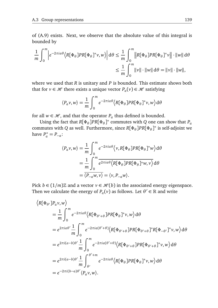of (A.9) exists. Next, we observe that the absolute value of this integral is bounded by

$$
\frac{1}{m} \int_0^m \left| e^{-2\pi i a\theta} \langle R[\Phi_\theta] P R[\Phi_\theta]^\ast v, w \rangle \right| d\theta \le \frac{1}{m} \int_0^m \left\| R[\Phi_\theta] P R[\Phi_\theta]^\ast v \right\| \cdot \|w\| d\theta
$$
  

$$
\le \frac{1}{m} \int_0^m \|v\| \cdot \|w\| d\theta = \|v\| \cdot \|w\|,
$$

where we used that *R* is unitary and *P* is bounded. This estimate shows both that for  $v \in \mathcal{H}$  there exists a unique vector  $P_a(v) \in \mathcal{H}$  satisfying

$$
\langle P_a v, w \rangle = \frac{1}{m} \int_0^m e^{-2\pi i a \theta} \langle R[\Phi_\theta] PR[\Phi_\theta]^\ast v, w \rangle d\theta
$$

for all  $w \in \mathcal{H}$ , and that the operator  $P_a$  thus defined is bounded.

Using the fact that  $R[\Phi_{\theta}]PR[\Phi_{\theta}]^*$  commutes with *Q* one can show that  $P_a$ commutes with *Q* as well. Furthermore, since  $R[\Phi_{\theta}] PR[\Phi_{\theta}]^*$  is self-adjoint we have  $P_a^* = P_{-a}$ :

$$
\langle P_a v, w \rangle = \frac{1}{m} \int_0^m e^{-2\pi i a \theta} \langle v, R[\Phi_\theta] PR[\Phi_\theta]^* w \rangle d\theta
$$
  
= 
$$
\frac{1}{m} \int_0^m e^{2\pi i a \theta} \langle R[\Phi_\theta] PR[\Phi_\theta]^* w, v \rangle d\theta
$$
  
= 
$$
\overline{\langle P_{-a} w, v \rangle} = \langle v, P_{-a} w \rangle.
$$

Pick  $b \in (1/m)\mathbb{Z}$  and a vector  $v \in \mathcal{H}(b)$  in the associated energy eigenspace. Then we calculate the energy of  $P_a(v)$  as follows. Let  $\theta' \in \mathbb{R}$  and write

$$
\langle R[\Phi_{\theta'}]P_a v, w \rangle
$$
  
=  $\frac{1}{m} \int_0^m e^{-2\pi i a \theta} \langle R[\Phi_{\theta'+\theta}]PR[\Phi_{\theta}]^* v, w \rangle d\theta$   
=  $e^{2\pi i a \theta'} \frac{1}{m} \int_0^m e^{-2\pi i a(\theta'+\theta)} \langle R[\Phi_{\theta'+\theta}]PR[\Phi_{\theta'+\theta}]^*R[\Phi_{-\theta'}]^* v, w \rangle d\theta$   
=  $e^{2\pi i (a-b)\theta'} \frac{1}{m} \int_0^m e^{-2\pi i a(\theta'+\theta)} \langle R[\Phi_{\theta'+\theta}]PR[\Phi_{\theta'+\theta}]^* v, w \rangle d\theta$   
=  $e^{2\pi i (a-b)\theta'} \frac{1}{m} \int_{\theta'}^{\theta'+m} e^{-2\pi i a \theta} \langle R[\Phi_{\theta}]PR[\Phi_{\theta}]^* v, w \rangle d\theta$   
=  $e^{-2\pi i (b-a)\theta'} \langle P_a v, w \rangle$ .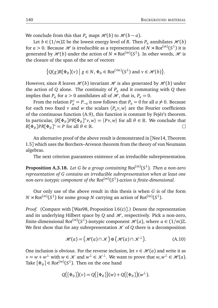We conclude from this that  $P_a$  maps  $\mathcal{H}(b)$  to  $\mathcal{H}(b-a)$ .

Let *b* ∈ (1/*m*) $\mathbb{Z}$  be the lowest energy level of *R*. Then *P<sub><i>a*</sub> annihilates  $\mathcal{H}(b)$ </sup> for  $a > 0$ . Because  $\mathcal H$  is irreducible as a representation of  $N \rtimes \mathrm{Rot}^{(m)}(S^1)$  it is generated by  $\mathcal{H}(b)$  under the action of  $N \rtimes Rot^{(m)}(S^1)$ . In other words,  $\mathcal{H}$  is the closure of the span of the set of vectors

$$
\big\{Q(g)R[\Phi_{\theta}](\nu)\,\big|\,g\in N,\,\Phi_{\theta}\in\mathrm{Rot}^{(\infty)}(S^1)\text{ and }\nu\in\mathscr{H}(b)\big\}.
$$

However, since *R* leaves  $\mathcal{H}(b)$  invariant  $\mathcal{H}$  is also generated by  $\mathcal{H}(b)$  under the action of *Q* alone. The continuity of *P<sup>a</sup>* and it commuting with *Q* then implies that  $P_a$  for  $a > 0$  annihilates all of  $\mathcal{H}$ , that is,  $P_a = 0$ .

From the relation  $P_a^* = P_{-a}$  it now follows that  $P_a = 0$  for all  $a \neq 0$ . Because for each two fixed *v* and *w* the scalars  $\langle P_a v, w \rangle$  are the Fourier coefficients of the continuous function (A.9), this function is constant by Fejér's theorem. In particular,  $\langle R[\Phi_{\theta}]PR[\Phi_{\theta}]^*v,w\rangle = \langle Pv,w\rangle$  for all  $\theta \in \mathbb{R}$ . We conclude that  $R[\Phi_{\theta}]PR[\Phi_{\theta}]^* = P$  for all  $\theta \in \mathbb{R}$ .  $\Box$ 

An alternative proof of the above result is demonstrated in [Nee14, Theorem 1.5] which uses the Borchers–Arveson theorem from the theory of von Neumann algebras.

The next criterion guarantees existence of an irreducible subrepresentation.

**Proposition A.3.18.** *Let G be a group containing* Rot(*m*) (*S* 1 )*. Then a non-zero representation of G contains an irreducible subrepresentation when at least one non-zero isotypic component of the* Rot(*m*) (*S* 1 )*-action is finite-dimensional.*

Our only use of the above result in this thesis is when *G* is of the form  $N \rtimes \text{Rot}^{(m)}(S^1)$  for some group  $N$  carrying an action of  $\text{Rot}^{(m)}(S^1)$ .

*Proof.* (Compare with [Was98, Proposition I.6(c)].) Denote the representation and its underlying Hilbert space by *Q* and  $H$ , respectively. Pick a non-zero, finite-dimensional Rot<sup>(m)</sup>(S<sup>1</sup>)-isotypic component  $\mathcal{H}(a)$ , where  $a \in (1/m)\mathbb{Z}$ . We first show that for any subrepresentation  $\mathcal K$  of  $Q$  there is a decomposition

$$
\mathcal{H}(a) = (\mathcal{H}(a) \cap \mathcal{K}) \oplus (\mathcal{H}(a) \cap \mathcal{K}^{\perp}).
$$
 (A.10)

One inclusion is obvious. For the reverse inclusion, let  $v \in \mathcal{H}(a)$  and write it as *v* = *w* + *w*<sup>⊥</sup> with *w* ∈ *X* and *w*<sup>⊥</sup> ∈ *X*<sup>⊥</sup>. We want to prove that *w*, *w*<sup>⊥</sup> ∈ *H*  $\ell$  (*a*). Take  $[\Phi_{\theta}] \in \text{Rot}^{(m)}(S^1)$ . Then on the one hand

$$
Q([\Phi_{\theta}])(\nu) = Q([\Phi_{\theta}])(\nu) + Q([\Phi_{\theta}])(\nu^{\perp}).
$$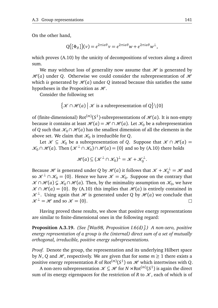On the other hand,

$$
Q([\Phi_{\theta}])(\nu) = e^{2\pi i a\theta} \nu = e^{2\pi i a\theta} \nu + e^{2\pi i a\theta} \nu^{\perp},
$$

which proves (A.10) by the unicity of decompositions of vectors along a direct sum.

We may without loss of generality now assume that  $\mathcal{H}$  is generated by  $\mathcal{H}(a)$  under *Q*. Otherwise we could consider the subrepresentation of  $\mathcal{H}$ which *is* generated by  $\mathcal{H}(a)$  under *Q* instead because this satisfies the same hypotheses in the Proposition as  $H$ .

Consider the following set

$$
\{ \mathcal{K} \cap \mathcal{H}(a) \, \big| \, \mathcal{K} \text{ is a subrepresentation of } Q \} \setminus \{0\}
$$

of (finite-dimensional)  $Rot<sup>(m)</sup>(S<sup>1</sup>)$ -subrepresentations of  $\mathcal{H}(a)$ . It is non-empty because it contains at least  $\mathcal{H}(a) = \mathcal{H} \cap \mathcal{H}(a)$ . Let  $\mathcal{K}_0$  be a subrepresentation of *Q* such that  $\mathcal{K}_0 \cap \mathcal{H}(a)$  has the smallest dimension of all the elements in the above set. We claim that  $\mathcal{K}_0$  is irreducible for Q.

Let  $\mathcal{K} \subseteq \mathcal{K}_0$  be a subrepresentation of *Q*. Suppose that  $\mathcal{K} \cap \mathcal{H}(a) =$  $\mathcal{K}_0 \cap \mathcal{H}(a)$ . Then  $(\mathcal{K}^{\perp} \cap \mathcal{K}_0) \cap \mathcal{H}(a) = \{0\}$  and so by (A.10) there holds

$$
\mathcal{H}(a) \subseteq (\mathcal{K}^{\perp} \cap \mathcal{K}_0)^{\perp} = \mathcal{K} + \mathcal{K}_0^{\perp}.
$$

Because *H* is generated under *Q* by  $\mathcal{H}(a)$  it follows that  $\mathcal{K} + \mathcal{K}_0^{\perp} = \mathcal{H}$  and so  $\mathcal{K}^{\perp} \cap \mathcal{K}_0 = \{0\}$ . Hence we have  $\mathcal{K} = \mathcal{K}_0$ . Suppose on the contrary that  $K \cap \mathcal{H}(a) \subsetneq \mathcal{K}_0 \cap \mathcal{H}(a)$ . Then, by the minimality assumption on  $\mathcal{K}_0$ , we have  $\mathcal{K} \cap \mathcal{H}(a) = \{0\}$ . By (A.10) this implies that  $\mathcal{H}(a)$  is entirely contained in  $\mathcal{K}^{\perp}$ . Using again that  $\mathcal{H}$  is generated under *Q* by  $\mathcal{H}(a)$  we conclude that  $\mathcal{K}^{\perp} = \mathcal{H}$  and so  $\mathcal{K} = \{0\}.$  $\Box$ 

Having proved these results, we show that positive energy representations are similar to finite-dimensional ones in the following regard:

**Proposition A.3.19.** *(See [Was98, Proposition I.6(d)].) A non-zero, positive energy representation of a group is the (internal) direct sum of a set of mutually orthogonal, irreducible, positive energy subrepresentations.*

*Proof.* Denote the group, the representation and its underlying Hilbert space by *N*, *Q* and  $\mathcal{H}$ , respectively. We are given that for some  $m \ge 1$  there exists a positive energy representation *R* of Rot $^{(m)}(S^1)$  on  ${\mathscr H}$  which intertwines with  $Q.$ 

A non-zero subrepresentation  $\mathscr{K} \subseteq \mathscr{H}$  for  $N \rtimes \mathrm{Rot}^{(m)}(S^1)$  is again the direct sum of its energy eigenspaces for the restriction of *R* to  $\mathcal{K}$ , each of which is of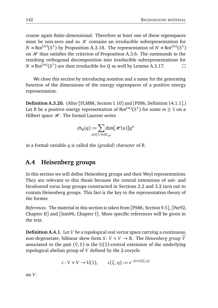course again finite-dimensional. Therefore at least one of these eigenspaces must be non-zero and so  $K$  contains an irreducible subrepresentation for  $N \rtimes \text{Rot}^{(m)}(S^1)$  by Proposition A.3.18. The representation of  $N \rtimes \text{Rot}^{(m)}(S^1)$ on  $H$  thus satisfies the criterion of Proposition A.3.6. The summands in the resulting orthogonal decomposition into irreducible subrepresentations for  $N \rtimes \text{Rot}^{(m)}(S^1)$  are then irreducible for *Q* as well by Lemma A.3.17.  $\Box$ 

We close this section by introducing notation and a name for the generating function of the dimensions of the energy eigenspaces of a positive energy representation.

**Definition A.3.20.** (After [FLM88, Section 1.10] and [PS86, Definition 14.1.1].) Let *R* be a positive energy representation of  $\mathrm{Rot}^{(m)}(S^1)$  for some  $m\geq 1$  on a Hilbert space  $H$ . The formal Laurent series

$$
\mathrm{ch}_R(q):=\!\!\!\!\sum_{a\in (1/m)\mathbb{Z}_{\geq 0}}\!\!\!\!\!\!\!\!\!\!\!\mathrm{dim}\big(\mathcal{H}(a)\big)q^a
$$

in a formal variable *q* is called the *(graded) character* of *R*.

### **A.4 Heisenberg groups**

In this section we will define Heisenberg groups and their Weyl representations. They are relevant to this thesis because the central extensions of uni- and bicoloured torus loop groups constructed in Sections 2.2 and 3.2 turn out to contain Heisenberg groups. This fact is the key to the representation theory of the former.

*References.* The material in this section is taken from [PS86, Section 9.5], [Par92, Chapter II] and [Ism96, Chapter I]. More specific references will be given in the text.

**Definition A.4.1.** Let *V* be a topological real vector space carrying a continuous, non-degenerate, bilinear skew form *S* :  $V \times V \rightarrow \mathbb{R}$ . The *Heisenberg group*  $\tilde{V}$ associated to the pair  $(V, S)$  is the U(1)-central extension of the underlying topological abelian group of *V* defined by the 2-cocycle

$$
c: V \times V \to U(1), \qquad c(\xi, \eta) := e^{-2\pi i S(\xi, \eta)}
$$

on *V*.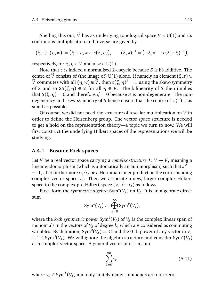Spelling this out,  $\tilde{V}$  has as underlying topological space  $V \times U(1)$  and its continuous multiplication and inverse are given by

$$
(\xi, z) \cdot (\eta, w) := (\xi + \eta, zw \cdot c(\xi, \eta)), \qquad (\xi, z)^{-1} = (-\xi, z^{-1} \cdot c(\xi, -\xi)^{-1}),
$$

respectively, for  $\xi, \eta \in V$  and  $z, w \in U(1)$ .

Note that *c* is indeed a normalised 2-cocycle because *S* is bi-additive. The centre of  $\tilde{V}$  consists of (the image of) U(1) alone. If namely an element ( $\xi, z$ )  $\in$  $\widetilde{V}$  commutes with all  $(\eta, w) \in \widetilde{V}$ , then  $c(\xi, \eta)^2 = 1$  using the skew-symmetry of *S* and so  $2S(\xi, \eta) \in \mathbb{Z}$  for all  $\eta \in V$ . The bilinearity of *S* then implies that  $S(\xi, \eta) = 0$  and therefore  $\xi = 0$  because *S* is non-degenerate. The nondegeneracy and skew-symmetry of *S* hence ensure that the centre of U(1) is as small as possible.

Of course, we did not need the structure of a scalar multiplication on *V* in order to define the Heisenberg group. The vector space structure is needed to get a hold on the representation theory—a topic we turn to now. We will first construct the underlying Hilbert spaces of the representations we will be studying.

#### **A.4.1 Bosonic Fock spaces**

Let *V* be a real vector space carrying a *complex structure*  $J: V \rightarrow V$ , meaning a linear endomorphism (which is automatically an automorphism) such that  $J^2 =$  $\mathbf{-}\operatorname{id}_V$ . Let furthermore  $\langle\cdot,\cdot\rangle_J$  be a Hermitian inner product on the corresponding complex vector space *V<sup>J</sup>* . Then we associate a new, larger complex Hilbert space to the complex pre-Hilbert space  $(V_J, \langle \cdot, \cdot \rangle_J)$  as follows.

First, form the *symmetric algebra* Sym<sup>∗</sup> (*V<sup>J</sup>* ) on *V<sup>J</sup>* . It is an algebraic direct sum

$$
\text{Sym}^*(V_J) := \bigoplus_{k=0}^{\infty} \text{Sym}^k(V_J),
$$

where the *k-th symmetric power*  $\text{Sym}^k(V_J)$  *of*  $V_J$  *is the complex linear span of* monomials in the vectors of  $V_J$  of degree  $k$ , which are considered as commuting variables. By definition,  $\mathrm{Sym}^0(V_J) := \mathbb{C}$  and the 0-th power of any vector in  $V_J$ is 1 ∈ Sym<sup>0</sup>(*V<sub>J</sub>*). We will ignore the algebra structure and consider Sym<sup>\*</sup>(*V<sub>J</sub>*) as a complex vector space. A general vector of it is a sum

$$
\sum_{k=0}^{\infty} \nu_k,
$$
\n(A.11)

where  $v_k \in \text{Sym}^k(V_J)$  and only finitely many summands are non-zero.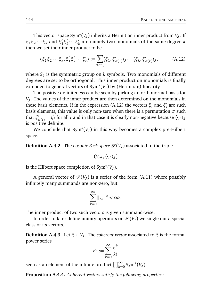This vector space  $Sym^*(V_J)$  inherits a Hermitian inner product from  $V_J$ . If  $\xi_1 \xi_2 \cdots \xi_k$  and  $\xi'_1$  $'$ <sub>1</sub> $\xi'$ <sub>2</sub>  $\zeta_2 \cdots \xi_k'$ *k* are namely two monomials of the same degree *k* then we set their inner product to be

$$
\langle \xi_1 \xi_2 \cdots \xi_k, \xi'_1 \xi'_2 \cdots \xi'_k \rangle := \sum_{\sigma \in S_k} \langle \xi_1, \xi'_{\sigma(1)} \rangle_J \cdots \langle \xi_k, \xi'_{\sigma(k)} \rangle_J,
$$
 (A.12)

where  $S_k$  is the symmetric group on  $k$  symbols. Two monomials of different degrees are set to be orthogonal. This inner product on monomials is finally extended to general vectors of Sym<sup>∗</sup> (*V<sup>J</sup>* ) by (Hermitian) linearity.

The positive definiteness can be seen by picking an orthonormal basis for *VJ* . The values of the inner product are then determined on the monomials in these basis elements. If in the expression (A.12) the vectors *ξ<sup>i</sup>* and *ξ* 0 *i* are such basis elements, this value is only non-zero when there is a permutation *σ* such that *ξ'*  $\sigma$ <sub>*σ*(*i*</sub>) = *ξ*<sub>*i*</sub> for all *i* and in that case it is clearly non-negative because  $\langle \cdot, \cdot \rangle$ *J* is positive definite.

We conclude that Sym<sup>∗</sup> (*V<sup>J</sup>* ) in this way becomes a complex pre-Hilbert space.

**Definition A.4.2.** The *bosonic Fock space*  $\mathscr{S}(V_J)$  associated to the triple

$$
\left(V,J,\left\langle \cdot,\cdot\right\rangle _{J}\right)
$$

is the Hilbert space completion of Sym<sup>∗</sup> (*V<sup>J</sup>* ).

A general vector of  $\mathcal{S}(V_J)$  is a series of the form (A.11) where possibly infinitely many summands are non-zero, but

$$
\sum_{k=0}^{\infty} \lVert v_k \rVert^2 < \infty.
$$

The inner product of two such vectors is given summand-wise.

In order to later define unitary operators on  $\mathscr{S}(V_J)$  we single out a special class of its vectors.

**Definition A.4.3.** Let *ξ* ∈ *V<sup>J</sup>* . The *coherent vector* associated to *ξ* is the formal power series

$$
e^{\xi} := \sum_{k=0}^{\infty} \frac{\xi^k}{k!}
$$

seen as an element of the infinite product  $\prod_{k=0}^{\infty} \mathrm{Sym}^k(V_J).$ 

**Proposition A.4.4.** *Coherent vectors satisfy the following properties:*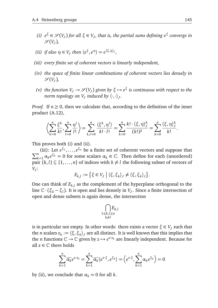- *(i)*  $e^{\xi}$  ∈  $\mathscr{S}(V_J)$  *for all*  $\xi$  ∈  $V_J$ , that is, the partial sums defining  $e^{\xi}$  converge in  $\mathscr{S}(V_J)$ ,
- *(ii) if also*  $\eta \in V_J$  *then*  $\langle e^{\xi}, e^{\eta} \rangle = e^{\langle \xi, \eta \rangle_J}$ ,
- *(iii) every finite set of coherent vectors is linearly independent,*
- *(iv) the space of finite linear combinations of coherent vectors lies densely in*  $\mathscr{S}(V_J)$ ,
- *(v) the function*  $V_J \to \mathcal{S}(V_J)$  *given by*  $\xi \mapsto e^{\xi}$  *is continuous with respect to the norm topology on*  $V_J$  *induced by*  $\langle \cdot, \cdot \rangle_J$ *.*

*Proof.* If  $n \geq 0$ , then we calculate that, according to the definition of the inner product (A.12),

$$
\left\langle \sum_{k=0}^n \frac{\xi^k}{k!}, \sum_{l=0}^n \frac{\eta^l}{l!} \right\rangle = \sum_{k,l=0}^n \frac{\left\langle \xi^k, \eta^l \right\rangle}{k! \cdot l!} = \sum_{k=0}^n \frac{k! \cdot \left\langle \xi, \eta \right\rangle_J^k}{(k!)^2} = \sum_{k=0}^n \frac{\left\langle \xi, \eta \right\rangle_J^k}{k!}.
$$

This proves both (i) and (ii).

(iii): Let *e ξ*1 , . . . , *e* P (iii): Let  $e^{\xi_1}, \ldots, e^{\xi_n}$  be a finite set of coherent vectors and suppose that  $n \leq \xi_k = 0$  for some scalars  $\alpha \in \mathbb{C}$ . Then define for seek (upordaned)  $a_{k=1}$   $\alpha_k e^{\xi_k} = 0$  for some scalars  $\alpha_k \in \mathbb{C}$ . Then define for each (unordered) pair  $\{k, l\} \subseteq \{1, \ldots, n\}$  of indices with  $k \neq l$  the following subset of vectors of *VJ* :

$$
E_{k,l} := \{ \xi \in V_J \mid \langle \xi, \xi_k \rangle_J \neq \langle \xi, \xi_k \rangle_J \}.
$$

One can think of  $E_{k,l}$  as the complement of the hyperplane orthogonal to the line  $\mathbb{C} \cdot (\xi_k - \xi_l)$ . It is open and lies densely in *V<sub>J</sub>*. Since a finite intersection of open and dense subsets is again dense, the intersection

$$
\bigcap_{\substack{1\leq k,l\leq n\\k\neq l}}\!\!\!\!\!E_{k,l}
$$

is in particular not empty. In other words: there exists a vector  $\xi \in V_J$  such that the *n* scalars  $z_k := \langle \xi, \xi_k \rangle_J$  are all distinct. It is well known that this implies that the *n* functions  $\mathbb{C} \to \mathbb{C}$  given by  $z \mapsto e^{z \cdot z_k}$  are linearly independent. Because for all  $z \in \mathbb{C}$  there holds

$$
\sum_{k=1}^{n} \overline{\alpha_k} e^{z \cdot z_k} = \sum_{k=1}^{n} \overline{\alpha_k} \langle e^{z \cdot \xi}, e^{\xi_k} \rangle = \left\langle e^{z \cdot \xi}, \sum_{k=1}^{n} \alpha_k e^{\xi_k} \right\rangle = 0
$$

by (ii), we conclude that  $\alpha_k = 0$  for all *k*.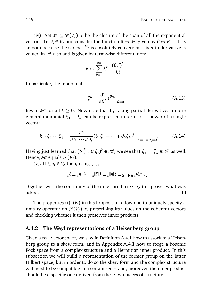(iv): Set  $\mathcal{H} \subseteq \mathcal{S}(V_J)$  to be the closure of the span of all the exponential vectors. Let  $\xi \in V_J$  and consider the function  $\mathbb{R} \to \mathcal{H}$  given by  $\theta \mapsto e^{\theta \cdot \xi}$ . It is smooth because the series *e θ*·*ξ* is absolutely convergent. Its *n*-th derivative is valued in  $\mathcal H$  also and is given by term-wise differentation:

$$
\theta \mapsto \sum_{k=0}^{\infty} \xi^k \cdot \frac{(\theta \xi)^k}{k!}.
$$

In particular, the monomial

$$
\xi^k = \frac{\mathrm{d}^k}{\mathrm{d}\theta^k} e^{\theta \cdot \xi} \bigg|_{\theta=0} \tag{A.13}
$$

lies in  $H$  for all  $k \geq 0$ . Now note that by taking partial derivatives a more general monomial *ξ*<sup>1</sup> ···*ξ<sup>k</sup>* can be expressed in terms of a power of a single vector:

$$
k! \cdot \xi_1 \cdots \xi_k = \frac{\partial^k}{\partial \theta_1 \cdots \partial \theta_k} (\theta_1 \xi_1 + \cdots + \theta_k \xi_k)^k \Big|_{\theta_1 = \cdots = \theta_k = 0}.
$$
 (A.14)

Having just learned that  $(\sum_{i=1}^{k} \theta_i \xi_i)^k \in \mathcal{H}$ , we see that  $\xi_1 \cdots \xi_k \in \mathcal{H}$  as well. Hence,  $\mathcal{H}$  equals  $\mathcal{S}(V_J)$ .

(v): If  $\xi, \eta \in V_J$  then, using (ii),

$$
\|e^{\xi}-e^{\eta}\|^2=e^{\|\xi\|_J^2}+e^{\|\eta\|_J^2}-2\cdot\operatorname{Re}e^{\langle\xi,\eta\rangle_J}.
$$

Together with the continuity of the inner product  $\langle \cdot, \cdot \rangle_j$  this proves what was asked.

The properties (i)–(iv) in this Proposition allow one to uniquely specify a unitary operator on  $\mathcal{S}(V_J)$  by prescribing its values on the coherent vectors and checking whether it then preserves inner products.

#### **A.4.2 The Weyl representations of a Heisenberg group**

Given a real vector space, we saw in Definition A.4.1 how to associate a Heisenberg group to a skew form, and in Appendix A.4.1 how to forge a bosonic Fock space from a complex structure and a Hermitian inner product. In this subsection we will build a representation of the former group on the latter Hilbert space, but in order to do so the skew form and the complex structure will need to be compatible in a certain sense and, moreover, the inner product should be a specific one derived from these two pieces of structure.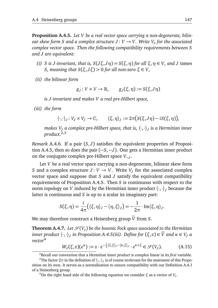**Proposition A.4.5.** *Let V be a real vector space carrying a non-degenerate, bilinear skew form S and a complex structure*  $J: V \rightarrow V$ *. Write*  $V_J$  *for the associated complex vector space. Then the following compatibility requirements between S and J are equivalent:*

- *(i) S is J*-invariant, that is,  $S(J\xi, J\eta) = S(\xi, \eta)$  *for all*  $\xi, \eta \in V$ *, and J* tames *S*, *meaning that*  $S(ξ, Jξ) > 0$  *for all non-zero*  $ξ ∈ V$ ,
- *(ii) the bilinear form*

$$
g_J\colon V\times V\to \mathbb{R},\qquad g_J(\xi,\eta):=S(\xi,J\eta)
$$

*is J -invariant and makes V a real pre-Hilbert space,*

*(iii) the form*

$$
\langle \cdot, \cdot \rangle_J : V_J \times V_J \to \mathbb{C}, \qquad \langle \xi, \eta \rangle_J := 2\pi \big( S(\xi, J\eta) - i S(\xi, \eta) \big),
$$

*makes V<sup>J</sup> a complex pre-Hilbert space, that is,* 〈·,·〉*<sup>J</sup> is a Hermitian inner product.*2,3

*Remark* A.4.6*.* If a pair (*S*, *J*) satisfies the equivalent properties of Proposition A.4.5, then so does the pair (−*S*,−*J*). One gets a Hermitian inner product on the conjugate complex pre-Hilbert space *V*−*<sup>J</sup>* .

Let *V* be a real vector space carrying a non-degenerate, bilinear skew form *S* and a complex structure *J*: *V*  $\rightarrow$  *V*. Write *V<sub>J</sub>* for the associated complex vector space and suppose that *S* and *J* satisfy the equivalent compatibility requirements of Proposition A.4.5. Then *S* is continuous with respect to the norm topology on *V* induced by the Hermitian inner product  $\langle \cdot, \cdot \rangle$ <sub>*I*</sub> because the latter is continuous and *S* is up to a scalar its imaginary part:

$$
S(\xi,\eta) = \frac{i}{4\pi} \big( \langle \xi, \eta \rangle_J - \langle \eta, \xi \rangle_J \big) = -\frac{1}{2\pi} \cdot \operatorname{Im} \langle \xi, \eta \rangle_J.
$$

We may therefore construct a Heisenberg group  $\widetilde{V}$  from *S*.

**Theorem A.4.7.** Let  $\mathscr{S}(V_J)$  be the bosonic Fock space associated to the Hermitian *inner product*  $\langle \cdot, \cdot \rangle_j$  *in Proposition A.4.5(iii). Define for*  $(\xi, z) \in \widetilde{V}$  *and*  $\kappa \in V_j$  *a vector*<sup>4</sup>

$$
W_J(\xi, z)(e^{\kappa}) := z \cdot e^{-\frac{1}{2}\langle \xi, \xi \rangle_J - \langle \kappa, \xi \rangle_J} \cdot e^{\kappa + \xi} \in \mathcal{S}(V_J). \tag{A.15}
$$

<sup>2</sup>Recall our convention that a Hermitian inner product is complex linear in its *first* variable.

<sup>&</sup>lt;sup>3</sup>The factor  $2\pi$  in the definition of  $\langle \cdot, \cdot \rangle_j$  is of course irrelevant for the statement of this Proposition on its own. It serves as a normalisation to ensure compatibility with our Definition A.4.1 of a Heisenberg group.

<sup>&</sup>lt;sup>4</sup>On the right hand side of the following equation we consider  $\xi$  as a vector of  $V<sub>J</sub>$ .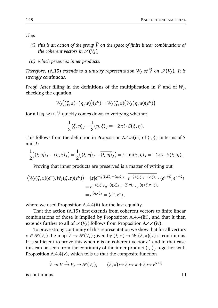*Then*

- *(i)* this is an action of the group  $\tilde{V}$  on the space of finite linear combinations of *the coherent vectors in*  $\mathscr{S}(V_J)$ *,*
- *(ii) which preserves inner products.*

*Therefore,* (A.15) *extends to a unitary representation*  $W_J$  *of*  $\widetilde{V}$  *on*  $\mathscr{S}(V_J)$ *. It is strongly continuous.*

*Proof.* After filling in the definitions of the multiplication in *V* and of *W<sub>J</sub>*, checking the equation

$$
W_J((\xi,z)\cdot(\eta,w))(e^{\kappa})=W_J(\xi,z)\big(W_J(\eta,w)(e^{\kappa})\big)
$$

for all  $(\eta, w) \in \tilde{V}$  quickly comes down to verifying whether

$$
\frac{1}{2}\langle \xi, \eta \rangle_J - \frac{1}{2}\langle \eta, \xi \rangle_J = -2\pi i \cdot S(\xi, \eta).
$$

This follows from the definition in Proposition A.4.5(iii) of  $\langle \cdot, \cdot \rangle_j$  in terms of *S* and *J*:

$$
\frac{1}{2}(\langle \xi, \eta \rangle_J - \langle \eta, \xi \rangle_J) = \frac{1}{2}(\langle \xi, \eta \rangle_J - \overline{\langle \xi, \eta \rangle}_J) = i \cdot \text{Im}\langle \xi, \eta \rangle_J = -2\pi i \cdot S(\xi, \eta).
$$

Proving that inner products are preserved is a matter of writing out

$$
\langle W_J(\xi, z)(e^{\eta}), W_J(\xi, z)(e^{\kappa}) \rangle = |z|e^{-\frac{1}{2}\langle \xi, \xi \rangle_J - \langle \eta, \xi \rangle_J} \cdot e^{-\frac{1}{2}\langle \xi, \xi \rangle_J - \langle \kappa, \xi \rangle_J} \cdot \langle e^{\eta + \xi}, e^{\kappa + \xi} \rangle
$$
  
=  $e^{-\langle \xi, \xi \rangle_J} e^{-\langle \eta, \xi \rangle_J} e^{-\langle \xi, \kappa \rangle_J} \cdot e^{\langle \eta + \xi, \kappa + \xi \rangle_J}$   
=  $e^{\langle \eta, \kappa \rangle_J} = \langle e^{\eta}, e^{\kappa} \rangle$ ,

where we used Proposition A.4.4(ii) for the last equality.

That the action (A.15) first extends from coherent vectors to finite linear combinations of those is implied by Proposition A.4.4(iii), and that it then extends further to all of  $\mathscr{S}(V_J)$  follows from Proposition A.4.4(iv).

To prove strong continuity of this representation we show that for all vectors  $v \in \mathcal{S}(V_J)$  the map  $\tilde{V} \to \mathcal{S}(V_J)$  given by  $(\xi, z) \mapsto W_J(\xi, z)(v)$  is continuous. It is sufficient to prove this when *v* is an coherent vector *e κ* and in that case this can be seen from the continuity of the inner product  $\langle \cdot, \cdot \rangle_J$  together with Proposition A.4.4(v), which tells us that the composite function

$$
\widetilde{V} \twoheadrightarrow V \xrightarrow{\sim} V_J \rightarrow \mathcal{S}(V_J), \qquad (\xi, z) \mapsto \xi \mapsto \kappa + \xi \mapsto e^{\kappa + \xi}
$$

is continuous.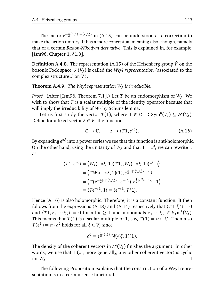The factor  $e^{-\frac{1}{2} \langle \xi, \xi \rangle_J - \langle \kappa, \xi \rangle_J}$  in (A.15) can be understood as a correction to make the action unitary. It has a more conceptual meaning also, though, namely that of a certain *Radon-Nikodym derivative*. This is explained in, for example, [Ism96, Chapter 1, §1.3].

**Definition A.4.8.** The representation (A.15) of the Heisenberg group  $\widetilde{V}$  on the bosonic Fock space  $\mathscr{S}(V_J)$  is called the *Weyl representation* (associated to the complex structure *J* on *V*).

**Theorem A.4.9.** *The Weyl representation W<sup>J</sup> is irreducible.*

*Proof.* (After [Ism96, Theorem 7.1].) Let *T* be an endomorphism of *W<sup>J</sup>* . We wish to show that *T* is a scalar multiple of the identity operator because that will imply the irreducibility of  $W_J$  by Schur's lemma.

Let us first study the vector  $T(1)$ , where  $1 \in \mathbb{C} =: Sym^0(V_J) \subseteq \mathcal{S}(V_J)$ . Define for a fixed vector  $ξ ∈ V_J$  the function

$$
\mathbb{C} \to \mathbb{C}, \qquad z \mapsto \langle T1, e^{z\xi} \rangle. \tag{A.16}
$$

By expanding  $e^{z\xi}$  into a power series we see that this function is anti-holomorphic. On the other hand, using the unitarity of  $W_J$  and that  $1 = e^0$ , we can rewrite it as

$$
\langle T1, e^{z\xi} \rangle = \langle W_J(-z\xi, 1)(T1), W_J(-z\xi, 1)(e^{z\xi}) \rangle
$$
  
=  $\langle TW_J(-z\xi, 1)(1), e^{\frac{1}{2}|z|^2\langle \xi, \xi \rangle_J} \cdot 1 \rangle$   
=  $\langle T(e^{-\frac{1}{2}|z|^2\langle \xi, \xi \rangle_J} \cdot e^{-z\xi}), e^{\frac{1}{2}|z|^2\langle \xi, \xi \rangle_J} \cdot 1 \rangle$   
=  $\langle Te^{-z\xi}, 1 \rangle = \langle e^{-z\xi}, T^*1 \rangle.$ 

Hence (A.16) is also holomorphic. Therefore, it is a constant function. It then follows from the expressions (A.13) and (A.14) respectively that  $\langle T1, \xi^k \rangle = 0$ and  $\langle T1, \xi_1 \cdots \xi_k \rangle = 0$  for all  $k \ge 1$  and monomials  $\xi_1 \cdots \xi_k \in \text{Sym}^k(V_J)$ . This means that *T*(1) is a scalar multiple of 1, say,  $T(1) = \alpha \in \mathbb{C}$ . Then also *T*(*e*<sup> $ξ$ </sup>) = *α* · *e*<sup> $ξ$ </sup> holds for all  $ξ ∈ V_J$  since

$$
e^{\xi}=e^{\frac{1}{2}\langle\xi,\xi\rangle_J}W_J(\xi,1)(1).
$$

The density of the coherent vectors in  $\mathscr{S}(V_J)$  finishes the argument. In other words, we use that 1 (or, more generally, any other coherent vector) is cyclic for *W<sup>J</sup>* .

The following Proposition explains that the construction of a Weyl representation is in a certain sense functorial.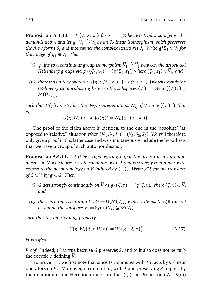**Proposition A.4.10.** Let  $(V_i, S_i, J_i)$  for  $i = 1,2$  be two triples satisfying the  $d$  *demands above and let*  $g: V_1 \xrightarrow{S} V_2$  *be an* R-linear isomorphism which preserves *the skew forms*  $S_i$  *and intertwines the complex structures*  $J_i$ *. Write*  $g^*\xi_1 \in V_2$  *for the image of*  $\xi_1 \in V_1$ . Then

- *(i) g* lifts to a continuous group isomorphism  $\widetilde{V}_1 \xrightarrow{\sim} \widetilde{V}_2$  between the associated *Heisenberg groups via*  $g \cdot (\xi_1, z_1) := (g * \xi_1, z_1)$ , where  $(\xi_1, z_1) \in \widetilde{V}_1$ , and
- *(ii) there is a unitary operator*  $U(g)$ :  $\mathscr{S}((V_1)_{J_1})$ ∼ −→ S ((*V*<sup>2</sup> )*J*2 ) *which extends the* ( $\mathbb{R}$ -linear) isomorphism g between the subspaces  $(V_i)_{J_i} = \text{Sym}^1((V_i)_{J_i}) \subseteq$  $\mathscr{S}((V_i)_{J_i}),$

 $s$ uch that  $U(g)$  intertwines the Weyl representations  $W_{J_i}$  of  $\widetilde{V}_i$  on  $\mathscr{S}((V_i)_{J_i}),$  that *is,*

$$
U(g)W_{J_1}(\xi_1,z_1)U(g)^* = W_{J_2}(g\cdot(\xi_1,z_1)).
$$

The proof of the claim above is identical to the one in the 'absolute' (as opposed to 'relative') situation when  $(V_1, S_1, J_1) = (V_2, S_2, J_2)$ . We will therefore only give a proof in this latter case and we simultaneously include the hypothesis that we have a group of such automorphisms *g*:

**Proposition A.4.11.** *Let G be a topological group acting by* R*-linear automorphisms on V which preserves S, commutes with J and is strongly continuous with respect to the norm topology on V induced by* 〈·,·〉*<sup>J</sup> . Write g* <sup>∗</sup>*ξ for the translate of*  $\xi \in V$  *by*  $g \in G$ *. Then* 

- *(i) G* acts strongly continuously on  $\widetilde{V}$  as  $g \cdot (\xi, z) := (g^* \xi, z)$ , where  $(\xi, z) \in \widetilde{V}$ , *and*
- *(ii) there is a representation*  $U: G \to U(\mathcal{S}(V_J))$  *which extends the (R-linear) action on the subspace*  $V_J = \text{Sym}^1(V_J) \subseteq \mathcal{S}(V_J)$ ,

*such that the intertwining property*

$$
U(g)WJ(\xi,z)U(g)^* = WJ(g \cdot (\xi,z))
$$
 (A.17)

*is satisfied.*

*Proof.* Indeed, (i) is true because *G* preserves *S*, and so it also does not perturb the cocycle  $c$  defining  $\tilde{V}$ .

To prove (ii), we first note that since *G* commutes with *J* it acts by C-linear operators on *V<sup>J</sup>* . Moreover, it commuting with *J* and preserving *S* implies by the definition of the Hermitian inner product  $\langle \cdot, \cdot \rangle_j$  in Proposition A.4.5(iii)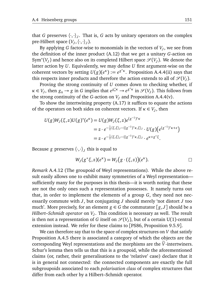that *G* preserves  $\langle \cdot, \cdot \rangle_j$ . That is, *G* acts by unitary operators on the complex pre-Hilbert space  $(V_J, \langle \cdot, \cdot \rangle_J)$ .

By applying *G* factor-wise to monomials in the vectors of *V<sup>J</sup>* , we see from the definition of the inner product (A.12) that we get a unitary *G*-action on Sym<sup>∗</sup>( $V_J$ ) and hence also on its completed Hilbert space  $\mathscr{S}(V_J)$ . We denote the latter action by *U*. Equivalently, we may define *U* first argument-wise on the coherent vectors by setting  $U(g)(e^k) := e^{g^*k}$ . Proposition A.4.4(ii) says that this respects inner products and therefore the action extends to all of  $\mathcal{S}(V_J)$ .

Proving the strong continuity of *U* comes down to checking whether, if  $\kappa \in V_J$ , then  $g_n \to g$  in *G* implies that  $e^{g_n^* \kappa} \to e^{g^* \kappa}$  in  $\mathscr{S}(V_J)$ . This follows from the strong continuity of the *G*-action on  $V<sub>J</sub>$  and Proposition A.4.4(v).

To show the intertwining property (A.17) it suffices to equate the actions of the operators on both sides on coherent vectors. If  $\kappa \in V_J$ , then

$$
U(g)W_{J}(\xi,z)U(g)^{*}(e^{\kappa}) = U(g)W_{J}(\xi,z)e^{(g^{-1})^{*}\kappa} \\
= z \cdot e^{-\frac{1}{2}\langle \xi,\xi \rangle_{J} - \langle (g^{-1})^{*}\kappa,\xi \rangle_{J}} \cdot U(g)(e^{(g^{-1})^{*}\kappa + \varepsilon}) \\
= z \cdot e^{-\frac{1}{2}\langle \xi,\xi \rangle_{J} - \langle (g^{-1})^{*}\kappa,\xi \rangle_{J}} \cdot e^{\kappa + g^{*}\xi}.
$$

Because *g* preserves  $\langle \cdot, \cdot \rangle_J$  this is equal to

$$
W_J(g^*\xi,z)(e^{\kappa})=W_J(g\cdot(\xi,z))(e^{\kappa}).
$$

*Remark* A.4.12 (The groupoid of Weyl representations)*.* While the above result easily allows one to exhibit many symmetries of a Weyl representation sufficiently many for the purposes in this thesis—it is worth noting that these are not the only ones such a representation possesses. It namely turns out that, in order to implement the elements of a group *G*, they need not necessarily commute with *J*, but conjugating *J* should merely 'not distort *J* too much'. More precisely, for an element  $g \in G$  the commutator  $[g, J]$  should be a *Hilbert–Schmidt operator* on *V<sup>J</sup>* . This condition is necessary as well. The result is then not a representation of *G* itself on  $\mathscr{S}(V_J)$ , but of a certain U(1)-central extension instead. We refer for these claims to [PS86, Proposition 9.5.9].

We can therefore say that to the space of complex structures on *V* that satisfy Proposition A.4.5 there is associated a category of which the objects are the corresponding Weyl representations and the morphisms are the  $\tilde{V}$ -intertwiners. Schur's lemma then tells us that this is a groupoid, while the aforementioned claims (or, rather, their generalisations to the 'relative' case) declare that it is in general not connected: the connected components are exactly the full subgroupoids associated to each *polarisation class* of complex structures that differ from each other by a Hilbert–Schmidt operator.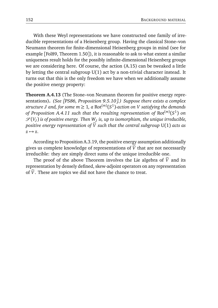With these Weyl representations we have constructed one family of irreducible representations of a Heisenberg group. Having the classical Stone–von Neumann theorem for finite-dimensional Heisenberg groups in mind (see for example [Fol89, Theorem 1.50]), it is reasonable to ask to what extent a similar uniqueness result holds for the possibly infinite-dimensional Heisenberg groups we are considering here. Of course, the action (A.15) can be tweaked a little by letting the central subgroup U(1) act by a non-trivial character instead. It turns out that this is the only freedom we have when we additionally assume the positive energy property:

**Theorem A.4.13** (The Stone–von Neumann theorem for positive energy representations)**.** *(See [PS86, Proposition 9.5.10].) Suppose there exists a complex*  $\mathit{structure}\ J$  and, for some  $m\geq 1$ , a  $\mathsf{Rot}^{(m)}(S^1)$ -action on  $V$  satisfying the demands *of Proposition A.4.11 such that the resulting representation of* Rot(*m*) (*S* 1 ) *on*  $\mathscr{S}(V_J)$  is of positive energy. Then  $W_J$  is, up to isomorphism, the unique irreducible, *positive energy representation of*  $\tilde{V}$  *such that the central subgroup* U(1) *acts as*  $z \mapsto z$ .

According to Proposition A.3.19, the positive energy assumption additionally gives us complete knowledge of representations of  $\tilde{V}$  that are not necessarily irreducible: they are simply direct sums of the unique irreducible one.

The proof of the above Theorem involves the Lie algebra of  $\tilde{V}$  and its representation by densely defined, skew-adjoint operators on any representation of  $\tilde{V}$ . These are topics we did not have the chance to treat.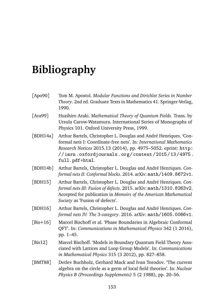# **Bibliography**

| [Apo90]      | Tom M. Apostol. Modular Functions and Dirichlet Series in Number<br>Theory. 2nd ed. Graduate Texts in Mathematics 41. Springer-Verlag,<br>1990.                                                                                                                                        |
|--------------|----------------------------------------------------------------------------------------------------------------------------------------------------------------------------------------------------------------------------------------------------------------------------------------|
| [Ara99]      | Huzihiro Araki. Mathematical Theory of Quantum Fields. Trans. by<br>Ursula Carow-Watamura. International Series of Monographs of<br>Physics 101. Oxford University Press, 1999.                                                                                                        |
| [ $BDH14a$ ] | Arthur Bartels, Christopher L. Douglas and André Henriques. 'Con-<br>formal nets I: Coordinate-free nets'. In: International Mathematics<br>Research Notices 2015.13 (2014), pp. 4975-5052. eprint: http:<br>$//imrn.$ $oxfordjournals.$ $org/content/2015/13/4975.$<br>full.pdf+html. |
| [BDH14b]     | Arthur Bartels, Christopher L. Douglas and André Henriques. Con-<br>formal nets II: Conformal blocks. 2014. arXiv: math/1409. 8672v1.                                                                                                                                                  |
| [BDH15]      | Arthur Bartels, Christopher L. Douglas and André Henriques. Con-<br>formal nets III: Fusion of defects. 2015. arXiv: math/1310. 8263v2.<br>Accepted for publication in Memoirs of the American Mathematical<br>Society as 'Fusion of defects'.                                         |
| [BDH16]      | Arthur Bartels, Christopher L. Douglas and André Henriques. Con-<br>formal nets IV: The 3-category. 2016. arXiv: math/1605.0066v1.                                                                                                                                                     |
| [ $Bis+16$ ] | Marcel Bischoff et al. 'Phase Boundaries in Algebraic Conformal<br>QFT'. In: Communications in Mathematical Physics 342 (1 2016),<br>pp. 1–45.                                                                                                                                         |
| [ $Bis12$ ]  | Marcel Bischoff. 'Models in Boundary Quantum Field Theory Asso-<br>ciated with Lattices and Loop Group Models'. In: Communications<br>in Mathematical Physics 315 (3 2012), pp. 827-858.                                                                                               |
| [BMT88]      | Detlev Buchholz, Gerhard Mack and Ivan Torodov. 'The current<br>algebra on the circle as a germ of local field theories'. In: Nuclear<br>Physics B (Proceedings Supplements) 5 (2 1988), pp. 20–56.                                                                                    |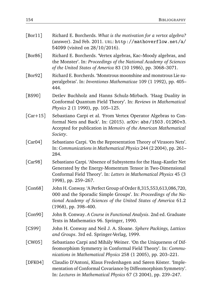| [Br11]     | Richard E. Borcherds. What is the motivation for a vertex algebra?<br>(answer). 2nd Feb. 2011. URL: $http://mathoverflow.net/a/$<br>54099 (visited on 28/10/2016).                                                                |
|------------|-----------------------------------------------------------------------------------------------------------------------------------------------------------------------------------------------------------------------------------|
| [Bor86]    | Richard E. Borcherds. 'Vertex algebras, Kac-Moody algebras, and<br>the Monster'. In: Proceedings of the National Academy of Sciences<br>of the United States of America 83 (10 1986), pp. 3068-3071.                              |
| [Bor92]    | Richard E. Borcherds. 'Monstrous moonshine and monstrous Lie su-<br>peralgebras'. In: Inventiones Mathematicae 109 (1 1992), pp. 405-<br>444.                                                                                     |
| [BS90]     | Detlev Buchholz and Hanns Schulz-Mirbach. 'Haag Duality in<br>Conformal Quantum Field Theory'. In: Reviews in Mathematical<br>Physics 2 (1 1990), pp. 105-125.                                                                    |
| $[Car+15]$ | Sebastiano Carpi et al. 'From Vertex Operator Algebras to Con-<br>formal Nets and Back'. In: (2015). arXiv: abs/1503.01260v3.<br>Accepted for publication in Memoirs of the American Mathematical<br>Society.                     |
| [Car04]    | Sebastiano Carpi. 'On the Representation Theory of Virasoro Nets'.<br>In: Communications in Mathematical Physics 244 (2 2004), pp. 261-<br>284.                                                                                   |
| [Car98]    | Sebastiano Carpi. 'Absence of Subsystems for the Haag-Kastler Net<br>Generated by the Energy-Momentum Tensor in Two-Dimensional<br>Conformal Field Theory'. In: Letters in Mathematical Physics 45 (3<br>1998), pp. 259-267.      |
| [Con68]    | John H. Conway. 'A Perfect Group of Order 8,315,553,613,086,720,<br>000 and the Sporadic Simple Groups'. In: Proceedings of the Na-<br>tional Academy of Sciences of the United States of America 61.2<br>$(1968)$ , pp. 398-400. |
| [Con90]    | John B. Conway. A Course in Functional Analysis. 2nd ed. Graduate<br>Texts in Mathematics 96. Springer, 1990.                                                                                                                     |
| [CS99]     | John H. Conway and Neil J. A. Sloane. Sphere Packings, Lattices<br>and Groups. 3rd ed. Springer-Verlag, 1999.                                                                                                                     |
| [CW05]     | Sebastiano Carpi and Mihály Weiner. 'On the Uniqueness of Dif-<br>feomorphism Symmetry in Conformal Field Theory'. In: Commu-<br>nications in Mathematical Physics 258 (1 2005), pp. 203-221.                                     |
| [DFK04]    | Claudio D'Antoni, Klaus Fredenhagen and Søren Köster. 'Imple-<br>mentation of Conformal Covariance by Diffeomorphism Symmetry'.<br>In: Lectures in Mathematical Physics 67 (3 2004), pp. 239-247.                                 |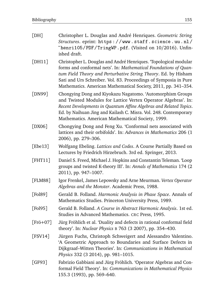| [DH]              | Christopher L. Douglas and André Henriques. Geometric String<br>Structures. eprint: https://www.staff.science.uu.nl/<br>"henri105/PDF/TringWP.pdf. (Visited on 10/2016). Unfin-<br>ished draft.                                                                                                                                              |
|-------------------|----------------------------------------------------------------------------------------------------------------------------------------------------------------------------------------------------------------------------------------------------------------------------------------------------------------------------------------------|
| [DH11]            | Christopher L. Douglas and André Henriques. 'Topological modular<br>forms and conformal nets'. In: Mathematical Foundations of Quan-<br>tum Field Theory and Perturbative String Theory. Ed. by Hisham<br>Sati and Urs Schreiber. Vol. 83. Proceedings of Symposia in Pure<br>Mathematics. American Mathematical Society, 2011, pp. 341-354. |
| [DN99]            | Chongying Dong and Kiyokazu Nagatomo. 'Automorphism Groups<br>and Twisted Modules for Lattice Vertex Operator Algebras'. In:<br>Recent Developments in Quantum Affine Algebras and Related Topics.<br>Ed. by Naihuan Jing and Kailash C. Misra. Vol. 248. Contemporary<br>Mathematics. American Mathematical Society, 1999.                  |
| [ $DX06$ ]        | Chongying Dong and Feng Xu. 'Conformal nets associated with<br>lattices and their orbifolds'. In: Advances in Mathematics 206 (1<br>2006), pp. 279-306.                                                                                                                                                                                      |
| [ $Ebe13$ ]       | Wolfgang Ebeling. Lattices and Codes. A Course Partially Based on<br>Lectures by Friedrich Hirzebruch. 3rd ed. Springer, 2013.                                                                                                                                                                                                               |
| [FHT11]           | Daniel S. Freed, Michael J. Hopkins and Constantin Teleman. 'Loop<br>groups and twisted K-theory III'. In: Annals of Mathematics 174 (2<br>2011), pp. 947-1007.                                                                                                                                                                              |
| [FLM88]           | Igor Frenkel, James Lepowsky and Arne Meurman. Vertex Operator<br>Algebras and the Monster. Academic Press, 1988.                                                                                                                                                                                                                            |
| [Pol89]           | Gerald B. Folland. Harmonic Analysis in Phase Space. Annals of<br>Mathematics Studies. Princeton University Press, 1989.                                                                                                                                                                                                                     |
| [Pol95]           | Gerald B. Folland. A Course in Abstract Harmonic Analysis. 1st ed.<br>Studies in Advanced Mathematics. CRC Press, 1995.                                                                                                                                                                                                                      |
| $[Fr\ddot{o}+07]$ | Jürg Fröhlich et al. 'Duality and defects in rational conformal field<br>theory'. In: Nuclear Physics B 763 (3 2007), pp. 354–430.                                                                                                                                                                                                           |
| [FSV14]           | Jürgen Fuchs, Christoph Schweigert and Alessandro Valentino.<br>'A Geometric Approach to Boundaries and Surface Defects in<br>Dijkgraaf-Witten Theories'. In: Communications in Mathematical<br>Physics 332 (3 2014), pp. 981-1015.                                                                                                          |
| [GF93]            | Fabrizio Gabbiani and Jürg Fröhlich. 'Operator Algebras and Con-<br>formal Field Theory'. In: Communications in Mathematical Physics<br>155.3 (1993), pp. 569-640.                                                                                                                                                                           |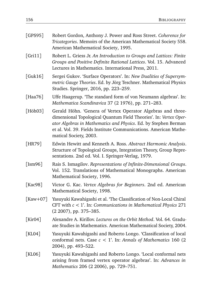| [GPS95]            | Robert Gordon, Anthony J. Power and Ross Street. Coherence for<br>Tricategories. Memoirs of the American Mathematical Society 558.<br>American Mathematical Society, 1995.                                                                                                                        |
|--------------------|---------------------------------------------------------------------------------------------------------------------------------------------------------------------------------------------------------------------------------------------------------------------------------------------------|
| [Gri11]            | Robert L. Griess Jr. An Introduction to Groups and Lattices: Finite<br>Groups and Positive Definite Rational Lattices. Vol. 15. Advanced<br>Lectures in Mathematics. International Press, 2011.                                                                                                   |
| [Guk16]            | Sergei Gukov. 'Surface Operators'. In: New Dualities of Supersym-<br>metric Gauge Theories. Ed. by Jörg Teschner. Mathematical Physics<br>Studies. Springer, 2016, pp. 223-259.                                                                                                                   |
| [Haa76]            | Uffe Haagerup. 'The standard form of von Neumann algebras'. In:<br>Mathematica Scandinavica 37 (2 1976), pp. 271-283.                                                                                                                                                                             |
| [ $H\ddot{o}h03$ ] | Gerald Höhn. 'Genera of Vertex Operator Algebras and three-<br>dimensional Topological Quantum Field Theories'. In: Vertex Oper-<br>ator Algebras in Mathematics and Physics. Ed. by Stephen Berman<br>et al. Vol. 39. Fields Institute Communications. American Mathe-<br>matical Society, 2003. |
| [ $HR79$ ]         | Edwin Hewitt and Kenneth A. Ross. Abstract Harmonic Analysis.<br>Structure of Topological Groups, Integration Theory, Group Repre-<br>sentations. 2nd ed. Vol. I. Springer-Verlag, 1979.                                                                                                          |
| [Im96]             | Rais S. Ismagilov. Representations of Infinite-Dimensional Groups.<br>Vol. 152. Translations of Mathematical Monographs. American<br>Mathematical Society, 1996.                                                                                                                                  |
| [Kac98]            | Victor G. Kac. Vertex Algebras for Beginners. 2nd ed. American<br>Mathematical Society, 1998.                                                                                                                                                                                                     |
| [ $Kaw+07$ ]       | Yasuyuki Kawahigashi et al. 'The Classification of Non-Local Chiral<br>CFT with $c < 1$ '. In: Communications in Mathematical Physics 271<br>(2 2007), pp. 375-385.                                                                                                                               |
| [ $Kir04$ ]        | Alexandre A. Kirillov. Lectures on the Orbit Method. Vol. 64. Gradu-<br>ate Studies in Mathematics. American Mathematical Society, 2004.                                                                                                                                                          |
| [ $KL04$ ]         | Yasuyuki Kawahigashi and Roberto Longo. 'Classification of local<br>conformal nets. Case $c < 1$ '. In: Annals of Mathematics 160 (2<br>2004), pp. 493-522.                                                                                                                                       |
| [KL06]             | Yasuyuki Kawahigashi and Roberto Longo. 'Local conformal nets<br>arising from framed vertex operator algebras'. In: Advances in<br>Mathematics 206 (2 2006), pp. 729-751.                                                                                                                         |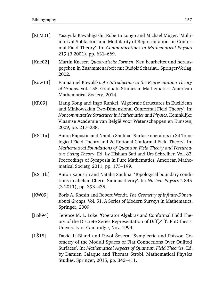| [KLM01]          | Yasuyuki Kawahigashi, Roberto Longo and Michael Müger. 'Multi-<br>interval Subfactors and Modularity of Representations in Confor-<br>mal Field Theory'. In: Communications in Mathematical Physics<br>219 (3 2001), pp. 631-669.                                                                                                                                                      |
|------------------|----------------------------------------------------------------------------------------------------------------------------------------------------------------------------------------------------------------------------------------------------------------------------------------------------------------------------------------------------------------------------------------|
| [ $Kne02$ ]      | Martin Kneser. Quadratische Formen. Neu bearbeitet und heraus-<br>gegeben in Zusammenarbeit mit Rudolf Scharlau. Springer-Verlag,<br>2002.                                                                                                                                                                                                                                             |
| [ $Kow14$ ]      | Emmanuel Kowalski. An Introduction to the Representation Theory<br>of Groups. Vol. 155. Graduate Studies in Mathematics. American<br>Mathematical Society, 2014.                                                                                                                                                                                                                       |
| [KR09]           | Liang Kong and Ingo Runkel. 'Algebraic Structures in Euclidean<br>and Minkowskian Two-Dimensional Conformal Field Theory'. In:<br>Noncommutative Structures in Mathematics and Physics. Koninklijke<br>Vlaamse Academie van België voor Wetenschappen en Kunsten,<br>2009, pp. 217-238.                                                                                                |
| [ $KS11a$ ]      | Anton Kapustin and Natalia Saulina. 'Surface operators in 3d Topo-<br>logical Field Theory and 2d Rational Conformal Field Theory'. In:<br>Mathematical Foundations of Quantum Field Theory and Perturba-<br>tive String Theory. Ed. by Hisham Sati and Urs Schreiber. Vol. 83.<br>Proceedings of Symposia in Pure Mathematics. American Mathe-<br>matical Society, 2011, pp. 175-199. |
| [ $KS11b$ ]      | Anton Kapustin and Natalia Saulina. 'Topological boundary condi-<br>tions in abelian Chern-Simons theory'. In: Nuclear Physics B 845<br>(3 2011), pp. 393-435.                                                                                                                                                                                                                         |
| [KW09]           | Boris A. Khesin and Robert Wendt. The Geometry of Infinite-Dimen-<br>sional Groups. Vol. 51. A Series of Modern Surveys in Mathematics.<br>Springer, 2009.                                                                                                                                                                                                                             |
| $[$ Lok94 $]$    | Terence M. L. Loke. 'Operator Algebras and Conformal Field The-<br>ory of the Discrete Series Representation of Diff $(S^1)$ . PhD thesis.<br>University of Cambridge, Nov. 1994.                                                                                                                                                                                                      |
| $[L\check{S}15]$ | David Li-Bland and Pavol Ševera. 'Symplectic and Poisson Ge-<br>ometry of the Moduli Spaces of Flat Connections Over Quilted<br>Surfaces'. In: Mathematical Aspects of Quantum Field Theories. Ed.<br>by Damien Calaque and Thomas Strobl. Mathematical Physics<br>Studies. Springer, 2015, pp. 343-411.                                                                               |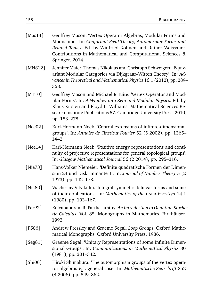| [ $Mas14$ ] | Geoffrey Mason. 'Vertex Operator Algebras, Modular Forms and<br>Moonshine'. In: Conformal Field Theory, Automorphic Forms and<br>Related Topics. Ed. by Winfried Kohnen and Rainer Weissauer.<br>Contributions in Mathematical and Computational Sciences 8.<br>Springer, 2014.            |
|-------------|--------------------------------------------------------------------------------------------------------------------------------------------------------------------------------------------------------------------------------------------------------------------------------------------|
| [ $MNS12$ ] | Jennifer Maier, Thomas Nikolaus and Christoph Schweigert. 'Equiv-<br>ariant Modular Categories via Dijkgraaf-Witten Theory'. In: Ad-<br>vances in Theoretical and Mathematical Physics 16.1 (2012), pp. 289-<br>358.                                                                       |
| [MT10]      | Geoffrey Mason and Michael P. Tuite. 'Vertex Operator and Mod-<br>ular Forms'. In: A Window into Zeta and Modular Physics. Ed. by<br>Klaus Kirsten and Floyd L. Williams. Mathematical Sciences Re-<br>search Institute Publications 57. Cambridge University Press, 2010,<br>pp. 183-278. |
| [ $Nee02$ ] | Karl-Hermann Neeb. 'Central extensions of infinite-dimensional<br>groups'. In: Annales de l'Institut Fourier 52 (5 2002), pp. 1365-<br>1442.                                                                                                                                               |
| [ $Nee14$ ] | Karl-Hermann Neeb. 'Positive energy representations and conti-<br>nuity of projective representations for general topological groups'.<br>In: Glasgow Mathematical Journal 56 (2 2014), pp. 295-316.                                                                                       |
| [ $Nie73$ ] | Hans-Volker Niemeier. 'Definite quadratische Formen der Dimen-<br>sion 24 und Diskriminante 1'. In: Journal of Number Theory 5 (2<br>1973), pp. 142-178.                                                                                                                                   |
| [ $Nik80$ ] | Viacheslav V. Nikulin. 'Integral symmetric bilinear forms and some<br>of their applications'. In: Mathematics of the USSR-Izvestiya 14.1<br>(1980), pp. 103-167.                                                                                                                           |
| [ $Par92$ ] | Kalyanapuram R. Parthasarathy. An Introduction to Quantum Stochas-<br>tic Calculus. Vol. 85. Monographs in Mathematics. Birkhäuser,<br>1992.                                                                                                                                               |
| [PS86]      | Andrew Pressley and Graeme Segal. Loop Groups. Oxford Mathe-<br>matical Monographs. Oxford University Press, 1986.                                                                                                                                                                         |
| [Seg81]     | Graeme Segal. 'Unitary Representations of some Infinite Dimen-<br>sional Groups'. In: Communications in Mathematical Physics 80<br>$(1981)$ , pp. 301-342.                                                                                                                                 |
| [Shi06]     | Hiroki Shimakura. 'The automorphism groups of the vertex opera-<br>tor algebras $V_l^+$ : general case'. In: Mathematische Zeitschrift 252<br>(4 2006), pp. 849–862.                                                                                                                       |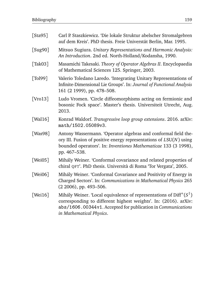| [Sta95]     | Carl P. Staszkiewicz. 'Die lokale Struktur abelscher Stromalgebren<br>auf dem Kreis'. PhD thesis. Freie Universtät Berlin, Mar. 1995.                                                                                              |
|-------------|------------------------------------------------------------------------------------------------------------------------------------------------------------------------------------------------------------------------------------|
| [Sug90]     | Mitsuo Sugiura. Unitary Representations and Harmonic Analysis:<br>An Introduction. 2nd ed. North-Holland/Kodansha, 1990.                                                                                                           |
| [Tak03]     | Masamichi Takesaki. Theory of Operator Algebras II. Encyclopaedia<br>of Mathematical Sciences 125. Springer, 2003.                                                                                                                 |
| [Tol99]     | Valerio Toledano Laredo. 'Integrating Unitary Representations of<br>Infinite-Dimensional Lie Groups'. In: Journal of Functional Analysis<br>161 (2 1999), pp. 478-508.                                                             |
| [Vro13]     | Ludo Vromen. 'Circle diffeomorphisms acting on fermionic and<br>bosonic Fock space'. Master's thesis. Universiteit Utrecht, Aug.<br>2013.                                                                                          |
| [Wal $16$ ] | Konrad Waldorf. Transgressive loop group extensions. 2016. arXiv:<br>math/1502.05089v3.                                                                                                                                            |
| [Was98]     | Antony Wassermann. 'Operator algebras and conformal field the-<br>ory III. Fusion of positive energy representations of $LSU(N)$ using<br>bounded operators'. In: Inventiones Mathematicae 133 (3 1998),<br>pp. 467-538.           |
| [Wei05]     | Mihály Weiner. 'Conformal covariance and related properties of<br>chiral QFT'. PhD thesis. Università di Roma 'Tor Vergata', 2005.                                                                                                 |
| [Wei06]     | Mihály Weiner. 'Conformal Covariance and Positivity of Energy in<br>Charged Sectors'. In: Communications in Mathematical Physics 265<br>(2 2006), pp. 493-506.                                                                     |
| [Wei $16$ ] | Mihály Weiner. 'Local equivalence of representations of $Diff+(S1)$<br>corresponding to different highest weights'. In: (2016). arXiv:<br>abs/1606.00344v1. Accepted for publication in Communications<br>in Mathematical Physics. |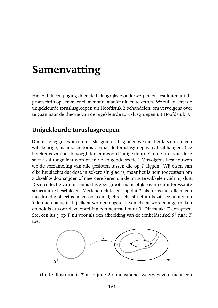### **Samenvatting**

Hier zal ik een poging doen de belangrijkste onderwerpen en resultaten uit dit proefschrift op een meer elementaire manier uiteen te zetten. We zullen eerst de unigekleurde toruslusgroepen uit Hoofdstuk 2 behandelen, om vervolgens over te gaan naar de theorie van de bigekleurde toruslusgroepen uit Hoofdstuk 3.

### **Unigekleurde toruslusgroepen**

Om uit te leggen wat een toruslusgroep is beginnen we met het kiezen van een willekeurige, maar vaste torus *T* waar de toruslusgroep van af zal hangen. (De betekenis van het bijvoeglijk naamwoord 'unigekleurde' in de titel van deze sectie zal toegelicht worden in de volgende sectie.) Vervolgens beschouwen we de verzameling van alle gesloten lussen die op *T* liggen. Wij eisen van elke lus slechts dat deze in zekere zin glad is, maar het is hem toegestaan om zichzelf te doorsnijden of meerdere keren om de torus te wikkelen vóór hij sluit. Deze collectie van lussen is dus zeer groot, maar blijkt over een interessante structuur te beschikken. Merk namelijk eerst op dat *T* als torus niet alleen een meetkundig object is, maar ook een algebraïsche structuur bezit. De punten op *T* kunnen namelijk bij elkaar worden opgeteld, van elkaar worden afgetrokken en ook is er voor deze optelling een neutraal punt 0. Dit maakt *T* een *groep*. Stel een lus *γ* op *T* nu voor als een afbeelding van de eenheidscirkel *S* <sup>1</sup> naar *T* toe.



(In de illustratie is *T* als zijnde 2-dimensionaal weergegeven, maar een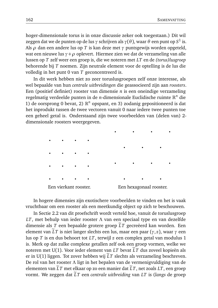hoger-dimensionale torus is in onze discussie zeker ook toegestaan.) Dit wil zeggen dat we de punten op de lus *γ* schrijven als *γ*(*θ*), waar *θ* een punt op *S* 1 is. Als *ρ* dan een andere lus op *T* is kan deze met *γ* puntsgewijs worden opgeteld, wat een nieuwe lus *γ*+*ρ* oplevert. Hiermee zien we dat de verzameling van alle lussen op *T* zelf weer een groep is, die we noteren met *LT* en de *(torus)lusgroep* behorende bij *T* noemen. Zijn neutrale element voor de optelling is de lus die volledig in het punt 0 van *T* geconcentreerd is.

In dit werk hebben niet zo zeer toruslusgroepen zelf onze interesse, als wel bepaalde van hun *centrale uitbreidingen* die geassocieerd zijn aan *roosters*. Een (positief definiet) rooster van dimensie *n* is een oneindige verzameling regelmatig verdeelde punten in de *n*-dimensionale Euclidische ruimte R *<sup>n</sup>* die 1) de oorsprong 0 bevat, 2)  $\mathbb{R}^n$  opspant, en 3) zodanig gepositioneerd is dat het inprodukt tussen de twee vectoren vanuit 0 naar iedere twee punten toe een geheel getal is. Onderstaand zijn twee voorbeelden van (delen van) 2 dimensionale roosters weergegeven.

Een vierkant rooster. Een hexagonaal rooster.

In hogere dimensies zijn exotischere voorbeelden te vinden en het is vaak vruchtbaar om een rooster als een meetkundig object op zich te beschouwen.

In Sectie 2.2 van dit proefschrift wordt verteld hoe, vanuit de toruslusgroep *LT*, met behulp van ieder rooster *Λ* van een speciaal type en van dezelfde dimensie als *T* een bepaalde grotere groep  $\tilde{L}T$  gecreëerd kan worden. Een element van  $LT$  is niet langer slechts een lus, maar een paar  $(\gamma, z)$ , waar  $\gamma$  een lus op *T* is en dus behoort tot *LT*, terwijl *z* een complex getal van modulus 1 is. Merk op dat zulke complexe getallen zelf ook een groep vormen, welke we noteren met U(1). Voor ieder element van *LT* bevat  $LT$  dus zoveel kopieën als er in  $U(1)$  liggen. Tot zover hebben wij  $LT$  slechts als verzameling beschreven. De rol van het rooster *Λ* ligt in het bepalen van de vermenigvuldiging van de elementen van  $\tilde{L}T$  met elkaar op zo een manier dat  $\tilde{L}T$ , net zoals  $LT$ , een groep vormt. We zeggen dat  $\tilde{L}T$  een *centrale uitbreiding* van *LT* is (*langs* de groep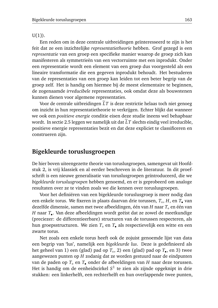$U(1)$ ).

Een reden om in deze centrale uitbreidingen geïnteresseerd te zijn is het feit dat ze een inzichtelijke *representatietheorie* hebben. Grof gezegd is een *representatie* van een groep een specifieke manier waarop de groep zich kan manifesteren als symmetrieën van een vectorruimte met een inprodukt. Onder een representatie wordt een element van een groep dus voorgesteld als een lineaire transformatie die een gegeven inprodukt behoudt. Het bestuderen van de representaties van een groep kan leiden tot een beter begrip van de groep zelf. Het is handig om hiermee bij de meest elementaire te beginnen, de zogenaamde *irreducibele* representaties, ook omdat deze als bouwstenen kunnen dienen voor algemene representaties.

Voor de centrale uitbreidingen  $\tilde{L}T$  is deze restrictie helaas toch niet genoeg om inzicht in hun representatietheorie te verkrijgen. Echter blijkt dat wanneer we ook een *positieve energie* conditie eisen deze studie ineens wel behapbaar wordt. In sectie 2.5 leggen we namelijk uit dat  $\tilde{L}T$  slechts eindig veel irreducible, positieve energie representaties bezit en dat deze expliciet te classificeren en construeren zijn.

#### **Bigekleurde toruslusgroepen**

De hier boven uiteengezette theorie van toruslusgroepen, samengevat uit Hoofdstuk 2, is vrij klassiek en al eerder beschreven in de literatuur. In dit proefschrift is een nieuwe generalisatie van toruslusgroepen geïntroduceerd, die we *bigekleurde toruslusgroepen* hebben genoemd, en er is geprobeerd om analoge resultaten over ze te vinden zoals we die kennen over toruslusgroepen.

Voor het definiëren van een bigekleurde toruslusgroep is meer nodig dan een enkele torus. We fixeren in plaats daarvan drie torussen, *T*◦ , *H*, en *T*• van dezelfde dimensie, samen met twee afbeeldingen, één van *H* naar *T*◦ en één van *H* naar *T*• . Van deze afbeeldingen wordt geëist dat ze zowel de meetkundige (preciezer: de differentieerbare) structuren van de torussen respecteren, als hun groepsstructuren. We zien *T*◦ en *T*• als respectievelijk een witte en een zwarte torus.

Net zoals een enkele torus heeft ook de zojuist genoemde lijst van data een begrip van 'lus', namelijk een *bigekleurde lus*. Deze is gedefinieerd als het geheel van 1) een (glad) pad op *T*◦ , 2) een (glad) pad op *T*• , en 3) twee aangewezen punten op *H* zodanig dat ze worden gestuurd naar de eindpunten van de paden op *T*◦ en *T*• onder de afbeeldingen van *H* naar deze torussen. Het is handig om de eenheidscirkel  $S^1$  te zien als zijnde opgeknipt in drie stukken: een linkerhelft, een rechterhelft en hun overlappende twee punten,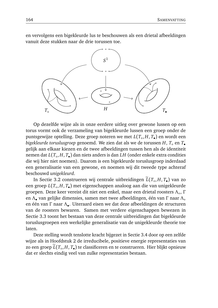en vervolgens een bigekleurde lus te beschouwen als een drietal afbeeldingen vanuit deze stukken naar de drie torussen toe.



Op dezelfde wijze als in onze eerdere uitleg over gewone lussen op een torus vormt ook de verzameling van bigekleurde lussen een groep onder de puntsgewijze optelling. Deze groep noteren we met *L*(*T*◦ , *H*, *T*• ) en wordt een *bigekleurde toruslusgroep* genoemd. We zien dat als we de torussen *H*, *T*◦ en *T*• gelijk aan elkaar kiezen en de twee afbeeldingen tussen hen als de identiteit nemen dat *L*(*T*◦ , *H*, *T*• ) dan niets anders is dan *LH* (onder enkele extra condities die wij hier niet noemen). Daarom is een bigekleurde toruslusgroep inderdaad een generalisatie van een gewone, en noemen wij dit tweede type achteraf beschouwd *unigekleurd*.

In Sectie 3.2 construeren wij centrale uitbreidingen *L*(*T*<sub>◦</sub>,*H*, *T*<sub>●</sub>) van zo een groep *L*(*T*◦ , *H*, *T*• ) met eigenschappen analoog aan die van unigekleurde groepen. Deze keer vereist dit niet een enkel, maar een drietal roosters *Λ*◦ , *Γ* en *Λ*• van gelijke dimensies, samen met twee afbeeldingen, één van *Γ* naar *Λ*◦ en één van *Γ* naar *Λ*• . Uiteraard eisen we dat deze afbeeldingen de structuren van de roosters bewaren. Samen met verdere eigenschappen bewezen in Sectie 3.3 toont het bestaan van deze centrale uitbreidingen dat bigekleurde toruslusgroepen een werkelijke generalisatie van de unigekleurde theorie toe laten.

Deze stelling wordt tenslotte kracht bijgezet in Sectie 3.4 door op een zelfde wijze als in Hoofdstuk 2 de irreducibele, positieve energie representaties van zo een groep *L*(*T*<sub>◦</sub>,*H*, *T*•) te classificeren en te construeren. Hier blijkt opnieuw dat er slechts eindig veel van zulke representaties bestaan.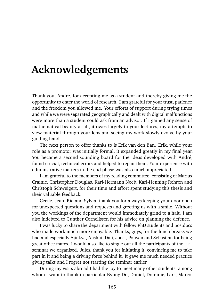## **Acknowledgements**

Thank you, André, for accepting me as a student and thereby giving me the opportunity to enter the world of research. I am grateful for your trust, patience and the freedom you allowed me. Your efforts of support during trying times and while we were separated geographically and dealt with digital malfunctions were more than a student could ask from an advisor. If I gained any sense of mathematical beauty at all, it owes largely to your lectures, my attempts to view material through your lens and seeing my work slowly evolve by your guiding hand.

The next person to offer thanks to is Erik van den Ban. Erik, while your role as a promotor was initially formal, it expanded greatly in my final year. You became a second sounding board for the ideas developed with André, found crucial, technical errors and helped to repair them. Your experience with administrative matters in the end phase was also much appreciated.

I am grateful to the members of my reading committee, consisting of Marius Crainic, Christopher Douglas, Karl-Hermann Neeb, Karl-Henning Rehren and Christoph Schweigert, for their time and effort spent studying this thesis and their valuable feedback.

Cécile, Jean, Ria and Sylvia, thank you for always keeping your door open for unexpected questions and requests and greeting us with a smile. Without you the workings of the department would immediately grind to a halt. I am also indebted to Gunther Cornelissen for his advice on planning the defence.

I was lucky to share the department with fellow PhD students and postdocs who made work much more enjoyable. Thanks, guys, for the lunch breaks we had and especially Ajinkya, Anshui, Dali, Joost, Pouyan and Sebastian for being great office mates. I would also like to single out all the participants of the QFT seminar we organised. Jules, thank you for initiating it, convincing me to take part in it and being a driving force behind it. It gave me much needed practice giving talks and I regret not starting the seminar earlier.

During my visits abroad I had the joy to meet many other students, among whom I want to thank in particular Byung Do, Daniel, Dominic, Lars, Marco,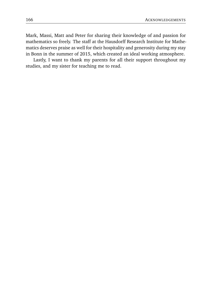Mark, Massi, Matt and Peter for sharing their knowledge of and passion for mathematics so freely. The staff at the Hausdorff Research Institute for Mathematics deserves praise as well for their hospitality and generosity during my stay in Bonn in the summer of 2015, which created an ideal working atmosphere.

Lastly, I want to thank my parents for all their support throughout my studies, and my sister for teaching me to read.